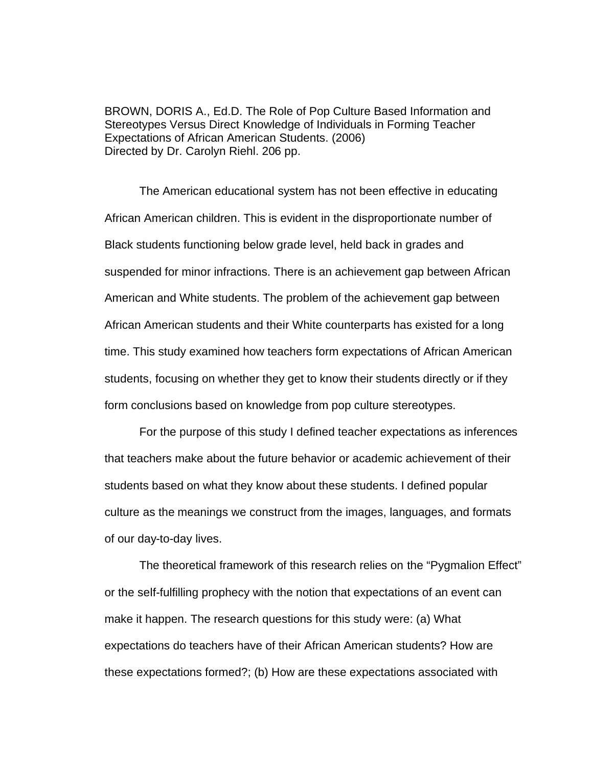BROWN, DORIS A., Ed.D. The Role of Pop Culture Based Information and Stereotypes Versus Direct Knowledge of Individuals in Forming Teacher Expectations of African American Students. (2006) Directed by Dr. Carolyn Riehl. 206 pp.

The American educational system has not been effective in educating African American children. This is evident in the disproportionate number of Black students functioning below grade level, held back in grades and suspended for minor infractions. There is an achievement gap between African American and White students. The problem of the achievement gap between African American students and their White counterparts has existed for a long time. This study examined how teachers form expectations of African American students, focusing on whether they get to know their students directly or if they form conclusions based on knowledge from pop culture stereotypes.

For the purpose of this study I defined teacher expectations as inferences that teachers make about the future behavior or academic achievement of their students based on what they know about these students. I defined popular culture as the meanings we construct from the images, languages, and formats of our day-to-day lives.

The theoretical framework of this research relies on the "Pygmalion Effect" or the self-fulfilling prophecy with the notion that expectations of an event can make it happen. The research questions for this study were: (a) What expectations do teachers have of their African American students? How are these expectations formed?; (b) How are these expectations associated with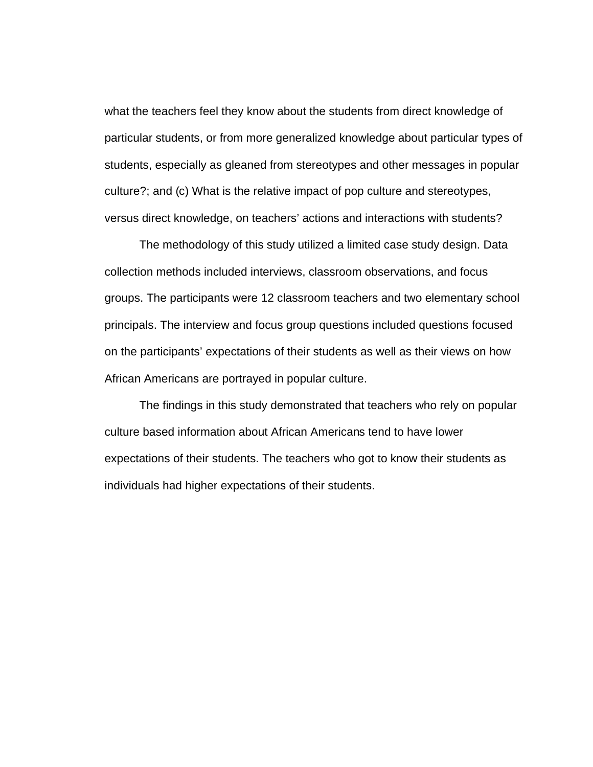what the teachers feel they know about the students from direct knowledge of particular students, or from more generalized knowledge about particular types of students, especially as gleaned from stereotypes and other messages in popular culture?; and (c) What is the relative impact of pop culture and stereotypes, versus direct knowledge, on teachers' actions and interactions with students?

The methodology of this study utilized a limited case study design. Data collection methods included interviews, classroom observations, and focus groups. The participants were 12 classroom teachers and two elementary school principals. The interview and focus group questions included questions focused on the participants' expectations of their students as well as their views on how African Americans are portrayed in popular culture.

The findings in this study demonstrated that teachers who rely on popular culture based information about African Americans tend to have lower expectations of their students. The teachers who got to know their students as individuals had higher expectations of their students.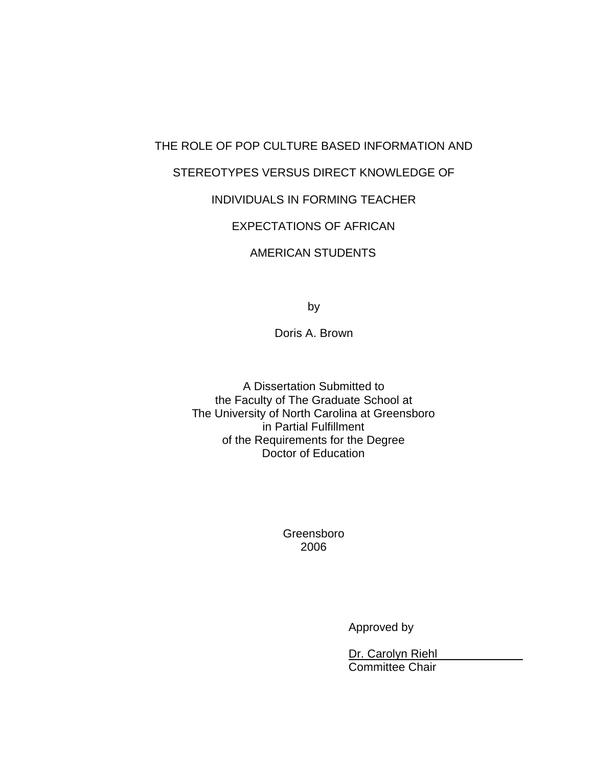# THE ROLE OF POP CULTURE BASED INFORMATION AND STEREOTYPES VERSUS DIRECT KNOWLEDGE OF INDIVIDUALS IN FORMING TEACHER EXPECTATIONS OF AFRICAN

## AMERICAN STUDENTS

by

Doris A. Brown

A Dissertation Submitted to the Faculty of The Graduate School at The University of North Carolina at Greensboro in Partial Fulfillment of the Requirements for the Degree Doctor of Education

> Greensboro 2006

> > Approved by

Dr. Carolyn Riehl Committee Chair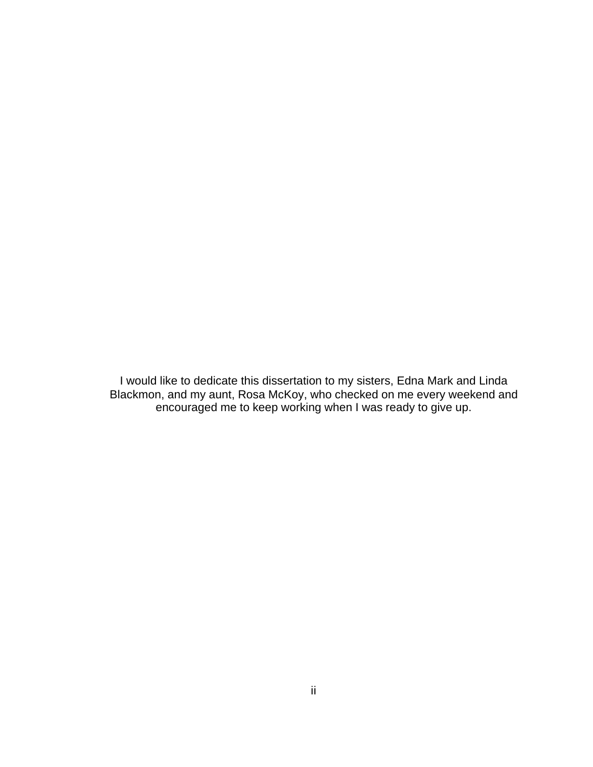I would like to dedicate this dissertation to my sisters, Edna Mark and Linda Blackmon, and my aunt, Rosa McKoy, who checked on me every weekend and encouraged me to keep working when I was ready to give up.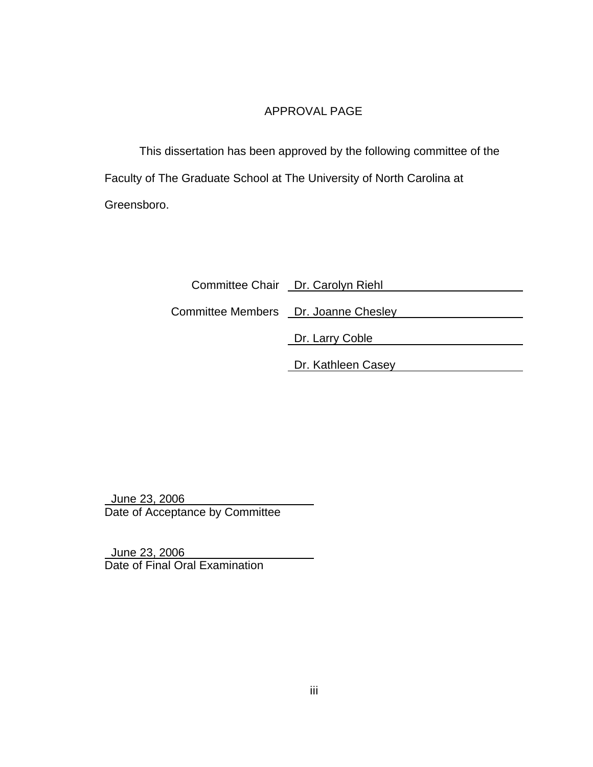## APPROVAL PAGE

This dissertation has been approved by the following committee of the Faculty of The Graduate School at The University of North Carolina at Greensboro.

|                                       | Committee Chair Dr. Carolyn Riehl |
|---------------------------------------|-----------------------------------|
| Committee Members  Dr. Joanne Chesley |                                   |
|                                       | Dr. Larry Coble                   |
|                                       | Dr. Kathleen Casey                |

 June 23, 2006 Date of Acceptance by Committee

 June 23, 2006 Date of Final Oral Examination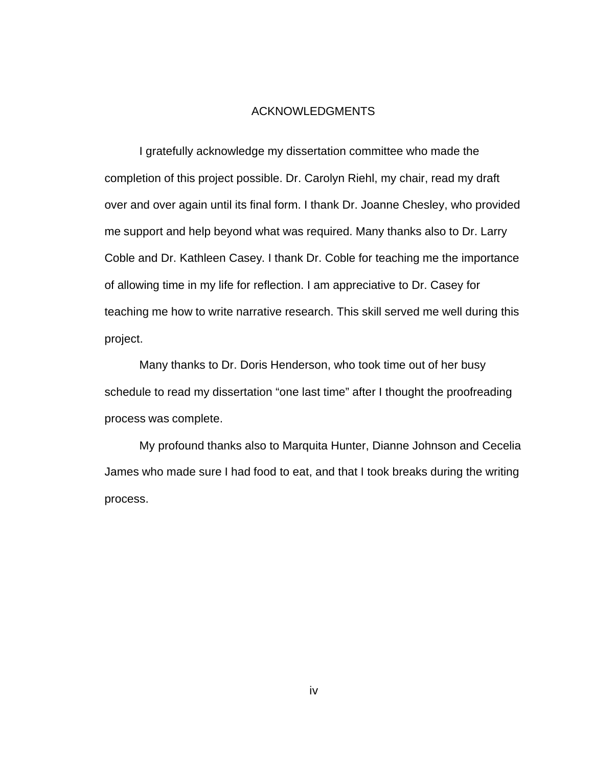#### ACKNOWLEDGMENTS

I gratefully acknowledge my dissertation committee who made the completion of this project possible. Dr. Carolyn Riehl, my chair, read my draft over and over again until its final form. I thank Dr. Joanne Chesley, who provided me support and help beyond what was required. Many thanks also to Dr. Larry Coble and Dr. Kathleen Casey. I thank Dr. Coble for teaching me the importance of allowing time in my life for reflection. I am appreciative to Dr. Casey for teaching me how to write narrative research. This skill served me well during this project.

Many thanks to Dr. Doris Henderson, who took time out of her busy schedule to read my dissertation "one last time" after I thought the proofreading process was complete.

My profound thanks also to Marquita Hunter, Dianne Johnson and Cecelia James who made sure I had food to eat, and that I took breaks during the writing process.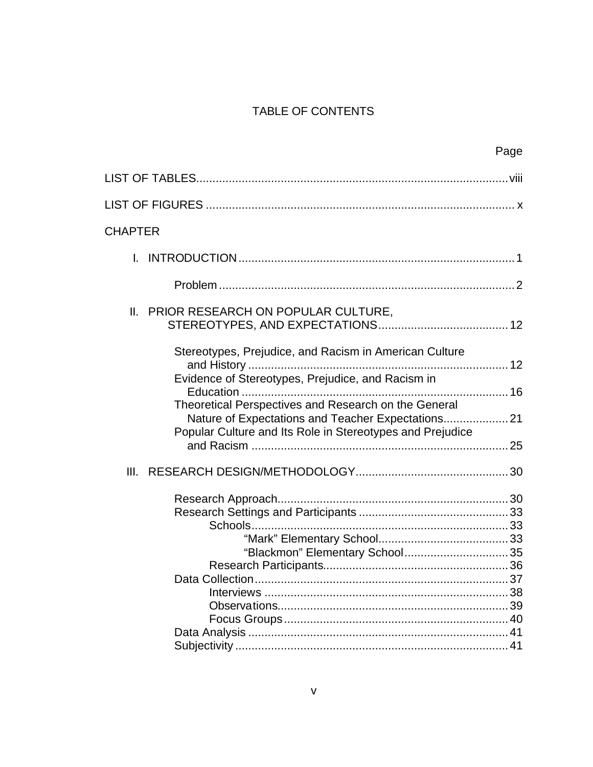## TABLE OF CONTENTS

|                                                                                                                | Page |
|----------------------------------------------------------------------------------------------------------------|------|
|                                                                                                                |      |
|                                                                                                                |      |
| <b>CHAPTER</b>                                                                                                 |      |
|                                                                                                                |      |
|                                                                                                                |      |
| II.<br>PRIOR RESEARCH ON POPULAR CULTURE,                                                                      |      |
|                                                                                                                |      |
| Stereotypes, Prejudice, and Racism in American Culture                                                         |      |
| Evidence of Stereotypes, Prejudice, and Racism in<br>Theoretical Perspectives and Research on the General      |      |
| Nature of Expectations and Teacher Expectations21<br>Popular Culture and Its Role in Stereotypes and Prejudice |      |
|                                                                                                                |      |
| III.                                                                                                           |      |
|                                                                                                                |      |
|                                                                                                                |      |
|                                                                                                                |      |
|                                                                                                                |      |
|                                                                                                                |      |
|                                                                                                                |      |
|                                                                                                                |      |
|                                                                                                                |      |
|                                                                                                                |      |
|                                                                                                                |      |
|                                                                                                                |      |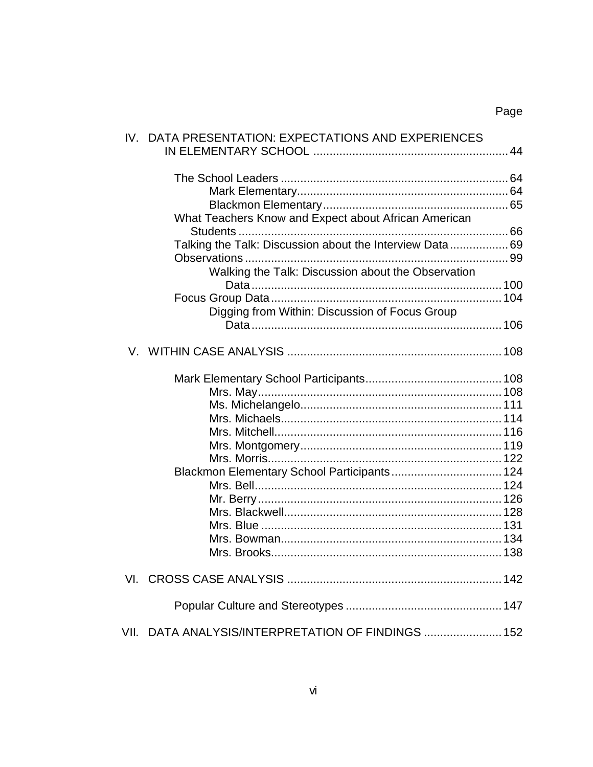| IV. DATA PRESENTATION: EXPECTATIONS AND EXPERIENCES     |  |
|---------------------------------------------------------|--|
|                                                         |  |
|                                                         |  |
|                                                         |  |
| What Teachers Know and Expect about African American    |  |
|                                                         |  |
| Talking the Talk: Discussion about the Interview Data69 |  |
|                                                         |  |
| Walking the Talk: Discussion about the Observation      |  |
|                                                         |  |
|                                                         |  |
| Digging from Within: Discussion of Focus Group          |  |
|                                                         |  |
|                                                         |  |
|                                                         |  |
|                                                         |  |
|                                                         |  |
|                                                         |  |
|                                                         |  |
|                                                         |  |
|                                                         |  |
| Blackmon Elementary School Participants 124             |  |
|                                                         |  |
|                                                         |  |
|                                                         |  |
|                                                         |  |
|                                                         |  |
|                                                         |  |
|                                                         |  |
|                                                         |  |
| DATA ANALYSIS/INTERPRETATION OF FINDINGS  152<br>VII.   |  |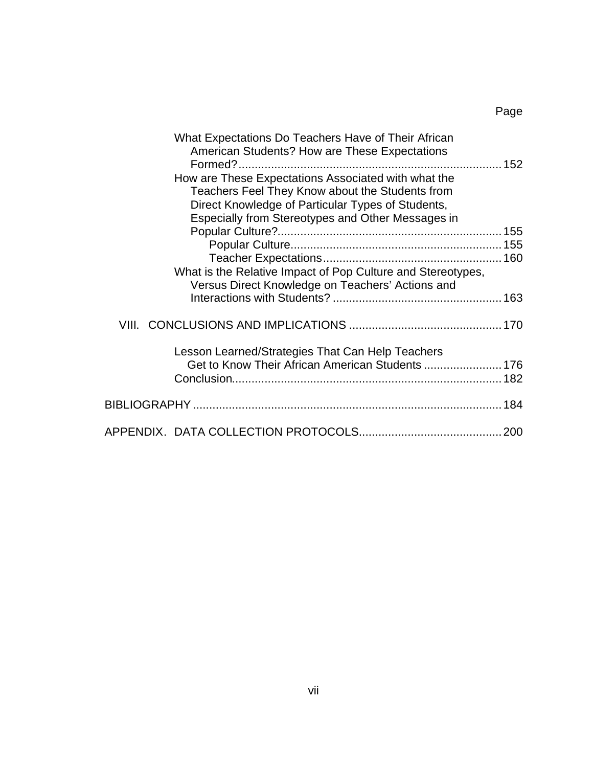| What Expectations Do Teachers Have of Their African         |  |
|-------------------------------------------------------------|--|
| American Students? How are These Expectations               |  |
|                                                             |  |
| How are These Expectations Associated with what the         |  |
| Teachers Feel They Know about the Students from             |  |
| Direct Knowledge of Particular Types of Students,           |  |
| Especially from Stereotypes and Other Messages in           |  |
|                                                             |  |
|                                                             |  |
|                                                             |  |
| What is the Relative Impact of Pop Culture and Stereotypes, |  |
| Versus Direct Knowledge on Teachers' Actions and            |  |
|                                                             |  |
|                                                             |  |
|                                                             |  |
| Lesson Learned/Strategies That Can Help Teachers            |  |
|                                                             |  |
|                                                             |  |
|                                                             |  |
|                                                             |  |
|                                                             |  |
|                                                             |  |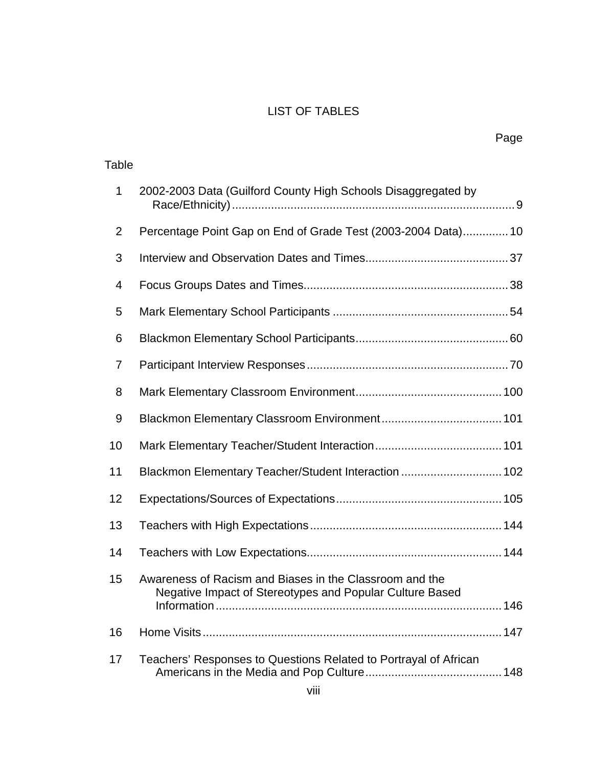## LIST OF TABLES

| Table          |                                                                                                                     |
|----------------|---------------------------------------------------------------------------------------------------------------------|
| $\mathbf 1$    | 2002-2003 Data (Guilford County High Schools Disaggregated by                                                       |
| $\overline{2}$ | Percentage Point Gap on End of Grade Test (2003-2004 Data) 10                                                       |
| 3              |                                                                                                                     |
| 4              |                                                                                                                     |
| 5              |                                                                                                                     |
| 6              |                                                                                                                     |
| 7              |                                                                                                                     |
| 8              |                                                                                                                     |
| 9              |                                                                                                                     |
| 10             |                                                                                                                     |
| 11             | Blackmon Elementary Teacher/Student Interaction  102                                                                |
| 12             |                                                                                                                     |
| 13             |                                                                                                                     |
| 14             |                                                                                                                     |
| 15             | Awareness of Racism and Biases in the Classroom and the<br>Negative Impact of Stereotypes and Popular Culture Based |
| 16             |                                                                                                                     |
| 17             | Teachers' Responses to Questions Related to Portrayal of African                                                    |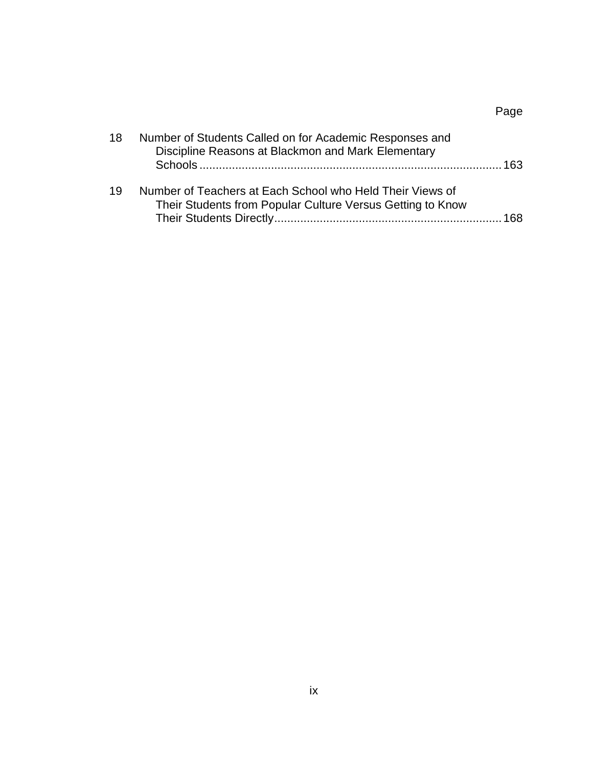## Page

| 18 | Number of Students Called on for Academic Responses and<br>Discipline Reasons at Blackmon and Mark Elementary           | 163 |
|----|-------------------------------------------------------------------------------------------------------------------------|-----|
| 19 | Number of Teachers at Each School who Held Their Views of<br>Their Students from Popular Culture Versus Getting to Know | 168 |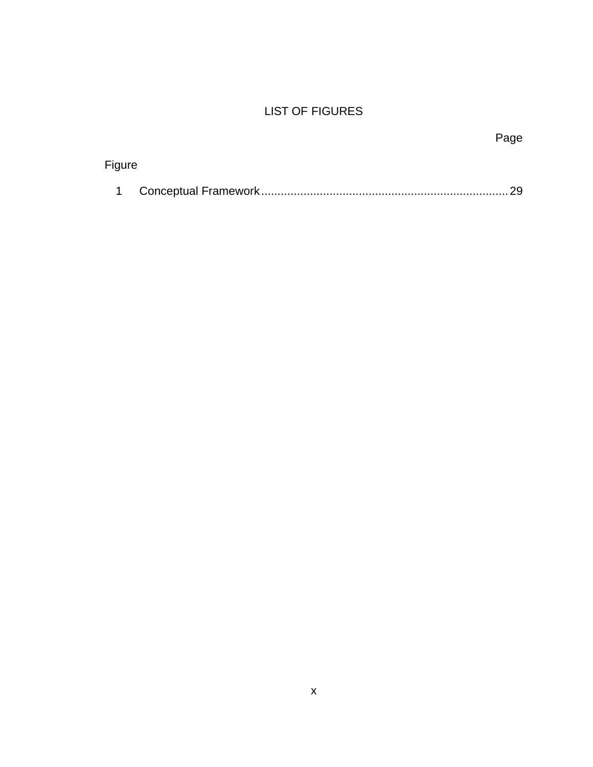## LIST OF FIGURES

|        | Page |
|--------|------|
| Figure |      |
|        | - 29 |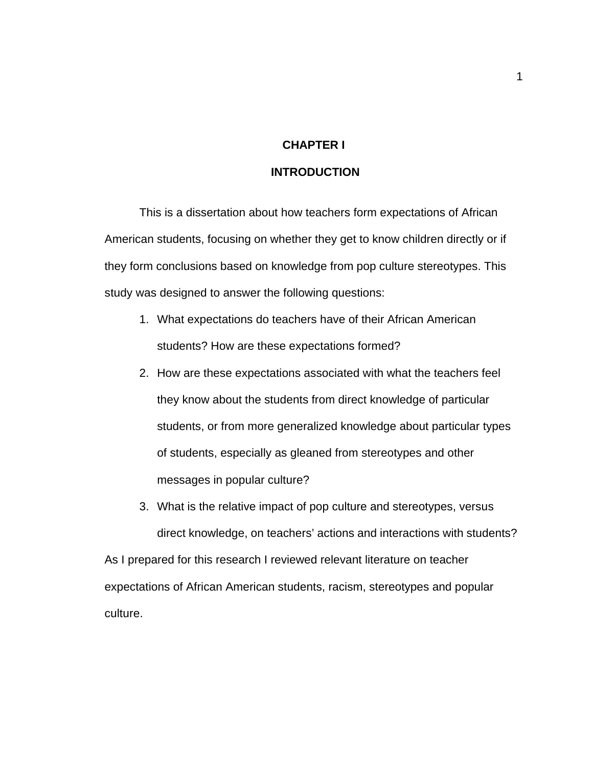### **CHAPTER I**

### **INTRODUCTION**

This is a dissertation about how teachers form expectations of African American students, focusing on whether they get to know children directly or if they form conclusions based on knowledge from pop culture stereotypes. This study was designed to answer the following questions:

- 1. What expectations do teachers have of their African American students? How are these expectations formed?
- 2. How are these expectations associated with what the teachers feel they know about the students from direct knowledge of particular students, or from more generalized knowledge about particular types of students, especially as gleaned from stereotypes and other messages in popular culture?
- 3. What is the relative impact of pop culture and stereotypes, versus direct knowledge, on teachers' actions and interactions with students?

As I prepared for this research I reviewed relevant literature on teacher expectations of African American students, racism, stereotypes and popular culture.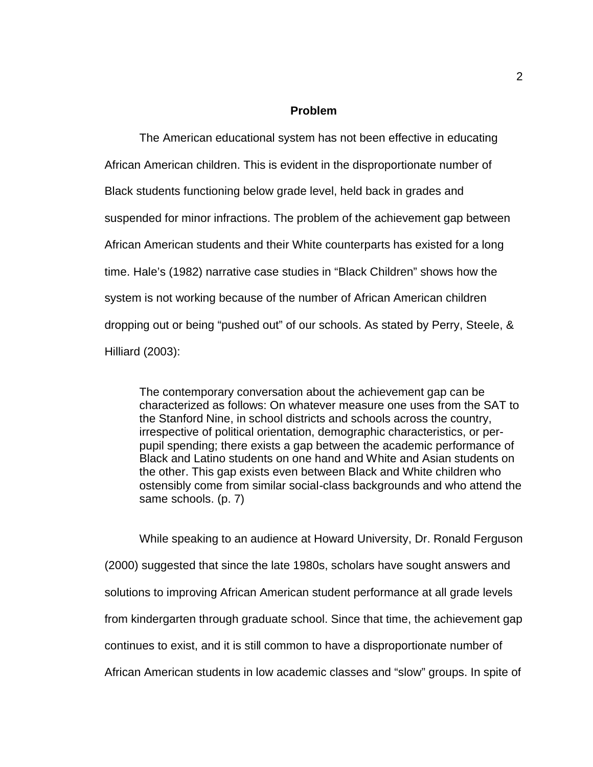#### **Problem**

The American educational system has not been effective in educating African American children. This is evident in the disproportionate number of Black students functioning below grade level, held back in grades and suspended for minor infractions. The problem of the achievement gap between African American students and their White counterparts has existed for a long time. Hale's (1982) narrative case studies in "Black Children" shows how the system is not working because of the number of African American children dropping out or being "pushed out" of our schools. As stated by Perry, Steele, & Hilliard (2003):

The contemporary conversation about the achievement gap can be characterized as follows: On whatever measure one uses from the SAT to the Stanford Nine, in school districts and schools across the country, irrespective of political orientation, demographic characteristics, or perpupil spending; there exists a gap between the academic performance of Black and Latino students on one hand and White and Asian students on the other. This gap exists even between Black and White children who ostensibly come from similar social-class backgrounds and who attend the same schools. (p. 7)

While speaking to an audience at Howard University, Dr. Ronald Ferguson (2000) suggested that since the late 1980s, scholars have sought answers and solutions to improving African American student performance at all grade levels from kindergarten through graduate school. Since that time, the achievement gap continues to exist, and it is still common to have a disproportionate number of African American students in low academic classes and "slow" groups. In spite of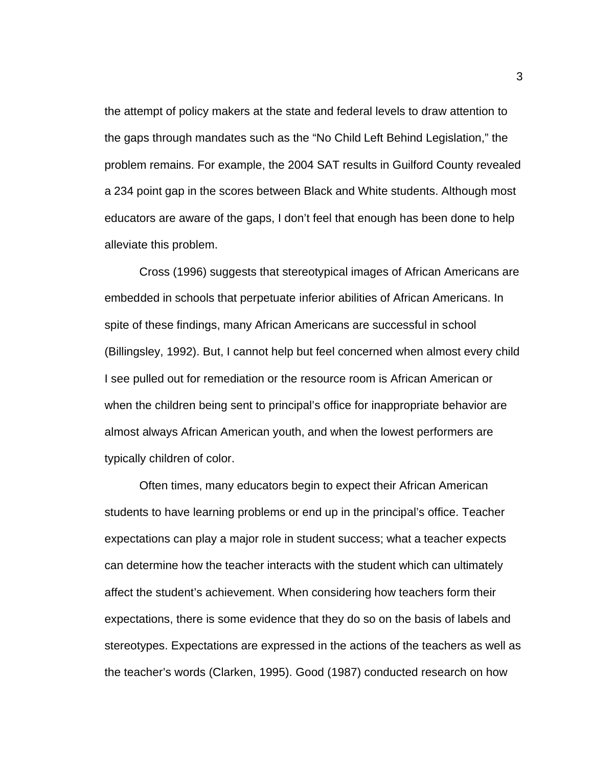the attempt of policy makers at the state and federal levels to draw attention to the gaps through mandates such as the "No Child Left Behind Legislation," the problem remains. For example, the 2004 SAT results in Guilford County revealed a 234 point gap in the scores between Black and White students. Although most educators are aware of the gaps, I don't feel that enough has been done to help alleviate this problem.

Cross (1996) suggests that stereotypical images of African Americans are embedded in schools that perpetuate inferior abilities of African Americans. In spite of these findings, many African Americans are successful in school (Billingsley, 1992). But, I cannot help but feel concerned when almost every child I see pulled out for remediation or the resource room is African American or when the children being sent to principal's office for inappropriate behavior are almost always African American youth, and when the lowest performers are typically children of color.

Often times, many educators begin to expect their African American students to have learning problems or end up in the principal's office. Teacher expectations can play a major role in student success; what a teacher expects can determine how the teacher interacts with the student which can ultimately affect the student's achievement. When considering how teachers form their expectations, there is some evidence that they do so on the basis of labels and stereotypes. Expectations are expressed in the actions of the teachers as well as the teacher's words (Clarken, 1995). Good (1987) conducted research on how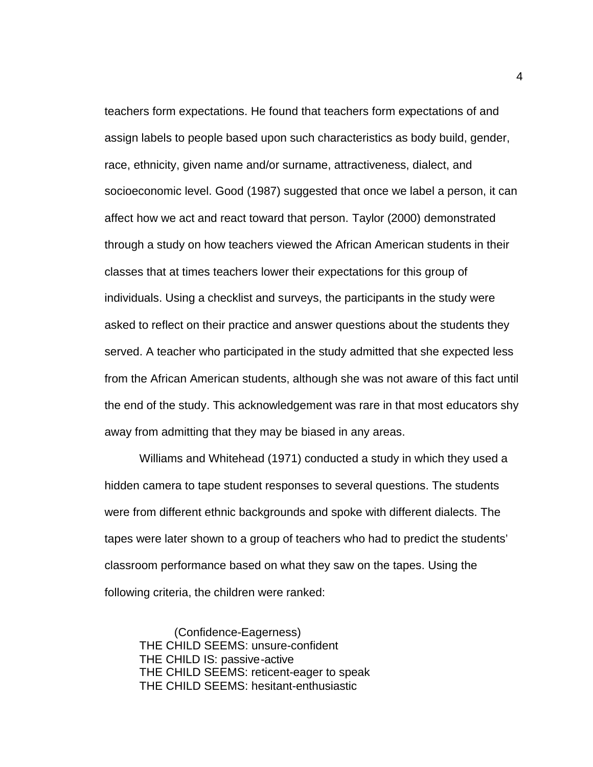teachers form expectations. He found that teachers form expectations of and assign labels to people based upon such characteristics as body build, gender, race, ethnicity, given name and/or surname, attractiveness, dialect, and socioeconomic level. Good (1987) suggested that once we label a person, it can affect how we act and react toward that person. Taylor (2000) demonstrated through a study on how teachers viewed the African American students in their classes that at times teachers lower their expectations for this group of individuals. Using a checklist and surveys, the participants in the study were asked to reflect on their practice and answer questions about the students they served. A teacher who participated in the study admitted that she expected less from the African American students, although she was not aware of this fact until the end of the study. This acknowledgement was rare in that most educators shy away from admitting that they may be biased in any areas.

Williams and Whitehead (1971) conducted a study in which they used a hidden camera to tape student responses to several questions. The students were from different ethnic backgrounds and spoke with different dialects. The tapes were later shown to a group of teachers who had to predict the students' classroom performance based on what they saw on the tapes. Using the following criteria, the children were ranked:

(Confidence-Eagerness) THE CHILD SEEMS: unsure-confident THE CHILD IS: passive-active THE CHILD SEEMS: reticent-eager to speak THE CHILD SEEMS: hesitant-enthusiastic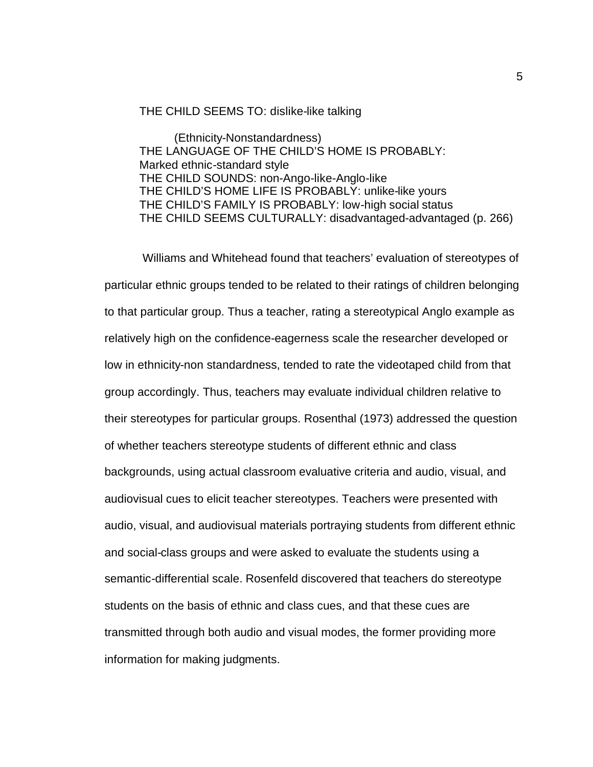#### THE CHILD SEEMS TO: dislike-like talking

(Ethnicity-Nonstandardness) THE LANGUAGE OF THE CHILD'S HOME IS PROBABLY: Marked ethnic-standard style THE CHILD SOUNDS: non-Ango-like-Anglo-like THE CHILD'S HOME LIFE IS PROBABLY: unlike-like yours THE CHILD'S FAMILY IS PROBABLY: low-high social status THE CHILD SEEMS CULTURALLY: disadvantaged-advantaged (p. 266)

 Williams and Whitehead found that teachers' evaluation of stereotypes of particular ethnic groups tended to be related to their ratings of children belonging to that particular group. Thus a teacher, rating a stereotypical Anglo example as relatively high on the confidence-eagerness scale the researcher developed or low in ethnicity-non standardness, tended to rate the videotaped child from that group accordingly. Thus, teachers may evaluate individual children relative to their stereotypes for particular groups. Rosenthal (1973) addressed the question of whether teachers stereotype students of different ethnic and class backgrounds, using actual classroom evaluative criteria and audio, visual, and audiovisual cues to elicit teacher stereotypes. Teachers were presented with audio, visual, and audiovisual materials portraying students from different ethnic and social-class groups and were asked to evaluate the students using a semantic-differential scale. Rosenfeld discovered that teachers do stereotype students on the basis of ethnic and class cues, and that these cues are transmitted through both audio and visual modes, the former providing more information for making judgments.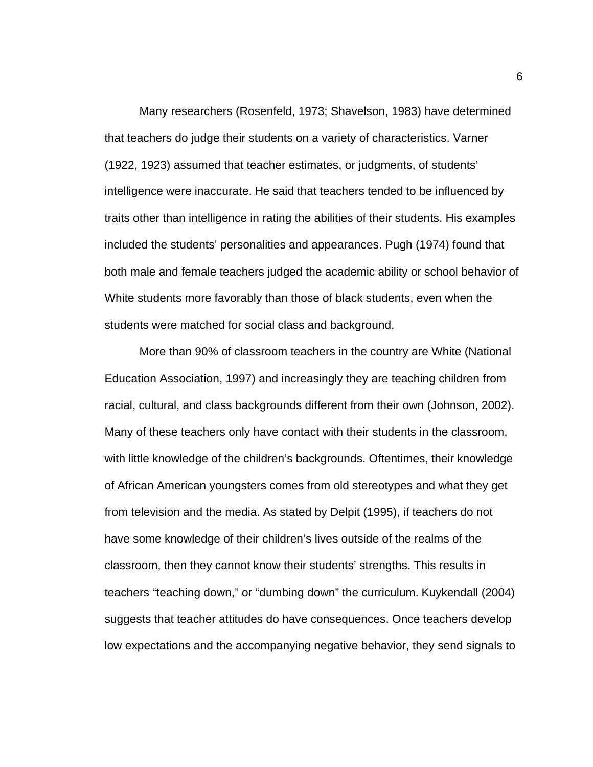Many researchers (Rosenfeld, 1973; Shavelson, 1983) have determined that teachers do judge their students on a variety of characteristics. Varner (1922, 1923) assumed that teacher estimates, or judgments, of students' intelligence were inaccurate. He said that teachers tended to be influenced by traits other than intelligence in rating the abilities of their students. His examples included the students' personalities and appearances. Pugh (1974) found that both male and female teachers judged the academic ability or school behavior of White students more favorably than those of black students, even when the students were matched for social class and background.

More than 90% of classroom teachers in the country are White (National Education Association, 1997) and increasingly they are teaching children from racial, cultural, and class backgrounds different from their own (Johnson, 2002). Many of these teachers only have contact with their students in the classroom, with little knowledge of the children's backgrounds. Oftentimes, their knowledge of African American youngsters comes from old stereotypes and what they get from television and the media. As stated by Delpit (1995), if teachers do not have some knowledge of their children's lives outside of the realms of the classroom, then they cannot know their students' strengths. This results in teachers "teaching down," or "dumbing down" the curriculum. Kuykendall (2004) suggests that teacher attitudes do have consequences. Once teachers develop low expectations and the accompanying negative behavior, they send signals to

6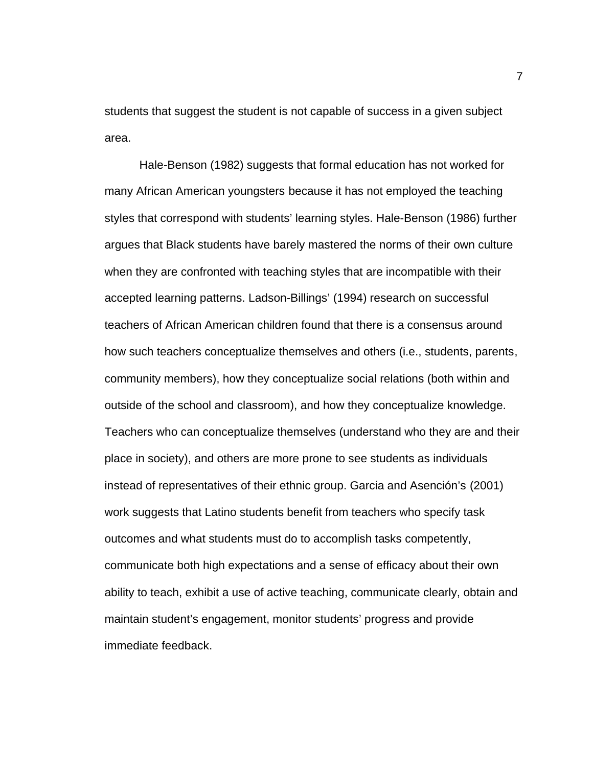students that suggest the student is not capable of success in a given subject area.

Hale-Benson (1982) suggests that formal education has not worked for many African American youngsters because it has not employed the teaching styles that correspond with students' learning styles. Hale-Benson (1986) further argues that Black students have barely mastered the norms of their own culture when they are confronted with teaching styles that are incompatible with their accepted learning patterns. Ladson-Billings' (1994) research on successful teachers of African American children found that there is a consensus around how such teachers conceptualize themselves and others (i.e., students, parents, community members), how they conceptualize social relations (both within and outside of the school and classroom), and how they conceptualize knowledge. Teachers who can conceptualize themselves (understand who they are and their place in society), and others are more prone to see students as individuals instead of representatives of their ethnic group. Garcia and Asención's (2001) work suggests that Latino students benefit from teachers who specify task outcomes and what students must do to accomplish tasks competently, communicate both high expectations and a sense of efficacy about their own ability to teach, exhibit a use of active teaching, communicate clearly, obtain and maintain student's engagement, monitor students' progress and provide immediate feedback.

7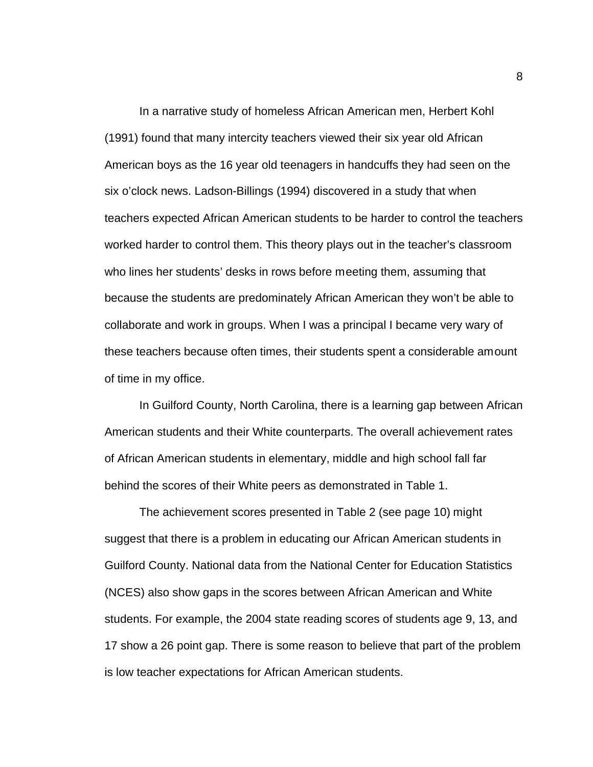In a narrative study of homeless African American men, Herbert Kohl (1991) found that many intercity teachers viewed their six year old African American boys as the 16 year old teenagers in handcuffs they had seen on the six o'clock news. Ladson-Billings (1994) discovered in a study that when teachers expected African American students to be harder to control the teachers worked harder to control them. This theory plays out in the teacher's classroom who lines her students' desks in rows before meeting them, assuming that because the students are predominately African American they won't be able to collaborate and work in groups. When I was a principal I became very wary of these teachers because often times, their students spent a considerable amount of time in my office.

In Guilford County, North Carolina, there is a learning gap between African American students and their White counterparts. The overall achievement rates of African American students in elementary, middle and high school fall far behind the scores of their White peers as demonstrated in Table 1.

The achievement scores presented in Table 2 (see page 10) might suggest that there is a problem in educating our African American students in Guilford County. National data from the National Center for Education Statistics (NCES) also show gaps in the scores between African American and White students. For example, the 2004 state reading scores of students age 9, 13, and 17 show a 26 point gap. There is some reason to believe that part of the problem is low teacher expectations for African American students.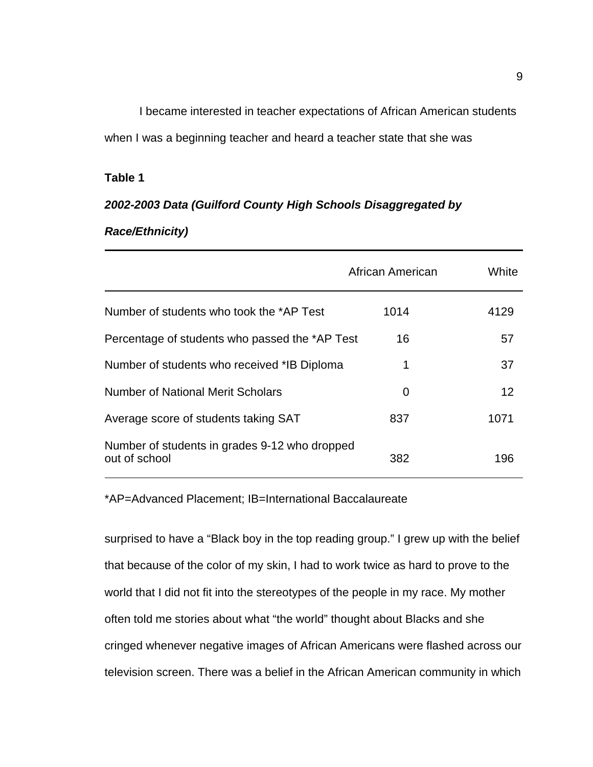I became interested in teacher expectations of African American students when I was a beginning teacher and heard a teacher state that she was

### **Table 1**

# *2002-2003 Data (Guilford County High Schools Disaggregated by*

## *Race/Ethnicity)*

|                                                                | African American | White |
|----------------------------------------------------------------|------------------|-------|
| Number of students who took the *AP Test                       | 1014             | 4129  |
| Percentage of students who passed the *AP Test                 | 16               | 57    |
| Number of students who received *IB Diploma                    | 1                | 37    |
| <b>Number of National Merit Scholars</b>                       | 0                | 12    |
| Average score of students taking SAT                           | 837              | 1071  |
| Number of students in grades 9-12 who dropped<br>out of school | 382              | 196   |

\*AP=Advanced Placement; IB=International Baccalaureate

surprised to have a "Black boy in the top reading group." I grew up with the belief that because of the color of my skin, I had to work twice as hard to prove to the world that I did not fit into the stereotypes of the people in my race. My mother often told me stories about what "the world" thought about Blacks and she cringed whenever negative images of African Americans were flashed across our television screen. There was a belief in the African American community in which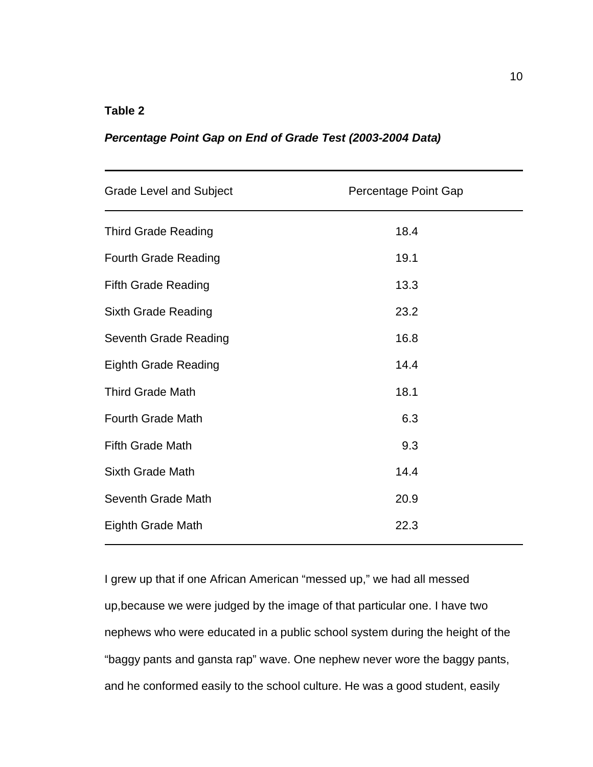### **Table 2**

### *Percentage Point Gap on End of Grade Test (2003-2004 Data)*

| <b>Grade Level and Subject</b> | Percentage Point Gap |
|--------------------------------|----------------------|
| <b>Third Grade Reading</b>     | 18.4                 |
| <b>Fourth Grade Reading</b>    | 19.1                 |
| <b>Fifth Grade Reading</b>     | 13.3                 |
| <b>Sixth Grade Reading</b>     | 23.2                 |
| Seventh Grade Reading          | 16.8                 |
| <b>Eighth Grade Reading</b>    | 14.4                 |
| <b>Third Grade Math</b>        | 18.1                 |
| <b>Fourth Grade Math</b>       | 6.3                  |
| <b>Fifth Grade Math</b>        | 9.3                  |
| <b>Sixth Grade Math</b>        | 14.4                 |
| Seventh Grade Math             | 20.9                 |
| <b>Eighth Grade Math</b>       | 22.3                 |

I grew up that if one African American "messed up," we had all messed up,because we were judged by the image of that particular one. I have two nephews who were educated in a public school system during the height of the "baggy pants and gansta rap" wave. One nephew never wore the baggy pants, and he conformed easily to the school culture. He was a good student, easily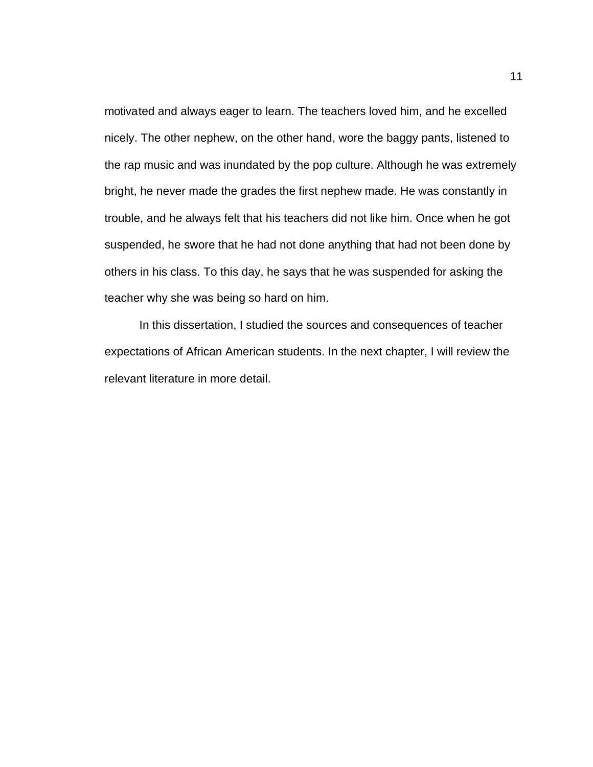motivated and always eager to learn. The teachers loved him, and he excelled nicely. The other nephew, on the other hand, wore the baggy pants, listened to the rap music and was inundated by the pop culture. Although he was extremely bright, he never made the grades the first nephew made. He was constantly in trouble, and he always felt that his teachers did not like him. Once when he got suspended, he swore that he had not done anything that had not been done by others in his class. To this day, he says that he was suspended for asking the teacher why she was being so hard on him.

In this dissertation, I studied the sources and consequences of teacher expectations of African American students. In the next chapter, I will review the relevant literature in more detail.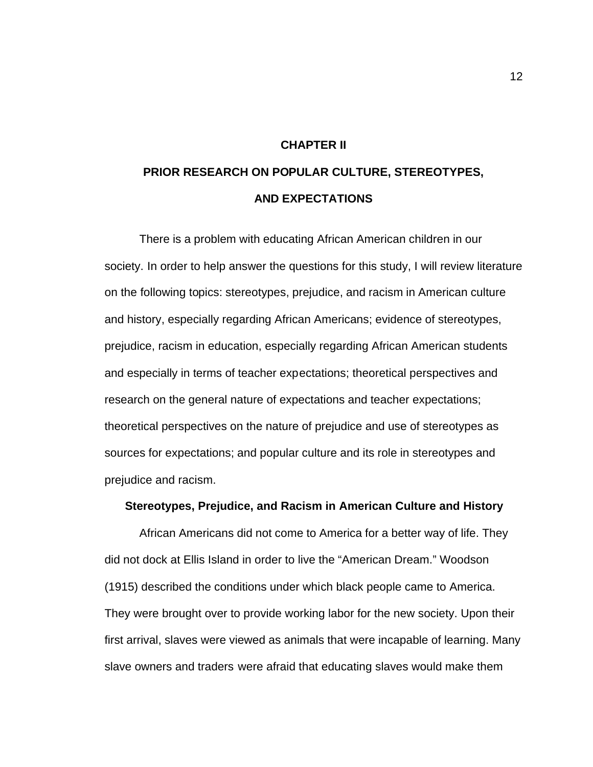#### **CHAPTER II**

# **PRIOR RESEARCH ON POPULAR CULTURE, STEREOTYPES, AND EXPECTATIONS**

There is a problem with educating African American children in our society. In order to help answer the questions for this study, I will review literature on the following topics: stereotypes, prejudice, and racism in American culture and history, especially regarding African Americans; evidence of stereotypes, prejudice, racism in education, especially regarding African American students and especially in terms of teacher expectations; theoretical perspectives and research on the general nature of expectations and teacher expectations; theoretical perspectives on the nature of prejudice and use of stereotypes as sources for expectations; and popular culture and its role in stereotypes and prejudice and racism.

#### **Stereotypes, Prejudice, and Racism in American Culture and History**

African Americans did not come to America for a better way of life. They did not dock at Ellis Island in order to live the "American Dream." Woodson (1915) described the conditions under which black people came to America. They were brought over to provide working labor for the new society. Upon their first arrival, slaves were viewed as animals that were incapable of learning. Many slave owners and traders were afraid that educating slaves would make them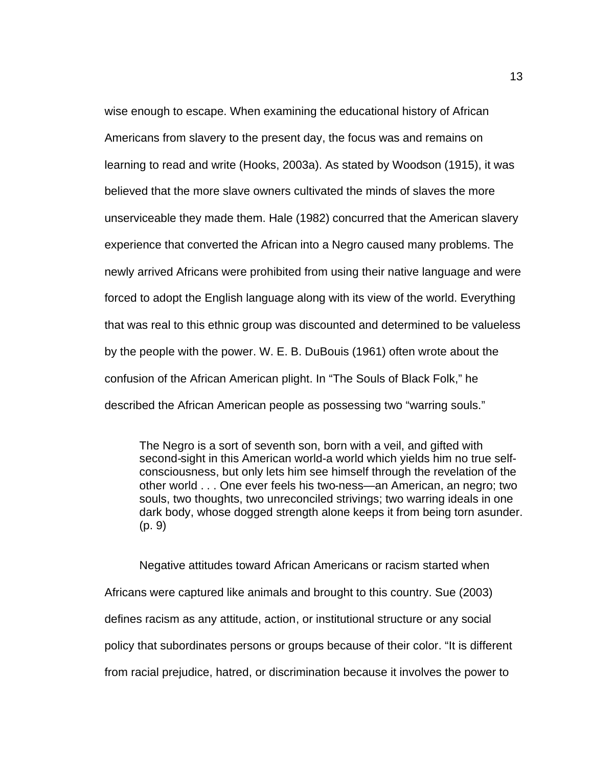wise enough to escape. When examining the educational history of African Americans from slavery to the present day, the focus was and remains on learning to read and write (Hooks, 2003a). As stated by Woodson (1915), it was believed that the more slave owners cultivated the minds of slaves the more unserviceable they made them. Hale (1982) concurred that the American slavery experience that converted the African into a Negro caused many problems. The newly arrived Africans were prohibited from using their native language and were forced to adopt the English language along with its view of the world. Everything that was real to this ethnic group was discounted and determined to be valueless by the people with the power. W. E. B. DuBouis (1961) often wrote about the confusion of the African American plight. In "The Souls of Black Folk," he described the African American people as possessing two "warring souls."

The Negro is a sort of seventh son, born with a veil, and gifted with second-sight in this American world-a world which yields him no true selfconsciousness, but only lets him see himself through the revelation of the other world . . . One ever feels his two-ness—an American, an negro; two souls, two thoughts, two unreconciled strivings; two warring ideals in one dark body, whose dogged strength alone keeps it from being torn asunder. (p. 9)

Negative attitudes toward African Americans or racism started when Africans were captured like animals and brought to this country. Sue (2003) defines racism as any attitude, action, or institutional structure or any social policy that subordinates persons or groups because of their color. "It is different from racial prejudice, hatred, or discrimination because it involves the power to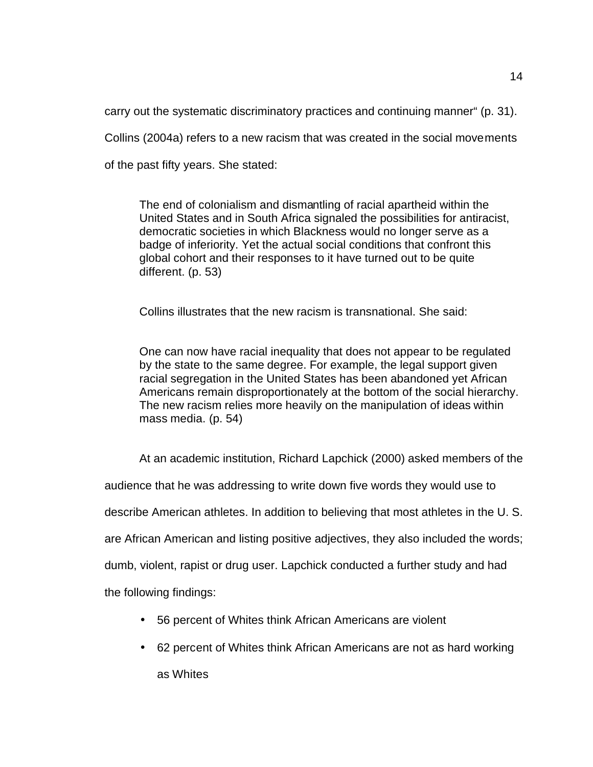carry out the systematic discriminatory practices and continuing manner" (p. 31).

Collins (2004a) refers to a new racism that was created in the social movements

of the past fifty years. She stated:

The end of colonialism and dismantling of racial apartheid within the United States and in South Africa signaled the possibilities for antiracist, democratic societies in which Blackness would no longer serve as a badge of inferiority. Yet the actual social conditions that confront this global cohort and their responses to it have turned out to be quite different. (p. 53)

Collins illustrates that the new racism is transnational. She said:

One can now have racial inequality that does not appear to be regulated by the state to the same degree. For example, the legal support given racial segregation in the United States has been abandoned yet African Americans remain disproportionately at the bottom of the social hierarchy. The new racism relies more heavily on the manipulation of ideas within mass media. (p. 54)

At an academic institution, Richard Lapchick (2000) asked members of the

audience that he was addressing to write down five words they would use to

describe American athletes. In addition to believing that most athletes in the U. S.

are African American and listing positive adjectives, they also included the words;

dumb, violent, rapist or drug user. Lapchick conducted a further study and had

the following findings:

- 56 percent of Whites think African Americans are violent
- 62 percent of Whites think African Americans are not as hard working as Whites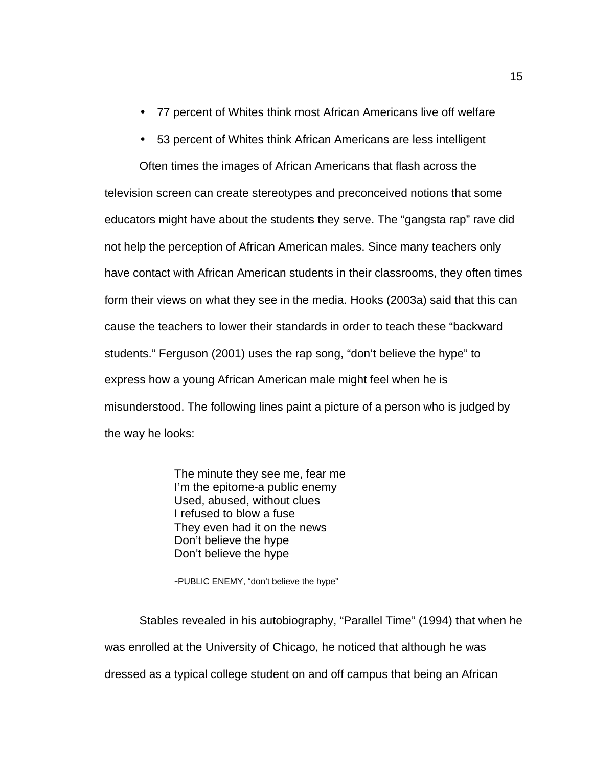- 77 percent of Whites think most African Americans live off welfare
- 53 percent of Whites think African Americans are less intelligent

Often times the images of African Americans that flash across the television screen can create stereotypes and preconceived notions that some educators might have about the students they serve. The "gangsta rap" rave did not help the perception of African American males. Since many teachers only have contact with African American students in their classrooms, they often times form their views on what they see in the media. Hooks (2003a) said that this can cause the teachers to lower their standards in order to teach these "backward students." Ferguson (2001) uses the rap song, "don't believe the hype" to express how a young African American male might feel when he is misunderstood. The following lines paint a picture of a person who is judged by the way he looks:

> The minute they see me, fear me I'm the epitome-a public enemy Used, abused, without clues I refused to blow a fuse They even had it on the news Don't believe the hype Don't believe the hype

-PUBLIC ENEMY, "don't believe the hype"

Stables revealed in his autobiography, "Parallel Time" (1994) that when he was enrolled at the University of Chicago, he noticed that although he was dressed as a typical college student on and off campus that being an African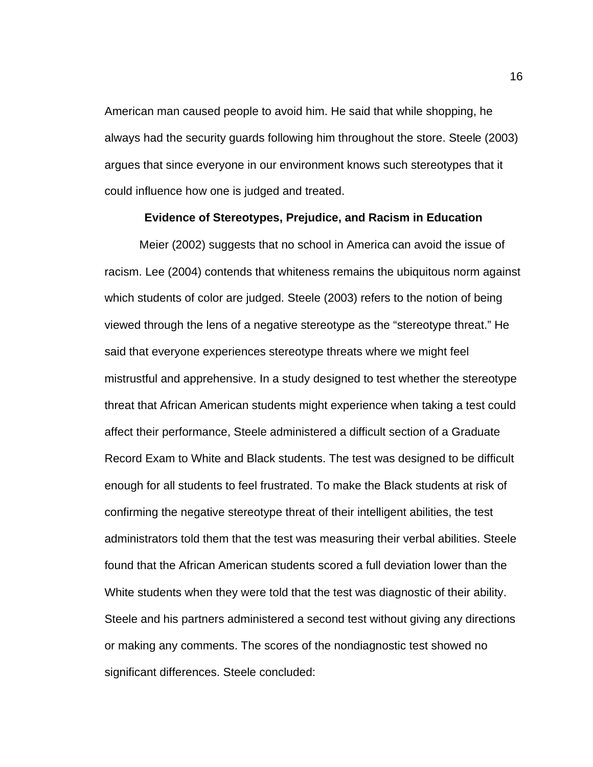American man caused people to avoid him. He said that while shopping, he always had the security guards following him throughout the store. Steele (2003) argues that since everyone in our environment knows such stereotypes that it could influence how one is judged and treated.

#### **Evidence of Stereotypes, Prejudice, and Racism in Education**

Meier (2002) suggests that no school in America can avoid the issue of racism. Lee (2004) contends that whiteness remains the ubiquitous norm against which students of color are judged. Steele (2003) refers to the notion of being viewed through the lens of a negative stereotype as the "stereotype threat." He said that everyone experiences stereotype threats where we might feel mistrustful and apprehensive. In a study designed to test whether the stereotype threat that African American students might experience when taking a test could affect their performance, Steele administered a difficult section of a Graduate Record Exam to White and Black students. The test was designed to be difficult enough for all students to feel frustrated. To make the Black students at risk of confirming the negative stereotype threat of their intelligent abilities, the test administrators told them that the test was measuring their verbal abilities. Steele found that the African American students scored a full deviation lower than the White students when they were told that the test was diagnostic of their ability. Steele and his partners administered a second test without giving any directions or making any comments. The scores of the nondiagnostic test showed no significant differences. Steele concluded: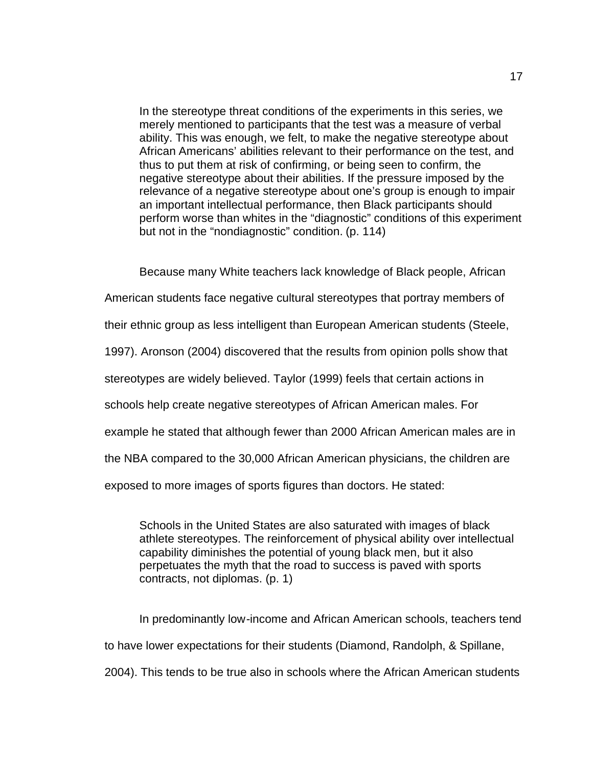In the stereotype threat conditions of the experiments in this series, we merely mentioned to participants that the test was a measure of verbal ability. This was enough, we felt, to make the negative stereotype about African Americans' abilities relevant to their performance on the test, and thus to put them at risk of confirming, or being seen to confirm, the negative stereotype about their abilities. If the pressure imposed by the relevance of a negative stereotype about one's group is enough to impair an important intellectual performance, then Black participants should perform worse than whites in the "diagnostic" conditions of this experiment but not in the "nondiagnostic" condition. (p. 114)

Because many White teachers lack knowledge of Black people, African

American students face negative cultural stereotypes that portray members of

their ethnic group as less intelligent than European American students (Steele,

1997). Aronson (2004) discovered that the results from opinion polls show that

stereotypes are widely believed. Taylor (1999) feels that certain actions in

schools help create negative stereotypes of African American males. For

example he stated that although fewer than 2000 African American males are in

the NBA compared to the 30,000 African American physicians, the children are

exposed to more images of sports figures than doctors. He stated:

Schools in the United States are also saturated with images of black athlete stereotypes. The reinforcement of physical ability over intellectual capability diminishes the potential of young black men, but it also perpetuates the myth that the road to success is paved with sports contracts, not diplomas. (p. 1)

In predominantly low-income and African American schools, teachers tend to have lower expectations for their students (Diamond, Randolph, & Spillane, 2004). This tends to be true also in schools where the African American students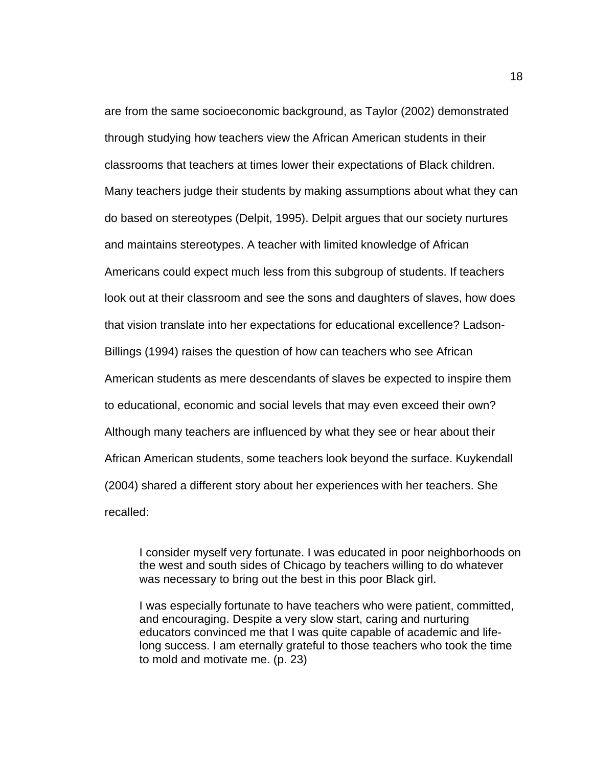are from the same socioeconomic background, as Taylor (2002) demonstrated through studying how teachers view the African American students in their classrooms that teachers at times lower their expectations of Black children. Many teachers judge their students by making assumptions about what they can do based on stereotypes (Delpit, 1995). Delpit argues that our society nurtures and maintains stereotypes. A teacher with limited knowledge of African Americans could expect much less from this subgroup of students. If teachers look out at their classroom and see the sons and daughters of slaves, how does that vision translate into her expectations for educational excellence? Ladson-Billings (1994) raises the question of how can teachers who see African American students as mere descendants of slaves be expected to inspire them to educational, economic and social levels that may even exceed their own? Although many teachers are influenced by what they see or hear about their African American students, some teachers look beyond the surface. Kuykendall (2004) shared a different story about her experiences with her teachers. She recalled:

I consider myself very fortunate. I was educated in poor neighborhoods on the west and south sides of Chicago by teachers willing to do whatever was necessary to bring out the best in this poor Black girl.

I was especially fortunate to have teachers who were patient, committed, and encouraging. Despite a very slow start, caring and nurturing educators convinced me that I was quite capable of academic and lifelong success. I am eternally grateful to those teachers who took the time to mold and motivate me. (p. 23)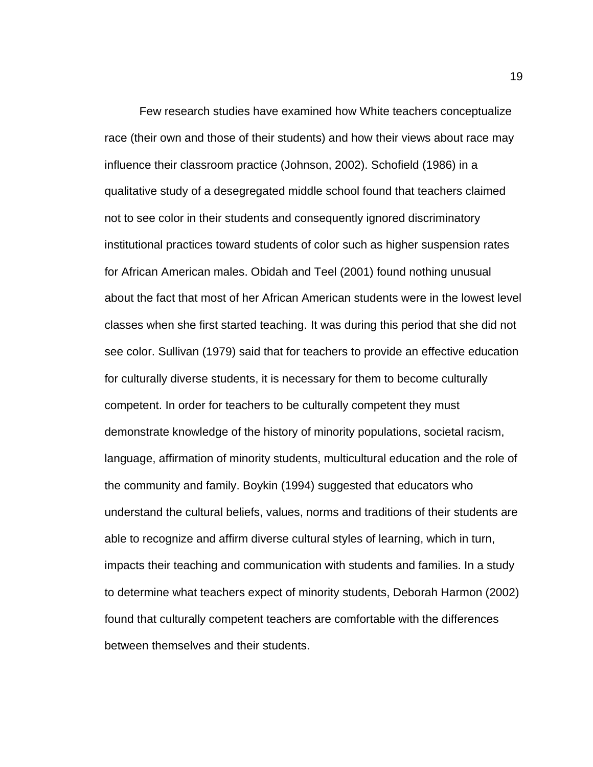Few research studies have examined how White teachers conceptualize race (their own and those of their students) and how their views about race may influence their classroom practice (Johnson, 2002). Schofield (1986) in a qualitative study of a desegregated middle school found that teachers claimed not to see color in their students and consequently ignored discriminatory institutional practices toward students of color such as higher suspension rates for African American males. Obidah and Teel (2001) found nothing unusual about the fact that most of her African American students were in the lowest level classes when she first started teaching. It was during this period that she did not see color. Sullivan (1979) said that for teachers to provide an effective education for culturally diverse students, it is necessary for them to become culturally competent. In order for teachers to be culturally competent they must demonstrate knowledge of the history of minority populations, societal racism, language, affirmation of minority students, multicultural education and the role of the community and family. Boykin (1994) suggested that educators who understand the cultural beliefs, values, norms and traditions of their students are able to recognize and affirm diverse cultural styles of learning, which in turn, impacts their teaching and communication with students and families. In a study to determine what teachers expect of minority students, Deborah Harmon (2002) found that culturally competent teachers are comfortable with the differences between themselves and their students.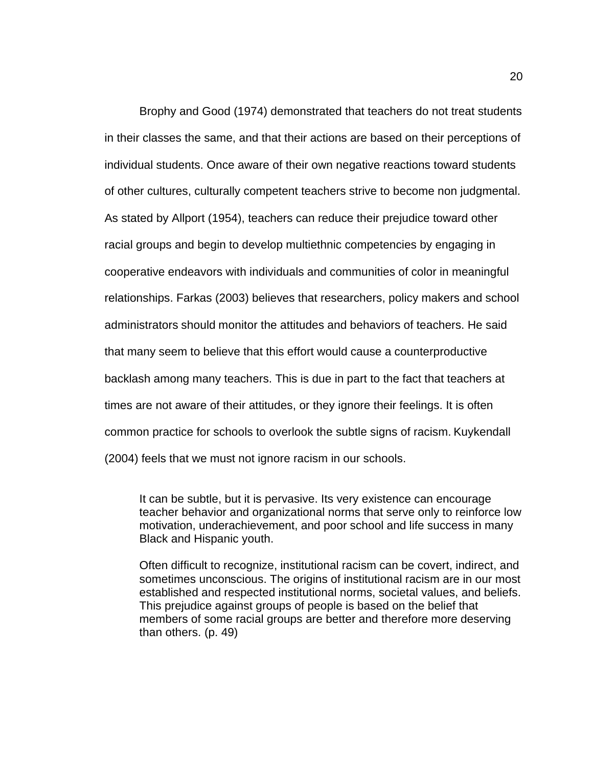Brophy and Good (1974) demonstrated that teachers do not treat students in their classes the same, and that their actions are based on their perceptions of individual students. Once aware of their own negative reactions toward students of other cultures, culturally competent teachers strive to become non judgmental. As stated by Allport (1954), teachers can reduce their prejudice toward other racial groups and begin to develop multiethnic competencies by engaging in cooperative endeavors with individuals and communities of color in meaningful relationships. Farkas (2003) believes that researchers, policy makers and school administrators should monitor the attitudes and behaviors of teachers. He said that many seem to believe that this effort would cause a counterproductive backlash among many teachers. This is due in part to the fact that teachers at times are not aware of their attitudes, or they ignore their feelings. It is often common practice for schools to overlook the subtle signs of racism. Kuykendall (2004) feels that we must not ignore racism in our schools.

It can be subtle, but it is pervasive. Its very existence can encourage teacher behavior and organizational norms that serve only to reinforce low motivation, underachievement, and poor school and life success in many Black and Hispanic youth.

Often difficult to recognize, institutional racism can be covert, indirect, and sometimes unconscious. The origins of institutional racism are in our most established and respected institutional norms, societal values, and beliefs. This prejudice against groups of people is based on the belief that members of some racial groups are better and therefore more deserving than others. (p. 49)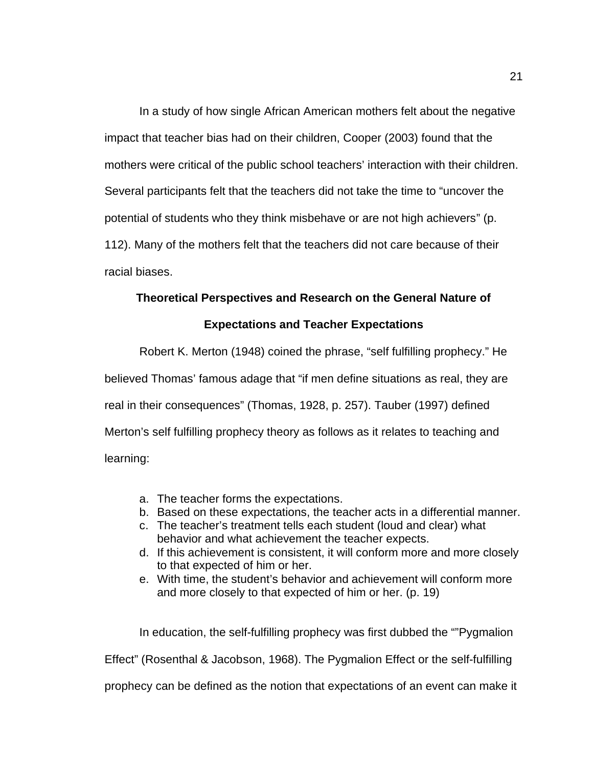In a study of how single African American mothers felt about the negative impact that teacher bias had on their children, Cooper (2003) found that the mothers were critical of the public school teachers' interaction with their children. Several participants felt that the teachers did not take the time to "uncover the potential of students who they think misbehave or are not high achievers" (p. 112). Many of the mothers felt that the teachers did not care because of their racial biases.

### **Theoretical Perspectives and Research on the General Nature of**

#### **Expectations and Teacher Expectations**

Robert K. Merton (1948) coined the phrase, "self fulfilling prophecy." He believed Thomas' famous adage that "if men define situations as real, they are real in their consequences" (Thomas, 1928, p. 257). Tauber (1997) defined Merton's self fulfilling prophecy theory as follows as it relates to teaching and learning:

- a. The teacher forms the expectations.
- b. Based on these expectations, the teacher acts in a differential manner.
- c. The teacher's treatment tells each student (loud and clear) what behavior and what achievement the teacher expects.
- d. If this achievement is consistent, it will conform more and more closely to that expected of him or her.
- e. With time, the student's behavior and achievement will conform more and more closely to that expected of him or her. (p. 19)

In education, the self-fulfilling prophecy was first dubbed the ""Pygmalion Effect" (Rosenthal & Jacobson, 1968). The Pygmalion Effect or the self-fulfilling prophecy can be defined as the notion that expectations of an event can make it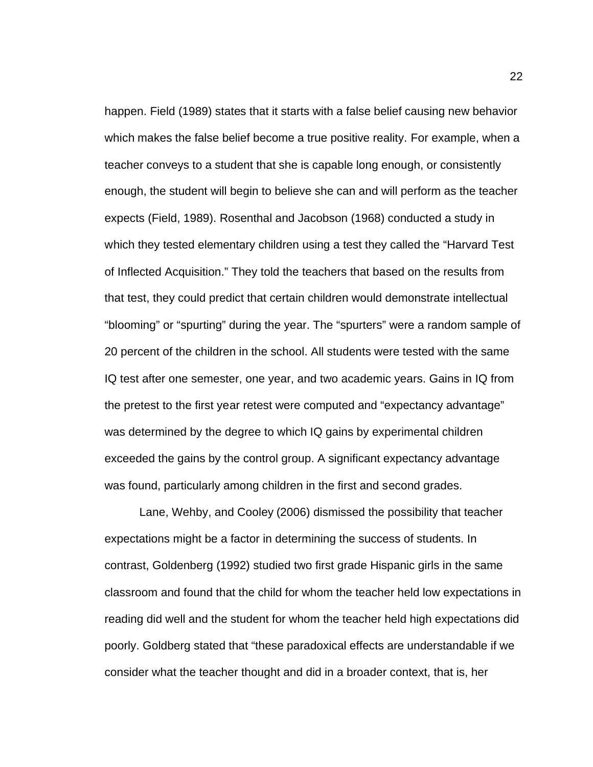happen. Field (1989) states that it starts with a false belief causing new behavior which makes the false belief become a true positive reality. For example, when a teacher conveys to a student that she is capable long enough, or consistently enough, the student will begin to believe she can and will perform as the teacher expects (Field, 1989). Rosenthal and Jacobson (1968) conducted a study in which they tested elementary children using a test they called the "Harvard Test of Inflected Acquisition." They told the teachers that based on the results from that test, they could predict that certain children would demonstrate intellectual "blooming" or "spurting" during the year. The "spurters" were a random sample of 20 percent of the children in the school. All students were tested with the same IQ test after one semester, one year, and two academic years. Gains in IQ from the pretest to the first year retest were computed and "expectancy advantage" was determined by the degree to which IQ gains by experimental children exceeded the gains by the control group. A significant expectancy advantage was found, particularly among children in the first and second grades.

Lane, Wehby, and Cooley (2006) dismissed the possibility that teacher expectations might be a factor in determining the success of students. In contrast, Goldenberg (1992) studied two first grade Hispanic girls in the same classroom and found that the child for whom the teacher held low expectations in reading did well and the student for whom the teacher held high expectations did poorly. Goldberg stated that "these paradoxical effects are understandable if we consider what the teacher thought and did in a broader context, that is, her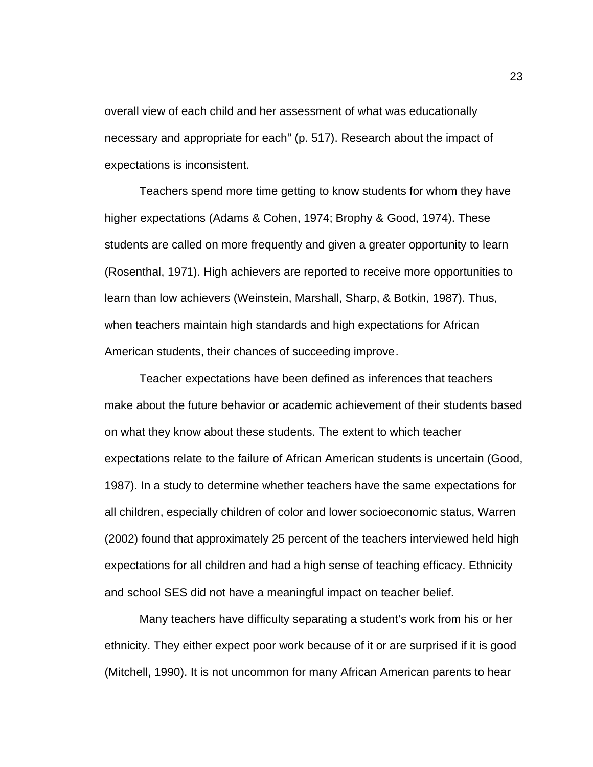overall view of each child and her assessment of what was educationally necessary and appropriate for each" (p. 517). Research about the impact of expectations is inconsistent.

Teachers spend more time getting to know students for whom they have higher expectations (Adams & Cohen, 1974; Brophy & Good, 1974). These students are called on more frequently and given a greater opportunity to learn (Rosenthal, 1971). High achievers are reported to receive more opportunities to learn than low achievers (Weinstein, Marshall, Sharp, & Botkin, 1987). Thus, when teachers maintain high standards and high expectations for African American students, their chances of succeeding improve.

Teacher expectations have been defined as inferences that teachers make about the future behavior or academic achievement of their students based on what they know about these students. The extent to which teacher expectations relate to the failure of African American students is uncertain (Good, 1987). In a study to determine whether teachers have the same expectations for all children, especially children of color and lower socioeconomic status, Warren (2002) found that approximately 25 percent of the teachers interviewed held high expectations for all children and had a high sense of teaching efficacy. Ethnicity and school SES did not have a meaningful impact on teacher belief.

Many teachers have difficulty separating a student's work from his or her ethnicity. They either expect poor work because of it or are surprised if it is good (Mitchell, 1990). It is not uncommon for many African American parents to hear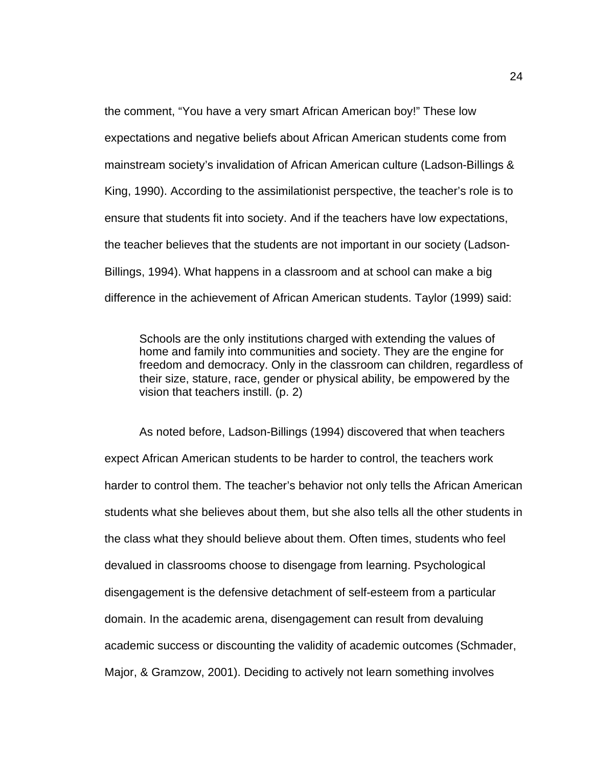the comment, "You have a very smart African American boy!" These low expectations and negative beliefs about African American students come from mainstream society's invalidation of African American culture (Ladson-Billings & King, 1990). According to the assimilationist perspective, the teacher's role is to ensure that students fit into society. And if the teachers have low expectations, the teacher believes that the students are not important in our society (Ladson-Billings, 1994). What happens in a classroom and at school can make a big difference in the achievement of African American students. Taylor (1999) said:

Schools are the only institutions charged with extending the values of home and family into communities and society. They are the engine for freedom and democracy. Only in the classroom can children, regardless of their size, stature, race, gender or physical ability, be empowered by the vision that teachers instill. (p. 2)

As noted before, Ladson-Billings (1994) discovered that when teachers expect African American students to be harder to control, the teachers work harder to control them. The teacher's behavior not only tells the African American students what she believes about them, but she also tells all the other students in the class what they should believe about them. Often times, students who feel devalued in classrooms choose to disengage from learning. Psychological disengagement is the defensive detachment of self-esteem from a particular domain. In the academic arena, disengagement can result from devaluing academic success or discounting the validity of academic outcomes (Schmader, Major, & Gramzow, 2001). Deciding to actively not learn something involves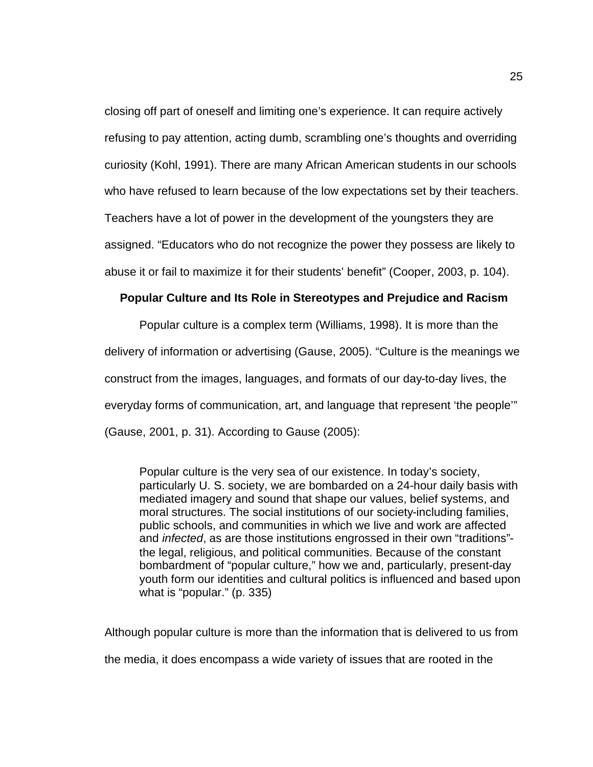closing off part of oneself and limiting one's experience. It can require actively refusing to pay attention, acting dumb, scrambling one's thoughts and overriding curiosity (Kohl, 1991). There are many African American students in our schools who have refused to learn because of the low expectations set by their teachers. Teachers have a lot of power in the development of the youngsters they are assigned. "Educators who do not recognize the power they possess are likely to abuse it or fail to maximize it for their students' benefit" (Cooper, 2003, p. 104).

#### **Popular Culture and Its Role in Stereotypes and Prejudice and Racism**

Popular culture is a complex term (Williams, 1998). It is more than the delivery of information or advertising (Gause, 2005). "Culture is the meanings we construct from the images, languages, and formats of our day-to-day lives, the everyday forms of communication, art, and language that represent 'the people'" (Gause, 2001, p. 31). According to Gause (2005):

Popular culture is the very sea of our existence. In today's society, particularly U. S. society, we are bombarded on a 24-hour daily basis with mediated imagery and sound that shape our values, belief systems, and moral structures. The social institutions of our society-including families, public schools, and communities in which we live and work are affected and *infected*, as are those institutions engrossed in their own "traditions" the legal, religious, and political communities. Because of the constant bombardment of "popular culture," how we and, particularly, present-day youth form our identities and cultural politics is influenced and based upon what is "popular." (p. 335)

Although popular culture is more than the information that is delivered to us from the media, it does encompass a wide variety of issues that are rooted in the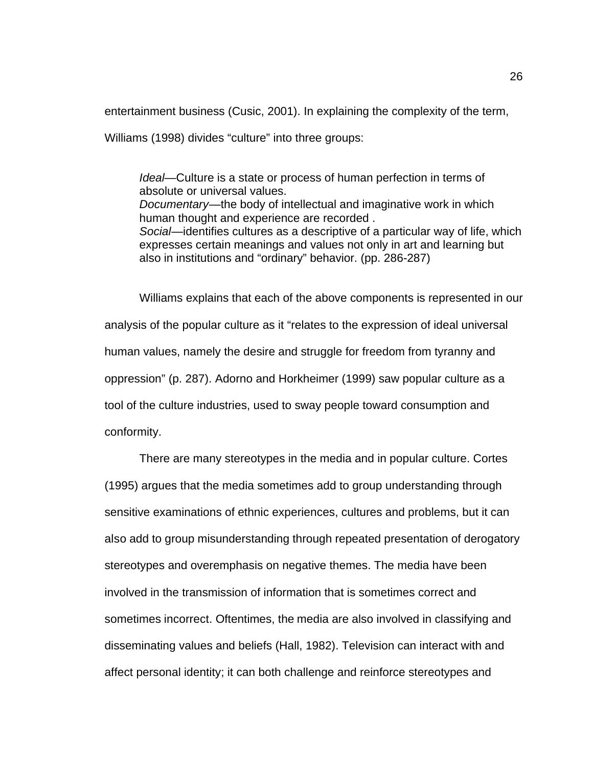entertainment business (Cusic, 2001). In explaining the complexity of the term,

Williams (1998) divides "culture" into three groups:

*Ideal—*Culture is a state or process of human perfection in terms of absolute or universal values. *Documentary*—the body of intellectual and imaginative work in which human thought and experience are recorded . *Social*—identifies cultures as a descriptive of a particular way of life, which expresses certain meanings and values not only in art and learning but also in institutions and "ordinary" behavior. (pp. 286-287)

Williams explains that each of the above components is represented in our analysis of the popular culture as it "relates to the expression of ideal universal human values, namely the desire and struggle for freedom from tyranny and oppression" (p. 287). Adorno and Horkheimer (1999) saw popular culture as a tool of the culture industries, used to sway people toward consumption and conformity.

There are many stereotypes in the media and in popular culture. Cortes (1995) argues that the media sometimes add to group understanding through sensitive examinations of ethnic experiences, cultures and problems, but it can also add to group misunderstanding through repeated presentation of derogatory stereotypes and overemphasis on negative themes. The media have been involved in the transmission of information that is sometimes correct and sometimes incorrect. Oftentimes, the media are also involved in classifying and disseminating values and beliefs (Hall, 1982). Television can interact with and affect personal identity; it can both challenge and reinforce stereotypes and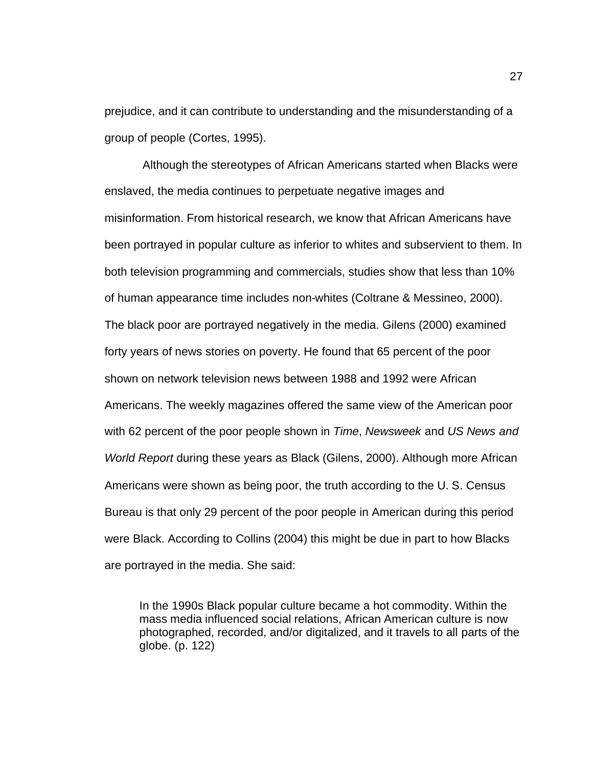prejudice, and it can contribute to understanding and the misunderstanding of a group of people (Cortes, 1995).

 Although the stereotypes of African Americans started when Blacks were enslaved, the media continues to perpetuate negative images and misinformation. From historical research, we know that African Americans have been portrayed in popular culture as inferior to whites and subservient to them. In both television programming and commercials, studies show that less than 10% of human appearance time includes non-whites (Coltrane & Messineo, 2000). The black poor are portrayed negatively in the media. Gilens (2000) examined forty years of news stories on poverty. He found that 65 percent of the poor shown on network television news between 1988 and 1992 were African Americans. The weekly magazines offered the same view of the American poor with 62 percent of the poor people shown in *Time*, *Newsweek* and *US News and World Report* during these years as Black (Gilens, 2000). Although more African Americans were shown as being poor, the truth according to the U. S. Census Bureau is that only 29 percent of the poor people in American during this period were Black. According to Collins (2004) this might be due in part to how Blacks are portrayed in the media. She said:

In the 1990s Black popular culture became a hot commodity. Within the mass media influenced social relations, African American culture is now photographed, recorded, and/or digitalized, and it travels to all parts of the globe. (p. 122)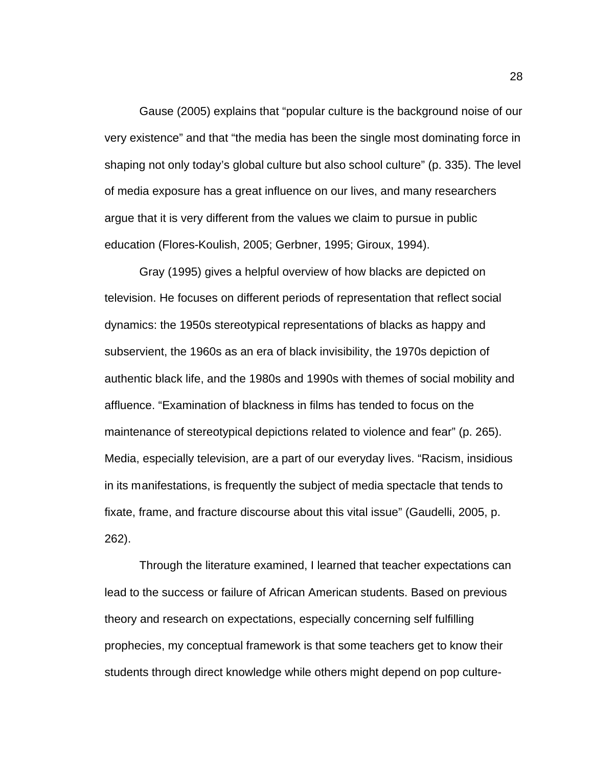Gause (2005) explains that "popular culture is the background noise of our very existence" and that "the media has been the single most dominating force in shaping not only today's global culture but also school culture" (p. 335). The level of media exposure has a great influence on our lives, and many researchers argue that it is very different from the values we claim to pursue in public education (Flores-Koulish, 2005; Gerbner, 1995; Giroux, 1994).

Gray (1995) gives a helpful overview of how blacks are depicted on television. He focuses on different periods of representation that reflect social dynamics: the 1950s stereotypical representations of blacks as happy and subservient, the 1960s as an era of black invisibility, the 1970s depiction of authentic black life, and the 1980s and 1990s with themes of social mobility and affluence. "Examination of blackness in films has tended to focus on the maintenance of stereotypical depictions related to violence and fear" (p. 265). Media, especially television, are a part of our everyday lives. "Racism, insidious in its manifestations, is frequently the subject of media spectacle that tends to fixate, frame, and fracture discourse about this vital issue" (Gaudelli, 2005, p. 262).

Through the literature examined, I learned that teacher expectations can lead to the success or failure of African American students. Based on previous theory and research on expectations, especially concerning self fulfilling prophecies, my conceptual framework is that some teachers get to know their students through direct knowledge while others might depend on pop culture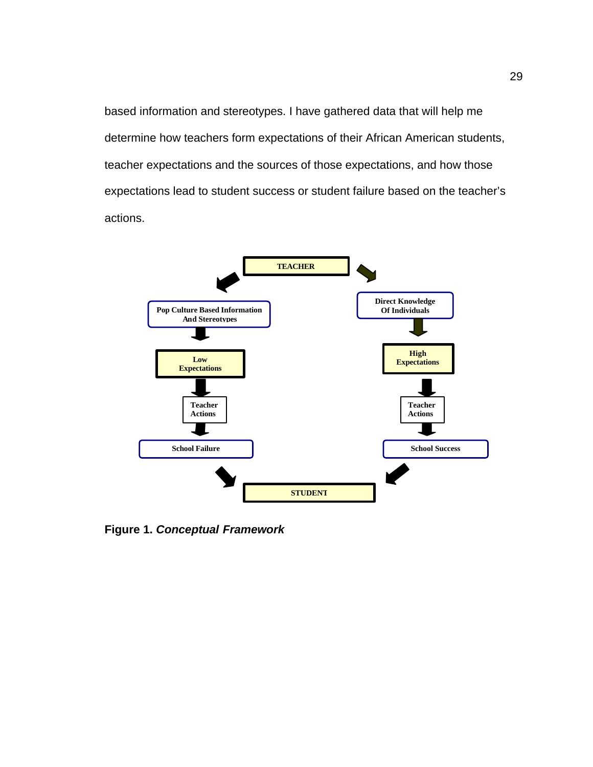based information and stereotypes. I have gathered data that will help me determine how teachers form expectations of their African American students, teacher expectations and the sources of those expectations, and how those expectations lead to student success or student failure based on the teacher's actions.



**Figure 1.** *Conceptual Framework*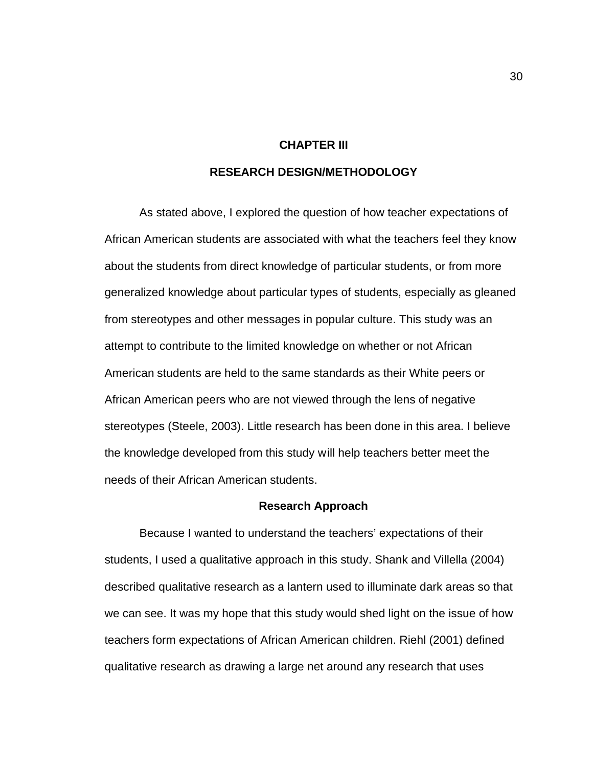### **CHAPTER III**

## **RESEARCH DESIGN/METHODOLOGY**

As stated above, I explored the question of how teacher expectations of African American students are associated with what the teachers feel they know about the students from direct knowledge of particular students, or from more generalized knowledge about particular types of students, especially as gleaned from stereotypes and other messages in popular culture. This study was an attempt to contribute to the limited knowledge on whether or not African American students are held to the same standards as their White peers or African American peers who are not viewed through the lens of negative stereotypes (Steele, 2003). Little research has been done in this area. I believe the knowledge developed from this study will help teachers better meet the needs of their African American students.

#### **Research Approach**

Because I wanted to understand the teachers' expectations of their students, I used a qualitative approach in this study. Shank and Villella (2004) described qualitative research as a lantern used to illuminate dark areas so that we can see. It was my hope that this study would shed light on the issue of how teachers form expectations of African American children. Riehl (2001) defined qualitative research as drawing a large net around any research that uses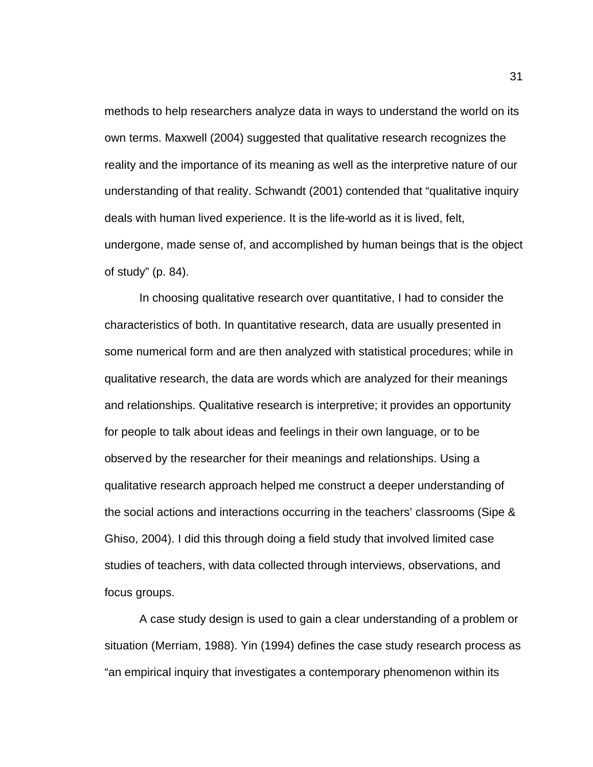methods to help researchers analyze data in ways to understand the world on its own terms. Maxwell (2004) suggested that qualitative research recognizes the reality and the importance of its meaning as well as the interpretive nature of our understanding of that reality. Schwandt (2001) contended that "qualitative inquiry deals with human lived experience. It is the life-world as it is lived, felt, undergone, made sense of, and accomplished by human beings that is the object of study" (p. 84).

In choosing qualitative research over quantitative, I had to consider the characteristics of both. In quantitative research, data are usually presented in some numerical form and are then analyzed with statistical procedures; while in qualitative research, the data are words which are analyzed for their meanings and relationships. Qualitative research is interpretive; it provides an opportunity for people to talk about ideas and feelings in their own language, or to be observed by the researcher for their meanings and relationships. Using a qualitative research approach helped me construct a deeper understanding of the social actions and interactions occurring in the teachers' classrooms (Sipe & Ghiso, 2004). I did this through doing a field study that involved limited case studies of teachers, with data collected through interviews, observations, and focus groups.

A case study design is used to gain a clear understanding of a problem or situation (Merriam, 1988). Yin (1994) defines the case study research process as "an empirical inquiry that investigates a contemporary phenomenon within its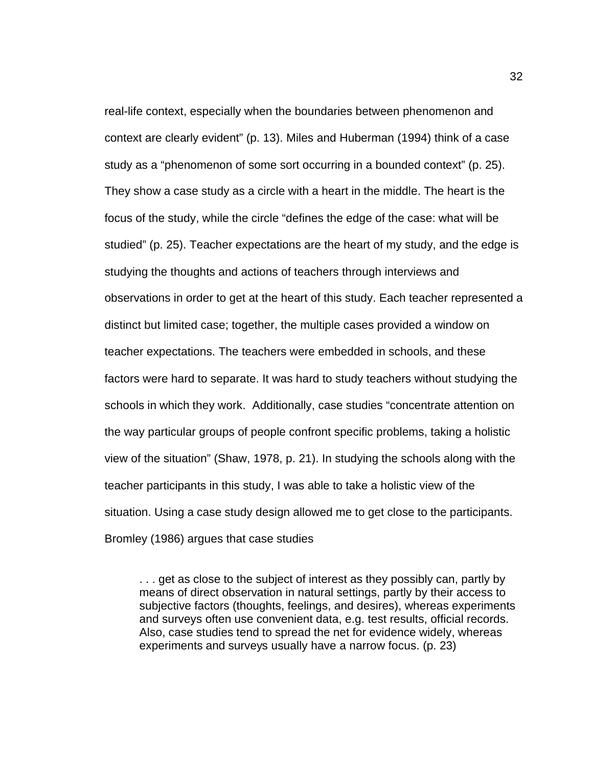real-life context, especially when the boundaries between phenomenon and context are clearly evident" (p. 13). Miles and Huberman (1994) think of a case study as a "phenomenon of some sort occurring in a bounded context" (p. 25). They show a case study as a circle with a heart in the middle. The heart is the focus of the study, while the circle "defines the edge of the case: what will be studied" (p. 25). Teacher expectations are the heart of my study, and the edge is studying the thoughts and actions of teachers through interviews and observations in order to get at the heart of this study. Each teacher represented a distinct but limited case; together, the multiple cases provided a window on teacher expectations. The teachers were embedded in schools, and these factors were hard to separate. It was hard to study teachers without studying the schools in which they work. Additionally, case studies "concentrate attention on the way particular groups of people confront specific problems, taking a holistic view of the situation" (Shaw, 1978, p. 21). In studying the schools along with the teacher participants in this study, I was able to take a holistic view of the situation. Using a case study design allowed me to get close to the participants. Bromley (1986) argues that case studies

. . . get as close to the subject of interest as they possibly can, partly by means of direct observation in natural settings, partly by their access to subjective factors (thoughts, feelings, and desires), whereas experiments and surveys often use convenient data, e.g. test results, official records. Also, case studies tend to spread the net for evidence widely, whereas experiments and surveys usually have a narrow focus. (p. 23)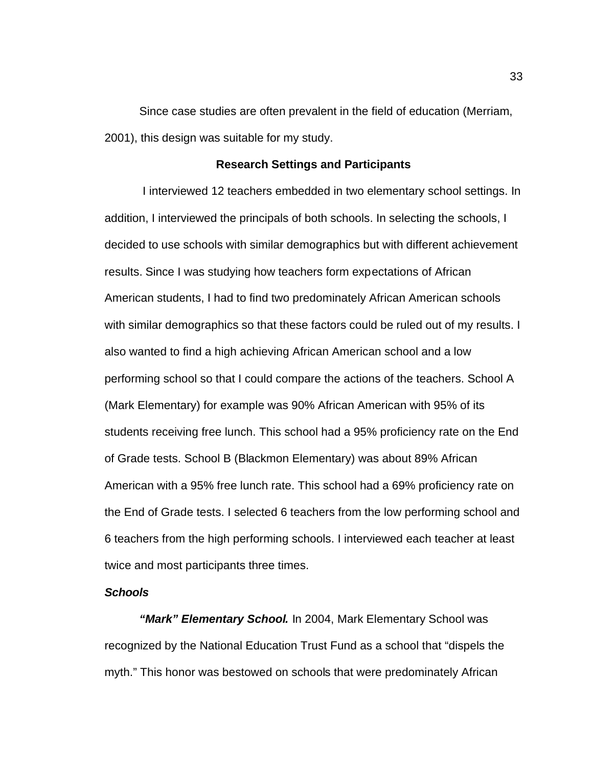Since case studies are often prevalent in the field of education (Merriam, 2001), this design was suitable for my study.

#### **Research Settings and Participants**

 I interviewed 12 teachers embedded in two elementary school settings. In addition, I interviewed the principals of both schools. In selecting the schools, I decided to use schools with similar demographics but with different achievement results. Since I was studying how teachers form expectations of African American students, I had to find two predominately African American schools with similar demographics so that these factors could be ruled out of my results. I also wanted to find a high achieving African American school and a low performing school so that I could compare the actions of the teachers. School A (Mark Elementary) for example was 90% African American with 95% of its students receiving free lunch. This school had a 95% proficiency rate on the End of Grade tests. School B (Blackmon Elementary) was about 89% African American with a 95% free lunch rate. This school had a 69% proficiency rate on the End of Grade tests. I selected 6 teachers from the low performing school and 6 teachers from the high performing schools. I interviewed each teacher at least twice and most participants three times.

## *Schools*

*"Mark" Elementary School.* In 2004, Mark Elementary School was recognized by the National Education Trust Fund as a school that "dispels the myth." This honor was bestowed on schools that were predominately African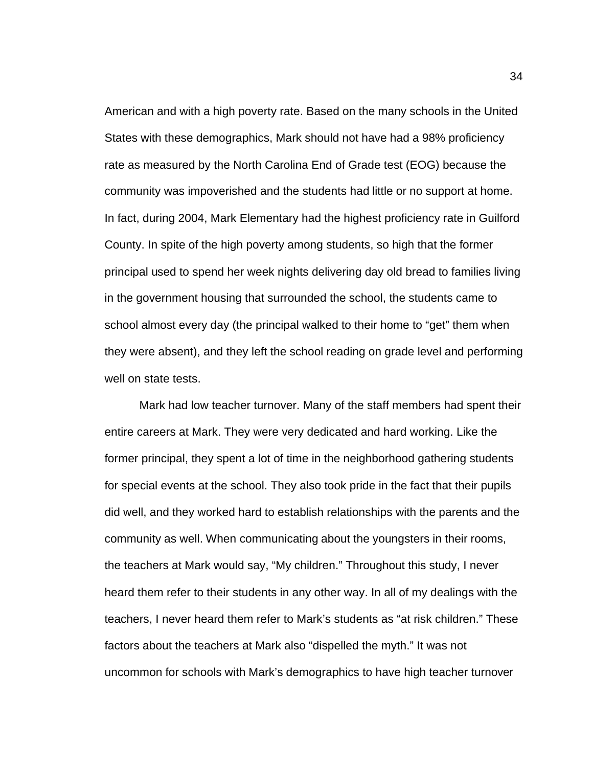American and with a high poverty rate. Based on the many schools in the United States with these demographics, Mark should not have had a 98% proficiency rate as measured by the North Carolina End of Grade test (EOG) because the community was impoverished and the students had little or no support at home. In fact, during 2004, Mark Elementary had the highest proficiency rate in Guilford County. In spite of the high poverty among students, so high that the former principal used to spend her week nights delivering day old bread to families living in the government housing that surrounded the school, the students came to school almost every day (the principal walked to their home to "get" them when they were absent), and they left the school reading on grade level and performing well on state tests.

Mark had low teacher turnover. Many of the staff members had spent their entire careers at Mark. They were very dedicated and hard working. Like the former principal, they spent a lot of time in the neighborhood gathering students for special events at the school. They also took pride in the fact that their pupils did well, and they worked hard to establish relationships with the parents and the community as well. When communicating about the youngsters in their rooms, the teachers at Mark would say, "My children." Throughout this study, I never heard them refer to their students in any other way. In all of my dealings with the teachers, I never heard them refer to Mark's students as "at risk children." These factors about the teachers at Mark also "dispelled the myth." It was not uncommon for schools with Mark's demographics to have high teacher turnover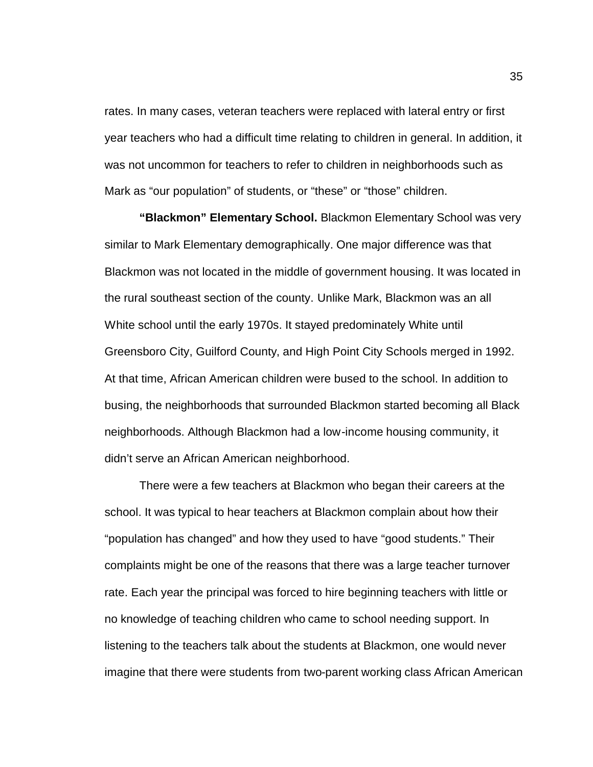rates. In many cases, veteran teachers were replaced with lateral entry or first year teachers who had a difficult time relating to children in general. In addition, it was not uncommon for teachers to refer to children in neighborhoods such as Mark as "our population" of students, or "these" or "those" children.

**"Blackmon" Elementary School.** Blackmon Elementary School was very similar to Mark Elementary demographically. One major difference was that Blackmon was not located in the middle of government housing. It was located in the rural southeast section of the county. Unlike Mark, Blackmon was an all White school until the early 1970s. It stayed predominately White until Greensboro City, Guilford County, and High Point City Schools merged in 1992. At that time, African American children were bused to the school. In addition to busing, the neighborhoods that surrounded Blackmon started becoming all Black neighborhoods. Although Blackmon had a low-income housing community, it didn't serve an African American neighborhood.

There were a few teachers at Blackmon who began their careers at the school. It was typical to hear teachers at Blackmon complain about how their "population has changed" and how they used to have "good students." Their complaints might be one of the reasons that there was a large teacher turnover rate. Each year the principal was forced to hire beginning teachers with little or no knowledge of teaching children who came to school needing support. In listening to the teachers talk about the students at Blackmon, one would never imagine that there were students from two-parent working class African American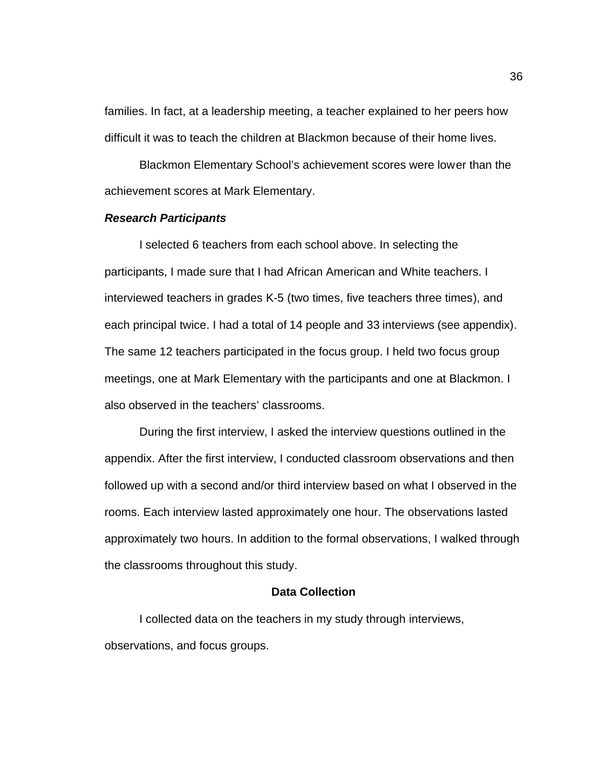families. In fact, at a leadership meeting, a teacher explained to her peers how difficult it was to teach the children at Blackmon because of their home lives.

Blackmon Elementary School's achievement scores were lower than the achievement scores at Mark Elementary.

## *Research Participants*

I selected 6 teachers from each school above. In selecting the participants, I made sure that I had African American and White teachers. I interviewed teachers in grades K-5 (two times, five teachers three times), and each principal twice. I had a total of 14 people and 33 interviews (see appendix). The same 12 teachers participated in the focus group. I held two focus group meetings, one at Mark Elementary with the participants and one at Blackmon. I also observed in the teachers' classrooms.

During the first interview, I asked the interview questions outlined in the appendix. After the first interview, I conducted classroom observations and then followed up with a second and/or third interview based on what I observed in the rooms. Each interview lasted approximately one hour. The observations lasted approximately two hours. In addition to the formal observations, I walked through the classrooms throughout this study.

## **Data Collection**

I collected data on the teachers in my study through interviews, observations, and focus groups.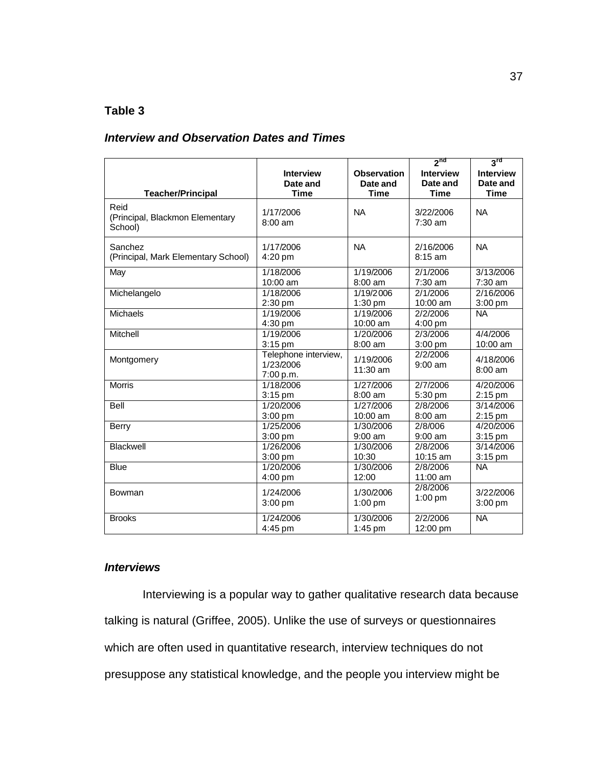# **Table 3**

## *Interview and Observation Dates and Times*

|                                                    |                                                |                        | 2 <sub>nd</sub>               | 3 <sup>rd</sup>      |
|----------------------------------------------------|------------------------------------------------|------------------------|-------------------------------|----------------------|
| <b>Teacher/Principal</b>                           | <b>Interview</b>                               | <b>Observation</b>     | <b>Interview</b>              | <b>Interview</b>     |
|                                                    | Date and                                       | Date and               | Date and                      | Date and             |
|                                                    | <b>Time</b>                                    | <b>Time</b>            | <b>Time</b>                   | <b>Time</b>          |
| Reid<br>(Principal, Blackmon Elementary<br>School) | 1/17/2006<br>$8:00 \text{ am}$                 | <b>NA</b>              | 3/22/2006<br>$7:30$ am        | <b>NA</b>            |
| Sanchez<br>(Principal, Mark Elementary School)     | 1/17/2006<br>4:20 pm                           | <b>NA</b>              | 2/16/2006<br>$8:15$ am        | <b>NA</b>            |
| May                                                | 1/18/2006                                      | 1/19/2006              | 2/1/2006                      | 3/13/2006            |
|                                                    | 10:00 am                                       | $8:00$ am              | 7:30 am                       | $7:30$ am            |
| Michelangelo                                       | 1/18/2006                                      | 1/19/2006              | 2/1/2006                      | 2/16/2006            |
|                                                    | $2:30$ pm                                      | $1:30$ pm              | 10:00 am                      | 3:00 pm              |
| Michaels                                           | 1/19/2006<br>4:30 pm                           | 1/19/2006<br>10:00 am  | 2/2/2006<br>$4:00 \text{ pm}$ | <b>NA</b>            |
| Mitchell                                           | 1/19/2006                                      | 1/20/2006              | 2/3/2006                      | 4/4/2006             |
|                                                    | 3:15 pm                                        | $8:00$ am              | $3:00 \text{ pm}$             | 10:00 am             |
| Montgomery                                         | Telephone interview,<br>1/23/2006<br>7:00 p.m. | 1/19/2006<br>11:30 am  | 2/2/2006<br>$9:00$ am         | 4/18/2006<br>8:00 am |
| <b>Morris</b>                                      | 1/18/2006                                      | 1/27/2006              | 2/7/2006                      | 4/20/2006            |
|                                                    | $3:15$ pm                                      | 8:00 am                | 5:30 pm                       | $2:15$ pm            |
| Bell                                               | 1/20/2006                                      | 1/27/2006              | 2/8/2006                      | 3/14/2006            |
|                                                    | 3:00 pm                                        | 10:00 am               | 8:00 am                       | $2:15$ pm            |
| <b>Berry</b>                                       | 1/25/2006                                      | 1/30/2006              | 2/8/006                       | 4/20/2006            |
|                                                    | 3:00 pm                                        | $9:00$ am              | 9:00 am                       | $3:15$ pm            |
| Blackwell                                          | 1/26/2006                                      | 1/30/2006              | 2/8/2006                      | 3/14/2006            |
|                                                    | 3:00 pm                                        | 10:30                  | 10:15 am                      | 3:15 pm              |
| <b>Blue</b>                                        | 1/20/2006<br>4:00 pm                           | 1/30/2006<br>12:00     | 2/8/2006<br>11:00 am          | <b>NA</b>            |
| Bowman                                             | 1/24/2006                                      | 1/30/2006              | 2/8/2006                      | 3/22/2006            |
|                                                    | $3:00$ pm                                      | $1:00$ pm              | $1:00$ pm                     | 3:00 pm              |
| <b>Brooks</b>                                      | 1/24/2006<br>4:45 pm                           | 1/30/2006<br>$1:45$ pm | 2/2/2006<br>12:00 pm          | <b>NA</b>            |

# *Interviews*

 Interviewing is a popular way to gather qualitative research data because talking is natural (Griffee, 2005). Unlike the use of surveys or questionnaires which are often used in quantitative research, interview techniques do not presuppose any statistical knowledge, and the people you interview might be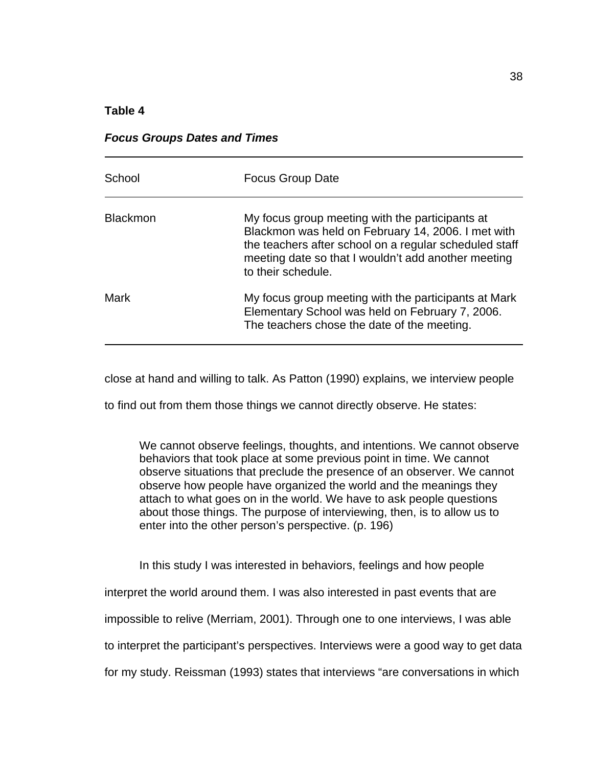## **Table 4**

|  |  | <b>Focus Groups Dates and Times</b> |
|--|--|-------------------------------------|
|--|--|-------------------------------------|

| School          | <b>Focus Group Date</b>                                                                                                                                                                                                                      |
|-----------------|----------------------------------------------------------------------------------------------------------------------------------------------------------------------------------------------------------------------------------------------|
| <b>Blackmon</b> | My focus group meeting with the participants at<br>Blackmon was held on February 14, 2006. I met with<br>the teachers after school on a regular scheduled staff<br>meeting date so that I wouldn't add another meeting<br>to their schedule. |
| Mark            | My focus group meeting with the participants at Mark<br>Elementary School was held on February 7, 2006.<br>The teachers chose the date of the meeting.                                                                                       |

close at hand and willing to talk. As Patton (1990) explains, we interview people

to find out from them those things we cannot directly observe. He states:

We cannot observe feelings, thoughts, and intentions. We cannot observe behaviors that took place at some previous point in time. We cannot observe situations that preclude the presence of an observer. We cannot observe how people have organized the world and the meanings they attach to what goes on in the world. We have to ask people questions about those things. The purpose of interviewing, then, is to allow us to enter into the other person's perspective. (p. 196)

In this study I was interested in behaviors, feelings and how people

interpret the world around them. I was also interested in past events that are

impossible to relive (Merriam, 2001). Through one to one interviews, I was able

to interpret the participant's perspectives. Interviews were a good way to get data

for my study. Reissman (1993) states that interviews "are conversations in which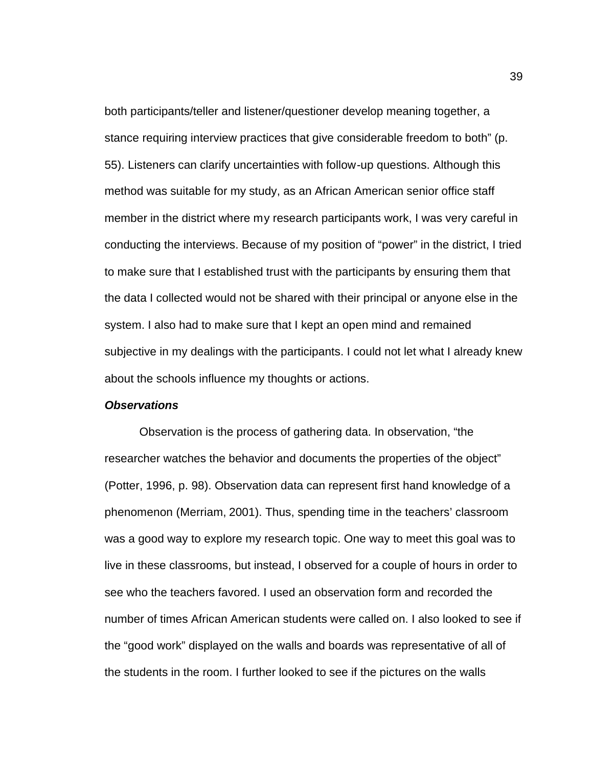both participants/teller and listener/questioner develop meaning together, a stance requiring interview practices that give considerable freedom to both" (p. 55). Listeners can clarify uncertainties with follow-up questions. Although this method was suitable for my study, as an African American senior office staff member in the district where my research participants work, I was very careful in conducting the interviews. Because of my position of "power" in the district, I tried to make sure that I established trust with the participants by ensuring them that the data I collected would not be shared with their principal or anyone else in the system. I also had to make sure that I kept an open mind and remained subjective in my dealings with the participants. I could not let what I already knew about the schools influence my thoughts or actions.

### *Observations*

Observation is the process of gathering data. In observation, "the researcher watches the behavior and documents the properties of the object" (Potter, 1996, p. 98). Observation data can represent first hand knowledge of a phenomenon (Merriam, 2001). Thus, spending time in the teachers' classroom was a good way to explore my research topic. One way to meet this goal was to live in these classrooms, but instead, I observed for a couple of hours in order to see who the teachers favored. I used an observation form and recorded the number of times African American students were called on. I also looked to see if the "good work" displayed on the walls and boards was representative of all of the students in the room. I further looked to see if the pictures on the walls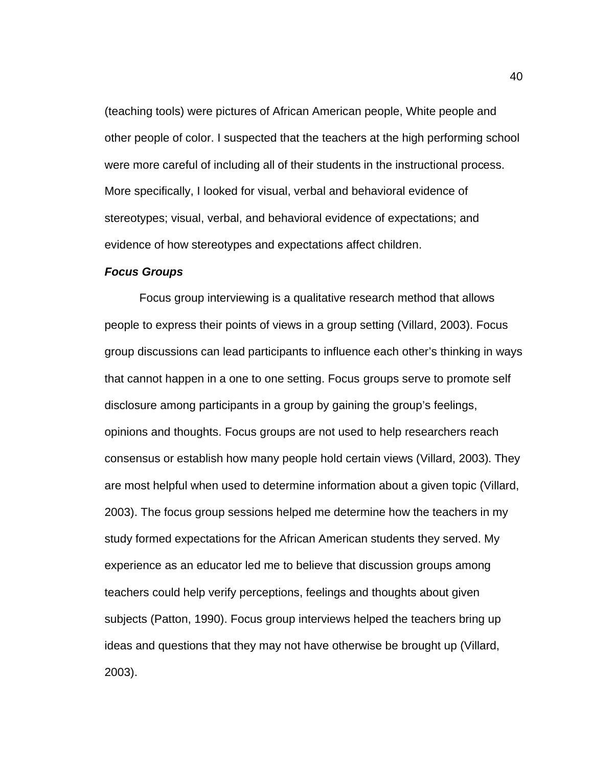(teaching tools) were pictures of African American people, White people and other people of color. I suspected that the teachers at the high performing school were more careful of including all of their students in the instructional process. More specifically, I looked for visual, verbal and behavioral evidence of stereotypes; visual, verbal, and behavioral evidence of expectations; and evidence of how stereotypes and expectations affect children.

## *Focus Groups*

Focus group interviewing is a qualitative research method that allows people to express their points of views in a group setting (Villard, 2003). Focus group discussions can lead participants to influence each other's thinking in ways that cannot happen in a one to one setting. Focus groups serve to promote self disclosure among participants in a group by gaining the group's feelings, opinions and thoughts. Focus groups are not used to help researchers reach consensus or establish how many people hold certain views (Villard, 2003). They are most helpful when used to determine information about a given topic (Villard, 2003). The focus group sessions helped me determine how the teachers in my study formed expectations for the African American students they served. My experience as an educator led me to believe that discussion groups among teachers could help verify perceptions, feelings and thoughts about given subjects (Patton, 1990). Focus group interviews helped the teachers bring up ideas and questions that they may not have otherwise be brought up (Villard, 2003).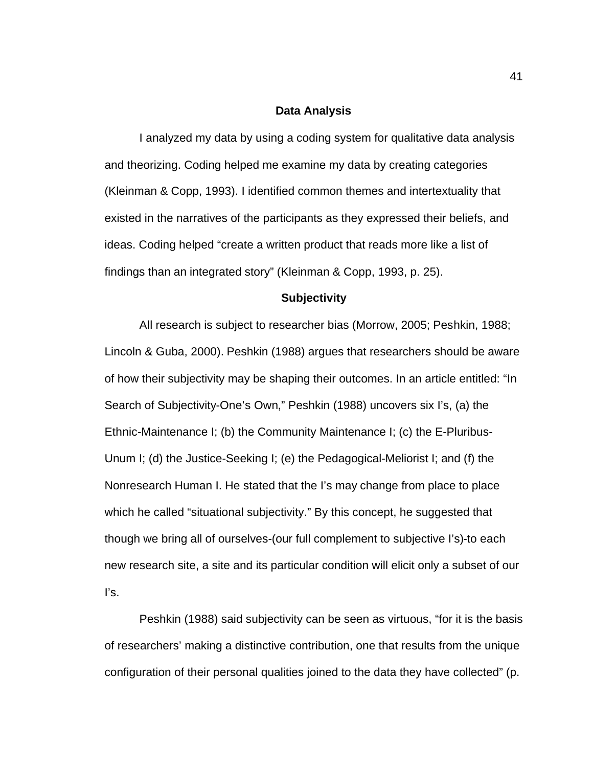#### **Data Analysis**

I analyzed my data by using a coding system for qualitative data analysis and theorizing. Coding helped me examine my data by creating categories (Kleinman & Copp, 1993). I identified common themes and intertextuality that existed in the narratives of the participants as they expressed their beliefs, and ideas. Coding helped "create a written product that reads more like a list of findings than an integrated story" (Kleinman & Copp, 1993, p. 25).

#### **Subjectivity**

All research is subject to researcher bias (Morrow, 2005; Peshkin, 1988; Lincoln & Guba, 2000). Peshkin (1988) argues that researchers should be aware of how their subjectivity may be shaping their outcomes. In an article entitled: "In Search of Subjectivity-One's Own," Peshkin (1988) uncovers six I's, (a) the Ethnic-Maintenance I; (b) the Community Maintenance I; (c) the E-Pluribus-Unum I; (d) the Justice-Seeking I; (e) the Pedagogical-Meliorist I; and (f) the Nonresearch Human I. He stated that the I's may change from place to place which he called "situational subjectivity." By this concept, he suggested that though we bring all of ourselves-(our full complement to subjective I's)-to each new research site, a site and its particular condition will elicit only a subset of our I's.

Peshkin (1988) said subjectivity can be seen as virtuous, "for it is the basis of researchers' making a distinctive contribution, one that results from the unique configuration of their personal qualities joined to the data they have collected" (p.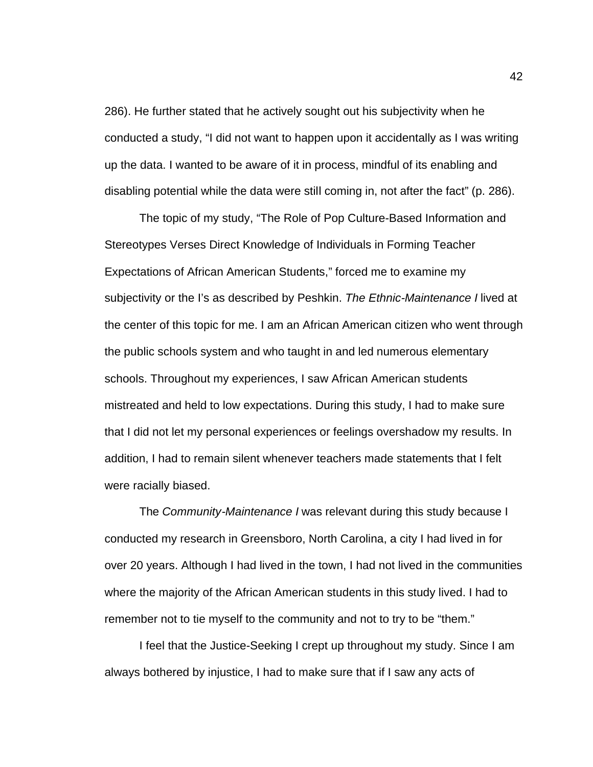286). He further stated that he actively sought out his subjectivity when he conducted a study, "I did not want to happen upon it accidentally as I was writing up the data. I wanted to be aware of it in process, mindful of its enabling and disabling potential while the data were still coming in, not after the fact" (p. 286).

The topic of my study, "The Role of Pop Culture-Based Information and Stereotypes Verses Direct Knowledge of Individuals in Forming Teacher Expectations of African American Students," forced me to examine my subjectivity or the I's as described by Peshkin. *The Ethnic-Maintenance I* lived at the center of this topic for me. I am an African American citizen who went through the public schools system and who taught in and led numerous elementary schools. Throughout my experiences, I saw African American students mistreated and held to low expectations. During this study, I had to make sure that I did not let my personal experiences or feelings overshadow my results. In addition, I had to remain silent whenever teachers made statements that I felt were racially biased.

The *Community-Maintenance I* was relevant during this study because I conducted my research in Greensboro, North Carolina, a city I had lived in for over 20 years. Although I had lived in the town, I had not lived in the communities where the majority of the African American students in this study lived. I had to remember not to tie myself to the community and not to try to be "them."

I feel that the Justice-Seeking I crept up throughout my study. Since I am always bothered by injustice, I had to make sure that if I saw any acts of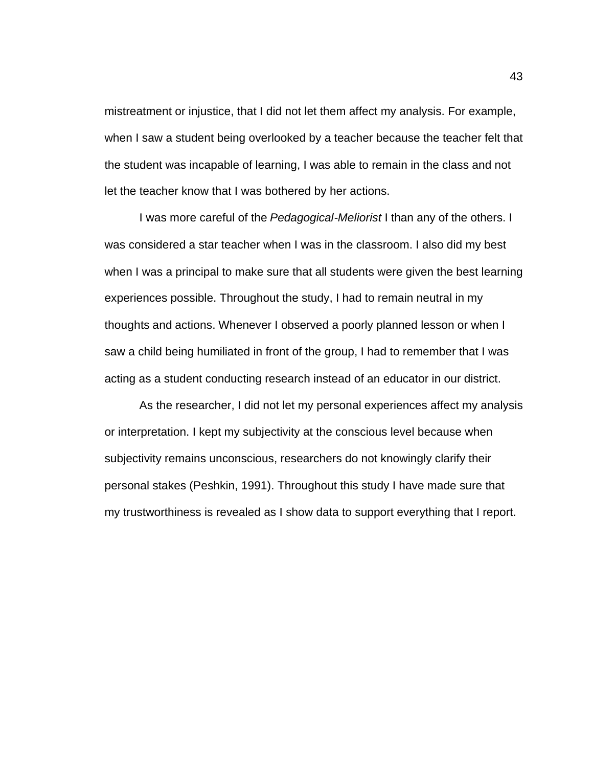mistreatment or injustice, that I did not let them affect my analysis. For example, when I saw a student being overlooked by a teacher because the teacher felt that the student was incapable of learning, I was able to remain in the class and not let the teacher know that I was bothered by her actions.

I was more careful of the *Pedagogical-Meliorist* I than any of the others. I was considered a star teacher when I was in the classroom. I also did my best when I was a principal to make sure that all students were given the best learning experiences possible. Throughout the study, I had to remain neutral in my thoughts and actions. Whenever I observed a poorly planned lesson or when I saw a child being humiliated in front of the group, I had to remember that I was acting as a student conducting research instead of an educator in our district.

As the researcher, I did not let my personal experiences affect my analysis or interpretation. I kept my subjectivity at the conscious level because when subjectivity remains unconscious, researchers do not knowingly clarify their personal stakes (Peshkin, 1991). Throughout this study I have made sure that my trustworthiness is revealed as I show data to support everything that I report.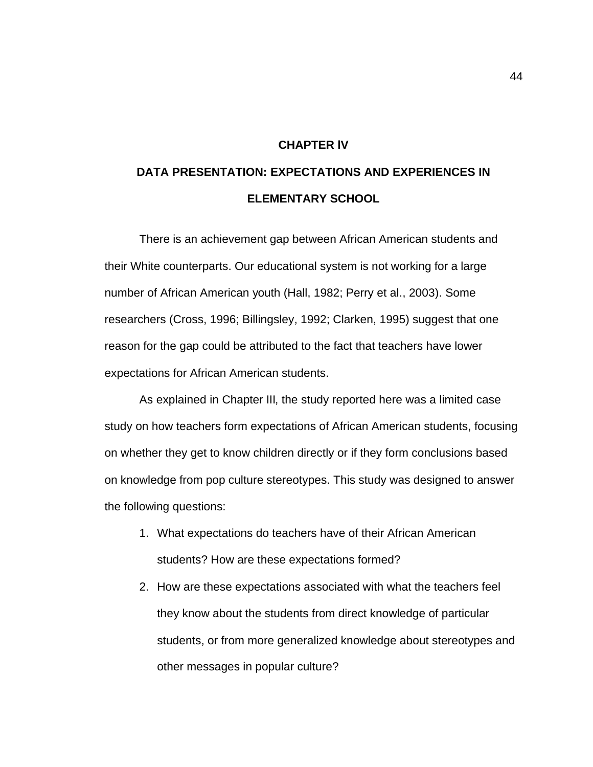### **CHAPTER lV**

# **DATA PRESENTATION: EXPECTATIONS AND EXPERIENCES IN ELEMENTARY SCHOOL**

There is an achievement gap between African American students and their White counterparts. Our educational system is not working for a large number of African American youth (Hall, 1982; Perry et al., 2003). Some researchers (Cross, 1996; Billingsley, 1992; Clarken, 1995) suggest that one reason for the gap could be attributed to the fact that teachers have lower expectations for African American students.

As explained in Chapter III, the study reported here was a limited case study on how teachers form expectations of African American students, focusing on whether they get to know children directly or if they form conclusions based on knowledge from pop culture stereotypes. This study was designed to answer the following questions:

- 1. What expectations do teachers have of their African American students? How are these expectations formed?
- 2. How are these expectations associated with what the teachers feel they know about the students from direct knowledge of particular students, or from more generalized knowledge about stereotypes and other messages in popular culture?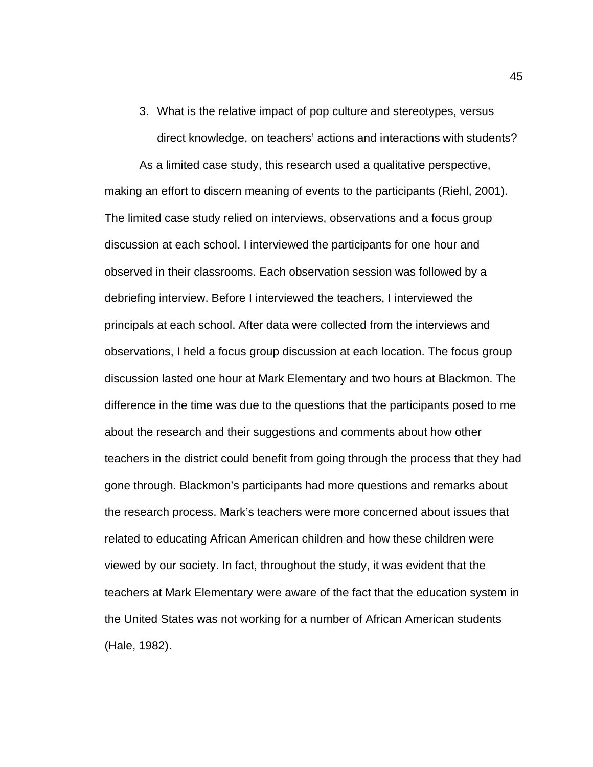3. What is the relative impact of pop culture and stereotypes, versus direct knowledge, on teachers' actions and interactions with students?

As a limited case study, this research used a qualitative perspective, making an effort to discern meaning of events to the participants (Riehl, 2001). The limited case study relied on interviews, observations and a focus group discussion at each school. I interviewed the participants for one hour and observed in their classrooms. Each observation session was followed by a debriefing interview. Before I interviewed the teachers, I interviewed the principals at each school. After data were collected from the interviews and observations, I held a focus group discussion at each location. The focus group discussion lasted one hour at Mark Elementary and two hours at Blackmon. The difference in the time was due to the questions that the participants posed to me about the research and their suggestions and comments about how other teachers in the district could benefit from going through the process that they had gone through. Blackmon's participants had more questions and remarks about the research process. Mark's teachers were more concerned about issues that related to educating African American children and how these children were viewed by our society. In fact, throughout the study, it was evident that the teachers at Mark Elementary were aware of the fact that the education system in the United States was not working for a number of African American students (Hale, 1982).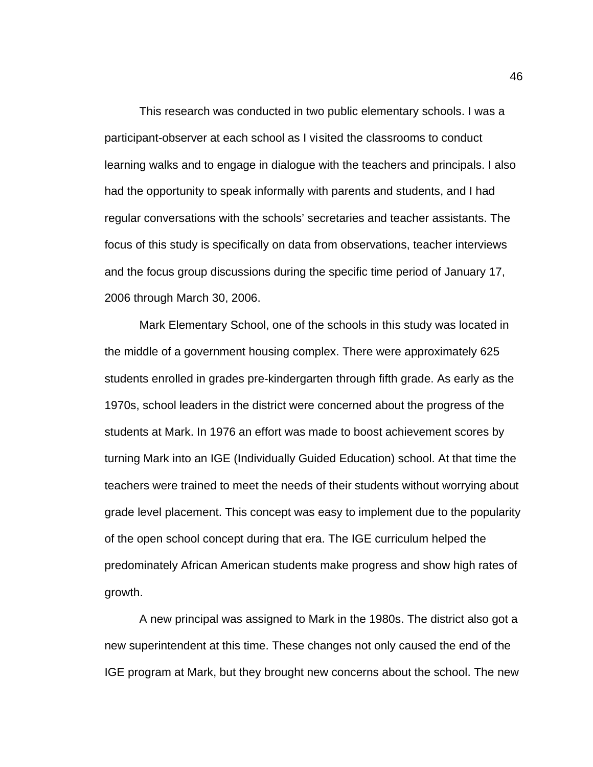This research was conducted in two public elementary schools. I was a participant-observer at each school as I visited the classrooms to conduct learning walks and to engage in dialogue with the teachers and principals. I also had the opportunity to speak informally with parents and students, and I had regular conversations with the schools' secretaries and teacher assistants. The focus of this study is specifically on data from observations, teacher interviews and the focus group discussions during the specific time period of January 17, 2006 through March 30, 2006.

Mark Elementary School, one of the schools in this study was located in the middle of a government housing complex. There were approximately 625 students enrolled in grades pre-kindergarten through fifth grade. As early as the 1970s, school leaders in the district were concerned about the progress of the students at Mark. In 1976 an effort was made to boost achievement scores by turning Mark into an IGE (Individually Guided Education) school. At that time the teachers were trained to meet the needs of their students without worrying about grade level placement. This concept was easy to implement due to the popularity of the open school concept during that era. The IGE curriculum helped the predominately African American students make progress and show high rates of growth.

A new principal was assigned to Mark in the 1980s. The district also got a new superintendent at this time. These changes not only caused the end of the IGE program at Mark, but they brought new concerns about the school. The new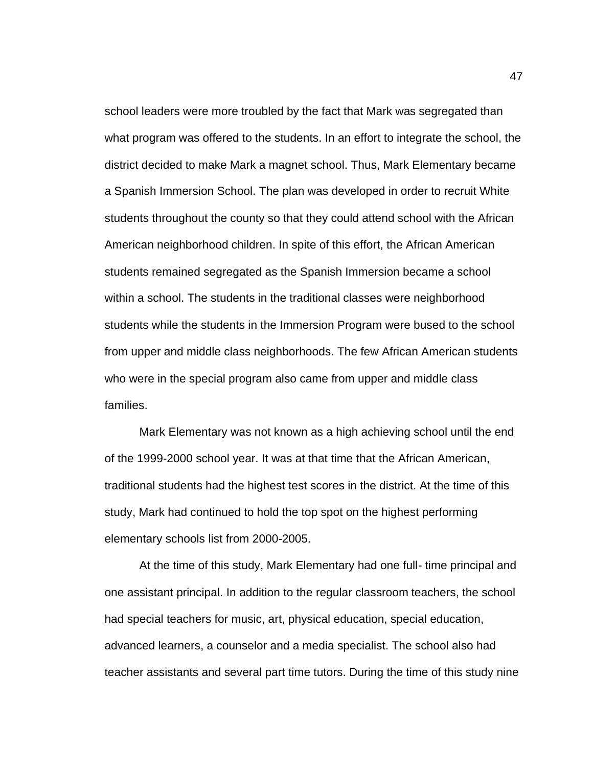school leaders were more troubled by the fact that Mark was segregated than what program was offered to the students. In an effort to integrate the school, the district decided to make Mark a magnet school. Thus, Mark Elementary became a Spanish Immersion School. The plan was developed in order to recruit White students throughout the county so that they could attend school with the African American neighborhood children. In spite of this effort, the African American students remained segregated as the Spanish Immersion became a school within a school. The students in the traditional classes were neighborhood students while the students in the Immersion Program were bused to the school from upper and middle class neighborhoods. The few African American students who were in the special program also came from upper and middle class families.

Mark Elementary was not known as a high achieving school until the end of the 1999-2000 school year. It was at that time that the African American, traditional students had the highest test scores in the district. At the time of this study, Mark had continued to hold the top spot on the highest performing elementary schools list from 2000-2005.

At the time of this study, Mark Elementary had one full- time principal and one assistant principal. In addition to the regular classroom teachers, the school had special teachers for music, art, physical education, special education, advanced learners, a counselor and a media specialist. The school also had teacher assistants and several part time tutors. During the time of this study nine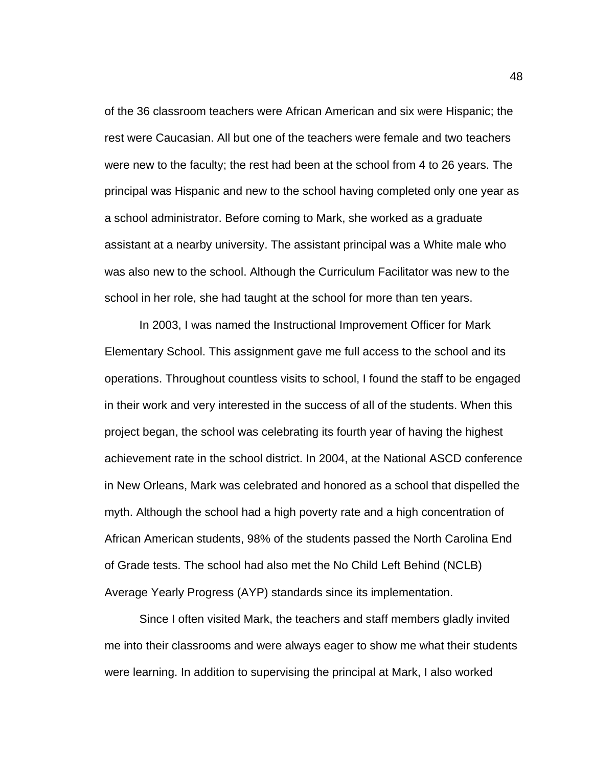of the 36 classroom teachers were African American and six were Hispanic; the rest were Caucasian. All but one of the teachers were female and two teachers were new to the faculty; the rest had been at the school from 4 to 26 years. The principal was Hispanic and new to the school having completed only one year as a school administrator. Before coming to Mark, she worked as a graduate assistant at a nearby university. The assistant principal was a White male who was also new to the school. Although the Curriculum Facilitator was new to the school in her role, she had taught at the school for more than ten years.

In 2003, I was named the Instructional Improvement Officer for Mark Elementary School. This assignment gave me full access to the school and its operations. Throughout countless visits to school, I found the staff to be engaged in their work and very interested in the success of all of the students. When this project began, the school was celebrating its fourth year of having the highest achievement rate in the school district. In 2004, at the National ASCD conference in New Orleans, Mark was celebrated and honored as a school that dispelled the myth. Although the school had a high poverty rate and a high concentration of African American students, 98% of the students passed the North Carolina End of Grade tests. The school had also met the No Child Left Behind (NCLB) Average Yearly Progress (AYP) standards since its implementation.

Since I often visited Mark, the teachers and staff members gladly invited me into their classrooms and were always eager to show me what their students were learning. In addition to supervising the principal at Mark, I also worked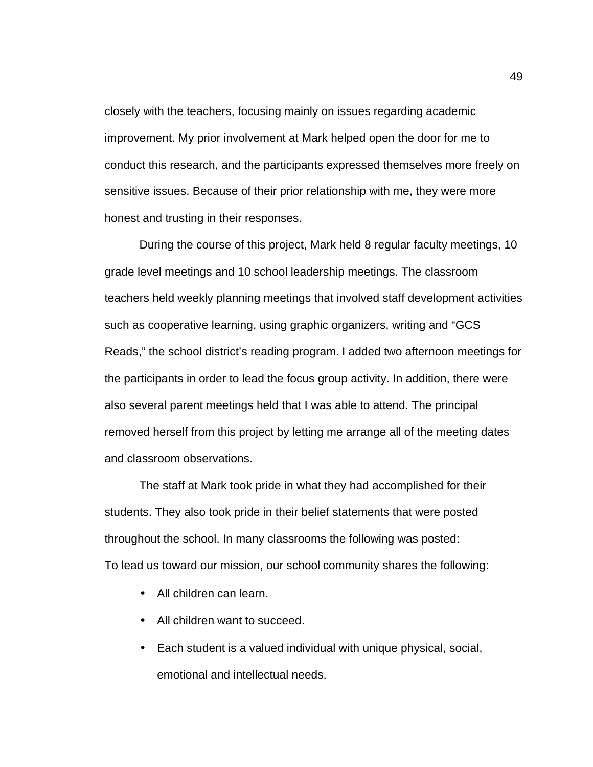closely with the teachers, focusing mainly on issues regarding academic improvement. My prior involvement at Mark helped open the door for me to conduct this research, and the participants expressed themselves more freely on sensitive issues. Because of their prior relationship with me, they were more honest and trusting in their responses.

During the course of this project, Mark held 8 regular faculty meetings, 10 grade level meetings and 10 school leadership meetings. The classroom teachers held weekly planning meetings that involved staff development activities such as cooperative learning, using graphic organizers, writing and "GCS Reads," the school district's reading program. I added two afternoon meetings for the participants in order to lead the focus group activity. In addition, there were also several parent meetings held that I was able to attend. The principal removed herself from this project by letting me arrange all of the meeting dates and classroom observations.

The staff at Mark took pride in what they had accomplished for their students. They also took pride in their belief statements that were posted throughout the school. In many classrooms the following was posted: To lead us toward our mission, our school community shares the following:

- All children can learn.
- All children want to succeed.
- Each student is a valued individual with unique physical, social, emotional and intellectual needs.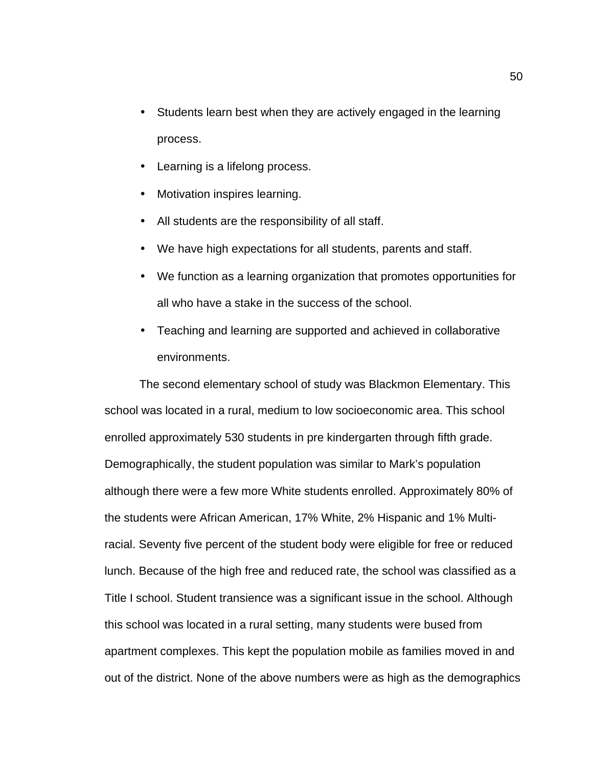- Students learn best when they are actively engaged in the learning process.
- Learning is a lifelong process.
- Motivation inspires learning.
- All students are the responsibility of all staff.
- We have high expectations for all students, parents and staff.
- We function as a learning organization that promotes opportunities for all who have a stake in the success of the school.
- Teaching and learning are supported and achieved in collaborative environments.

The second elementary school of study was Blackmon Elementary. This school was located in a rural, medium to low socioeconomic area. This school enrolled approximately 530 students in pre kindergarten through fifth grade. Demographically, the student population was similar to Mark's population although there were a few more White students enrolled. Approximately 80% of the students were African American, 17% White, 2% Hispanic and 1% Multiracial. Seventy five percent of the student body were eligible for free or reduced lunch. Because of the high free and reduced rate, the school was classified as a Title I school. Student transience was a significant issue in the school. Although this school was located in a rural setting, many students were bused from apartment complexes. This kept the population mobile as families moved in and out of the district. None of the above numbers were as high as the demographics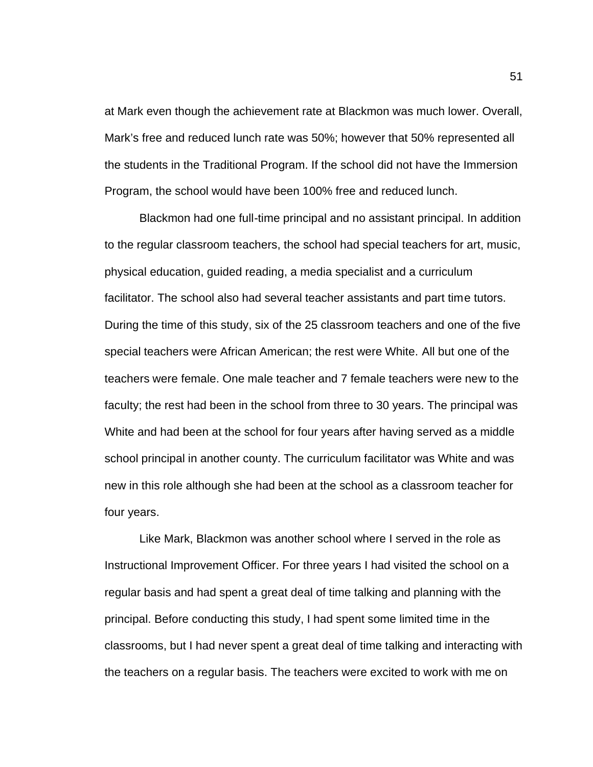at Mark even though the achievement rate at Blackmon was much lower. Overall, Mark's free and reduced lunch rate was 50%; however that 50% represented all the students in the Traditional Program. If the school did not have the Immersion Program, the school would have been 100% free and reduced lunch.

Blackmon had one full-time principal and no assistant principal. In addition to the regular classroom teachers, the school had special teachers for art, music, physical education, guided reading, a media specialist and a curriculum facilitator. The school also had several teacher assistants and part time tutors. During the time of this study, six of the 25 classroom teachers and one of the five special teachers were African American; the rest were White. All but one of the teachers were female. One male teacher and 7 female teachers were new to the faculty; the rest had been in the school from three to 30 years. The principal was White and had been at the school for four years after having served as a middle school principal in another county. The curriculum facilitator was White and was new in this role although she had been at the school as a classroom teacher for four years.

Like Mark, Blackmon was another school where I served in the role as Instructional Improvement Officer. For three years I had visited the school on a regular basis and had spent a great deal of time talking and planning with the principal. Before conducting this study, I had spent some limited time in the classrooms, but I had never spent a great deal of time talking and interacting with the teachers on a regular basis. The teachers were excited to work with me on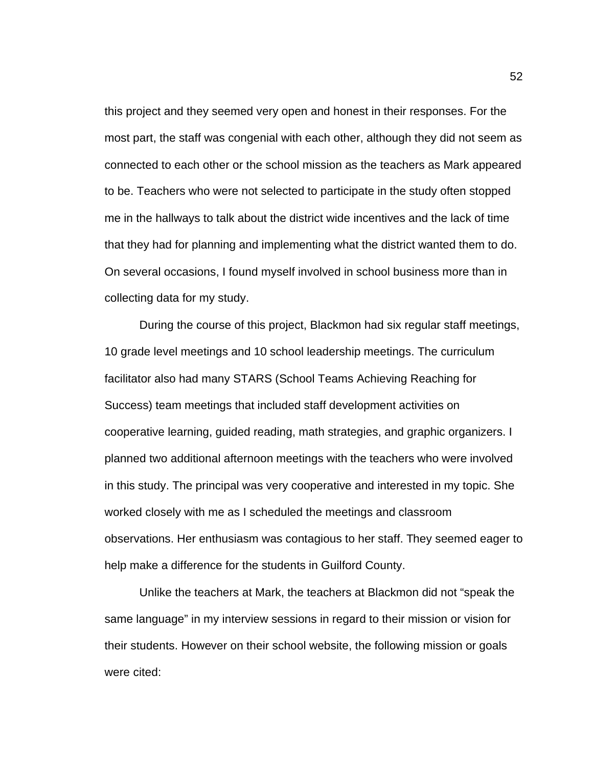this project and they seemed very open and honest in their responses. For the most part, the staff was congenial with each other, although they did not seem as connected to each other or the school mission as the teachers as Mark appeared to be. Teachers who were not selected to participate in the study often stopped me in the hallways to talk about the district wide incentives and the lack of time that they had for planning and implementing what the district wanted them to do. On several occasions, I found myself involved in school business more than in collecting data for my study.

During the course of this project, Blackmon had six regular staff meetings, 10 grade level meetings and 10 school leadership meetings. The curriculum facilitator also had many STARS (School Teams Achieving Reaching for Success) team meetings that included staff development activities on cooperative learning, guided reading, math strategies, and graphic organizers. I planned two additional afternoon meetings with the teachers who were involved in this study. The principal was very cooperative and interested in my topic. She worked closely with me as I scheduled the meetings and classroom observations. Her enthusiasm was contagious to her staff. They seemed eager to help make a difference for the students in Guilford County.

Unlike the teachers at Mark, the teachers at Blackmon did not "speak the same language" in my interview sessions in regard to their mission or vision for their students. However on their school website, the following mission or goals were cited: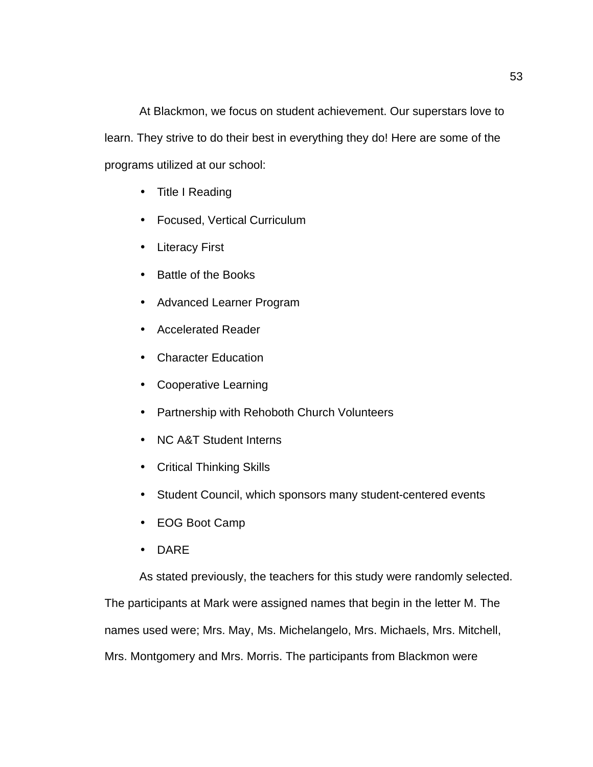At Blackmon, we focus on student achievement. Our superstars love to learn. They strive to do their best in everything they do! Here are some of the programs utilized at our school:

- Title I Reading
- Focused, Vertical Curriculum
- Literacy First
- Battle of the Books
- Advanced Learner Program
- Accelerated Reader
- Character Education
- Cooperative Learning
- Partnership with Rehoboth Church Volunteers
- NC A&T Student Interns
- Critical Thinking Skills
- Student Council, which sponsors many student-centered events
- EOG Boot Camp
- DARE

As stated previously, the teachers for this study were randomly selected.

The participants at Mark were assigned names that begin in the letter M. The

names used were; Mrs. May, Ms. Michelangelo, Mrs. Michaels, Mrs. Mitchell,

Mrs. Montgomery and Mrs. Morris. The participants from Blackmon were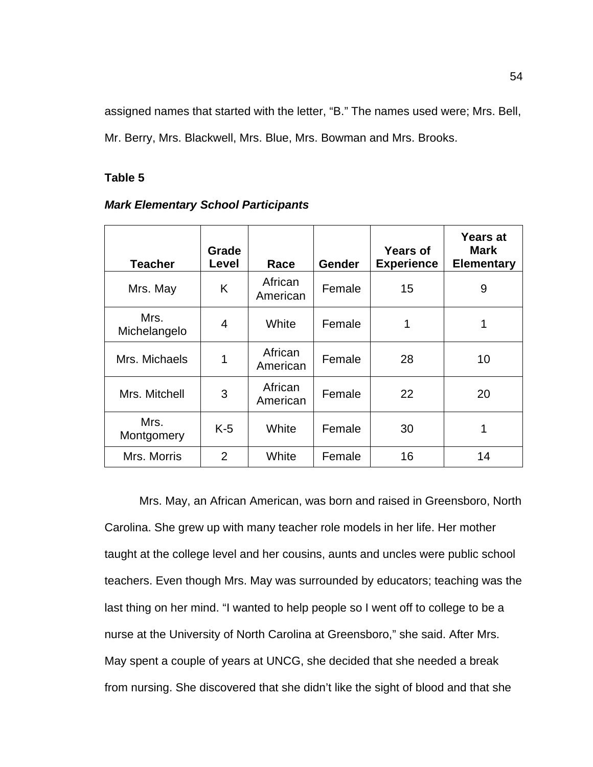assigned names that started with the letter, "B." The names used were; Mrs. Bell, Mr. Berry, Mrs. Blackwell, Mrs. Blue, Mrs. Bowman and Mrs. Brooks.

# **Table 5**

| <b>Mark Elementary School Participants</b> |  |  |
|--------------------------------------------|--|--|
|--------------------------------------------|--|--|

| <b>Teacher</b>       | Grade<br>Level | Race                | <b>Gender</b> | <b>Years of</b><br><b>Experience</b> | <b>Years at</b><br>Mark<br><b>Elementary</b> |
|----------------------|----------------|---------------------|---------------|--------------------------------------|----------------------------------------------|
| Mrs. May             | K              | African<br>American | Female        | 15                                   | 9                                            |
| Mrs.<br>Michelangelo | 4              | White               | Female        | 1                                    |                                              |
| Mrs. Michaels        | 1              | African<br>American | Female        | 28                                   | 10                                           |
| Mrs. Mitchell        | 3              | African<br>American | Female        | 22                                   | 20                                           |
| Mrs.<br>Montgomery   | $K-5$          | White               | Female        | 30                                   |                                              |
| Mrs. Morris          | $\overline{2}$ | White               | Female        | 16                                   | 14                                           |

Mrs. May, an African American, was born and raised in Greensboro, North Carolina. She grew up with many teacher role models in her life. Her mother taught at the college level and her cousins, aunts and uncles were public school teachers. Even though Mrs. May was surrounded by educators; teaching was the last thing on her mind. "I wanted to help people so I went off to college to be a nurse at the University of North Carolina at Greensboro," she said. After Mrs. May spent a couple of years at UNCG, she decided that she needed a break from nursing. She discovered that she didn't like the sight of blood and that she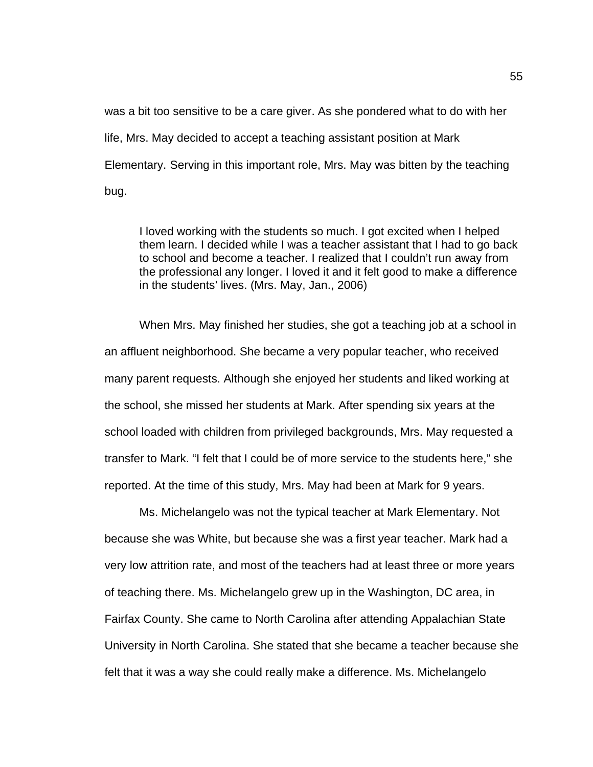was a bit too sensitive to be a care giver. As she pondered what to do with her life, Mrs. May decided to accept a teaching assistant position at Mark Elementary. Serving in this important role, Mrs. May was bitten by the teaching bug.

I loved working with the students so much. I got excited when I helped them learn. I decided while I was a teacher assistant that I had to go back to school and become a teacher. I realized that I couldn't run away from the professional any longer. I loved it and it felt good to make a difference in the students' lives. (Mrs. May, Jan., 2006)

When Mrs. May finished her studies, she got a teaching job at a school in an affluent neighborhood. She became a very popular teacher, who received many parent requests. Although she enjoyed her students and liked working at the school, she missed her students at Mark. After spending six years at the school loaded with children from privileged backgrounds, Mrs. May requested a transfer to Mark. "I felt that I could be of more service to the students here," she reported. At the time of this study, Mrs. May had been at Mark for 9 years.

Ms. Michelangelo was not the typical teacher at Mark Elementary. Not because she was White, but because she was a first year teacher. Mark had a very low attrition rate, and most of the teachers had at least three or more years of teaching there. Ms. Michelangelo grew up in the Washington, DC area, in Fairfax County. She came to North Carolina after attending Appalachian State University in North Carolina. She stated that she became a teacher because she felt that it was a way she could really make a difference. Ms. Michelangelo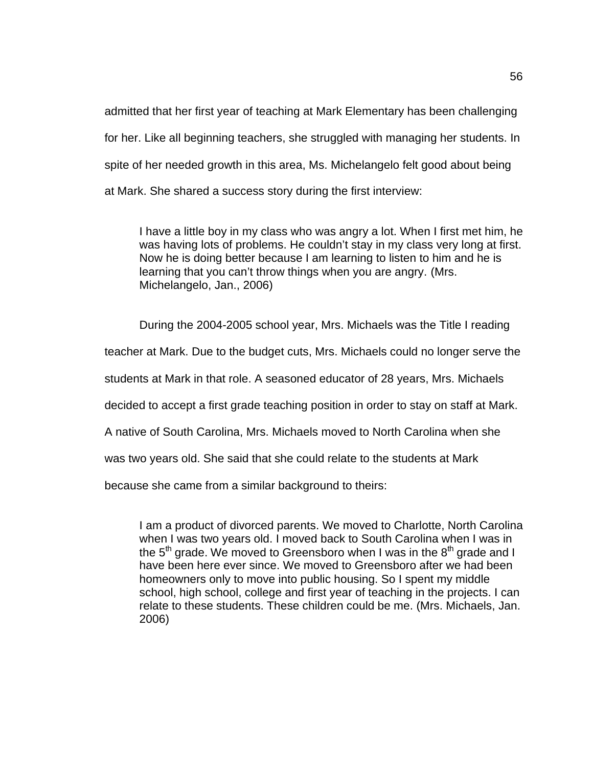admitted that her first year of teaching at Mark Elementary has been challenging for her. Like all beginning teachers, she struggled with managing her students. In spite of her needed growth in this area, Ms. Michelangelo felt good about being at Mark. She shared a success story during the first interview:

I have a little boy in my class who was angry a lot. When I first met him, he was having lots of problems. He couldn't stay in my class very long at first. Now he is doing better because I am learning to listen to him and he is learning that you can't throw things when you are angry. (Mrs. Michelangelo, Jan., 2006)

During the 2004-2005 school year, Mrs. Michaels was the Title I reading

teacher at Mark. Due to the budget cuts, Mrs. Michaels could no longer serve the

students at Mark in that role. A seasoned educator of 28 years, Mrs. Michaels

decided to accept a first grade teaching position in order to stay on staff at Mark.

A native of South Carolina, Mrs. Michaels moved to North Carolina when she

was two years old. She said that she could relate to the students at Mark

because she came from a similar background to theirs:

I am a product of divorced parents. We moved to Charlotte, North Carolina when I was two years old. I moved back to South Carolina when I was in the  $5<sup>th</sup>$  grade. We moved to Greensboro when I was in the  $8<sup>th</sup>$  grade and I have been here ever since. We moved to Greensboro after we had been homeowners only to move into public housing. So I spent my middle school, high school, college and first year of teaching in the projects. I can relate to these students. These children could be me. (Mrs. Michaels, Jan. 2006)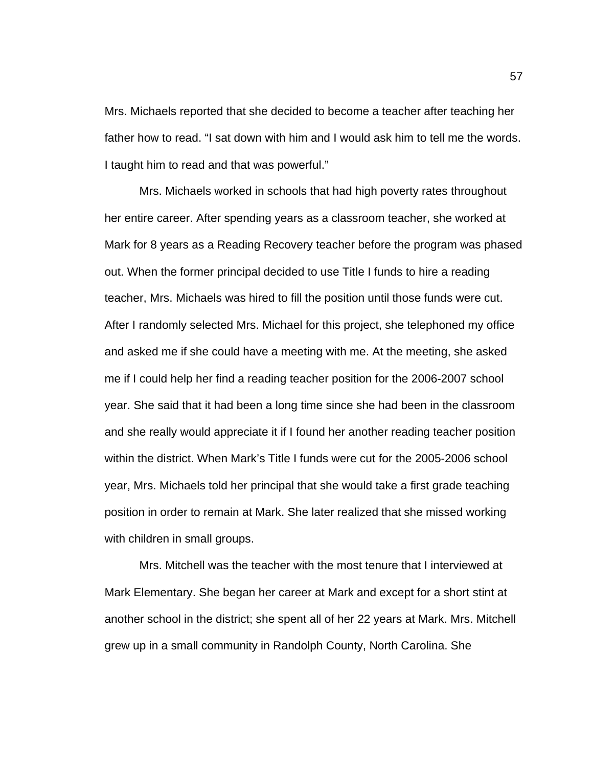Mrs. Michaels reported that she decided to become a teacher after teaching her father how to read. "I sat down with him and I would ask him to tell me the words. I taught him to read and that was powerful."

Mrs. Michaels worked in schools that had high poverty rates throughout her entire career. After spending years as a classroom teacher, she worked at Mark for 8 years as a Reading Recovery teacher before the program was phased out. When the former principal decided to use Title I funds to hire a reading teacher, Mrs. Michaels was hired to fill the position until those funds were cut. After I randomly selected Mrs. Michael for this project, she telephoned my office and asked me if she could have a meeting with me. At the meeting, she asked me if I could help her find a reading teacher position for the 2006-2007 school year. She said that it had been a long time since she had been in the classroom and she really would appreciate it if I found her another reading teacher position within the district. When Mark's Title I funds were cut for the 2005-2006 school year, Mrs. Michaels told her principal that she would take a first grade teaching position in order to remain at Mark. She later realized that she missed working with children in small groups.

Mrs. Mitchell was the teacher with the most tenure that I interviewed at Mark Elementary. She began her career at Mark and except for a short stint at another school in the district; she spent all of her 22 years at Mark. Mrs. Mitchell grew up in a small community in Randolph County, North Carolina. She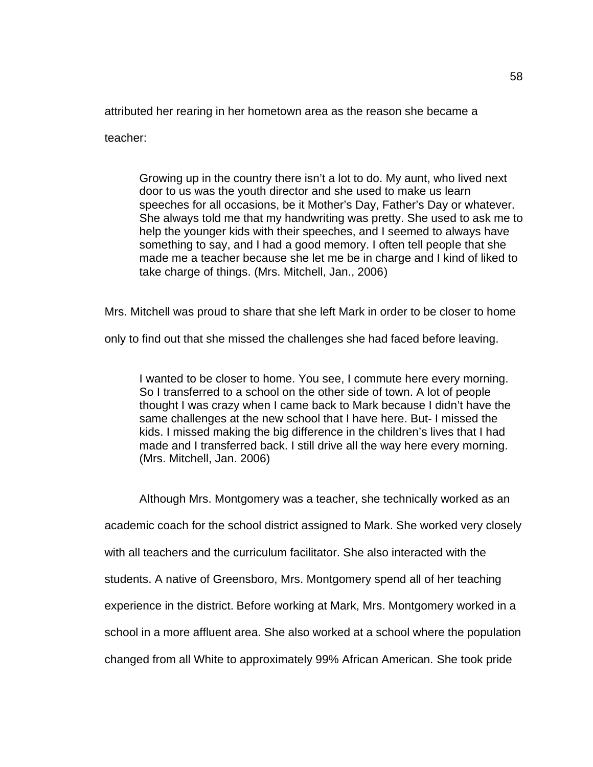attributed her rearing in her hometown area as the reason she became a

teacher:

Growing up in the country there isn't a lot to do. My aunt, who lived next door to us was the youth director and she used to make us learn speeches for all occasions, be it Mother's Day, Father's Day or whatever. She always told me that my handwriting was pretty. She used to ask me to help the younger kids with their speeches, and I seemed to always have something to say, and I had a good memory. I often tell people that she made me a teacher because she let me be in charge and I kind of liked to take charge of things. (Mrs. Mitchell, Jan., 2006)

Mrs. Mitchell was proud to share that she left Mark in order to be closer to home

only to find out that she missed the challenges she had faced before leaving.

I wanted to be closer to home. You see, I commute here every morning. So I transferred to a school on the other side of town. A lot of people thought I was crazy when I came back to Mark because I didn't have the same challenges at the new school that I have here. But- I missed the kids. I missed making the big difference in the children's lives that I had made and I transferred back. I still drive all the way here every morning. (Mrs. Mitchell, Jan. 2006)

Although Mrs. Montgomery was a teacher, she technically worked as an academic coach for the school district assigned to Mark. She worked very closely with all teachers and the curriculum facilitator. She also interacted with the students. A native of Greensboro, Mrs. Montgomery spend all of her teaching experience in the district. Before working at Mark, Mrs. Montgomery worked in a school in a more affluent area. She also worked at a school where the population changed from all White to approximately 99% African American. She took pride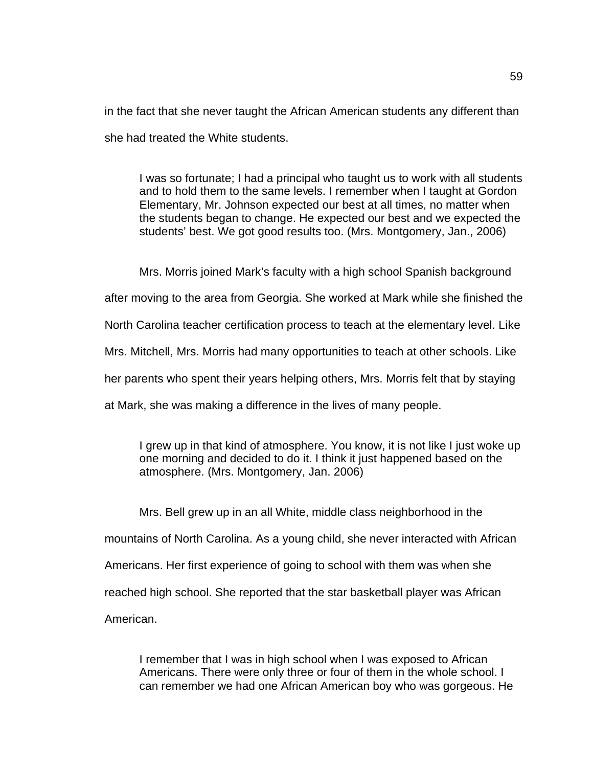in the fact that she never taught the African American students any different than she had treated the White students.

I was so fortunate; I had a principal who taught us to work with all students and to hold them to the same levels. I remember when I taught at Gordon Elementary, Mr. Johnson expected our best at all times, no matter when the students began to change. He expected our best and we expected the students' best. We got good results too. (Mrs. Montgomery, Jan., 2006)

Mrs. Morris joined Mark's faculty with a high school Spanish background

after moving to the area from Georgia. She worked at Mark while she finished the

North Carolina teacher certification process to teach at the elementary level. Like

Mrs. Mitchell, Mrs. Morris had many opportunities to teach at other schools. Like

her parents who spent their years helping others, Mrs. Morris felt that by staying

at Mark, she was making a difference in the lives of many people.

I grew up in that kind of atmosphere. You know, it is not like I just woke up one morning and decided to do it. I think it just happened based on the atmosphere. (Mrs. Montgomery, Jan. 2006)

Mrs. Bell grew up in an all White, middle class neighborhood in the mountains of North Carolina. As a young child, she never interacted with African Americans. Her first experience of going to school with them was when she reached high school. She reported that the star basketball player was African American.

I remember that I was in high school when I was exposed to African Americans. There were only three or four of them in the whole school. I can remember we had one African American boy who was gorgeous. He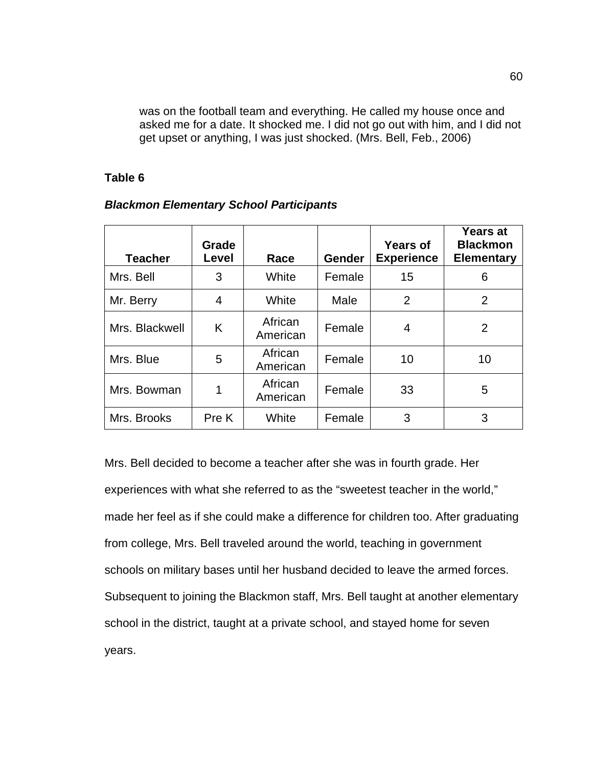was on the football team and everything. He called my house once and asked me for a date. It shocked me. I did not go out with him, and I did not get upset or anything, I was just shocked. (Mrs. Bell, Feb., 2006)

## **Table 6**

| <b>Teacher</b> | Grade<br>Level | Race                | <b>Gender</b> | Years of<br><b>Experience</b> | <b>Years at</b><br><b>Blackmon</b><br><b>Elementary</b> |
|----------------|----------------|---------------------|---------------|-------------------------------|---------------------------------------------------------|
| Mrs. Bell      | 3              | White               | Female        | 15                            | 6                                                       |
| Mr. Berry      | 4              | White               | Male          | $\overline{2}$                | 2                                                       |
| Mrs. Blackwell | K              | African<br>American | Female        | 4                             | $\overline{2}$                                          |
| Mrs. Blue      | 5              | African<br>American | Female        | 10                            | 10                                                      |
| Mrs. Bowman    | 1              | African<br>American | Female        | 33                            | 5                                                       |
| Mrs. Brooks    | Pre K          | White               | Female        | 3                             | 3                                                       |

## *Blackmon Elementary School Participants*

Mrs. Bell decided to become a teacher after she was in fourth grade. Her experiences with what she referred to as the "sweetest teacher in the world," made her feel as if she could make a difference for children too. After graduating from college, Mrs. Bell traveled around the world, teaching in government schools on military bases until her husband decided to leave the armed forces. Subsequent to joining the Blackmon staff, Mrs. Bell taught at another elementary school in the district, taught at a private school, and stayed home for seven years.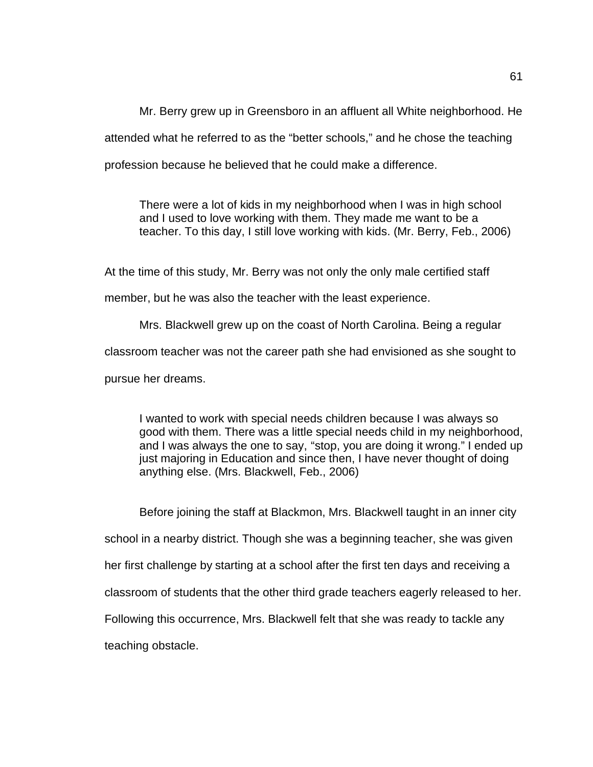Mr. Berry grew up in Greensboro in an affluent all White neighborhood. He attended what he referred to as the "better schools," and he chose the teaching profession because he believed that he could make a difference.

There were a lot of kids in my neighborhood when I was in high school and I used to love working with them. They made me want to be a teacher. To this day, I still love working with kids. (Mr. Berry, Feb., 2006)

At the time of this study, Mr. Berry was not only the only male certified staff

member, but he was also the teacher with the least experience.

Mrs. Blackwell grew up on the coast of North Carolina. Being a regular classroom teacher was not the career path she had envisioned as she sought to pursue her dreams.

I wanted to work with special needs children because I was always so good with them. There was a little special needs child in my neighborhood, and I was always the one to say, "stop, you are doing it wrong." I ended up just majoring in Education and since then, I have never thought of doing anything else. (Mrs. Blackwell, Feb., 2006)

Before joining the staff at Blackmon, Mrs. Blackwell taught in an inner city school in a nearby district. Though she was a beginning teacher, she was given her first challenge by starting at a school after the first ten days and receiving a classroom of students that the other third grade teachers eagerly released to her. Following this occurrence, Mrs. Blackwell felt that she was ready to tackle any teaching obstacle.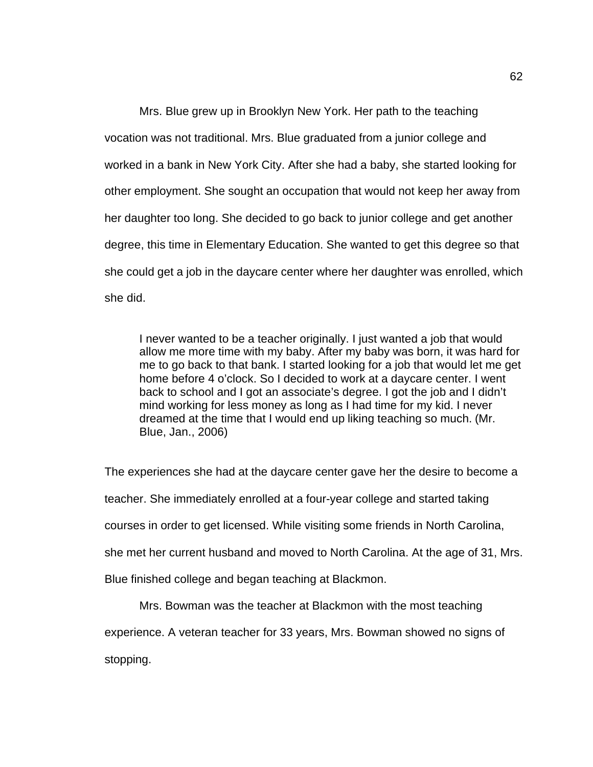Mrs. Blue grew up in Brooklyn New York. Her path to the teaching vocation was not traditional. Mrs. Blue graduated from a junior college and worked in a bank in New York City. After she had a baby, she started looking for other employment. She sought an occupation that would not keep her away from her daughter too long. She decided to go back to junior college and get another degree, this time in Elementary Education. She wanted to get this degree so that she could get a job in the daycare center where her daughter was enrolled, which she did.

I never wanted to be a teacher originally. I just wanted a job that would allow me more time with my baby. After my baby was born, it was hard for me to go back to that bank. I started looking for a job that would let me get home before 4 o'clock. So I decided to work at a daycare center. I went back to school and I got an associate's degree. I got the job and I didn't mind working for less money as long as I had time for my kid. I never dreamed at the time that I would end up liking teaching so much. (Mr. Blue, Jan., 2006)

The experiences she had at the daycare center gave her the desire to become a teacher. She immediately enrolled at a four-year college and started taking courses in order to get licensed. While visiting some friends in North Carolina, she met her current husband and moved to North Carolina. At the age of 31, Mrs. Blue finished college and began teaching at Blackmon.

Mrs. Bowman was the teacher at Blackmon with the most teaching experience. A veteran teacher for 33 years, Mrs. Bowman showed no signs of stopping.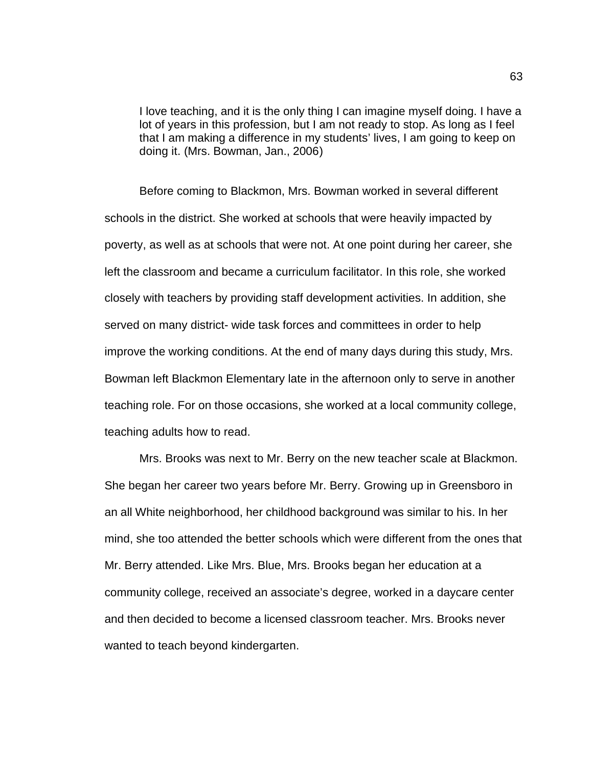I love teaching, and it is the only thing I can imagine myself doing. I have a lot of years in this profession, but I am not ready to stop. As long as I feel that I am making a difference in my students' lives, I am going to keep on doing it. (Mrs. Bowman, Jan., 2006)

Before coming to Blackmon, Mrs. Bowman worked in several different schools in the district. She worked at schools that were heavily impacted by poverty, as well as at schools that were not. At one point during her career, she left the classroom and became a curriculum facilitator. In this role, she worked closely with teachers by providing staff development activities. In addition, she served on many district- wide task forces and committees in order to help improve the working conditions. At the end of many days during this study, Mrs. Bowman left Blackmon Elementary late in the afternoon only to serve in another teaching role. For on those occasions, she worked at a local community college, teaching adults how to read.

Mrs. Brooks was next to Mr. Berry on the new teacher scale at Blackmon. She began her career two years before Mr. Berry. Growing up in Greensboro in an all White neighborhood, her childhood background was similar to his. In her mind, she too attended the better schools which were different from the ones that Mr. Berry attended. Like Mrs. Blue, Mrs. Brooks began her education at a community college, received an associate's degree, worked in a daycare center and then decided to become a licensed classroom teacher. Mrs. Brooks never wanted to teach beyond kindergarten.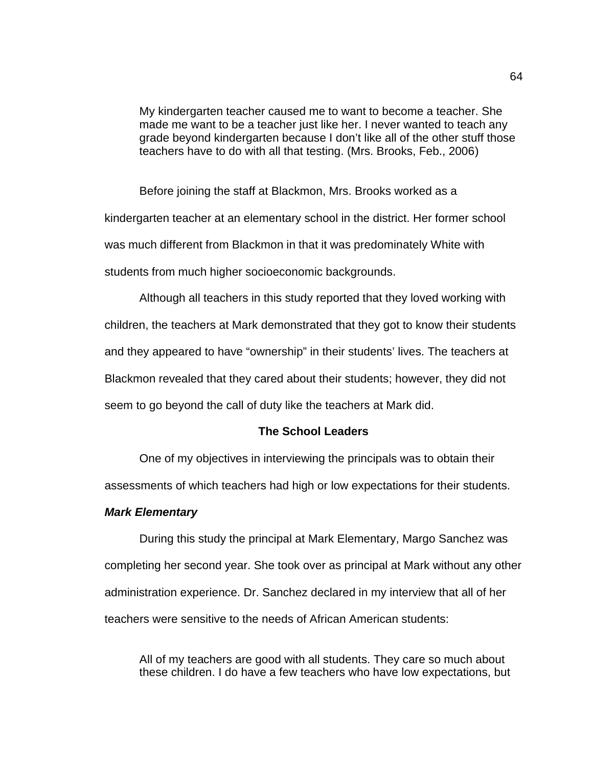My kindergarten teacher caused me to want to become a teacher. She made me want to be a teacher just like her. I never wanted to teach any grade beyond kindergarten because I don't like all of the other stuff those teachers have to do with all that testing. (Mrs. Brooks, Feb., 2006)

Before joining the staff at Blackmon, Mrs. Brooks worked as a kindergarten teacher at an elementary school in the district. Her former school was much different from Blackmon in that it was predominately White with students from much higher socioeconomic backgrounds.

Although all teachers in this study reported that they loved working with children, the teachers at Mark demonstrated that they got to know their students and they appeared to have "ownership" in their students' lives. The teachers at Blackmon revealed that they cared about their students; however, they did not seem to go beyond the call of duty like the teachers at Mark did.

#### **The School Leaders**

One of my objectives in interviewing the principals was to obtain their

assessments of which teachers had high or low expectations for their students.

#### *Mark Elementary*

During this study the principal at Mark Elementary, Margo Sanchez was completing her second year. She took over as principal at Mark without any other administration experience. Dr. Sanchez declared in my interview that all of her teachers were sensitive to the needs of African American students:

All of my teachers are good with all students. They care so much about these children. I do have a few teachers who have low expectations, but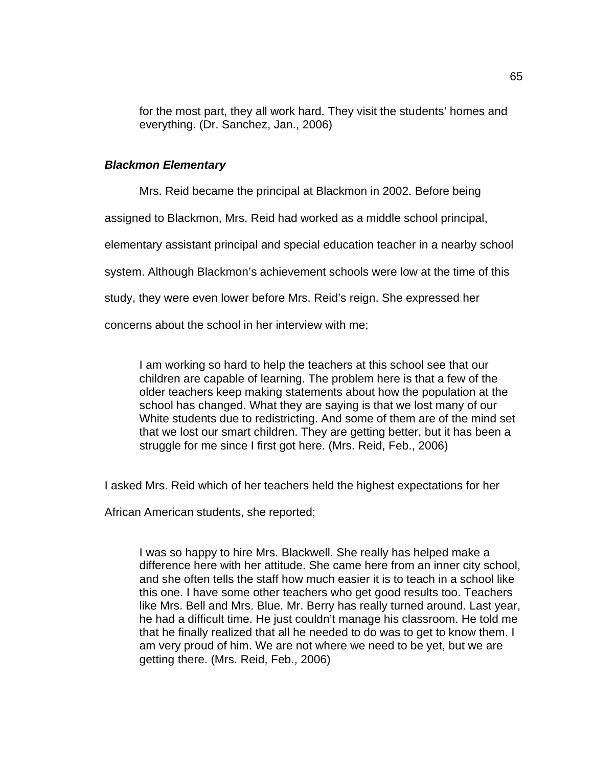for the most part, they all work hard. They visit the students' homes and everything. (Dr. Sanchez, Jan., 2006)

#### *Blackmon Elementary*

Mrs. Reid became the principal at Blackmon in 2002. Before being

assigned to Blackmon, Mrs. Reid had worked as a middle school principal,

elementary assistant principal and special education teacher in a nearby school

system. Although Blackmon's achievement schools were low at the time of this

study, they were even lower before Mrs. Reid's reign. She expressed her

concerns about the school in her interview with me;

I am working so hard to help the teachers at this school see that our children are capable of learning. The problem here is that a few of the older teachers keep making statements about how the population at the school has changed. What they are saying is that we lost many of our White students due to redistricting. And some of them are of the mind set that we lost our smart children. They are getting better, but it has been a struggle for me since I first got here. (Mrs. Reid, Feb., 2006)

I asked Mrs. Reid which of her teachers held the highest expectations for her

African American students, she reported;

I was so happy to hire Mrs. Blackwell. She really has helped make a difference here with her attitude. She came here from an inner city school, and she often tells the staff how much easier it is to teach in a school like this one. I have some other teachers who get good results too. Teachers like Mrs. Bell and Mrs. Blue. Mr. Berry has really turned around. Last year, he had a difficult time. He just couldn't manage his classroom. He told me that he finally realized that all he needed to do was to get to know them. I am very proud of him. We are not where we need to be yet, but we are getting there. (Mrs. Reid, Feb., 2006)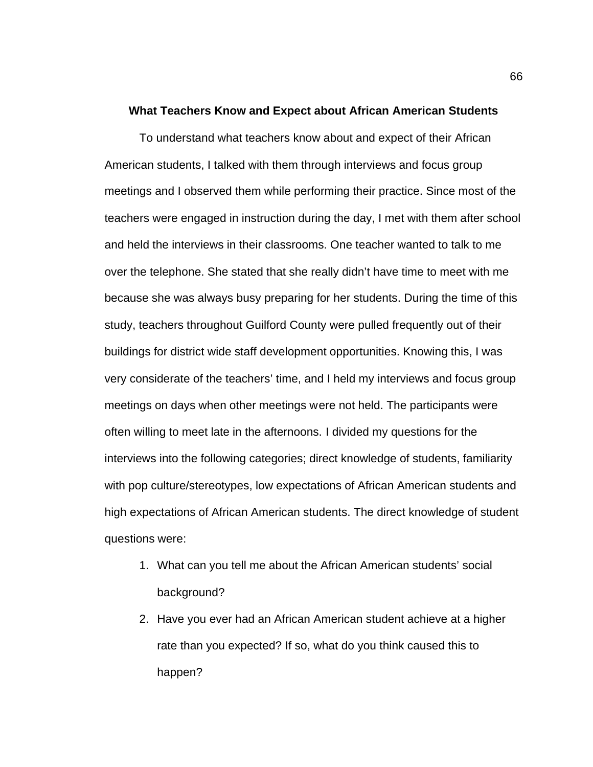#### **What Teachers Know and Expect about African American Students**

To understand what teachers know about and expect of their African American students, I talked with them through interviews and focus group meetings and I observed them while performing their practice. Since most of the teachers were engaged in instruction during the day, I met with them after school and held the interviews in their classrooms. One teacher wanted to talk to me over the telephone. She stated that she really didn't have time to meet with me because she was always busy preparing for her students. During the time of this study, teachers throughout Guilford County were pulled frequently out of their buildings for district wide staff development opportunities. Knowing this, I was very considerate of the teachers' time, and I held my interviews and focus group meetings on days when other meetings were not held. The participants were often willing to meet late in the afternoons. I divided my questions for the interviews into the following categories; direct knowledge of students, familiarity with pop culture/stereotypes, low expectations of African American students and high expectations of African American students. The direct knowledge of student questions were:

- 1. What can you tell me about the African American students' social background?
- 2. Have you ever had an African American student achieve at a higher rate than you expected? If so, what do you think caused this to happen?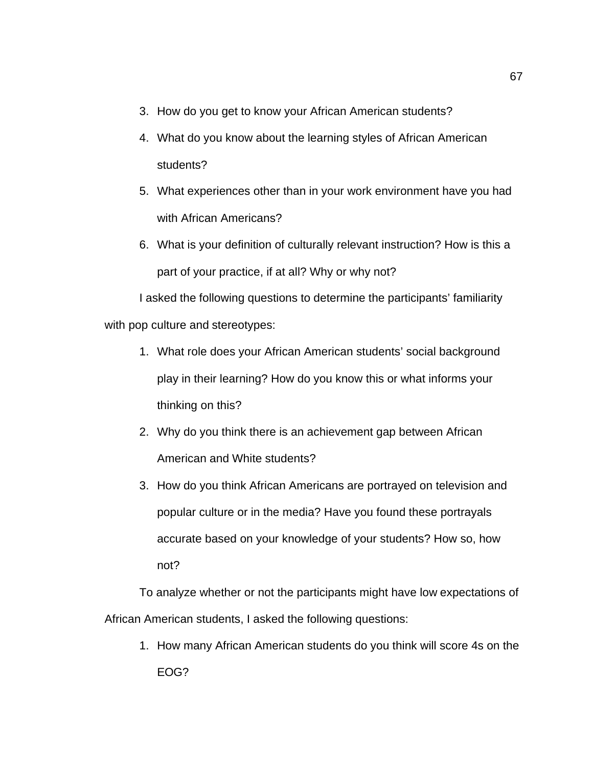- 3. How do you get to know your African American students?
- 4. What do you know about the learning styles of African American students?
- 5. What experiences other than in your work environment have you had with African Americans?
- 6. What is your definition of culturally relevant instruction? How is this a part of your practice, if at all? Why or why not?

I asked the following questions to determine the participants' familiarity with pop culture and stereotypes:

- 1. What role does your African American students' social background play in their learning? How do you know this or what informs your thinking on this?
- 2. Why do you think there is an achievement gap between African American and White students?
- 3. How do you think African Americans are portrayed on television and popular culture or in the media? Have you found these portrayals accurate based on your knowledge of your students? How so, how not?

To analyze whether or not the participants might have low expectations of African American students, I asked the following questions:

1. How many African American students do you think will score 4s on the EOG?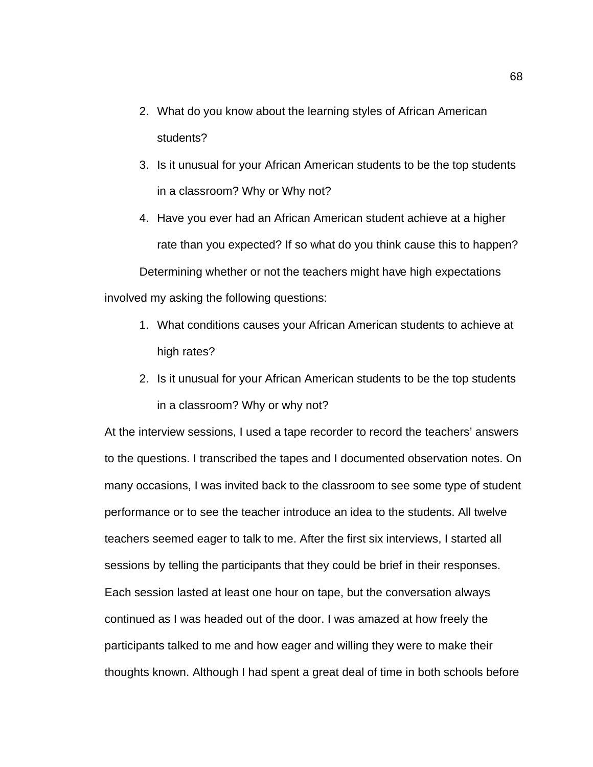- 2. What do you know about the learning styles of African American students?
- 3. Is it unusual for your African American students to be the top students in a classroom? Why or Why not?
- 4. Have you ever had an African American student achieve at a higher rate than you expected? If so what do you think cause this to happen? Determining whether or not the teachers might have high expectations involved my asking the following questions:
	- 1. What conditions causes your African American students to achieve at high rates?
	- 2. Is it unusual for your African American students to be the top students in a classroom? Why or why not?

At the interview sessions, I used a tape recorder to record the teachers' answers to the questions. I transcribed the tapes and I documented observation notes. On many occasions, I was invited back to the classroom to see some type of student performance or to see the teacher introduce an idea to the students. All twelve teachers seemed eager to talk to me. After the first six interviews, I started all sessions by telling the participants that they could be brief in their responses. Each session lasted at least one hour on tape, but the conversation always continued as I was headed out of the door. I was amazed at how freely the participants talked to me and how eager and willing they were to make their thoughts known. Although I had spent a great deal of time in both schools before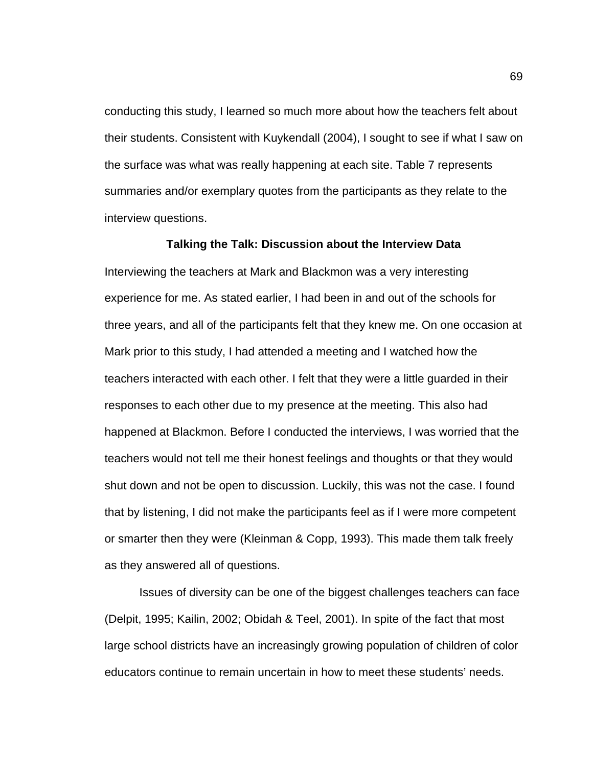conducting this study, I learned so much more about how the teachers felt about their students. Consistent with Kuykendall (2004), I sought to see if what I saw on the surface was what was really happening at each site. Table 7 represents summaries and/or exemplary quotes from the participants as they relate to the interview questions.

#### **Talking the Talk: Discussion about the Interview Data**

Interviewing the teachers at Mark and Blackmon was a very interesting experience for me. As stated earlier, I had been in and out of the schools for three years, and all of the participants felt that they knew me. On one occasion at Mark prior to this study, I had attended a meeting and I watched how the teachers interacted with each other. I felt that they were a little guarded in their responses to each other due to my presence at the meeting. This also had happened at Blackmon. Before I conducted the interviews, I was worried that the teachers would not tell me their honest feelings and thoughts or that they would shut down and not be open to discussion. Luckily, this was not the case. I found that by listening, I did not make the participants feel as if I were more competent or smarter then they were (Kleinman & Copp, 1993). This made them talk freely as they answered all of questions.

Issues of diversity can be one of the biggest challenges teachers can face (Delpit, 1995; Kailin, 2002; Obidah & Teel, 2001). In spite of the fact that most large school districts have an increasingly growing population of children of color educators continue to remain uncertain in how to meet these students' needs.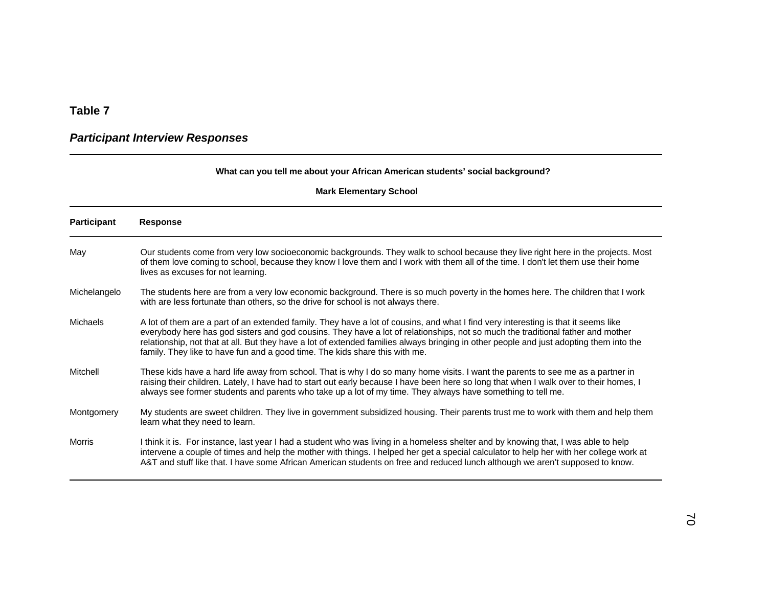#### **Table 7**

### *Participant Interview Responses*

#### **What can you tell me about your African American students' social background?**

| <b>Participant</b> | <b>Response</b>                                                                                                                                                                                                                                                                                                                                                                                                                                                                                 |
|--------------------|-------------------------------------------------------------------------------------------------------------------------------------------------------------------------------------------------------------------------------------------------------------------------------------------------------------------------------------------------------------------------------------------------------------------------------------------------------------------------------------------------|
| May                | Our students come from very low socioeconomic backgrounds. They walk to school because they live right here in the projects. Most<br>of them love coming to school, because they know I love them and I work with them all of the time. I don't let them use their home<br>lives as excuses for not learning.                                                                                                                                                                                   |
| Michelangelo       | The students here are from a very low economic background. There is so much poverty in the homes here. The children that I work<br>with are less fortunate than others, so the drive for school is not always there.                                                                                                                                                                                                                                                                            |
| <b>Michaels</b>    | A lot of them are a part of an extended family. They have a lot of cousins, and what I find very interesting is that it seems like<br>everybody here has god sisters and god cousins. They have a lot of relationships, not so much the traditional father and mother<br>relationship, not that at all. But they have a lot of extended families always bringing in other people and just adopting them into the<br>family. They like to have fun and a good time. The kids share this with me. |
| Mitchell           | These kids have a hard life away from school. That is why I do so many home visits. I want the parents to see me as a partner in<br>raising their children. Lately, I have had to start out early because I have been here so long that when I walk over to their homes, I<br>always see former students and parents who take up a lot of my time. They always have something to tell me.                                                                                                       |
| Montgomery         | My students are sweet children. They live in government subsidized housing. Their parents trust me to work with them and help them<br>learn what they need to learn.                                                                                                                                                                                                                                                                                                                            |
| Morris             | I think it is. For instance, last year I had a student who was living in a homeless shelter and by knowing that, I was able to help<br>intervene a couple of times and help the mother with things. I helped her get a special calculator to help her with her college work at<br>A&T and stuff like that. I have some African American students on free and reduced lunch although we aren't supposed to know.                                                                                 |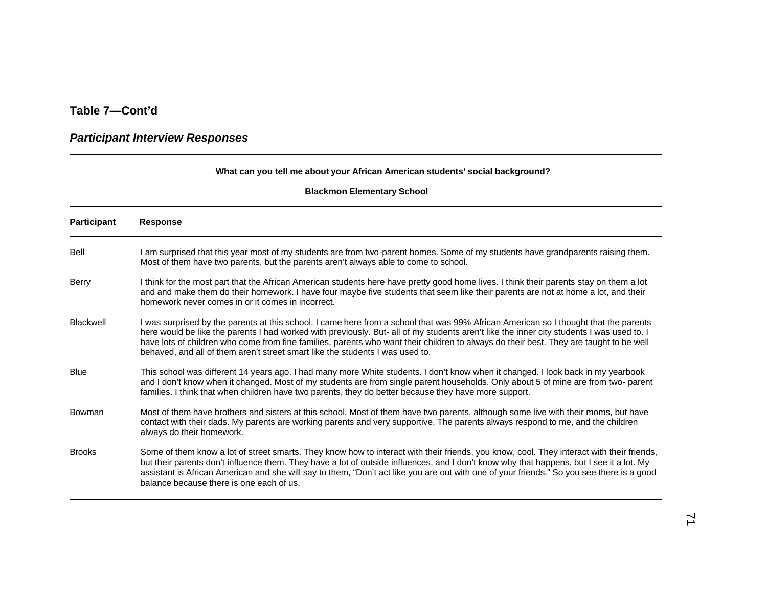### *Participant Interview Responses*

#### **What can you tell me about your African American students' social background?**

| <b>Participant</b> | <b>Response</b>                                                                                                                                                                                                                                                                                                                                                                                                                                                                                              |
|--------------------|--------------------------------------------------------------------------------------------------------------------------------------------------------------------------------------------------------------------------------------------------------------------------------------------------------------------------------------------------------------------------------------------------------------------------------------------------------------------------------------------------------------|
| Bell               | I am surprised that this year most of my students are from two-parent homes. Some of my students have grandparents raising them.<br>Most of them have two parents, but the parents aren't always able to come to school.                                                                                                                                                                                                                                                                                     |
| Berry              | I think for the most part that the African American students here have pretty good home lives. I think their parents stay on them a lot<br>and and make them do their homework. I have four maybe five students that seem like their parents are not at home a lot, and their<br>homework never comes in or it comes in incorrect.                                                                                                                                                                           |
| <b>Blackwell</b>   | I was surprised by the parents at this school. I came here from a school that was 99% African American so I thought that the parents<br>here would be like the parents I had worked with previously. But- all of my students aren't like the inner city students I was used to. I<br>have lots of children who come from fine families, parents who want their children to always do their best. They are taught to be well<br>behaved, and all of them aren't street smart like the students I was used to. |
| <b>Blue</b>        | This school was different 14 years ago. I had many more White students. I don't know when it changed. I look back in my yearbook<br>and I don't know when it changed. Most of my students are from single parent households. Only about 5 of mine are from two-parent<br>families. I think that when children have two parents, they do better because they have more support.                                                                                                                               |
| <b>Bowman</b>      | Most of them have brothers and sisters at this school. Most of them have two parents, although some live with their moms, but have<br>contact with their dads. My parents are working parents and very supportive. The parents always respond to me, and the children<br>always do their homework.                                                                                                                                                                                                           |
| <b>Brooks</b>      | Some of them know a lot of street smarts. They know how to interact with their friends, you know, cool. They interact with their friends,<br>but their parents don't influence them. They have a lot of outside influences, and I don't know why that happens, but I see it a lot. My<br>assistant is African American and she will say to them, "Don't act like you are out with one of your friends." So you see there is a good<br>balance because there is one each of us.                               |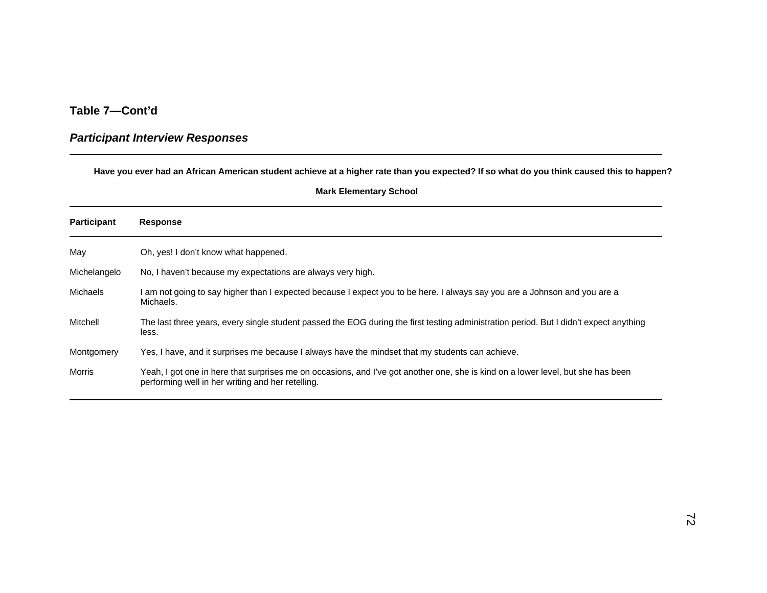#### *Participant Interview Responses*

**Have you ever had an African American student achieve at a higher rate than you expected? If so what do you think caused this to happen?**

| <b>Mark Elementary School</b> |  |
|-------------------------------|--|
|-------------------------------|--|

| <b>Participant</b> | <b>Response</b>                                                                                                                                                                       |
|--------------------|---------------------------------------------------------------------------------------------------------------------------------------------------------------------------------------|
| May                | Oh, yes! I don't know what happened.                                                                                                                                                  |
| Michelangelo       | No, I haven't because my expectations are always very high.                                                                                                                           |
| Michaels           | am not going to say higher than I expected because I expect you to be here. I always say you are a Johnson and you are a<br>Michaels.                                                 |
| Mitchell           | The last three years, every single student passed the EOG during the first testing administration period. But I didn't expect anything<br>less.                                       |
| Montgomery         | Yes, I have, and it surprises me because I always have the mindset that my students can achieve.                                                                                      |
| Morris             | Yeah, I got one in here that surprises me on occasions, and I've got another one, she is kind on a lower level, but she has been<br>performing well in her writing and her retelling. |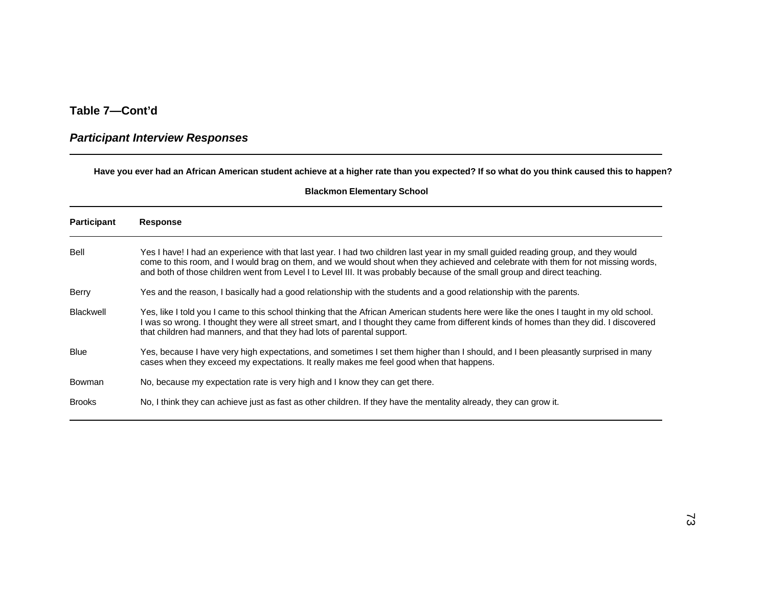#### *Participant Interview Responses*

**Have you ever had an African American student achieve at a higher rate than you expected? If so what do you think caused this to happen?**

| <b>Participant</b> | <b>Response</b>                                                                                                                                                                                                                                                                                                                                                                                       |
|--------------------|-------------------------------------------------------------------------------------------------------------------------------------------------------------------------------------------------------------------------------------------------------------------------------------------------------------------------------------------------------------------------------------------------------|
| Bell               | Yes I have! I had an experience with that last year. I had two children last year in my small guided reading group, and they would<br>come to this room, and I would brag on them, and we would shout when they achieved and celebrate with them for not missing words,<br>and both of those children went from Level I to Level III. It was probably because of the small group and direct teaching. |
| Berry              | Yes and the reason, I basically had a good relationship with the students and a good relationship with the parents.                                                                                                                                                                                                                                                                                   |
| <b>Blackwell</b>   | Yes, like I told you I came to this school thinking that the African American students here were like the ones I taught in my old school.<br>was so wrong. I thought they were all street smart, and I thought they came from different kinds of homes than they did. I discovered<br>that children had manners, and that they had lots of parental support.                                          |
| Blue               | Yes, because I have very high expectations, and sometimes I set them higher than I should, and I been pleasantly surprised in many<br>cases when they exceed my expectations. It really makes me feel good when that happens.                                                                                                                                                                         |
| Bowman             | No, because my expectation rate is very high and I know they can get there.                                                                                                                                                                                                                                                                                                                           |
| <b>Brooks</b>      | No, I think they can achieve just as fast as other children. If they have the mentality already, they can grow it.                                                                                                                                                                                                                                                                                    |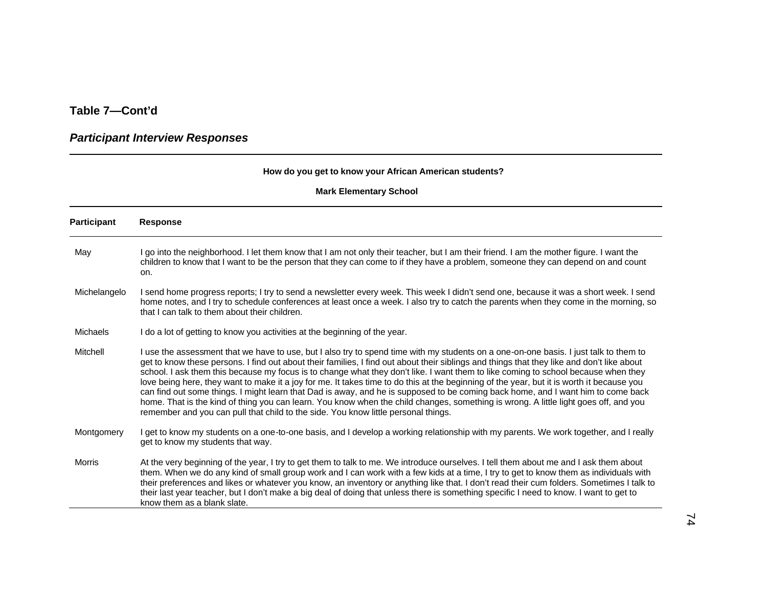### *Participant Interview Responses*

#### **How do you get to know your African American students?**

| <b>Participant</b> | <b>Response</b>                                                                                                                                                                                                                                                                                                                                                                                                                                                                                                                                                                                                                                                                                                                                                                                                                                                                                                                          |
|--------------------|------------------------------------------------------------------------------------------------------------------------------------------------------------------------------------------------------------------------------------------------------------------------------------------------------------------------------------------------------------------------------------------------------------------------------------------------------------------------------------------------------------------------------------------------------------------------------------------------------------------------------------------------------------------------------------------------------------------------------------------------------------------------------------------------------------------------------------------------------------------------------------------------------------------------------------------|
| May                | go into the neighborhood. I let them know that I am not only their teacher, but I am their friend. I am the mother figure. I want the<br>children to know that I want to be the person that they can come to if they have a problem, someone they can depend on and count<br>on.                                                                                                                                                                                                                                                                                                                                                                                                                                                                                                                                                                                                                                                         |
| Michelangelo       | I send home progress reports; I try to send a newsletter every week. This week I didn't send one, because it was a short week. I send<br>home notes, and I try to schedule conferences at least once a week. I also try to catch the parents when they come in the morning, so<br>that I can talk to them about their children.                                                                                                                                                                                                                                                                                                                                                                                                                                                                                                                                                                                                          |
| Michaels           | I do a lot of getting to know you activities at the beginning of the year.                                                                                                                                                                                                                                                                                                                                                                                                                                                                                                                                                                                                                                                                                                                                                                                                                                                               |
| Mitchell           | I use the assessment that we have to use, but I also try to spend time with my students on a one-on-one basis. I just talk to them to<br>get to know these persons. I find out about their families, I find out about their siblings and things that they like and don't like about<br>school. I ask them this because my focus is to change what they don't like. I want them to like coming to school because when they<br>love being here, they want to make it a joy for me. It takes time to do this at the beginning of the year, but it is worth it because you<br>can find out some things. I might learn that Dad is away, and he is supposed to be coming back home, and I want him to come back<br>home. That is the kind of thing you can learn. You know when the child changes, something is wrong. A little light goes off, and you<br>remember and you can pull that child to the side. You know little personal things. |
| Montgomery         | I get to know my students on a one-to-one basis, and I develop a working relationship with my parents. We work together, and I really<br>get to know my students that way.                                                                                                                                                                                                                                                                                                                                                                                                                                                                                                                                                                                                                                                                                                                                                               |
| <b>Morris</b>      | At the very beginning of the year, I try to get them to talk to me. We introduce ourselves. I tell them about me and I ask them about<br>them. When we do any kind of small group work and I can work with a few kids at a time, I try to get to know them as individuals with<br>their preferences and likes or whatever you know, an inventory or anything like that. I don't read their cum folders. Sometimes I talk to<br>their last year teacher, but I don't make a big deal of doing that unless there is something specific I need to know. I want to get to<br>know them as a blank slate.                                                                                                                                                                                                                                                                                                                                     |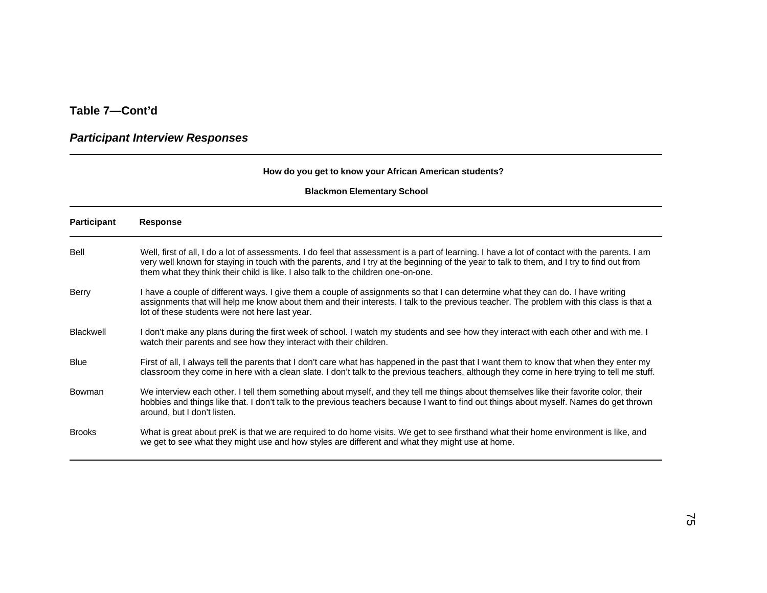### *Participant Interview Responses*

#### **How do you get to know your African American students?**

| <b>Participant</b> | <b>Response</b>                                                                                                                                                                                                                                                                                                                                                                  |
|--------------------|----------------------------------------------------------------------------------------------------------------------------------------------------------------------------------------------------------------------------------------------------------------------------------------------------------------------------------------------------------------------------------|
| Bell               | Well, first of all, I do a lot of assessments. I do feel that assessment is a part of learning. I have a lot of contact with the parents. I am<br>very well known for staying in touch with the parents, and I try at the beginning of the year to talk to them, and I try to find out from<br>them what they think their child is like. I also talk to the children one-on-one. |
| Berry              | I have a couple of different ways. I give them a couple of assignments so that I can determine what they can do. I have writing<br>assignments that will help me know about them and their interests. I talk to the previous teacher. The problem with this class is that a<br>lot of these students were not here last year.                                                    |
| <b>Blackwell</b>   | I don't make any plans during the first week of school. I watch my students and see how they interact with each other and with me. I<br>watch their parents and see how they interact with their children.                                                                                                                                                                       |
| <b>Blue</b>        | First of all, I always tell the parents that I don't care what has happened in the past that I want them to know that when they enter my<br>classroom they come in here with a clean slate. I don't talk to the previous teachers, although they come in here trying to tell me stuff.                                                                                           |
| Bowman             | We interview each other. I tell them something about myself, and they tell me things about themselves like their favorite color, their<br>hobbies and things like that. I don't talk to the previous teachers because I want to find out things about myself. Names do get thrown<br>around, but I don't listen.                                                                 |
| <b>Brooks</b>      | What is great about preK is that we are required to do home visits. We get to see firsthand what their home environment is like, and<br>we get to see what they might use and how styles are different and what they might use at home.                                                                                                                                          |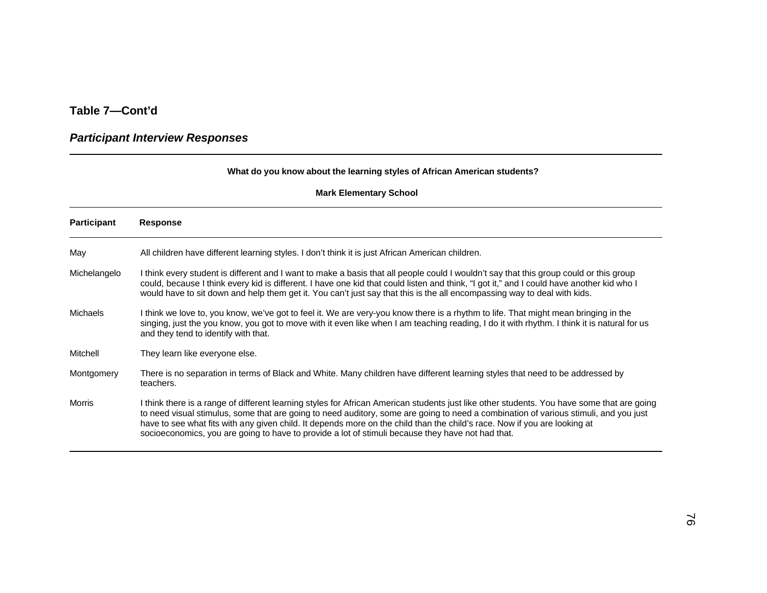### *Participant Interview Responses*

#### **What do you know about the learning styles of African American students?**

| <b>Participant</b> | Response                                                                                                                                                                                                                                                                                                                                                                                                                                                                                                             |
|--------------------|----------------------------------------------------------------------------------------------------------------------------------------------------------------------------------------------------------------------------------------------------------------------------------------------------------------------------------------------------------------------------------------------------------------------------------------------------------------------------------------------------------------------|
| May                | All children have different learning styles. I don't think it is just African American children.                                                                                                                                                                                                                                                                                                                                                                                                                     |
| Michelangelo       | I think every student is different and I want to make a basis that all people could I wouldn't say that this group could or this group<br>could, because I think every kid is different. I have one kid that could listen and think, "I got it," and I could have another kid who I<br>would have to sit down and help them get it. You can't just say that this is the all encompassing way to deal with kids.                                                                                                      |
| <b>Michaels</b>    | I think we love to, you know, we've got to feel it. We are very-you know there is a rhythm to life. That might mean bringing in the<br>singing, just the you know, you got to move with it even like when I am teaching reading, I do it with rhythm. I think it is natural for us<br>and they tend to identify with that.                                                                                                                                                                                           |
| Mitchell           | They learn like everyone else.                                                                                                                                                                                                                                                                                                                                                                                                                                                                                       |
| Montgomery         | There is no separation in terms of Black and White. Many children have different learning styles that need to be addressed by<br>teachers.                                                                                                                                                                                                                                                                                                                                                                           |
| <b>Morris</b>      | I think there is a range of different learning styles for African American students just like other students. You have some that are going<br>to need visual stimulus, some that are going to need auditory, some are going to need a combination of various stimuli, and you just<br>have to see what fits with any given child. It depends more on the child than the child's race. Now if you are looking at<br>socioeconomics, you are going to have to provide a lot of stimuli because they have not had that. |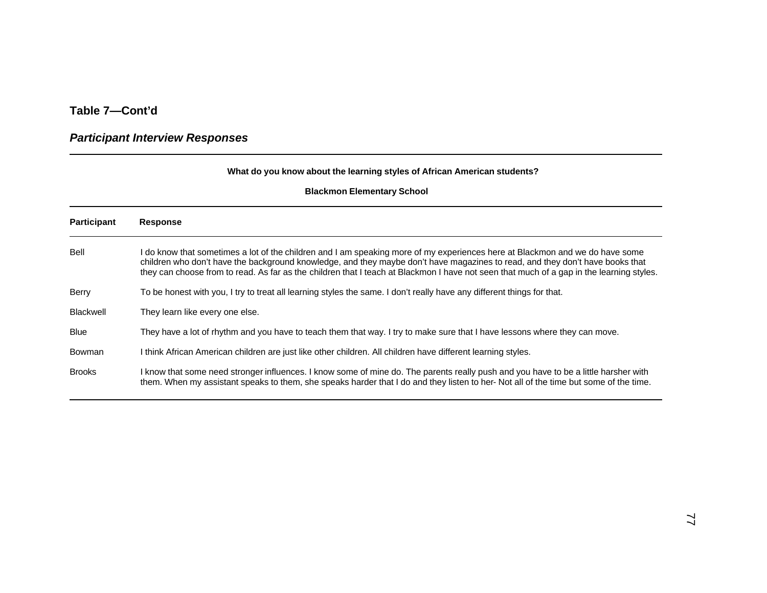### *Participant Interview Responses*

#### **What do you know about the learning styles of African American students?**

| <b>Participant</b> | <b>Response</b>                                                                                                                                                                                                                                                                                                                                                                                           |
|--------------------|-----------------------------------------------------------------------------------------------------------------------------------------------------------------------------------------------------------------------------------------------------------------------------------------------------------------------------------------------------------------------------------------------------------|
| Bell               | I do know that sometimes a lot of the children and I am speaking more of my experiences here at Blackmon and we do have some<br>children who don't have the background knowledge, and they maybe don't have magazines to read, and they don't have books that<br>they can choose from to read. As far as the children that I teach at Blackmon I have not seen that much of a gap in the learning styles. |
| Berry              | To be honest with you, I try to treat all learning styles the same. I don't really have any different things for that.                                                                                                                                                                                                                                                                                    |
| <b>Blackwell</b>   | They learn like every one else.                                                                                                                                                                                                                                                                                                                                                                           |
| <b>Blue</b>        | They have a lot of rhythm and you have to teach them that way. I try to make sure that I have lessons where they can move.                                                                                                                                                                                                                                                                                |
| Bowman             | I think African American children are just like other children. All children have different learning styles.                                                                                                                                                                                                                                                                                              |
| <b>Brooks</b>      | I know that some need stronger influences. I know some of mine do. The parents really push and you have to be a little harsher with<br>them. When my assistant speaks to them, she speaks harder that I do and they listen to her-Not all of the time but some of the time.                                                                                                                               |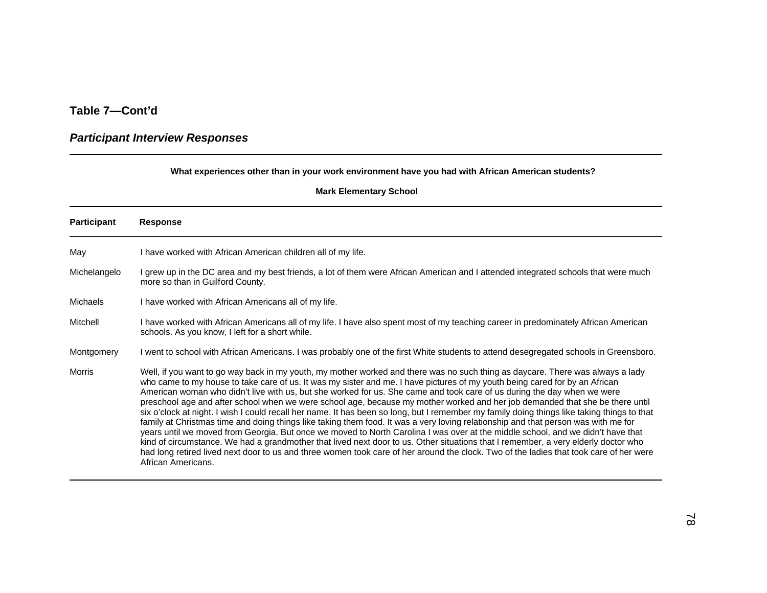### *Participant Interview Responses*

#### **What experiences other than in your work environment have you had with African American students?**

| <b>Participant</b> | <b>Response</b>                                                                                                                                                                                                                                                                                                                                                                                                                                                                                                                                                                                                                                                                                                                                                                                                                                                                                                                                                                                                                                                                                                                                                                                                                                         |
|--------------------|---------------------------------------------------------------------------------------------------------------------------------------------------------------------------------------------------------------------------------------------------------------------------------------------------------------------------------------------------------------------------------------------------------------------------------------------------------------------------------------------------------------------------------------------------------------------------------------------------------------------------------------------------------------------------------------------------------------------------------------------------------------------------------------------------------------------------------------------------------------------------------------------------------------------------------------------------------------------------------------------------------------------------------------------------------------------------------------------------------------------------------------------------------------------------------------------------------------------------------------------------------|
| May                | I have worked with African American children all of my life.                                                                                                                                                                                                                                                                                                                                                                                                                                                                                                                                                                                                                                                                                                                                                                                                                                                                                                                                                                                                                                                                                                                                                                                            |
| Michelangelo       | I grew up in the DC area and my best friends, a lot of them were African American and I attended integrated schools that were much<br>more so than in Guilford County.                                                                                                                                                                                                                                                                                                                                                                                                                                                                                                                                                                                                                                                                                                                                                                                                                                                                                                                                                                                                                                                                                  |
| Michaels           | I have worked with African Americans all of my life.                                                                                                                                                                                                                                                                                                                                                                                                                                                                                                                                                                                                                                                                                                                                                                                                                                                                                                                                                                                                                                                                                                                                                                                                    |
| Mitchell           | I have worked with African Americans all of my life. I have also spent most of my teaching career in predominately African American<br>schools. As you know, I left for a short while.                                                                                                                                                                                                                                                                                                                                                                                                                                                                                                                                                                                                                                                                                                                                                                                                                                                                                                                                                                                                                                                                  |
| Montgomery         | I went to school with African Americans. I was probably one of the first White students to attend desegregated schools in Greensboro.                                                                                                                                                                                                                                                                                                                                                                                                                                                                                                                                                                                                                                                                                                                                                                                                                                                                                                                                                                                                                                                                                                                   |
| Morris             | Well, if you want to go way back in my youth, my mother worked and there was no such thing as daycare. There was always a lady<br>who came to my house to take care of us. It was my sister and me. I have pictures of my youth being cared for by an African<br>American woman who didn't live with us, but she worked for us. She came and took care of us during the day when we were<br>preschool age and after school when we were school age, because my mother worked and her job demanded that she be there until<br>six o'clock at night. I wish I could recall her name. It has been so long, but I remember my family doing things like taking things to that<br>family at Christmas time and doing things like taking them food. It was a very loving relationship and that person was with me for<br>years until we moved from Georgia. But once we moved to North Carolina I was over at the middle school, and we didn't have that<br>kind of circumstance. We had a grandmother that lived next door to us. Other situations that I remember, a very elderly doctor who<br>had long retired lived next door to us and three women took care of her around the clock. Two of the ladies that took care of her were<br>African Americans. |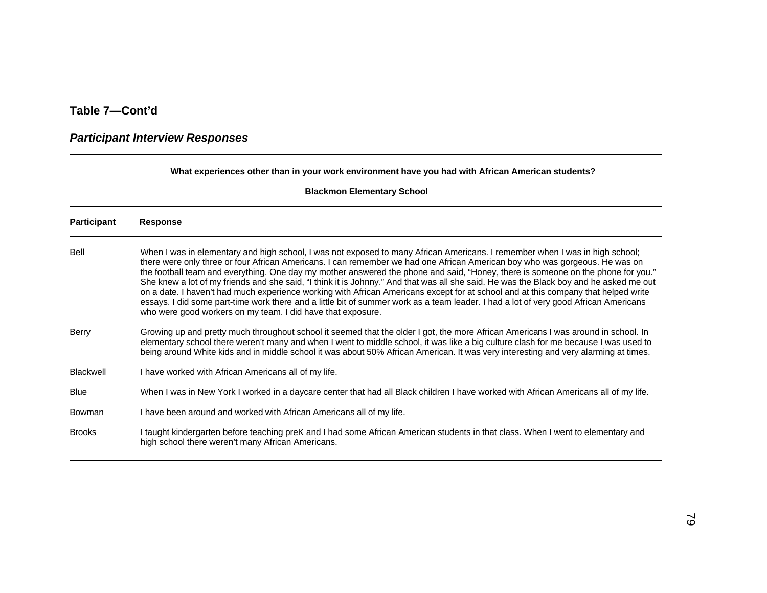### *Participant Interview Responses*

#### **What experiences other than in your work environment have you had with African American students?**

| Participant      | <b>Response</b>                                                                                                                                                                                                                                                                                                                                                                                                                                                                                                                                                                                                                                                                                                                                                                                                                                                                        |
|------------------|----------------------------------------------------------------------------------------------------------------------------------------------------------------------------------------------------------------------------------------------------------------------------------------------------------------------------------------------------------------------------------------------------------------------------------------------------------------------------------------------------------------------------------------------------------------------------------------------------------------------------------------------------------------------------------------------------------------------------------------------------------------------------------------------------------------------------------------------------------------------------------------|
| Bell             | When I was in elementary and high school, I was not exposed to many African Americans. I remember when I was in high school;<br>there were only three or four African Americans. I can remember we had one African American boy who was gorgeous. He was on<br>the football team and everything. One day my mother answered the phone and said, "Honey, there is someone on the phone for you."<br>She knew a lot of my friends and she said, "I think it is Johnny." And that was all she said. He was the Black boy and he asked me out<br>on a date. I haven't had much experience working with African Americans except for at school and at this company that helped write<br>essays. I did some part-time work there and a little bit of summer work as a team leader. I had a lot of very good African Americans<br>who were good workers on my team. I did have that exposure. |
| <b>Berry</b>     | Growing up and pretty much throughout school it seemed that the older I got, the more African Americans I was around in school. In<br>elementary school there weren't many and when I went to middle school, it was like a big culture clash for me because I was used to<br>being around White kids and in middle school it was about 50% African American. It was very interesting and very alarming at times.                                                                                                                                                                                                                                                                                                                                                                                                                                                                       |
| <b>Blackwell</b> | I have worked with African Americans all of my life.                                                                                                                                                                                                                                                                                                                                                                                                                                                                                                                                                                                                                                                                                                                                                                                                                                   |
| <b>Blue</b>      | When I was in New York I worked in a daycare center that had all Black children I have worked with African Americans all of my life.                                                                                                                                                                                                                                                                                                                                                                                                                                                                                                                                                                                                                                                                                                                                                   |
| Bowman           | I have been around and worked with African Americans all of my life.                                                                                                                                                                                                                                                                                                                                                                                                                                                                                                                                                                                                                                                                                                                                                                                                                   |
| <b>Brooks</b>    | taught kindergarten before teaching preK and I had some African American students in that class. When I went to elementary and<br>high school there weren't many African Americans.                                                                                                                                                                                                                                                                                                                                                                                                                                                                                                                                                                                                                                                                                                    |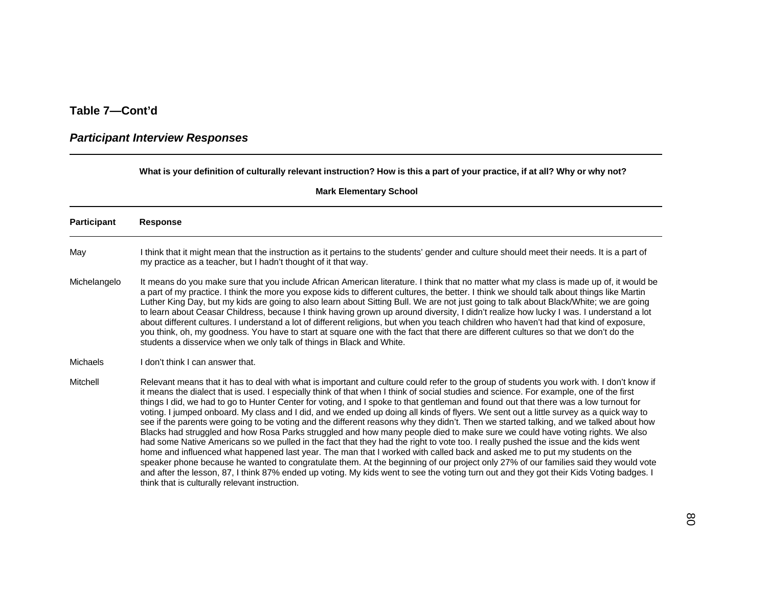# *Participant Interview Responses*

**What is your definition of culturally relevant instruction? How is this a part of your practice, if at all? Why or why not?**

| Participant  | <b>Response</b>                                                                                                                                                                                                                                                                                                                                                                                                                                                                                                                                                                                                                                                                                                                                                                                                                                                                                                                                                                                                                                                                                                                                                                                                                                                                                                                                                                                                                                           |
|--------------|-----------------------------------------------------------------------------------------------------------------------------------------------------------------------------------------------------------------------------------------------------------------------------------------------------------------------------------------------------------------------------------------------------------------------------------------------------------------------------------------------------------------------------------------------------------------------------------------------------------------------------------------------------------------------------------------------------------------------------------------------------------------------------------------------------------------------------------------------------------------------------------------------------------------------------------------------------------------------------------------------------------------------------------------------------------------------------------------------------------------------------------------------------------------------------------------------------------------------------------------------------------------------------------------------------------------------------------------------------------------------------------------------------------------------------------------------------------|
| May          | I think that it might mean that the instruction as it pertains to the students' gender and culture should meet their needs. It is a part of<br>my practice as a teacher, but I hadn't thought of it that way.                                                                                                                                                                                                                                                                                                                                                                                                                                                                                                                                                                                                                                                                                                                                                                                                                                                                                                                                                                                                                                                                                                                                                                                                                                             |
| Michelangelo | It means do you make sure that you include African American literature. I think that no matter what my class is made up of, it would be<br>a part of my practice. I think the more you expose kids to different cultures, the better. I think we should talk about things like Martin<br>Luther King Day, but my kids are going to also learn about Sitting Bull. We are not just going to talk about Black/White; we are going<br>to learn about Ceasar Childress, because I think having grown up around diversity, I didn't realize how lucky I was. I understand a lot<br>about different cultures. I understand a lot of different religions, but when you teach children who haven't had that kind of exposure,<br>you think, oh, my goodness. You have to start at square one with the fact that there are different cultures so that we don't do the<br>students a disservice when we only talk of things in Black and White.                                                                                                                                                                                                                                                                                                                                                                                                                                                                                                                     |
| Michaels     | I don't think I can answer that.                                                                                                                                                                                                                                                                                                                                                                                                                                                                                                                                                                                                                                                                                                                                                                                                                                                                                                                                                                                                                                                                                                                                                                                                                                                                                                                                                                                                                          |
| Mitchell     | Relevant means that it has to deal with what is important and culture could refer to the group of students you work with. I don't know if<br>it means the dialect that is used. I especially think of that when I think of social studies and science. For example, one of the first<br>things I did, we had to go to Hunter Center for voting, and I spoke to that gentleman and found out that there was a low turnout for<br>voting. I jumped onboard. My class and I did, and we ended up doing all kinds of flyers. We sent out a little survey as a quick way to<br>see if the parents were going to be voting and the different reasons why they didn't. Then we started talking, and we talked about how<br>Blacks had struggled and how Rosa Parks struggled and how many people died to make sure we could have voting rights. We also<br>had some Native Americans so we pulled in the fact that they had the right to vote too. I really pushed the issue and the kids went<br>home and influenced what happened last year. The man that I worked with called back and asked me to put my students on the<br>speaker phone because he wanted to congratulate them. At the beginning of our project only 27% of our families said they would vote<br>and after the lesson, 87, I think 87% ended up voting. My kids went to see the voting turn out and they got their Kids Voting badges. I<br>think that is culturally relevant instruction. |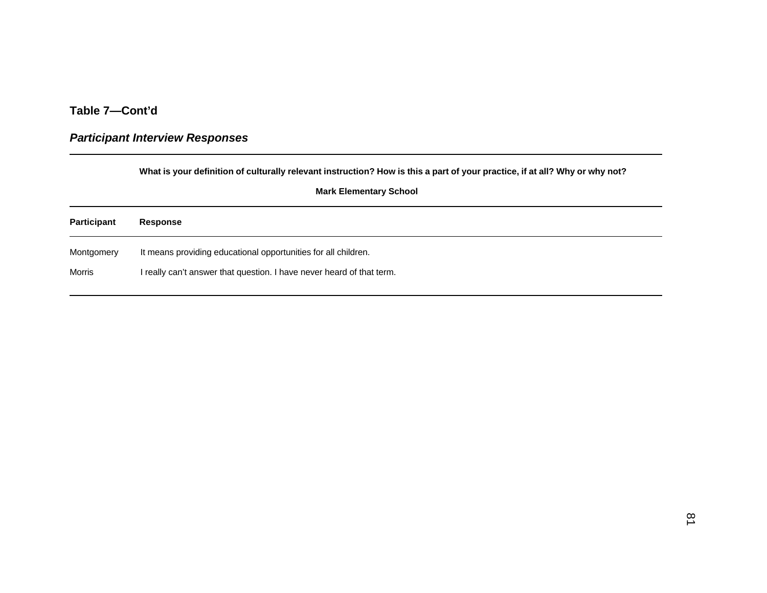### *Participant Interview Responses*

**What is your definition of culturally relevant instruction? How is this a part of your practice, if at all? Why or why not?**

| <b>Participant</b> | Response                                                              |
|--------------------|-----------------------------------------------------------------------|
| Montgomery         | It means providing educational opportunities for all children.        |
| Morris             | I really can't answer that question. I have never heard of that term. |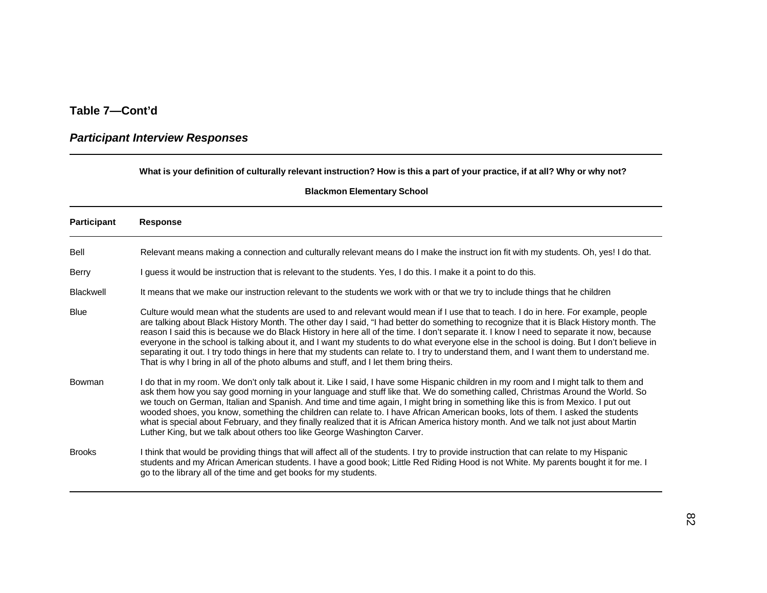# *Participant Interview Responses*

#### **What is your definition of culturally relevant instruction? How is this a part of your practice, if at all? Why or why not?**

| <b>Participant</b> | <b>Response</b>                                                                                                                                                                                                                                                                                                                                                                                                                                                                                                                                                                                                                                                                                                                                                                                                 |
|--------------------|-----------------------------------------------------------------------------------------------------------------------------------------------------------------------------------------------------------------------------------------------------------------------------------------------------------------------------------------------------------------------------------------------------------------------------------------------------------------------------------------------------------------------------------------------------------------------------------------------------------------------------------------------------------------------------------------------------------------------------------------------------------------------------------------------------------------|
| Bell               | Relevant means making a connection and culturally relevant means do I make the instruct ion fit with my students. Oh, yes! I do that.                                                                                                                                                                                                                                                                                                                                                                                                                                                                                                                                                                                                                                                                           |
| <b>Berry</b>       | I guess it would be instruction that is relevant to the students. Yes, I do this. I make it a point to do this.                                                                                                                                                                                                                                                                                                                                                                                                                                                                                                                                                                                                                                                                                                 |
| <b>Blackwell</b>   | It means that we make our instruction relevant to the students we work with or that we try to include things that he children                                                                                                                                                                                                                                                                                                                                                                                                                                                                                                                                                                                                                                                                                   |
| <b>Blue</b>        | Culture would mean what the students are used to and relevant would mean if I use that to teach. I do in here. For example, people<br>are talking about Black History Month. The other day I said, "I had better do something to recognize that it is Black History month. The<br>reason I said this is because we do Black History in here all of the time. I don't separate it. I know I need to separate it now, because<br>everyone in the school is talking about it, and I want my students to do what everyone else in the school is doing. But I don't believe in<br>separating it out. I try todo things in here that my students can relate to. I try to understand them, and I want them to understand me.<br>That is why I bring in all of the photo albums and stuff, and I let them bring theirs. |
| Bowman             | I do that in my room. We don't only talk about it. Like I said, I have some Hispanic children in my room and I might talk to them and<br>ask them how you say good morning in your language and stuff like that. We do something called, Christmas Around the World. So<br>we touch on German, Italian and Spanish. And time and time again, I might bring in something like this is from Mexico. I put out<br>wooded shoes, you know, something the children can relate to. I have African American books, lots of them. I asked the students<br>what is special about February, and they finally realized that it is African America history month. And we talk not just about Martin<br>Luther King, but we talk about others too like George Washington Carver.                                             |
| <b>Brooks</b>      | I think that would be providing things that will affect all of the students. I try to provide instruction that can relate to my Hispanic<br>students and my African American students. I have a good book; Little Red Riding Hood is not White. My parents bought it for me. I<br>go to the library all of the time and get books for my students.                                                                                                                                                                                                                                                                                                                                                                                                                                                              |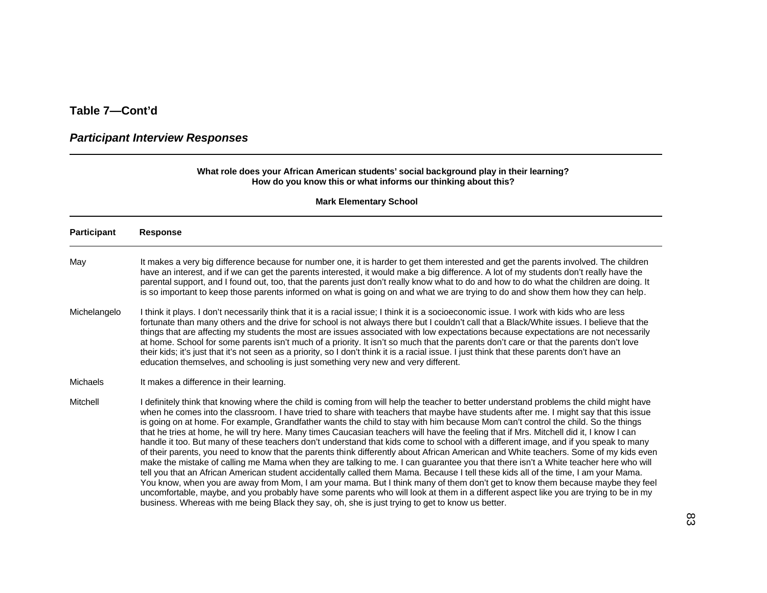#### *Participant Interview Responses*

#### **What role does your African American students' social background play in their learning? How do you know this or what informs our thinking about this?**

| <b>Participant</b> | <b>Response</b>                                                                                                                                                                                                                                                                                                                                                                                                                                                                                                                                                                                                                                                                                                                                                                                                                                                                                                                                                                                                                                                                                                                                                                                                                                                                                                                                                                                                                                                                                             |
|--------------------|-------------------------------------------------------------------------------------------------------------------------------------------------------------------------------------------------------------------------------------------------------------------------------------------------------------------------------------------------------------------------------------------------------------------------------------------------------------------------------------------------------------------------------------------------------------------------------------------------------------------------------------------------------------------------------------------------------------------------------------------------------------------------------------------------------------------------------------------------------------------------------------------------------------------------------------------------------------------------------------------------------------------------------------------------------------------------------------------------------------------------------------------------------------------------------------------------------------------------------------------------------------------------------------------------------------------------------------------------------------------------------------------------------------------------------------------------------------------------------------------------------------|
| May                | It makes a very big difference because for number one, it is harder to get them interested and get the parents involved. The children<br>have an interest, and if we can get the parents interested, it would make a big difference. A lot of my students don't really have the<br>parental support, and I found out, too, that the parents just don't really know what to do and how to do what the children are doing. It<br>is so important to keep those parents informed on what is going on and what we are trying to do and show them how they can help.                                                                                                                                                                                                                                                                                                                                                                                                                                                                                                                                                                                                                                                                                                                                                                                                                                                                                                                                             |
| Michelangelo       | I think it plays. I don't necessarily think that it is a racial issue; I think it is a socioeconomic issue. I work with kids who are less<br>fortunate than many others and the drive for school is not always there but I couldn't call that a Black/White issues. I believe that the<br>things that are affecting my students the most are issues associated with low expectations because expectations are not necessarily<br>at home. School for some parents isn't much of a priority. It isn't so much that the parents don't care or that the parents don't love<br>their kids; it's just that it's not seen as a priority, so I don't think it is a racial issue. I just think that these parents don't have an<br>education themselves, and schooling is just something very new and very different.                                                                                                                                                                                                                                                                                                                                                                                                                                                                                                                                                                                                                                                                                               |
| <b>Michaels</b>    | It makes a difference in their learning.                                                                                                                                                                                                                                                                                                                                                                                                                                                                                                                                                                                                                                                                                                                                                                                                                                                                                                                                                                                                                                                                                                                                                                                                                                                                                                                                                                                                                                                                    |
| Mitchell           | I definitely think that knowing where the child is coming from will help the teacher to better understand problems the child might have<br>when he comes into the classroom. I have tried to share with teachers that maybe have students after me. I might say that this issue<br>is going on at home. For example, Grandfather wants the child to stay with him because Mom can't control the child. So the things<br>that he tries at home, he will try here. Many times Caucasian teachers will have the feeling that if Mrs. Mitchell did it, I know I can<br>handle it too. But many of these teachers don't understand that kids come to school with a different image, and if you speak to many<br>of their parents, you need to know that the parents think differently about African American and White teachers. Some of my kids even<br>make the mistake of calling me Mama when they are talking to me. I can guarantee you that there isn't a White teacher here who will<br>tell you that an African American student accidentally called them Mama. Because I tell these kids all of the time, I am your Mama.<br>You know, when you are away from Mom, I am your mama. But I think many of them don't get to know them because maybe they feel<br>uncomfortable, maybe, and you probably have some parents who will look at them in a different aspect like you are trying to be in my<br>business. Whereas with me being Black they say, oh, she is just trying to get to know us better. |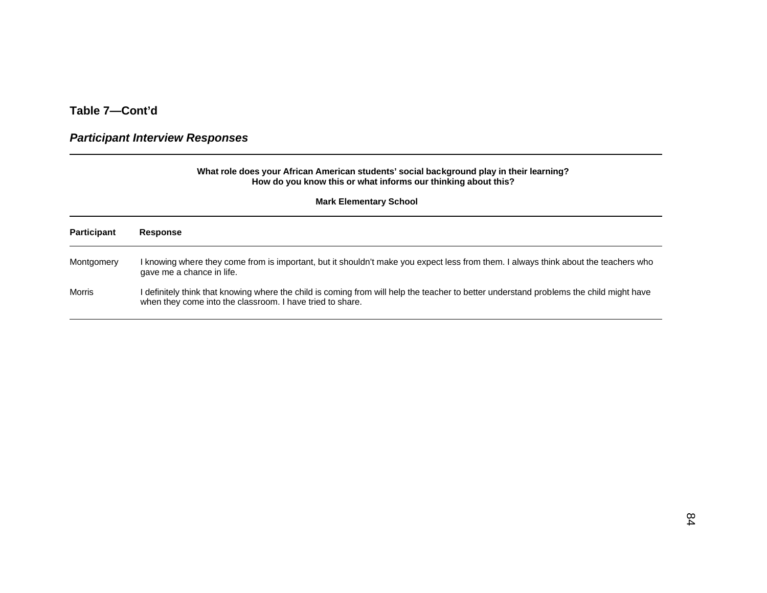# *Participant Interview Responses*

|                    | What role does your African American students' social background play in their learning?<br>How do you know this or what informs our thinking about this?                                            |
|--------------------|------------------------------------------------------------------------------------------------------------------------------------------------------------------------------------------------------|
|                    | <b>Mark Elementary School</b>                                                                                                                                                                        |
| <b>Participant</b> | <b>Response</b>                                                                                                                                                                                      |
| Montgomery         | I knowing where they come from is important, but it shouldn't make you expect less from them. I always think about the teachers who<br>gave me a chance in life.                                     |
| Morris             | I definitely think that knowing where the child is coming from will help the teacher to better understand problems the child might have<br>when they come into the classroom. I have tried to share. |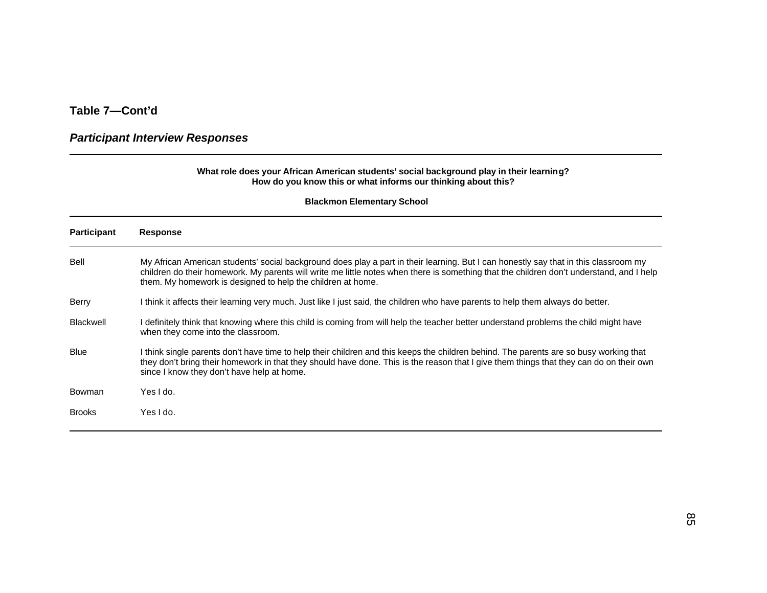#### *Participant Interview Responses*

#### **What role does your African American students' social background play in their learning? How do you know this or what informs our thinking about this?**

| <b>Participant</b> | <b>Response</b>                                                                                                                                                                                                                                                                                                                                 |
|--------------------|-------------------------------------------------------------------------------------------------------------------------------------------------------------------------------------------------------------------------------------------------------------------------------------------------------------------------------------------------|
| Bell               | My African American students' social background does play a part in their learning. But I can honestly say that in this classroom my<br>children do their homework. My parents will write me little notes when there is something that the children don't understand, and I help<br>them. My homework is designed to help the children at home. |
| <b>Berry</b>       | I think it affects their learning very much. Just like I just said, the children who have parents to help them always do better.                                                                                                                                                                                                                |
| <b>Blackwell</b>   | I definitely think that knowing where this child is coming from will help the teacher better understand problems the child might have<br>when they come into the classroom.                                                                                                                                                                     |
| <b>Blue</b>        | I think single parents don't have time to help their children and this keeps the children behind. The parents are so busy working that<br>they don't bring their homework in that they should have done. This is the reason that I give them things that they can do on their own<br>since I know they don't have help at home.                 |
| Bowman             | Yes I do.                                                                                                                                                                                                                                                                                                                                       |
| <b>Brooks</b>      | Yes I do.                                                                                                                                                                                                                                                                                                                                       |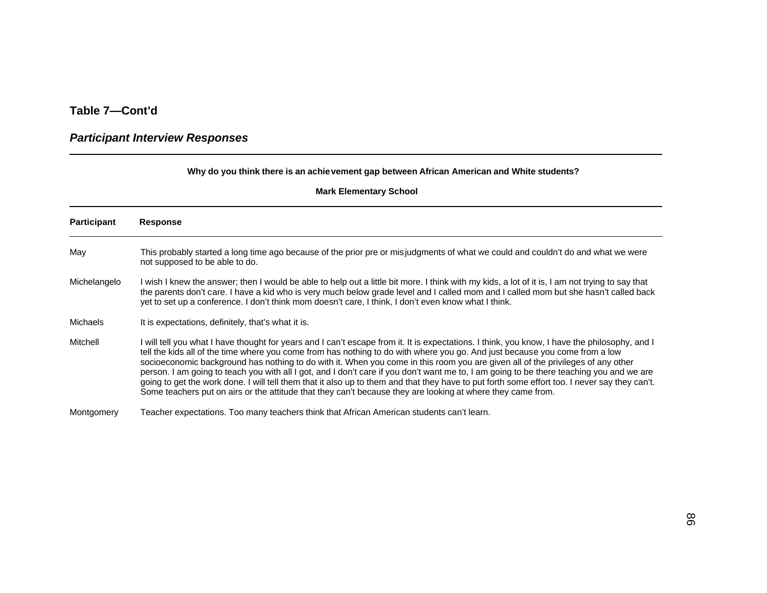#### *Participant Interview Responses*

#### **Why do you think there is an achievement gap between African American and White students?**

| <b>Participant</b> | <b>Response</b>                                                                                                                                                                                                                                                                                                                                                                                                                                                                                                                                                                                                                                                                                                                                                                                                           |
|--------------------|---------------------------------------------------------------------------------------------------------------------------------------------------------------------------------------------------------------------------------------------------------------------------------------------------------------------------------------------------------------------------------------------------------------------------------------------------------------------------------------------------------------------------------------------------------------------------------------------------------------------------------------------------------------------------------------------------------------------------------------------------------------------------------------------------------------------------|
| May                | This probably started a long time ago because of the prior pre or misjudgments of what we could and couldn't do and what we were<br>not supposed to be able to do.                                                                                                                                                                                                                                                                                                                                                                                                                                                                                                                                                                                                                                                        |
| Michelangelo       | I wish I knew the answer; then I would be able to help out a little bit more. I think with my kids, a lot of it is, I am not trying to say that<br>the parents don't care. I have a kid who is very much below grade level and I called mom and I called mom but she hasn't called back<br>yet to set up a conference. I don't think mom doesn't care, I think, I don't even know what I think.                                                                                                                                                                                                                                                                                                                                                                                                                           |
| Michaels           | It is expectations, definitely, that's what it is.                                                                                                                                                                                                                                                                                                                                                                                                                                                                                                                                                                                                                                                                                                                                                                        |
| Mitchell           | will tell you what I have thought for years and I can't escape from it. It is expectations. I think, you know, I have the philosophy, and I<br>tell the kids all of the time where you come from has nothing to do with where you go. And just because you come from a low<br>socioeconomic background has nothing to do with it. When you come in this room you are given all of the privileges of any other<br>person. I am going to teach you with all I got, and I don't care if you don't want me to, I am going to be there teaching you and we are<br>going to get the work done. I will tell them that it also up to them and that they have to put forth some effort too. I never say they can't.<br>Some teachers put on airs or the attitude that they can't because they are looking at where they came from. |
| Montgomery         | Teacher expectations. Too many teachers think that African American students can't learn.                                                                                                                                                                                                                                                                                                                                                                                                                                                                                                                                                                                                                                                                                                                                 |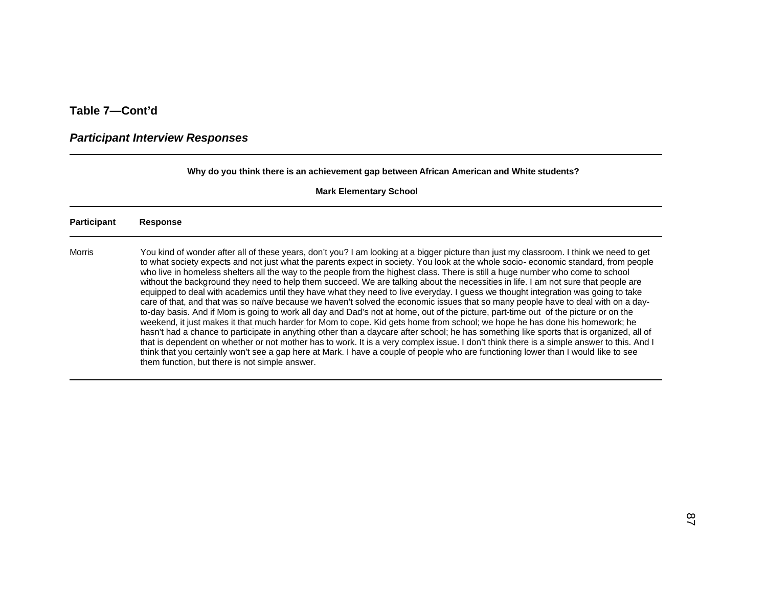### *Participant Interview Responses*

**Why do you think there is an achievement gap between African American and White students?**

| Participant   | <b>Response</b>                                                                                                                                                                                                                                                                                                                                                                                                                                                                                                                                                                                                                                                                                                                                                                                                                                                                                                                                                                                                                                                                                                                                                                                                                                                                                                                                                                                                                                                                                                                                                                           |
|---------------|-------------------------------------------------------------------------------------------------------------------------------------------------------------------------------------------------------------------------------------------------------------------------------------------------------------------------------------------------------------------------------------------------------------------------------------------------------------------------------------------------------------------------------------------------------------------------------------------------------------------------------------------------------------------------------------------------------------------------------------------------------------------------------------------------------------------------------------------------------------------------------------------------------------------------------------------------------------------------------------------------------------------------------------------------------------------------------------------------------------------------------------------------------------------------------------------------------------------------------------------------------------------------------------------------------------------------------------------------------------------------------------------------------------------------------------------------------------------------------------------------------------------------------------------------------------------------------------------|
| <b>Morris</b> | You kind of wonder after all of these years, don't you? I am looking at a bigger picture than just my classroom. I think we need to get<br>to what society expects and not just what the parents expect in society. You look at the whole socio-economic standard, from people<br>who live in homeless shelters all the way to the people from the highest class. There is still a huge number who come to school<br>without the background they need to help them succeed. We are talking about the necessities in life. I am not sure that people are<br>equipped to deal with academics until they have what they need to live everyday. I guess we thought integration was going to take<br>care of that, and that was so naïve because we haven't solved the economic issues that so many people have to deal with on a day-<br>to-day basis. And if Mom is going to work all day and Dad's not at home, out of the picture, part-time out of the picture or on the<br>weekend, it just makes it that much harder for Mom to cope. Kid gets home from school; we hope he has done his homework; he<br>hasn't had a chance to participate in anything other than a daycare after school; he has something like sports that is organized, all of<br>that is dependent on whether or not mother has to work. It is a very complex issue. I don't think there is a simple answer to this. And I<br>think that you certainly won't see a gap here at Mark. I have a couple of people who are functioning lower than I would like to see<br>them function, but there is not simple answer. |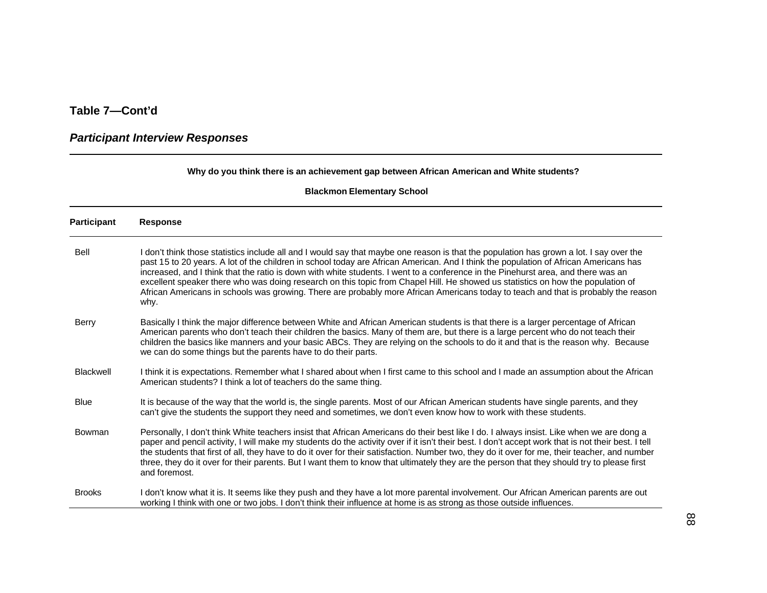### *Participant Interview Responses*

#### **Why do you think there is an achievement gap between African American and White students?**

| Participant   | <b>Response</b>                                                                                                                                                                                                                                                                                                                                                                                                                                                                                                                                                                                                                                                                                       |
|---------------|-------------------------------------------------------------------------------------------------------------------------------------------------------------------------------------------------------------------------------------------------------------------------------------------------------------------------------------------------------------------------------------------------------------------------------------------------------------------------------------------------------------------------------------------------------------------------------------------------------------------------------------------------------------------------------------------------------|
| <b>Bell</b>   | I don't think those statistics include all and I would say that maybe one reason is that the population has grown a lot. I say over the<br>past 15 to 20 years. A lot of the children in school today are African American. And I think the population of African Americans has<br>increased, and I think that the ratio is down with white students. I went to a conference in the Pinehurst area, and there was an<br>excellent speaker there who was doing research on this topic from Chapel Hill. He showed us statistics on how the population of<br>African Americans in schools was growing. There are probably more African Americans today to teach and that is probably the reason<br>why. |
| <b>Berry</b>  | Basically I think the major difference between White and African American students is that there is a larger percentage of African<br>American parents who don't teach their children the basics. Many of them are, but there is a large percent who do not teach their<br>children the basics like manners and your basic ABCs. They are relying on the schools to do it and that is the reason why. Because<br>we can do some things but the parents have to do their parts.                                                                                                                                                                                                                        |
| Blackwell     | I think it is expectations. Remember what I shared about when I first came to this school and I made an assumption about the African<br>American students? I think a lot of teachers do the same thing.                                                                                                                                                                                                                                                                                                                                                                                                                                                                                               |
| <b>Blue</b>   | It is because of the way that the world is, the single parents. Most of our African American students have single parents, and they<br>can't give the students the support they need and sometimes, we don't even know how to work with these students.                                                                                                                                                                                                                                                                                                                                                                                                                                               |
| Bowman        | Personally, I don't think White teachers insist that African Americans do their best like I do. I always insist. Like when we are dong a<br>paper and pencil activity, I will make my students do the activity over if it isn't their best. I don't accept work that is not their best. I tell<br>the students that first of all, they have to do it over for their satisfaction. Number two, they do it over for me, their teacher, and number<br>three, they do it over for their parents. But I want them to know that ultimately they are the person that they should try to please first<br>and foremost.                                                                                        |
| <b>Brooks</b> | I don't know what it is. It seems like they push and they have a lot more parental involvement. Our African American parents are out<br>working I think with one or two jobs. I don't think their influence at home is as strong as those outside influences.                                                                                                                                                                                                                                                                                                                                                                                                                                         |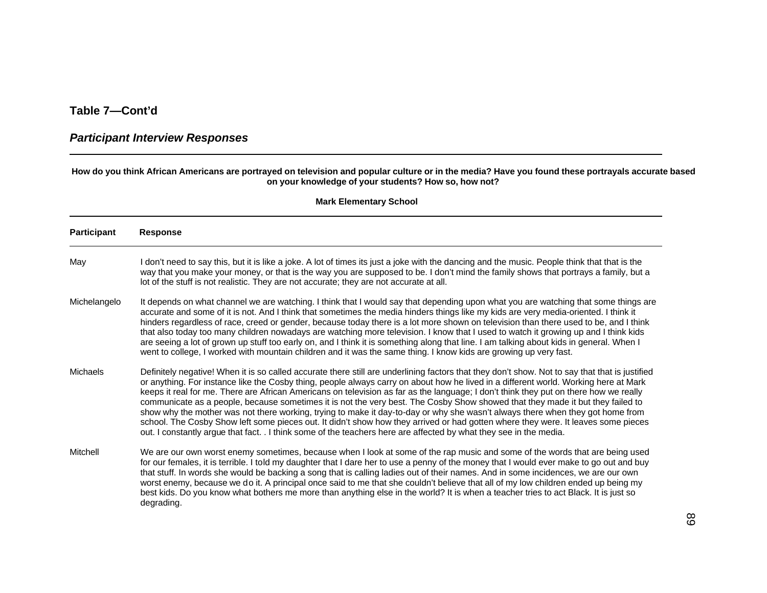#### *Participant Interview Responses*

#### **How do you think African Americans are portrayed on television and popular culture or in the media? Have you found these portrayals accurate based on your knowledge of your students? How so, how not?**

| <b>Participant</b> | <b>Response</b>                                                                                                                                                                                                                                                                                                                                                                                                                                                                                                                                                                                                                                                                                                                                                                                                                                                                                                                                                |
|--------------------|----------------------------------------------------------------------------------------------------------------------------------------------------------------------------------------------------------------------------------------------------------------------------------------------------------------------------------------------------------------------------------------------------------------------------------------------------------------------------------------------------------------------------------------------------------------------------------------------------------------------------------------------------------------------------------------------------------------------------------------------------------------------------------------------------------------------------------------------------------------------------------------------------------------------------------------------------------------|
| May                | I don't need to say this, but it is like a joke. A lot of times its just a joke with the dancing and the music. People think that that is the<br>way that you make your money, or that is the way you are supposed to be. I don't mind the family shows that portrays a family, but a<br>lot of the stuff is not realistic. They are not accurate; they are not accurate at all.                                                                                                                                                                                                                                                                                                                                                                                                                                                                                                                                                                               |
| Michelangelo       | It depends on what channel we are watching. I think that I would say that depending upon what you are watching that some things are<br>accurate and some of it is not. And I think that sometimes the media hinders things like my kids are very media-oriented. I think it<br>hinders regardless of race, creed or gender, because today there is a lot more shown on television than there used to be, and I think<br>that also today too many children nowadays are watching more television. I know that I used to watch it growing up and I think kids<br>are seeing a lot of grown up stuff too early on, and I think it is something along that line. I am talking about kids in general. When I<br>went to college, I worked with mountain children and it was the same thing. I know kids are growing up very fast.                                                                                                                                   |
| Michaels           | Definitely negative! When it is so called accurate there still are underlining factors that they don't show. Not to say that that is justified<br>or anything. For instance like the Cosby thing, people always carry on about how he lived in a different world. Working here at Mark<br>keeps it real for me. There are African Americans on television as far as the language; I don't think they put on there how we really<br>communicate as a people, because sometimes it is not the very best. The Cosby Show showed that they made it but they failed to<br>show why the mother was not there working, trying to make it day-to-day or why she wasn't always there when they got home from<br>school. The Cosby Show left some pieces out. It didn't show how they arrived or had gotten where they were. It leaves some pieces<br>out. I constantly argue that fact. . I think some of the teachers here are affected by what they see in the media. |
| Mitchell           | We are our own worst enemy sometimes, because when I look at some of the rap music and some of the words that are being used<br>for our females, it is terrible. I told my daughter that I dare her to use a penny of the money that I would ever make to go out and buy<br>that stuff. In words she would be backing a song that is calling ladies out of their names. And in some incidences, we are our own<br>worst enemy, because we do it. A principal once said to me that she couldn't believe that all of my low children ended up being my<br>best kids. Do you know what bothers me more than anything else in the world? It is when a teacher tries to act Black. It is just so<br>degrading.                                                                                                                                                                                                                                                      |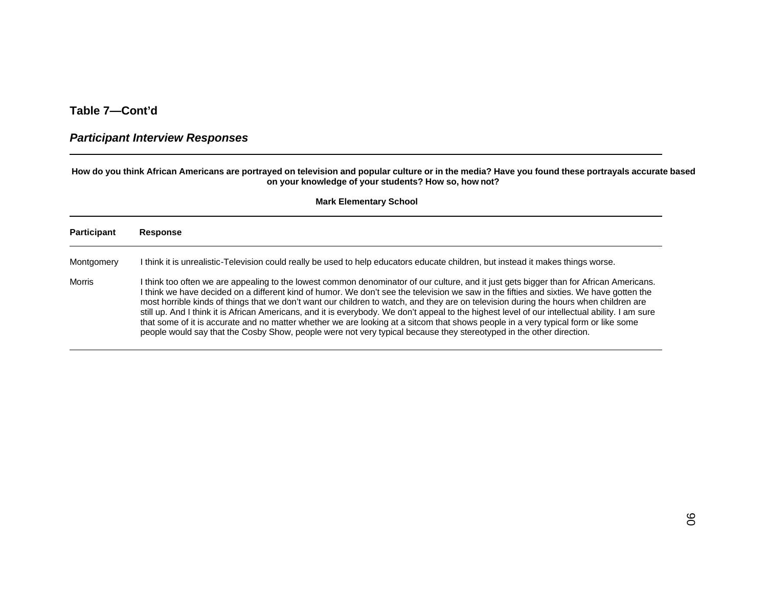#### *Participant Interview Responses*

#### **How do you think African Americans are portrayed on television and popular culture or in the media? Have you found these portrayals accurate based on your knowledge of your students? How so, how not?**

| <b>Participant</b> | <b>Response</b>                                                                                                                                                                                                                                                                                                                                                                                                                                                                                                                                                                                                                                                                                                                                                                                                                             |
|--------------------|---------------------------------------------------------------------------------------------------------------------------------------------------------------------------------------------------------------------------------------------------------------------------------------------------------------------------------------------------------------------------------------------------------------------------------------------------------------------------------------------------------------------------------------------------------------------------------------------------------------------------------------------------------------------------------------------------------------------------------------------------------------------------------------------------------------------------------------------|
| Montgomery         | I think it is unrealistic-Television could really be used to help educators educate children, but instead it makes things worse.                                                                                                                                                                                                                                                                                                                                                                                                                                                                                                                                                                                                                                                                                                            |
| Morris             | I think too often we are appealing to the lowest common denominator of our culture, and it just gets bigger than for African Americans.<br>I think we have decided on a different kind of humor. We don't see the television we saw in the fifties and sixties. We have gotten the<br>most horrible kinds of things that we don't want our children to watch, and they are on television during the hours when children are<br>still up. And I think it is African Americans, and it is everybody. We don't appeal to the highest level of our intellectual ability. I am sure<br>that some of it is accurate and no matter whether we are looking at a sitcom that shows people in a very typical form or like some<br>people would say that the Cosby Show, people were not very typical because they stereotyped in the other direction. |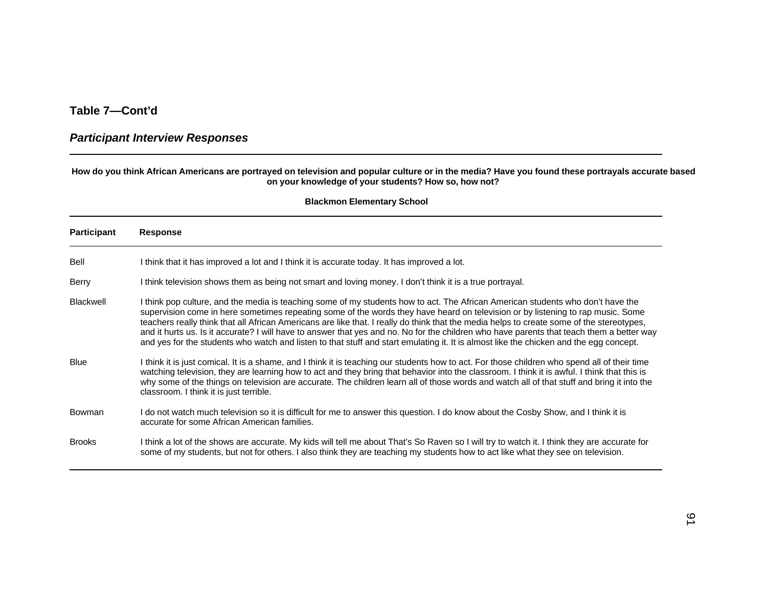#### *Participant Interview Responses*

#### **How do you think African Americans are portrayed on television and popular culture or in the media? Have you found these portrayals accurate based on your knowledge of your students? How so, how not?**

| <b>Participant</b> | <b>Response</b>                                                                                                                                                                                                                                                                                                                                                                                                                                                                                                                                                                                                                                                                                        |
|--------------------|--------------------------------------------------------------------------------------------------------------------------------------------------------------------------------------------------------------------------------------------------------------------------------------------------------------------------------------------------------------------------------------------------------------------------------------------------------------------------------------------------------------------------------------------------------------------------------------------------------------------------------------------------------------------------------------------------------|
| Bell               | I think that it has improved a lot and I think it is accurate today. It has improved a lot.                                                                                                                                                                                                                                                                                                                                                                                                                                                                                                                                                                                                            |
| Berry              | I think television shows them as being not smart and loving money. I don't think it is a true portrayal.                                                                                                                                                                                                                                                                                                                                                                                                                                                                                                                                                                                               |
| <b>Blackwell</b>   | I think pop culture, and the media is teaching some of my students how to act. The African American students who don't have the<br>supervision come in here sometimes repeating some of the words they have heard on television or by listening to rap music. Some<br>teachers really think that all African Americans are like that. I really do think that the media helps to create some of the stereotypes,<br>and it hurts us. Is it accurate? I will have to answer that yes and no. No for the children who have parents that teach them a better way<br>and yes for the students who watch and listen to that stuff and start emulating it. It is almost like the chicken and the egg concept. |
| <b>Blue</b>        | I think it is just comical. It is a shame, and I think it is teaching our students how to act. For those children who spend all of their time<br>watching television, they are learning how to act and they bring that behavior into the classroom. I think it is awful. I think that this is<br>why some of the things on television are accurate. The children learn all of those words and watch all of that stuff and bring it into the<br>classroom. I think it is just terrible.                                                                                                                                                                                                                 |
| Bowman             | I do not watch much television so it is difficult for me to answer this question. I do know about the Cosby Show, and I think it is<br>accurate for some African American families.                                                                                                                                                                                                                                                                                                                                                                                                                                                                                                                    |
| <b>Brooks</b>      | I think a lot of the shows are accurate. My kids will tell me about That's So Raven so I will try to watch it. I think they are accurate for<br>some of my students, but not for others. I also think they are teaching my students how to act like what they see on television.                                                                                                                                                                                                                                                                                                                                                                                                                       |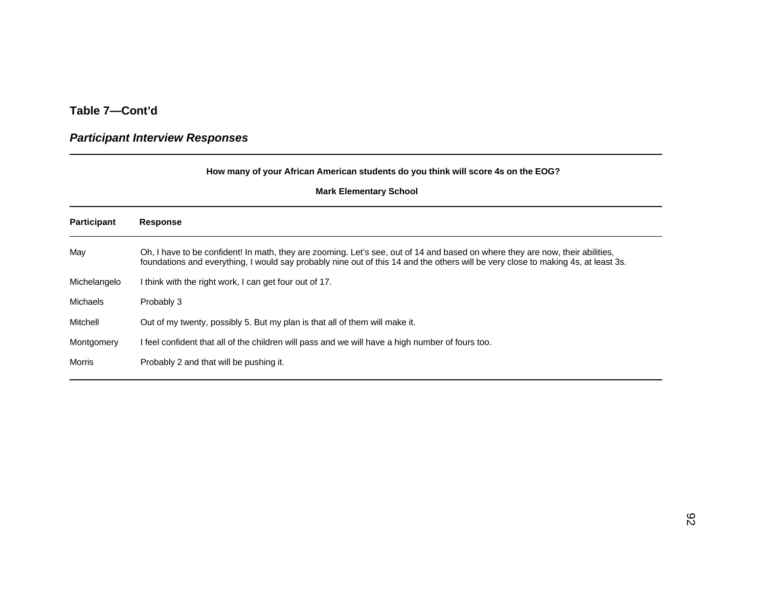# *Participant Interview Responses*

|                    | How many of your African American students do you think will score 4s on the EOG?                                                                                                                                                                                  |
|--------------------|--------------------------------------------------------------------------------------------------------------------------------------------------------------------------------------------------------------------------------------------------------------------|
|                    | <b>Mark Elementary School</b>                                                                                                                                                                                                                                      |
| <b>Participant</b> | <b>Response</b>                                                                                                                                                                                                                                                    |
| May                | Oh, I have to be confident! In math, they are zooming. Let's see, out of 14 and based on where they are now, their abilities,<br>foundations and everything, I would say probably nine out of this 14 and the others will be very close to making 4s, at least 3s. |
| Michelangelo       | I think with the right work, I can get four out of 17.                                                                                                                                                                                                             |
| <b>Michaels</b>    | Probably 3                                                                                                                                                                                                                                                         |
| Mitchell           | Out of my twenty, possibly 5. But my plan is that all of them will make it.                                                                                                                                                                                        |
| Montgomery         | I feel confident that all of the children will pass and we will have a high number of fours too.                                                                                                                                                                   |
| Morris             | Probably 2 and that will be pushing it.                                                                                                                                                                                                                            |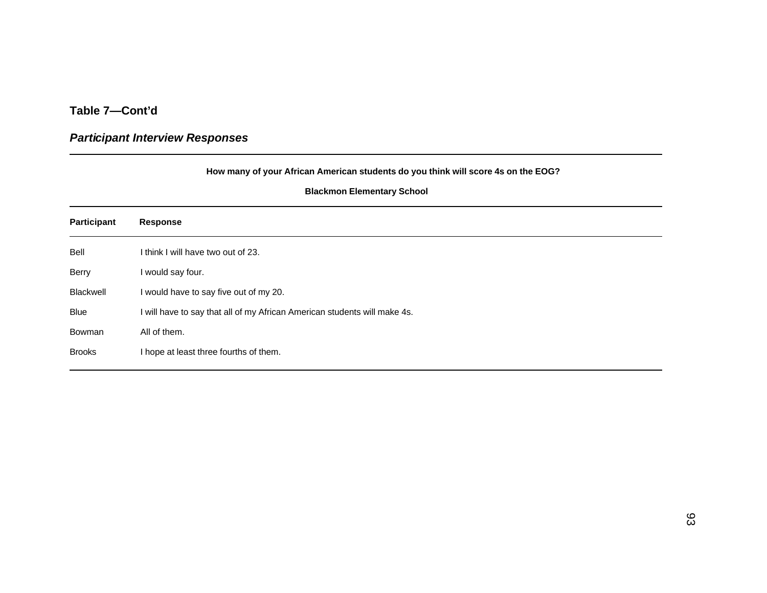# *Participant Interview Responses*

| How many of your African American students do you think will score 4s on the EOG?<br><b>Blackmon Elementary School</b> |                                                                           |  |
|------------------------------------------------------------------------------------------------------------------------|---------------------------------------------------------------------------|--|
|                                                                                                                        |                                                                           |  |
| Bell                                                                                                                   | I think I will have two out of 23.                                        |  |
| Berry                                                                                                                  | I would say four.                                                         |  |
| <b>Blackwell</b>                                                                                                       | I would have to say five out of my 20.                                    |  |
| Blue                                                                                                                   | I will have to say that all of my African American students will make 4s. |  |
| Bowman                                                                                                                 | All of them.                                                              |  |
| <b>Brooks</b>                                                                                                          | I hope at least three fourths of them.                                    |  |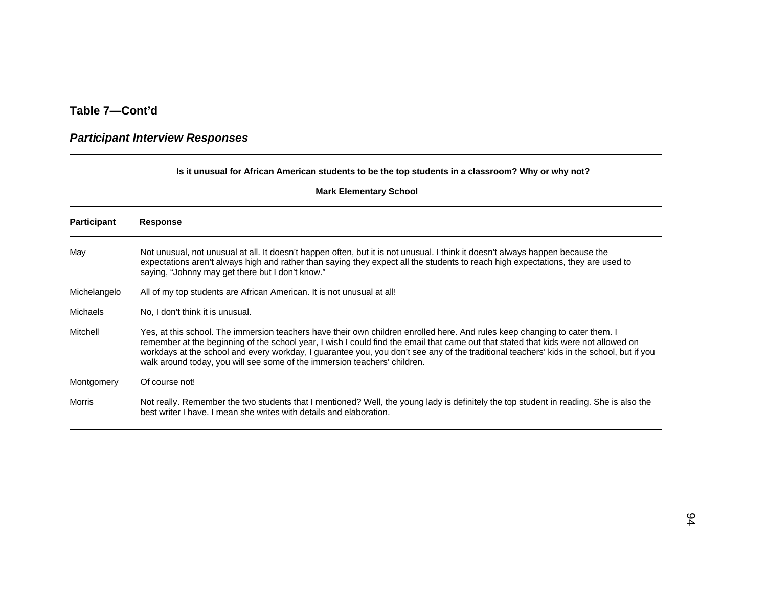### *Participant Interview Responses*

#### **Is it unusual for African American students to be the top students in a classroom? Why or why not?**

| <b>Participant</b> | <b>Response</b>                                                                                                                                                                                                                                                                                                                                                                                                                                                                             |
|--------------------|---------------------------------------------------------------------------------------------------------------------------------------------------------------------------------------------------------------------------------------------------------------------------------------------------------------------------------------------------------------------------------------------------------------------------------------------------------------------------------------------|
| May                | Not unusual, not unusual at all. It doesn't happen often, but it is not unusual. I think it doesn't always happen because the<br>expectations aren't always high and rather than saying they expect all the students to reach high expectations, they are used to<br>saying, "Johnny may get there but I don't know."                                                                                                                                                                       |
| Michelangelo       | All of my top students are African American. It is not unusual at all!                                                                                                                                                                                                                                                                                                                                                                                                                      |
| <b>Michaels</b>    | No, I don't think it is unusual.                                                                                                                                                                                                                                                                                                                                                                                                                                                            |
| Mitchell           | Yes, at this school. The immersion teachers have their own children enrolled here. And rules keep changing to cater them. I<br>remember at the beginning of the school year, I wish I could find the email that came out that stated that kids were not allowed on<br>workdays at the school and every workday, I guarantee you, you don't see any of the traditional teachers' kids in the school, but if you<br>walk around today, you will see some of the immersion teachers' children. |
| Montgomery         | Of course not!                                                                                                                                                                                                                                                                                                                                                                                                                                                                              |
| Morris             | Not really. Remember the two students that I mentioned? Well, the young lady is definitely the top student in reading. She is also the<br>best writer I have. I mean she writes with details and elaboration.                                                                                                                                                                                                                                                                               |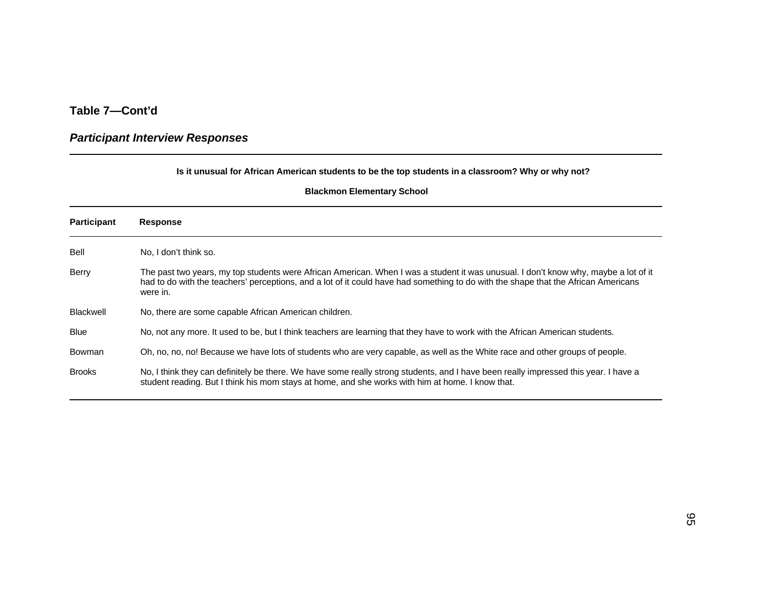### *Participant Interview Responses*

#### **Is it unusual for African American students to be the top students in a classroom? Why or why not?**

| <b>Participant</b> | <b>Response</b>                                                                                                                                                                                                                                                                       |
|--------------------|---------------------------------------------------------------------------------------------------------------------------------------------------------------------------------------------------------------------------------------------------------------------------------------|
| Bell               | No, I don't think so.                                                                                                                                                                                                                                                                 |
| Berry              | The past two years, my top students were African American. When I was a student it was unusual. I don't know why, maybe a lot of it<br>had to do with the teachers' perceptions, and a lot of it could have had something to do with the shape that the African Americans<br>were in. |
| Blackwell          | No, there are some capable African American children.                                                                                                                                                                                                                                 |
| <b>Blue</b>        | No, not any more. It used to be, but I think teachers are learning that they have to work with the African American students.                                                                                                                                                         |
| Bowman             | Oh, no, no, no! Because we have lots of students who are very capable, as well as the White race and other groups of people.                                                                                                                                                          |
| <b>Brooks</b>      | No, I think they can definitely be there. We have some really strong students, and I have been really impressed this year. I have a<br>student reading. But I think his mom stays at home, and she works with him at home. I know that.                                               |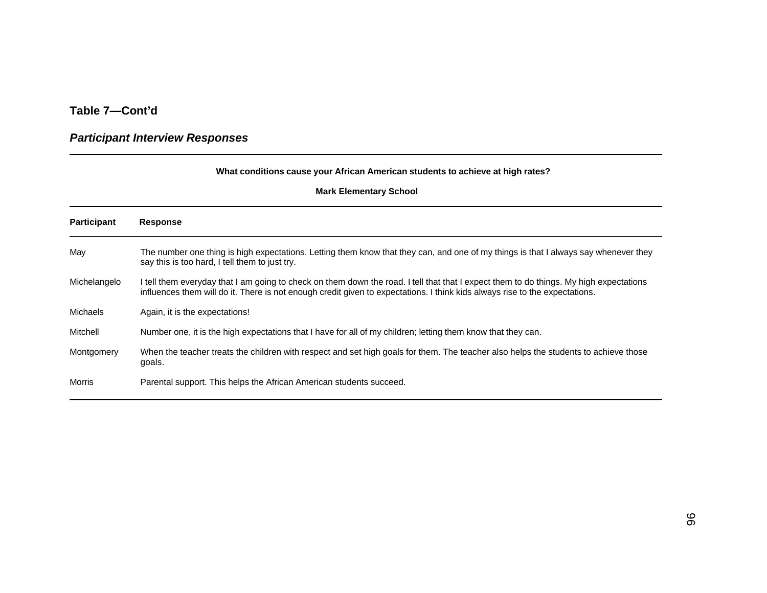### *Participant Interview Responses*

#### **What conditions cause your African American students to achieve at high rates?**

| <b>Participant</b> | <b>Response</b>                                                                                                                                                                                                                                                       |
|--------------------|-----------------------------------------------------------------------------------------------------------------------------------------------------------------------------------------------------------------------------------------------------------------------|
| May                | The number one thing is high expectations. Letting them know that they can, and one of my things is that I always say whenever they<br>say this is too hard, I tell them to just try.                                                                                 |
| Michelangelo       | I tell them everyday that I am going to check on them down the road. I tell that that I expect them to do things. My high expectations<br>influences them will do it. There is not enough credit given to expectations. I think kids always rise to the expectations. |
| <b>Michaels</b>    | Again, it is the expectations!                                                                                                                                                                                                                                        |
| Mitchell           | Number one, it is the high expectations that I have for all of my children; letting them know that they can.                                                                                                                                                          |
| Montgomery         | When the teacher treats the children with respect and set high goals for them. The teacher also helps the students to achieve those<br>goals.                                                                                                                         |
| <b>Morris</b>      | Parental support. This helps the African American students succeed.                                                                                                                                                                                                   |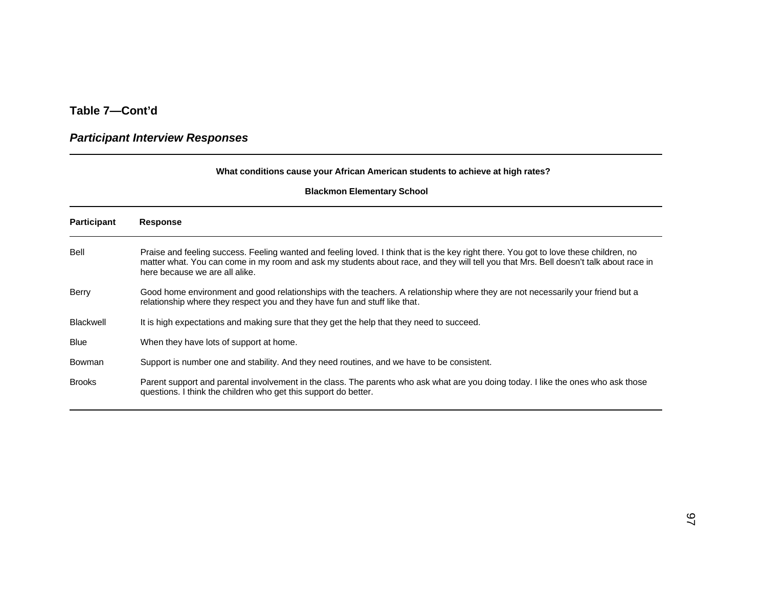# **Table 7—Cont'd**

# *Participant Interview Responses*

#### **What conditions cause your African American students to achieve at high rates?**

#### **Blackmon Elementary School**

| <b>Participant</b> | <b>Response</b>                                                                                                                                                                                                                                                                                                  |
|--------------------|------------------------------------------------------------------------------------------------------------------------------------------------------------------------------------------------------------------------------------------------------------------------------------------------------------------|
| Bell               | Praise and feeling success. Feeling wanted and feeling loved. I think that is the key right there. You got to love these children, no<br>matter what. You can come in my room and ask my students about race, and they will tell you that Mrs. Bell doesn't talk about race in<br>here because we are all alike. |
| Berry              | Good home environment and good relationships with the teachers. A relationship where they are not necessarily your friend but a<br>relationship where they respect you and they have fun and stuff like that.                                                                                                    |
| Blackwell          | It is high expectations and making sure that they get the help that they need to succeed.                                                                                                                                                                                                                        |
| <b>Blue</b>        | When they have lots of support at home.                                                                                                                                                                                                                                                                          |
| Bowman             | Support is number one and stability. And they need routines, and we have to be consistent.                                                                                                                                                                                                                       |
| <b>Brooks</b>      | Parent support and parental involvement in the class. The parents who ask what are you doing today. I like the ones who ask those<br>questions. I think the children who get this support do better.                                                                                                             |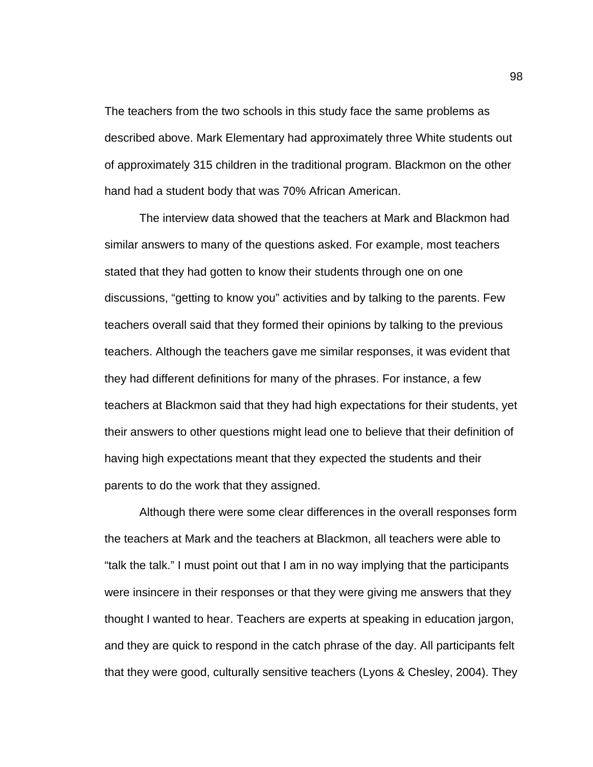The teachers from the two schools in this study face the same problems as described above. Mark Elementary had approximately three White students out of approximately 315 children in the traditional program. Blackmon on the other hand had a student body that was 70% African American.

The interview data showed that the teachers at Mark and Blackmon had similar answers to many of the questions asked. For example, most teachers stated that they had gotten to know their students through one on one discussions, "getting to know you" activities and by talking to the parents. Few teachers overall said that they formed their opinions by talking to the previous teachers. Although the teachers gave me similar responses, it was evident that they had different definitions for many of the phrases. For instance, a few teachers at Blackmon said that they had high expectations for their students, yet their answers to other questions might lead one to believe that their definition of having high expectations meant that they expected the students and their parents to do the work that they assigned.

Although there were some clear differences in the overall responses form the teachers at Mark and the teachers at Blackmon, all teachers were able to "talk the talk." I must point out that I am in no way implying that the participants were insincere in their responses or that they were giving me answers that they thought I wanted to hear. Teachers are experts at speaking in education jargon, and they are quick to respond in the catch phrase of the day. All participants felt that they were good, culturally sensitive teachers (Lyons & Chesley, 2004). They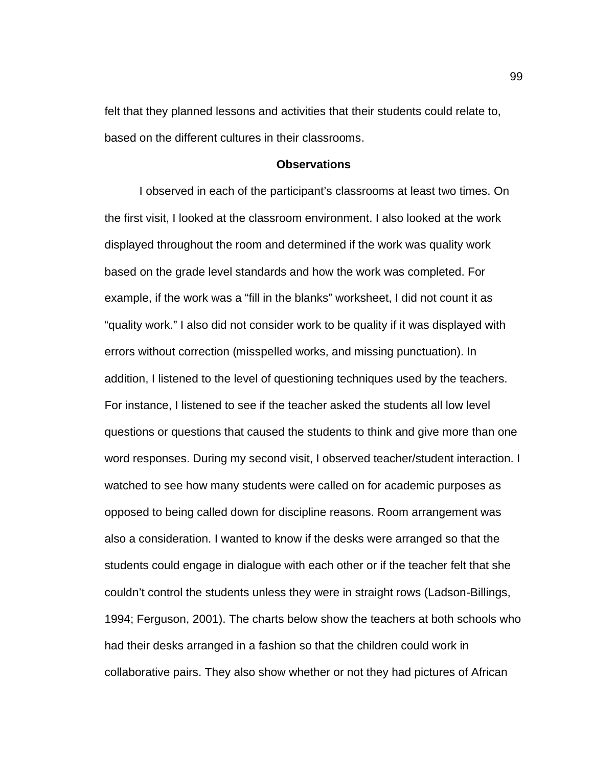felt that they planned lessons and activities that their students could relate to, based on the different cultures in their classrooms.

#### **Observations**

I observed in each of the participant's classrooms at least two times. On the first visit, I looked at the classroom environment. I also looked at the work displayed throughout the room and determined if the work was quality work based on the grade level standards and how the work was completed. For example, if the work was a "fill in the blanks" worksheet, I did not count it as "quality work." I also did not consider work to be quality if it was displayed with errors without correction (misspelled works, and missing punctuation). In addition, I listened to the level of questioning techniques used by the teachers. For instance, I listened to see if the teacher asked the students all low level questions or questions that caused the students to think and give more than one word responses. During my second visit, I observed teacher/student interaction. I watched to see how many students were called on for academic purposes as opposed to being called down for discipline reasons. Room arrangement was also a consideration. I wanted to know if the desks were arranged so that the students could engage in dialogue with each other or if the teacher felt that she couldn't control the students unless they were in straight rows (Ladson-Billings, 1994; Ferguson, 2001). The charts below show the teachers at both schools who had their desks arranged in a fashion so that the children could work in collaborative pairs. They also show whether or not they had pictures of African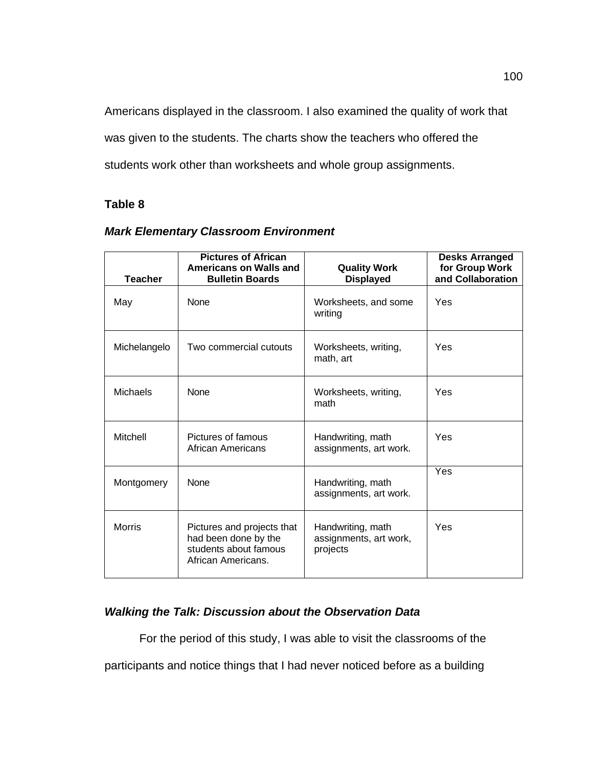Americans displayed in the classroom. I also examined the quality of work that was given to the students. The charts show the teachers who offered the students work other than worksheets and whole group assignments.

# **Table 8**

| <b>Teacher</b>  | <b>Pictures of African</b><br>Americans on Walls and<br><b>Bulletin Boards</b>                    | <b>Quality Work</b><br><b>Displayed</b>                 | <b>Desks Arranged</b><br>for Group Work<br>and Collaboration |
|-----------------|---------------------------------------------------------------------------------------------------|---------------------------------------------------------|--------------------------------------------------------------|
| May             | <b>None</b>                                                                                       | Worksheets, and some<br>writing                         | Yes                                                          |
| Michelangelo    | Two commercial cutouts                                                                            | Worksheets, writing,<br>math, art                       | Yes                                                          |
| <b>Michaels</b> | <b>None</b>                                                                                       | Worksheets, writing,<br>math                            | Yes                                                          |
| Mitchell        | Pictures of famous<br>African Americans                                                           | Handwriting, math<br>assignments, art work.             | Yes                                                          |
| Montgomery      | <b>None</b>                                                                                       | Handwriting, math<br>assignments, art work.             | Yes                                                          |
| <b>Morris</b>   | Pictures and projects that<br>had been done by the<br>students about famous<br>African Americans. | Handwriting, math<br>assignments, art work,<br>projects | Yes                                                          |

# *Mark Elementary Classroom Environment*

# *Walking the Talk: Discussion about the Observation Data*

For the period of this study, I was able to visit the classrooms of the

participants and notice things that I had never noticed before as a building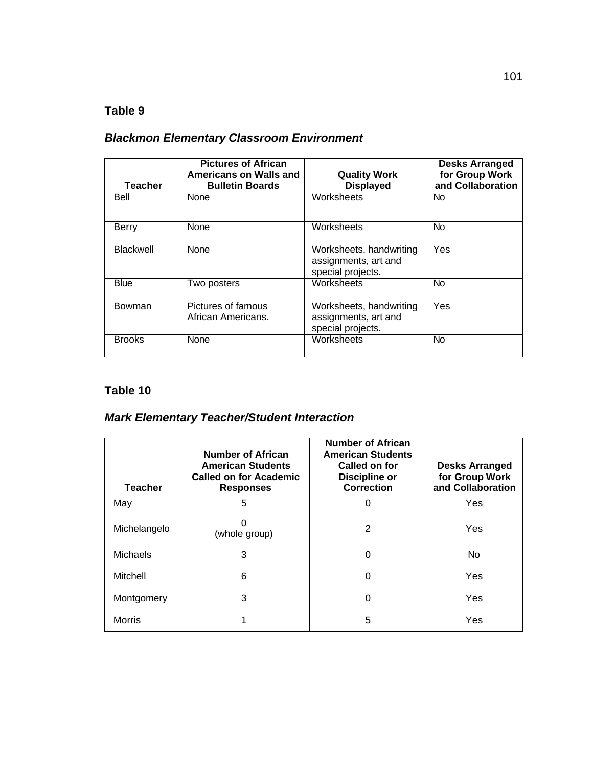# **Table 9**

# *Blackmon Elementary Classroom Environment*

| <b>Teacher</b>   | <b>Pictures of African</b><br>Americans on Walls and<br><b>Bulletin Boards</b> | <b>Quality Work</b><br><b>Displayed</b>                              | <b>Desks Arranged</b><br>for Group Work<br>and Collaboration |
|------------------|--------------------------------------------------------------------------------|----------------------------------------------------------------------|--------------------------------------------------------------|
| Bell             | None                                                                           | Worksheets                                                           | No.                                                          |
| Berry            | <b>None</b>                                                                    | Worksheets                                                           | No.                                                          |
| <b>Blackwell</b> | None                                                                           | Worksheets, handwriting<br>assignments, art and<br>special projects. | Yes                                                          |
| Blue             | Two posters                                                                    | Worksheets                                                           | <b>No</b>                                                    |
| <b>Bowman</b>    | Pictures of famous<br>African Americans.                                       | Worksheets, handwriting<br>assignments, art and<br>special projects. | Yes                                                          |
| <b>Brooks</b>    | None                                                                           | Worksheets                                                           | <b>No</b>                                                    |

# **Table 10**

# *Mark Elementary Teacher/Student Interaction*

| <b>Teacher</b>  | <b>Number of African</b><br><b>American Students</b><br><b>Called on for Academic</b><br><b>Responses</b> | <b>Number of African</b><br><b>American Students</b><br>Called on for<br><b>Discipline or</b><br><b>Correction</b> | <b>Desks Arranged</b><br>for Group Work<br>and Collaboration |
|-----------------|-----------------------------------------------------------------------------------------------------------|--------------------------------------------------------------------------------------------------------------------|--------------------------------------------------------------|
| May             | 5                                                                                                         |                                                                                                                    | Yes                                                          |
| Michelangelo    | (whole group)                                                                                             | 2                                                                                                                  | Yes                                                          |
| <b>Michaels</b> | 3                                                                                                         | 0                                                                                                                  | <b>No</b>                                                    |
| Mitchell        | 6                                                                                                         | 0                                                                                                                  | Yes                                                          |
| Montgomery      | 3                                                                                                         | 0                                                                                                                  | Yes                                                          |
| <b>Morris</b>   |                                                                                                           | 5                                                                                                                  | Yes                                                          |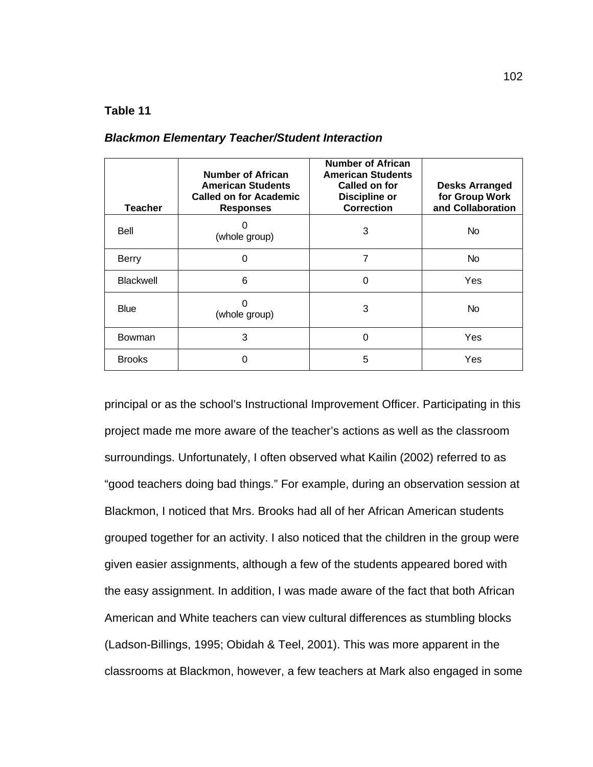### **Table 11**

|  | <b>Blackmon Elementary Teacher/Student Interaction</b> |
|--|--------------------------------------------------------|
|--|--------------------------------------------------------|

| <b>Teacher</b>   | <b>Number of African</b><br><b>American Students</b><br><b>Called on for Academic</b><br><b>Responses</b> | <b>Number of African</b><br><b>American Students</b><br>Called on for<br>Discipline or<br><b>Correction</b> | <b>Desks Arranged</b><br>for Group Work<br>and Collaboration |
|------------------|-----------------------------------------------------------------------------------------------------------|-------------------------------------------------------------------------------------------------------------|--------------------------------------------------------------|
| Bell             | (whole group)                                                                                             | 3                                                                                                           | No.                                                          |
| <b>Berry</b>     | 0                                                                                                         | 7                                                                                                           | No                                                           |
| <b>Blackwell</b> | 6                                                                                                         | 0                                                                                                           | Yes                                                          |
| <b>Blue</b>      | (whole group)                                                                                             | 3                                                                                                           | N <sub>o</sub>                                               |
| Bowman           | 3                                                                                                         | 0                                                                                                           | Yes                                                          |
| <b>Brooks</b>    | ი                                                                                                         | 5                                                                                                           | Yes                                                          |

principal or as the school's Instructional Improvement Officer. Participating in this project made me more aware of the teacher's actions as well as the classroom surroundings. Unfortunately, I often observed what Kailin (2002) referred to as "good teachers doing bad things." For example, during an observation session at Blackmon, I noticed that Mrs. Brooks had all of her African American students grouped together for an activity. I also noticed that the children in the group were given easier assignments, although a few of the students appeared bored with the easy assignment. In addition, I was made aware of the fact that both African American and White teachers can view cultural differences as stumbling blocks (Ladson-Billings, 1995; Obidah & Teel, 2001). This was more apparent in the classrooms at Blackmon, however, a few teachers at Mark also engaged in some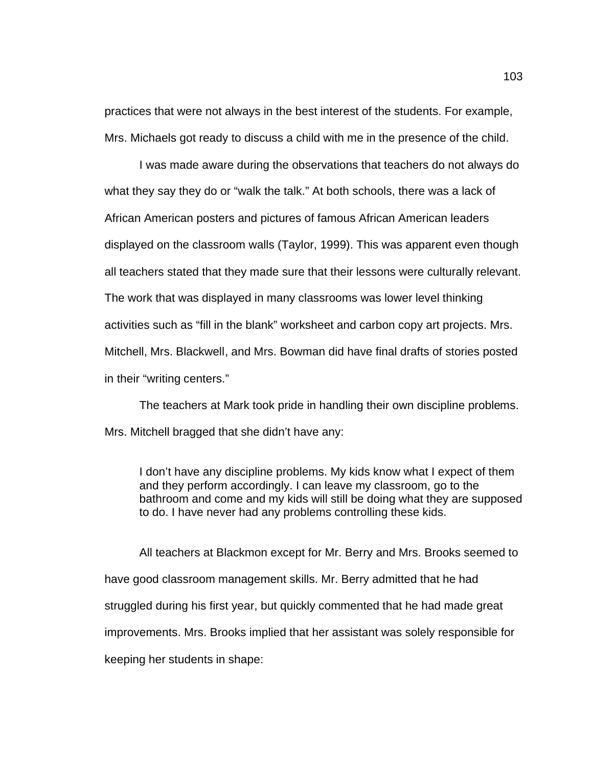practices that were not always in the best interest of the students. For example, Mrs. Michaels got ready to discuss a child with me in the presence of the child.

I was made aware during the observations that teachers do not always do what they say they do or "walk the talk." At both schools, there was a lack of African American posters and pictures of famous African American leaders displayed on the classroom walls (Taylor, 1999). This was apparent even though all teachers stated that they made sure that their lessons were culturally relevant. The work that was displayed in many classrooms was lower level thinking activities such as "fill in the blank" worksheet and carbon copy art projects. Mrs. Mitchell, Mrs. Blackwell, and Mrs. Bowman did have final drafts of stories posted in their "writing centers."

The teachers at Mark took pride in handling their own discipline problems. Mrs. Mitchell bragged that she didn't have any:

I don't have any discipline problems. My kids know what I expect of them and they perform accordingly. I can leave my classroom, go to the bathroom and come and my kids will still be doing what they are supposed to do. I have never had any problems controlling these kids.

All teachers at Blackmon except for Mr. Berry and Mrs. Brooks seemed to have good classroom management skills. Mr. Berry admitted that he had struggled during his first year, but quickly commented that he had made great improvements. Mrs. Brooks implied that her assistant was solely responsible for keeping her students in shape: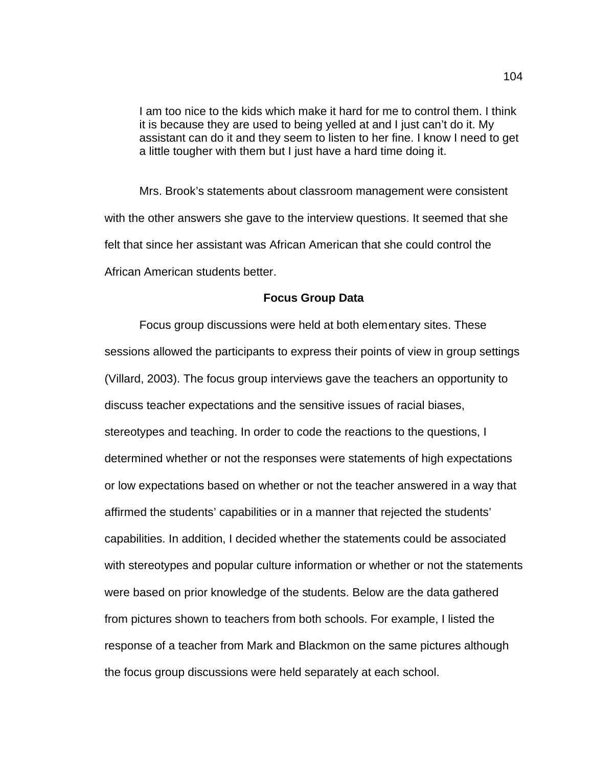I am too nice to the kids which make it hard for me to control them. I think it is because they are used to being yelled at and I just can't do it. My assistant can do it and they seem to listen to her fine. I know I need to get a little tougher with them but I just have a hard time doing it.

Mrs. Brook's statements about classroom management were consistent with the other answers she gave to the interview questions. It seemed that she felt that since her assistant was African American that she could control the African American students better.

#### **Focus Group Data**

Focus group discussions were held at both elementary sites. These sessions allowed the participants to express their points of view in group settings (Villard, 2003). The focus group interviews gave the teachers an opportunity to discuss teacher expectations and the sensitive issues of racial biases, stereotypes and teaching. In order to code the reactions to the questions, I determined whether or not the responses were statements of high expectations or low expectations based on whether or not the teacher answered in a way that affirmed the students' capabilities or in a manner that rejected the students' capabilities. In addition, I decided whether the statements could be associated with stereotypes and popular culture information or whether or not the statements were based on prior knowledge of the students. Below are the data gathered from pictures shown to teachers from both schools. For example, I listed the response of a teacher from Mark and Blackmon on the same pictures although the focus group discussions were held separately at each school.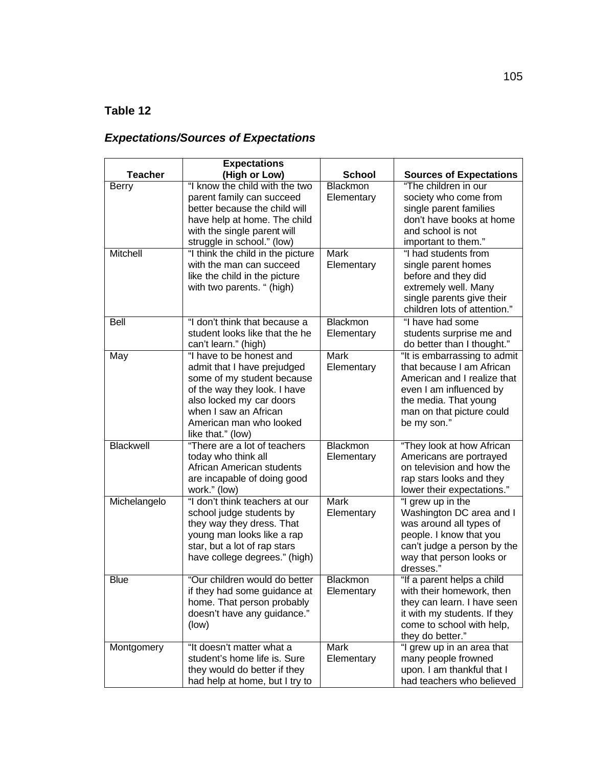# **Table 12**

# *Expectations/Sources of Expectations*

|                          | <b>Expectations</b>                                                                                                                                                                                                                                        |                                                     |                                                                                                                                                                                                |
|--------------------------|------------------------------------------------------------------------------------------------------------------------------------------------------------------------------------------------------------------------------------------------------------|-----------------------------------------------------|------------------------------------------------------------------------------------------------------------------------------------------------------------------------------------------------|
| <b>Teacher</b>           | (High or Low)                                                                                                                                                                                                                                              | <b>School</b>                                       | <b>Sources of Expectations</b>                                                                                                                                                                 |
| <b>Berry</b><br>Mitchell | "I know the child with the two<br>parent family can succeed<br>better because the child will<br>have help at home. The child<br>with the single parent will<br>struggle in school." (low)<br>"I think the child in the picture<br>with the man can succeed | <b>Blackmon</b><br>Elementary<br>Mark<br>Elementary | "The children in our<br>society who come from<br>single parent families<br>don't have books at home<br>and school is not<br>important to them."<br>"I had students from<br>single parent homes |
|                          | like the child in the picture<br>with two parents. " (high)                                                                                                                                                                                                |                                                     | before and they did<br>extremely well. Many<br>single parents give their<br>children lots of attention."                                                                                       |
| <b>Bell</b>              | "I don't think that because a<br>student looks like that the he<br>can't learn." (high)                                                                                                                                                                    | Blackmon<br>Elementary                              | "I have had some<br>students surprise me and<br>do better than I thought."                                                                                                                     |
| May                      | "I have to be honest and<br>admit that I have prejudged<br>some of my student because<br>of the way they look. I have<br>also locked my car doors<br>when I saw an African<br>American man who looked<br>like that." (low)                                 | <b>Mark</b><br>Elementary                           | "It is embarrassing to admit<br>that because I am African<br>American and I realize that<br>even I am influenced by<br>the media. That young<br>man on that picture could<br>be my son."       |
| Blackwell                | "There are a lot of teachers<br>today who think all<br>African American students<br>are incapable of doing good<br>work." (low)                                                                                                                            | <b>Blackmon</b><br>Elementary                       | "They look at how African<br>Americans are portrayed<br>on television and how the<br>rap stars looks and they<br>lower their expectations."                                                    |
| Michelangelo             | "I don't think teachers at our<br>school judge students by<br>they way they dress. That<br>young man looks like a rap<br>star, but a lot of rap stars<br>have college degrees." (high)                                                                     | <b>Mark</b><br>Elementary                           | "I grew up in the<br>Washington DC area and I<br>was around all types of<br>people. I know that you<br>can't judge a person by the<br>way that person looks or<br>dresses."                    |
| <b>Blue</b>              | "Our children would do better<br>if they had some guidance at<br>home. That person probably<br>doesn't have any guidance."<br>(low)                                                                                                                        | <b>Blackmon</b><br>Elementary                       | "If a parent helps a child<br>with their homework, then<br>they can learn. I have seen<br>it with my students. If they<br>come to school with help,<br>they do better."                        |
| Montgomery               | "It doesn't matter what a<br>student's home life is. Sure<br>they would do better if they<br>had help at home, but I try to                                                                                                                                | Mark<br>Elementary                                  | "I grew up in an area that<br>many people frowned<br>upon. I am thankful that I<br>had teachers who believed                                                                                   |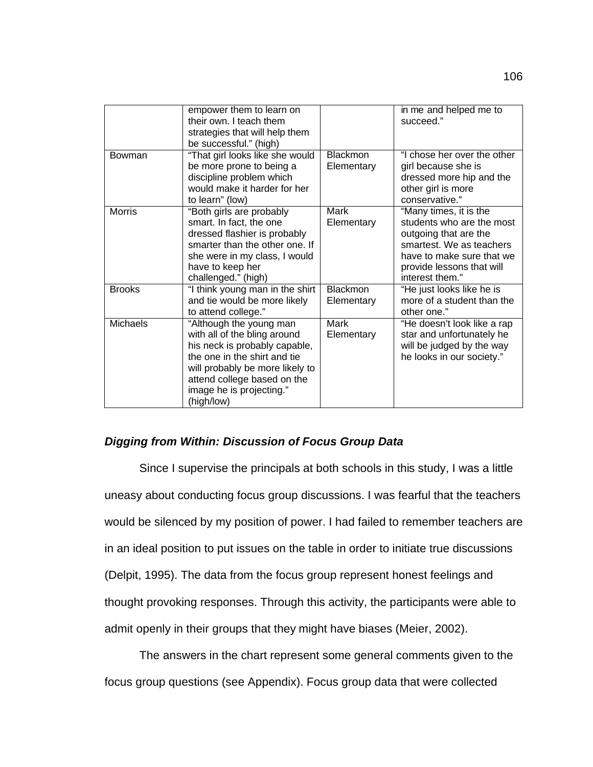|                 | empower them to learn on<br>their own. I teach them<br>strategies that will help them<br>be successful." (high)                                                                                                                      |                               | in me and helped me to<br>succeed."                                                                                                                                                   |
|-----------------|--------------------------------------------------------------------------------------------------------------------------------------------------------------------------------------------------------------------------------------|-------------------------------|---------------------------------------------------------------------------------------------------------------------------------------------------------------------------------------|
| Bowman          | "That girl looks like she would<br>be more prone to being a<br>discipline problem which<br>would make it harder for her<br>to learn" (low)                                                                                           | <b>Blackmon</b><br>Elementary | "I chose her over the other<br>girl because she is<br>dressed more hip and the<br>other girl is more<br>conservative."                                                                |
| <b>Morris</b>   | "Both girls are probably<br>smart. In fact, the one<br>dressed flashier is probably<br>smarter than the other one. If<br>she were in my class, I would<br>have to keep her<br>challenged." (high)                                    | Mark<br>Elementary            | "Many times, it is the<br>students who are the most<br>outgoing that are the<br>smartest. We as teachers<br>have to make sure that we<br>provide lessons that will<br>interest them." |
| <b>Brooks</b>   | "I think young man in the shirt<br>and tie would be more likely<br>to attend college."                                                                                                                                               | <b>Blackmon</b><br>Elementary | "He just looks like he is<br>more of a student than the<br>other one."                                                                                                                |
| <b>Michaels</b> | "Although the young man<br>with all of the bling around<br>his neck is probably capable,<br>the one in the shirt and tie<br>will probably be more likely to<br>attend college based on the<br>image he is projecting."<br>(high/low) | Mark<br>Elementary            | "He doesn't look like a rap<br>star and unfortunately he<br>will be judged by the way<br>he looks in our society."                                                                    |

# *Digging from Within: Discussion of Focus Group Data*

Since I supervise the principals at both schools in this study, I was a little uneasy about conducting focus group discussions. I was fearful that the teachers would be silenced by my position of power. I had failed to remember teachers are in an ideal position to put issues on the table in order to initiate true discussions (Delpit, 1995). The data from the focus group represent honest feelings and thought provoking responses. Through this activity, the participants were able to admit openly in their groups that they might have biases (Meier, 2002).

The answers in the chart represent some general comments given to the focus group questions (see Appendix). Focus group data that were collected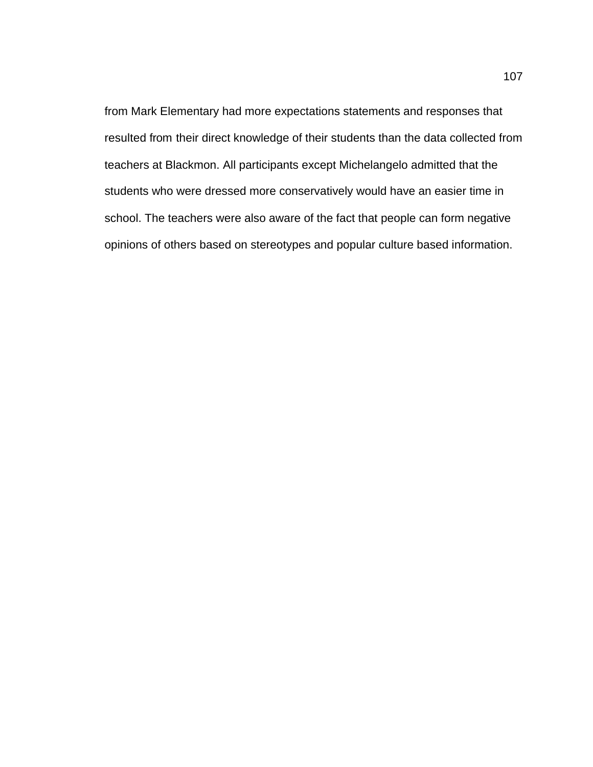from Mark Elementary had more expectations statements and responses that resulted from their direct knowledge of their students than the data collected from teachers at Blackmon. All participants except Michelangelo admitted that the students who were dressed more conservatively would have an easier time in school. The teachers were also aware of the fact that people can form negative opinions of others based on stereotypes and popular culture based information.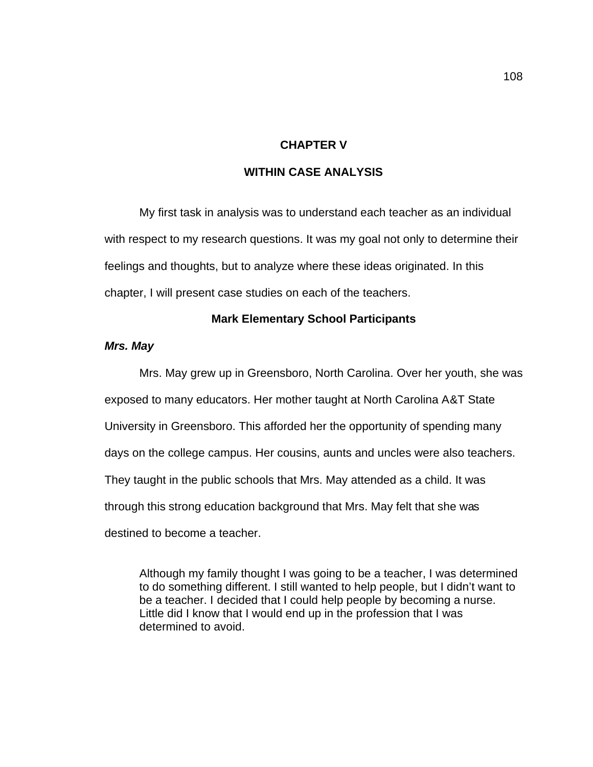## **CHAPTER V**

# **WITHIN CASE ANALYSIS**

My first task in analysis was to understand each teacher as an individual with respect to my research questions. It was my goal not only to determine their feelings and thoughts, but to analyze where these ideas originated. In this chapter, I will present case studies on each of the teachers.

### **Mark Elementary School Participants**

### *Mrs. May*

Mrs. May grew up in Greensboro, North Carolina. Over her youth, she was exposed to many educators. Her mother taught at North Carolina A&T State University in Greensboro. This afforded her the opportunity of spending many days on the college campus. Her cousins, aunts and uncles were also teachers. They taught in the public schools that Mrs. May attended as a child. It was through this strong education background that Mrs. May felt that she was destined to become a teacher.

Although my family thought I was going to be a teacher, I was determined to do something different. I still wanted to help people, but I didn't want to be a teacher. I decided that I could help people by becoming a nurse. Little did I know that I would end up in the profession that I was determined to avoid.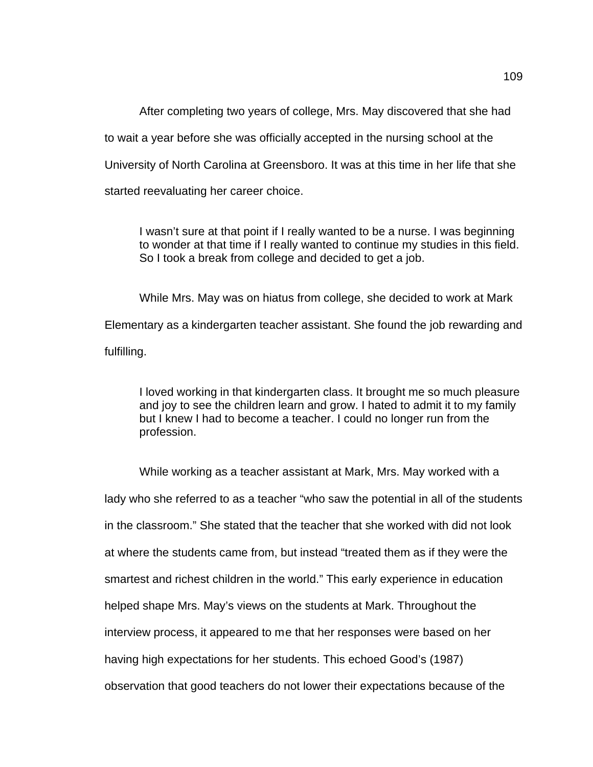After completing two years of college, Mrs. May discovered that she had to wait a year before she was officially accepted in the nursing school at the University of North Carolina at Greensboro. It was at this time in her life that she started reevaluating her career choice.

I wasn't sure at that point if I really wanted to be a nurse. I was beginning to wonder at that time if I really wanted to continue my studies in this field. So I took a break from college and decided to get a job.

While Mrs. May was on hiatus from college, she decided to work at Mark Elementary as a kindergarten teacher assistant. She found the job rewarding and fulfilling.

I loved working in that kindergarten class. It brought me so much pleasure and joy to see the children learn and grow. I hated to admit it to my family but I knew I had to become a teacher. I could no longer run from the profession.

While working as a teacher assistant at Mark, Mrs. May worked with a lady who she referred to as a teacher "who saw the potential in all of the students in the classroom." She stated that the teacher that she worked with did not look at where the students came from, but instead "treated them as if they were the smartest and richest children in the world." This early experience in education helped shape Mrs. May's views on the students at Mark. Throughout the interview process, it appeared to me that her responses were based on her having high expectations for her students. This echoed Good's (1987) observation that good teachers do not lower their expectations because of the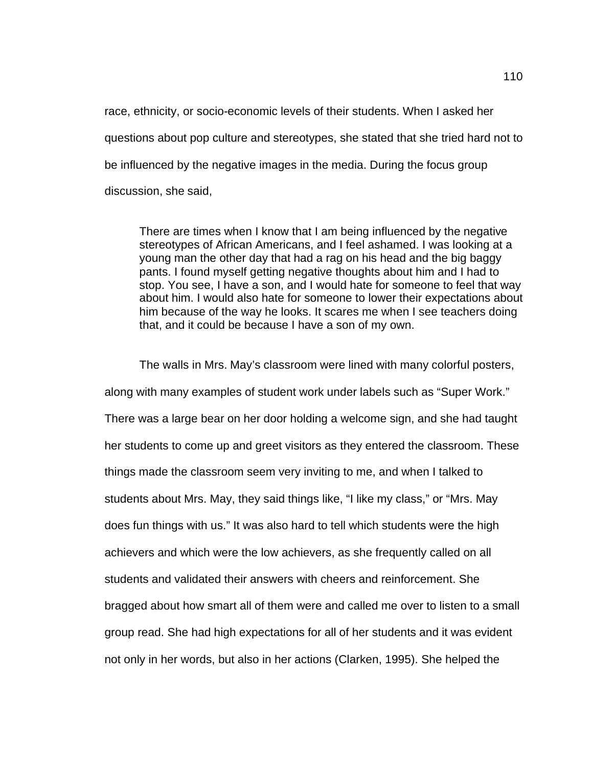race, ethnicity, or socio-economic levels of their students. When I asked her questions about pop culture and stereotypes, she stated that she tried hard not to be influenced by the negative images in the media. During the focus group discussion, she said,

There are times when I know that I am being influenced by the negative stereotypes of African Americans, and I feel ashamed. I was looking at a young man the other day that had a rag on his head and the big baggy pants. I found myself getting negative thoughts about him and I had to stop. You see, I have a son, and I would hate for someone to feel that way about him. I would also hate for someone to lower their expectations about him because of the way he looks. It scares me when I see teachers doing that, and it could be because I have a son of my own.

The walls in Mrs. May's classroom were lined with many colorful posters, along with many examples of student work under labels such as "Super Work." There was a large bear on her door holding a welcome sign, and she had taught her students to come up and greet visitors as they entered the classroom. These things made the classroom seem very inviting to me, and when I talked to students about Mrs. May, they said things like, "I like my class," or "Mrs. May does fun things with us." It was also hard to tell which students were the high achievers and which were the low achievers, as she frequently called on all students and validated their answers with cheers and reinforcement. She bragged about how smart all of them were and called me over to listen to a small group read. She had high expectations for all of her students and it was evident not only in her words, but also in her actions (Clarken, 1995). She helped the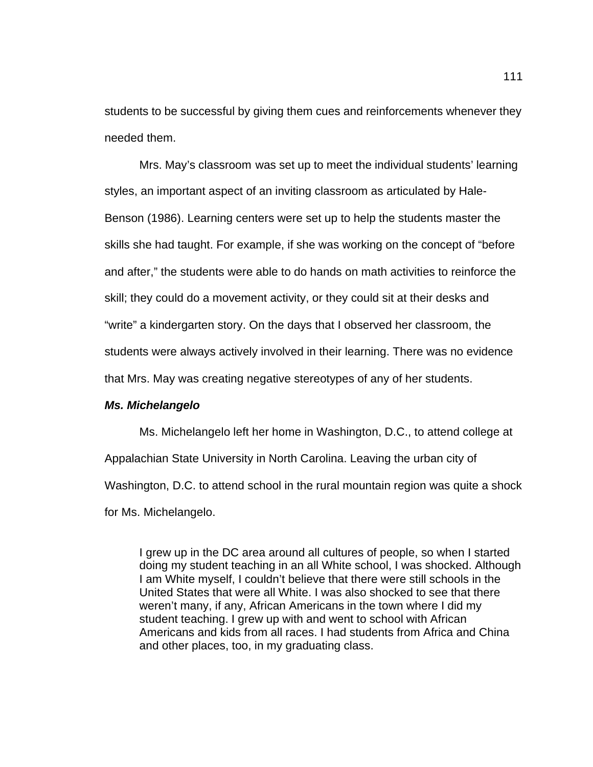students to be successful by giving them cues and reinforcements whenever they needed them.

Mrs. May's classroom was set up to meet the individual students' learning styles, an important aspect of an inviting classroom as articulated by Hale-Benson (1986). Learning centers were set up to help the students master the skills she had taught. For example, if she was working on the concept of "before and after," the students were able to do hands on math activities to reinforce the skill; they could do a movement activity, or they could sit at their desks and "write" a kindergarten story. On the days that I observed her classroom, the students were always actively involved in their learning. There was no evidence that Mrs. May was creating negative stereotypes of any of her students.

#### *Ms. Michelangelo*

Ms. Michelangelo left her home in Washington, D.C., to attend college at Appalachian State University in North Carolina. Leaving the urban city of Washington, D.C. to attend school in the rural mountain region was quite a shock for Ms. Michelangelo.

I grew up in the DC area around all cultures of people, so when I started doing my student teaching in an all White school, I was shocked. Although I am White myself, I couldn't believe that there were still schools in the United States that were all White. I was also shocked to see that there weren't many, if any, African Americans in the town where I did my student teaching. I grew up with and went to school with African Americans and kids from all races. I had students from Africa and China and other places, too, in my graduating class.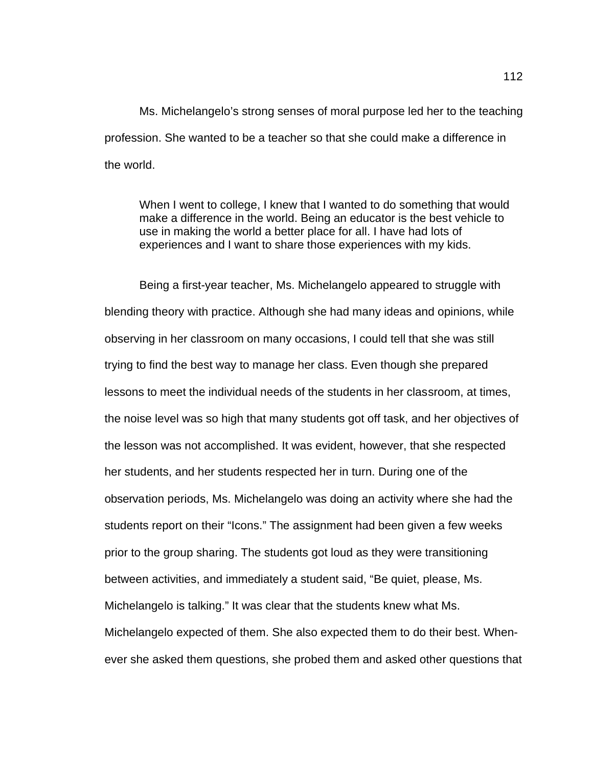Ms. Michelangelo's strong senses of moral purpose led her to the teaching profession. She wanted to be a teacher so that she could make a difference in the world.

When I went to college, I knew that I wanted to do something that would make a difference in the world. Being an educator is the best vehicle to use in making the world a better place for all. I have had lots of experiences and I want to share those experiences with my kids.

Being a first-year teacher, Ms. Michelangelo appeared to struggle with blending theory with practice. Although she had many ideas and opinions, while observing in her classroom on many occasions, I could tell that she was still trying to find the best way to manage her class. Even though she prepared lessons to meet the individual needs of the students in her classroom, at times, the noise level was so high that many students got off task, and her objectives of the lesson was not accomplished. It was evident, however, that she respected her students, and her students respected her in turn. During one of the observation periods, Ms. Michelangelo was doing an activity where she had the students report on their "Icons." The assignment had been given a few weeks prior to the group sharing. The students got loud as they were transitioning between activities, and immediately a student said, "Be quiet, please, Ms. Michelangelo is talking." It was clear that the students knew what Ms. Michelangelo expected of them. She also expected them to do their best. Whenever she asked them questions, she probed them and asked other questions that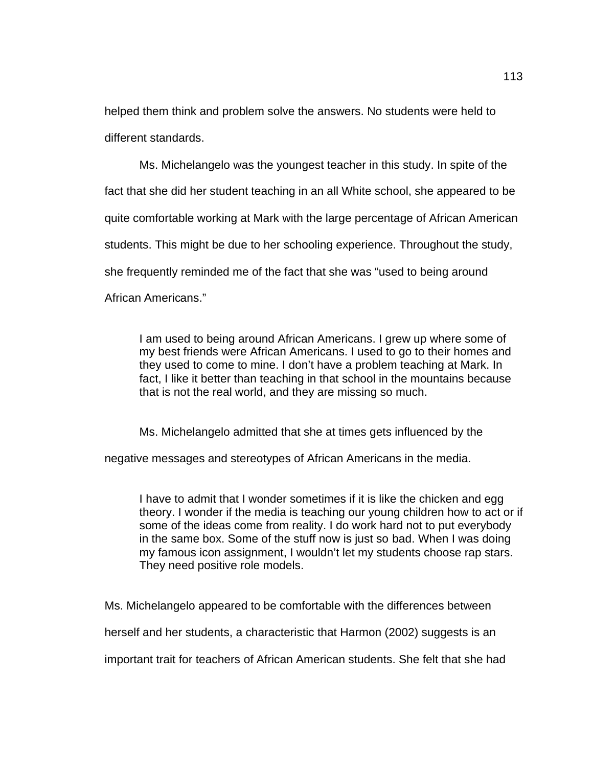helped them think and problem solve the answers. No students were held to different standards.

Ms. Michelangelo was the youngest teacher in this study. In spite of the fact that she did her student teaching in an all White school, she appeared to be quite comfortable working at Mark with the large percentage of African American students. This might be due to her schooling experience. Throughout the study, she frequently reminded me of the fact that she was "used to being around African Americans."

I am used to being around African Americans. I grew up where some of my best friends were African Americans. I used to go to their homes and they used to come to mine. I don't have a problem teaching at Mark. In fact, I like it better than teaching in that school in the mountains because that is not the real world, and they are missing so much.

Ms. Michelangelo admitted that she at times gets influenced by the

negative messages and stereotypes of African Americans in the media.

I have to admit that I wonder sometimes if it is like the chicken and egg theory. I wonder if the media is teaching our young children how to act or if some of the ideas come from reality. I do work hard not to put everybody in the same box. Some of the stuff now is just so bad. When I was doing my famous icon assignment, I wouldn't let my students choose rap stars. They need positive role models.

Ms. Michelangelo appeared to be comfortable with the differences between

herself and her students, a characteristic that Harmon (2002) suggests is an

important trait for teachers of African American students. She felt that she had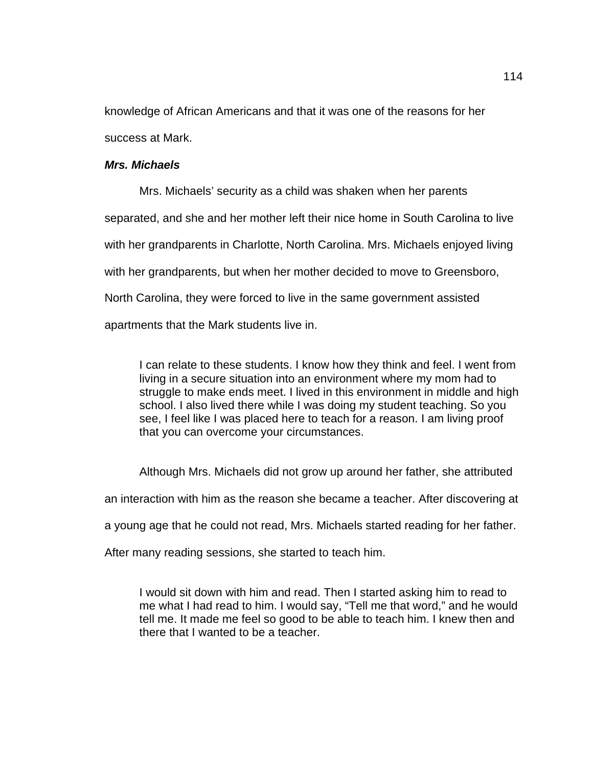knowledge of African Americans and that it was one of the reasons for her success at Mark.

### *Mrs. Michaels*

Mrs. Michaels' security as a child was shaken when her parents separated, and she and her mother left their nice home in South Carolina to live with her grandparents in Charlotte, North Carolina. Mrs. Michaels enjoyed living with her grandparents, but when her mother decided to move to Greensboro, North Carolina, they were forced to live in the same government assisted apartments that the Mark students live in.

I can relate to these students. I know how they think and feel. I went from living in a secure situation into an environment where my mom had to struggle to make ends meet. I lived in this environment in middle and high school. I also lived there while I was doing my student teaching. So you see, I feel like I was placed here to teach for a reason. I am living proof that you can overcome your circumstances.

Although Mrs. Michaels did not grow up around her father, she attributed

an interaction with him as the reason she became a teacher. After discovering at

a young age that he could not read, Mrs. Michaels started reading for her father.

After many reading sessions, she started to teach him.

I would sit down with him and read. Then I started asking him to read to me what I had read to him. I would say, "Tell me that word," and he would tell me. It made me feel so good to be able to teach him. I knew then and there that I wanted to be a teacher.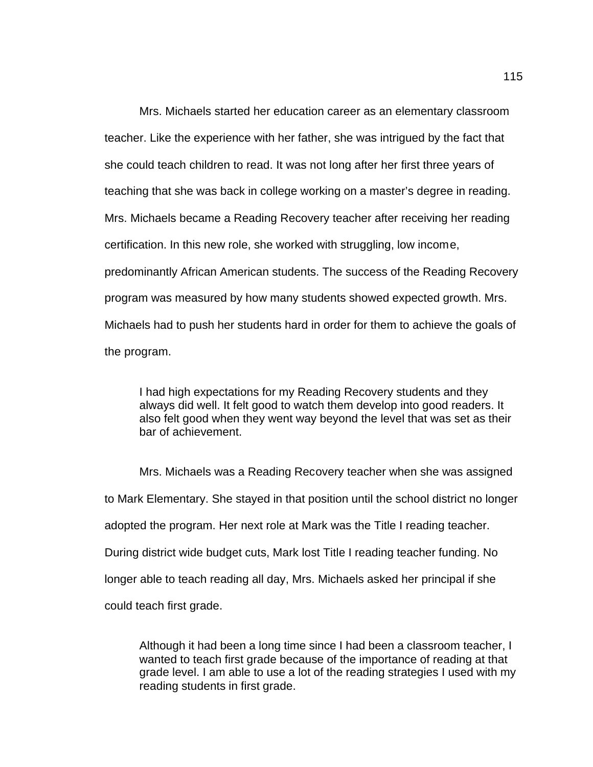Mrs. Michaels started her education career as an elementary classroom teacher. Like the experience with her father, she was intrigued by the fact that she could teach children to read. It was not long after her first three years of teaching that she was back in college working on a master's degree in reading. Mrs. Michaels became a Reading Recovery teacher after receiving her reading certification. In this new role, she worked with struggling, low income, predominantly African American students. The success of the Reading Recovery program was measured by how many students showed expected growth. Mrs. Michaels had to push her students hard in order for them to achieve the goals of the program.

I had high expectations for my Reading Recovery students and they always did well. It felt good to watch them develop into good readers. It also felt good when they went way beyond the level that was set as their bar of achievement.

Mrs. Michaels was a Reading Recovery teacher when she was assigned to Mark Elementary. She stayed in that position until the school district no longer adopted the program. Her next role at Mark was the Title I reading teacher. During district wide budget cuts, Mark lost Title I reading teacher funding. No longer able to teach reading all day, Mrs. Michaels asked her principal if she could teach first grade.

Although it had been a long time since I had been a classroom teacher, I wanted to teach first grade because of the importance of reading at that grade level. I am able to use a lot of the reading strategies I used with my reading students in first grade.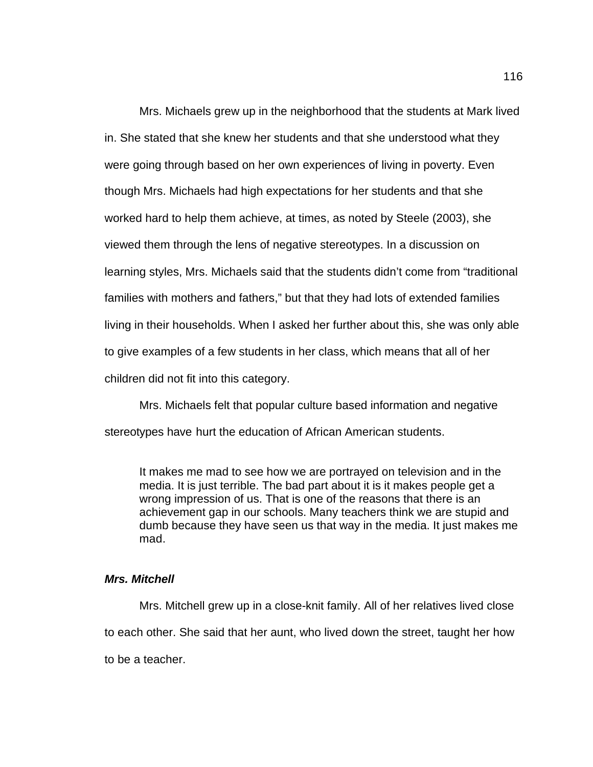Mrs. Michaels grew up in the neighborhood that the students at Mark lived in. She stated that she knew her students and that she understood what they were going through based on her own experiences of living in poverty. Even though Mrs. Michaels had high expectations for her students and that she worked hard to help them achieve, at times, as noted by Steele (2003), she viewed them through the lens of negative stereotypes. In a discussion on learning styles, Mrs. Michaels said that the students didn't come from "traditional families with mothers and fathers," but that they had lots of extended families living in their households. When I asked her further about this, she was only able to give examples of a few students in her class, which means that all of her children did not fit into this category.

Mrs. Michaels felt that popular culture based information and negative stereotypes have hurt the education of African American students.

It makes me mad to see how we are portrayed on television and in the media. It is just terrible. The bad part about it is it makes people get a wrong impression of us. That is one of the reasons that there is an achievement gap in our schools. Many teachers think we are stupid and dumb because they have seen us that way in the media. It just makes me mad.

### *Mrs. Mitchell*

Mrs. Mitchell grew up in a close-knit family. All of her relatives lived close to each other. She said that her aunt, who lived down the street, taught her how to be a teacher.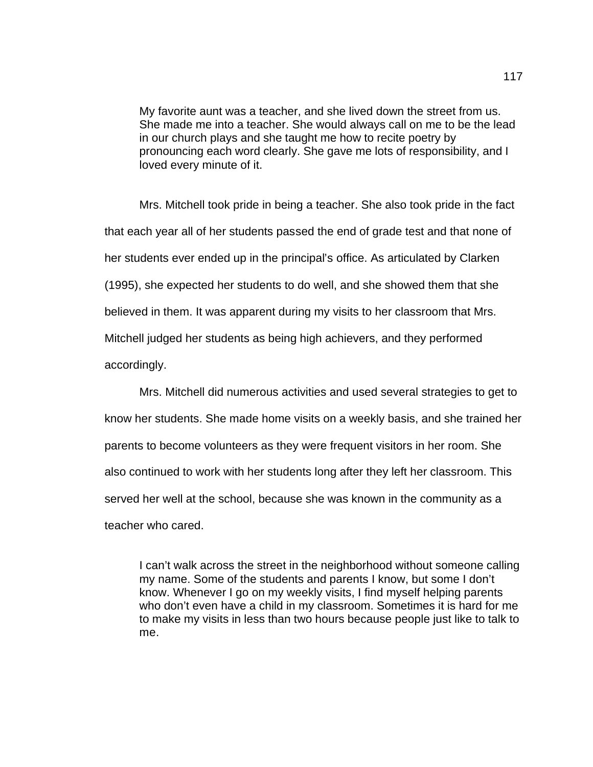My favorite aunt was a teacher, and she lived down the street from us. She made me into a teacher. She would always call on me to be the lead in our church plays and she taught me how to recite poetry by pronouncing each word clearly. She gave me lots of responsibility, and I loved every minute of it.

Mrs. Mitchell took pride in being a teacher. She also took pride in the fact that each year all of her students passed the end of grade test and that none of her students ever ended up in the principal's office. As articulated by Clarken (1995), she expected her students to do well, and she showed them that she believed in them. It was apparent during my visits to her classroom that Mrs. Mitchell judged her students as being high achievers, and they performed accordingly.

Mrs. Mitchell did numerous activities and used several strategies to get to know her students. She made home visits on a weekly basis, and she trained her parents to become volunteers as they were frequent visitors in her room. She also continued to work with her students long after they left her classroom. This served her well at the school, because she was known in the community as a teacher who cared.

I can't walk across the street in the neighborhood without someone calling my name. Some of the students and parents I know, but some I don't know. Whenever I go on my weekly visits, I find myself helping parents who don't even have a child in my classroom. Sometimes it is hard for me to make my visits in less than two hours because people just like to talk to me.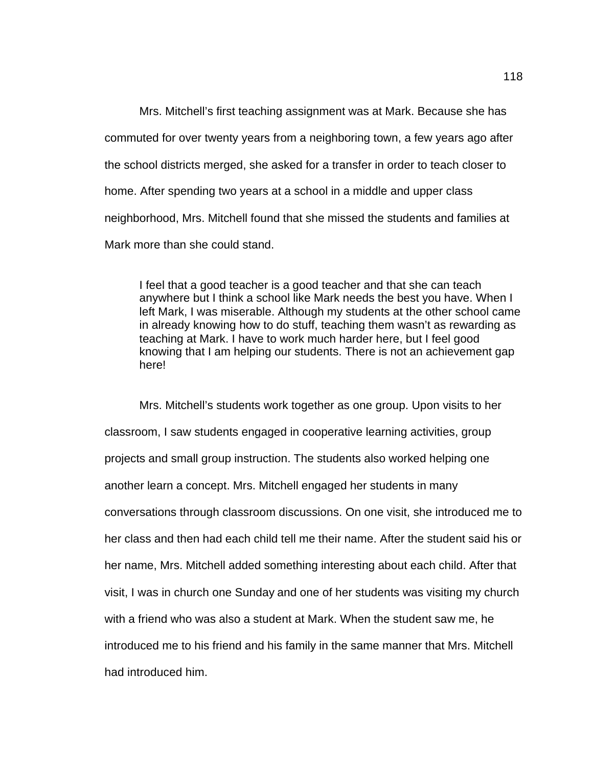Mrs. Mitchell's first teaching assignment was at Mark. Because she has commuted for over twenty years from a neighboring town, a few years ago after the school districts merged, she asked for a transfer in order to teach closer to home. After spending two years at a school in a middle and upper class neighborhood, Mrs. Mitchell found that she missed the students and families at Mark more than she could stand.

I feel that a good teacher is a good teacher and that she can teach anywhere but I think a school like Mark needs the best you have. When I left Mark, I was miserable. Although my students at the other school came in already knowing how to do stuff, teaching them wasn't as rewarding as teaching at Mark. I have to work much harder here, but I feel good knowing that I am helping our students. There is not an achievement gap here!

Mrs. Mitchell's students work together as one group. Upon visits to her classroom, I saw students engaged in cooperative learning activities, group projects and small group instruction. The students also worked helping one another learn a concept. Mrs. Mitchell engaged her students in many conversations through classroom discussions. On one visit, she introduced me to her class and then had each child tell me their name. After the student said his or her name, Mrs. Mitchell added something interesting about each child. After that visit, I was in church one Sunday and one of her students was visiting my church with a friend who was also a student at Mark. When the student saw me, he introduced me to his friend and his family in the same manner that Mrs. Mitchell had introduced him.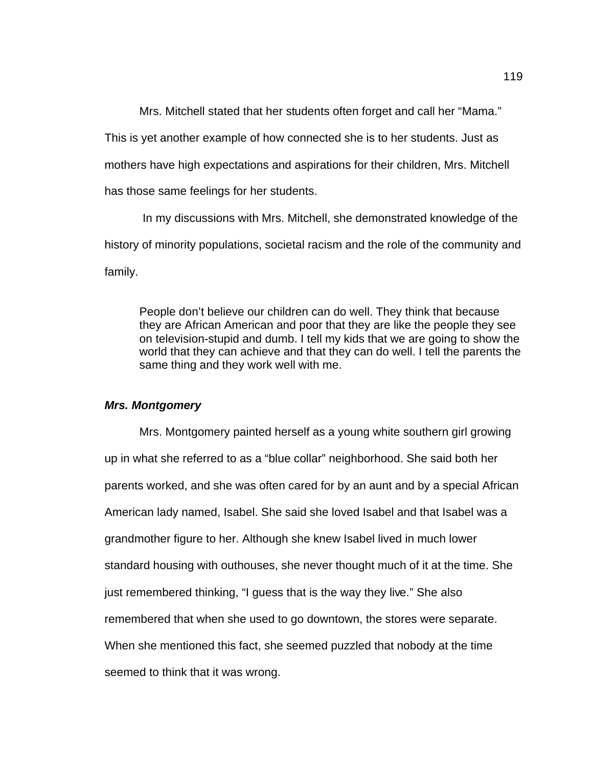Mrs. Mitchell stated that her students often forget and call her "Mama."

This is yet another example of how connected she is to her students. Just as

mothers have high expectations and aspirations for their children, Mrs. Mitchell

has those same feelings for her students.

 In my discussions with Mrs. Mitchell, she demonstrated knowledge of the history of minority populations, societal racism and the role of the community and family.

People don't believe our children can do well. They think that because they are African American and poor that they are like the people they see on television-stupid and dumb. I tell my kids that we are going to show the world that they can achieve and that they can do well. I tell the parents the same thing and they work well with me.

## *Mrs. Montgomery*

Mrs. Montgomery painted herself as a young white southern girl growing up in what she referred to as a "blue collar" neighborhood. She said both her parents worked, and she was often cared for by an aunt and by a special African American lady named, Isabel. She said she loved Isabel and that Isabel was a grandmother figure to her. Although she knew Isabel lived in much lower standard housing with outhouses, she never thought much of it at the time. She just remembered thinking, "I guess that is the way they live." She also remembered that when she used to go downtown, the stores were separate. When she mentioned this fact, she seemed puzzled that nobody at the time seemed to think that it was wrong.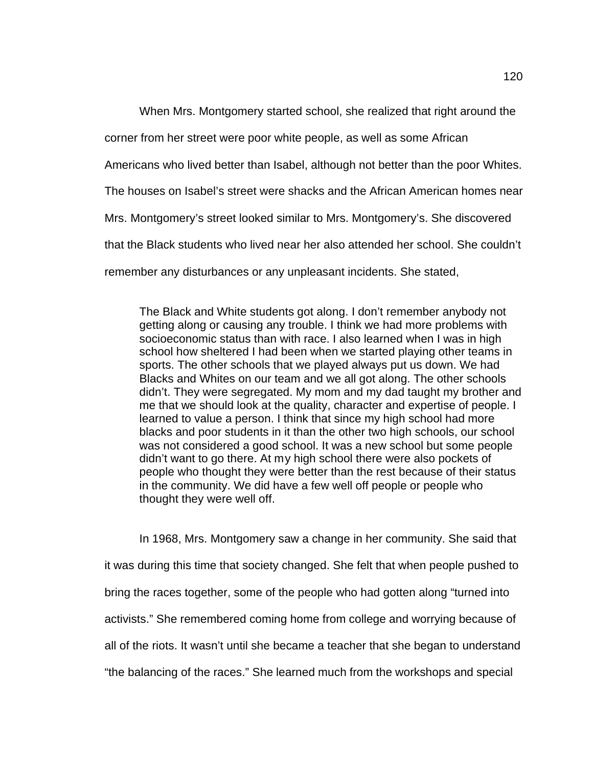When Mrs. Montgomery started school, she realized that right around the corner from her street were poor white people, as well as some African Americans who lived better than Isabel, although not better than the poor Whites. The houses on Isabel's street were shacks and the African American homes near Mrs. Montgomery's street looked similar to Mrs. Montgomery's. She discovered that the Black students who lived near her also attended her school. She couldn't remember any disturbances or any unpleasant incidents. She stated,

The Black and White students got along. I don't remember anybody not getting along or causing any trouble. I think we had more problems with socioeconomic status than with race. I also learned when I was in high school how sheltered I had been when we started playing other teams in sports. The other schools that we played always put us down. We had Blacks and Whites on our team and we all got along. The other schools didn't. They were segregated. My mom and my dad taught my brother and me that we should look at the quality, character and expertise of people. I learned to value a person. I think that since my high school had more blacks and poor students in it than the other two high schools, our school was not considered a good school. It was a new school but some people didn't want to go there. At my high school there were also pockets of people who thought they were better than the rest because of their status in the community. We did have a few well off people or people who thought they were well off.

In 1968, Mrs. Montgomery saw a change in her community. She said that it was during this time that society changed. She felt that when people pushed to bring the races together, some of the people who had gotten along "turned into activists." She remembered coming home from college and worrying because of all of the riots. It wasn't until she became a teacher that she began to understand "the balancing of the races." She learned much from the workshops and special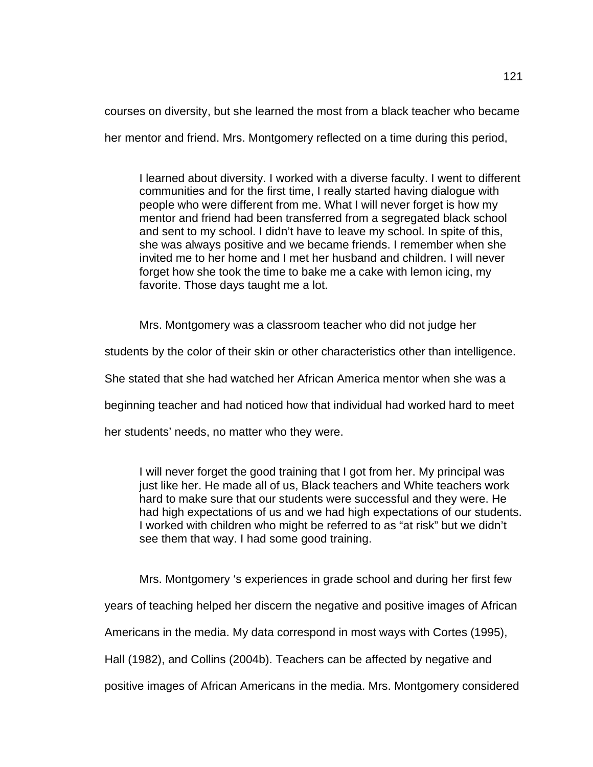courses on diversity, but she learned the most from a black teacher who became

her mentor and friend. Mrs. Montgomery reflected on a time during this period,

I learned about diversity. I worked with a diverse faculty. I went to different communities and for the first time, I really started having dialogue with people who were different from me. What I will never forget is how my mentor and friend had been transferred from a segregated black school and sent to my school. I didn't have to leave my school. In spite of this, she was always positive and we became friends. I remember when she invited me to her home and I met her husband and children. I will never forget how she took the time to bake me a cake with lemon icing, my favorite. Those days taught me a lot.

Mrs. Montgomery was a classroom teacher who did not judge her

students by the color of their skin or other characteristics other than intelligence.

She stated that she had watched her African America mentor when she was a

beginning teacher and had noticed how that individual had worked hard to meet

her students' needs, no matter who they were.

I will never forget the good training that I got from her. My principal was just like her. He made all of us. Black teachers and White teachers work hard to make sure that our students were successful and they were. He had high expectations of us and we had high expectations of our students. I worked with children who might be referred to as "at risk" but we didn't see them that way. I had some good training.

Mrs. Montgomery 's experiences in grade school and during her first few

years of teaching helped her discern the negative and positive images of African

Americans in the media. My data correspond in most ways with Cortes (1995),

Hall (1982), and Collins (2004b). Teachers can be affected by negative and

positive images of African Americans in the media. Mrs. Montgomery considered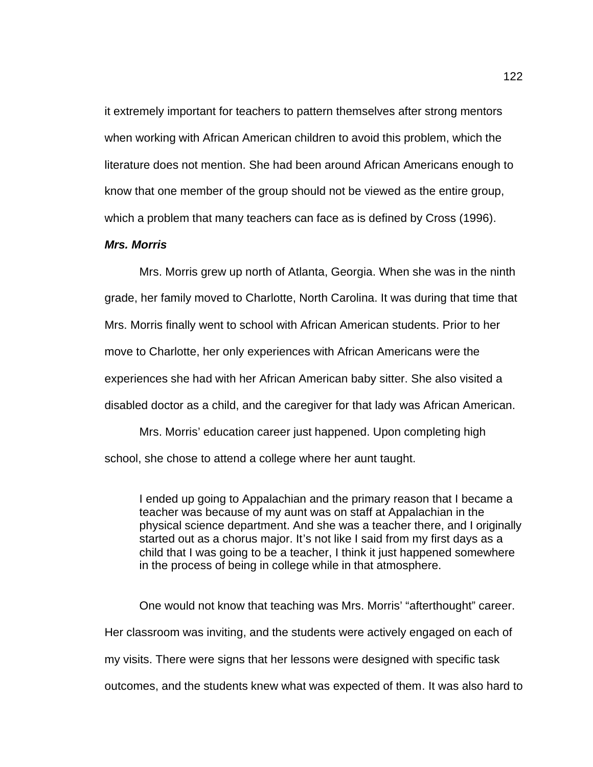it extremely important for teachers to pattern themselves after strong mentors when working with African American children to avoid this problem, which the literature does not mention. She had been around African Americans enough to know that one member of the group should not be viewed as the entire group, which a problem that many teachers can face as is defined by Cross (1996).

## *Mrs. Morris*

Mrs. Morris grew up north of Atlanta, Georgia. When she was in the ninth grade, her family moved to Charlotte, North Carolina. It was during that time that Mrs. Morris finally went to school with African American students. Prior to her move to Charlotte, her only experiences with African Americans were the experiences she had with her African American baby sitter. She also visited a disabled doctor as a child, and the caregiver for that lady was African American.

Mrs. Morris' education career just happened. Upon completing high school, she chose to attend a college where her aunt taught.

I ended up going to Appalachian and the primary reason that I became a teacher was because of my aunt was on staff at Appalachian in the physical science department. And she was a teacher there, and I originally started out as a chorus major. It's not like I said from my first days as a child that I was going to be a teacher, I think it just happened somewhere in the process of being in college while in that atmosphere.

One would not know that teaching was Mrs. Morris' "afterthought" career. Her classroom was inviting, and the students were actively engaged on each of my visits. There were signs that her lessons were designed with specific task outcomes, and the students knew what was expected of them. It was also hard to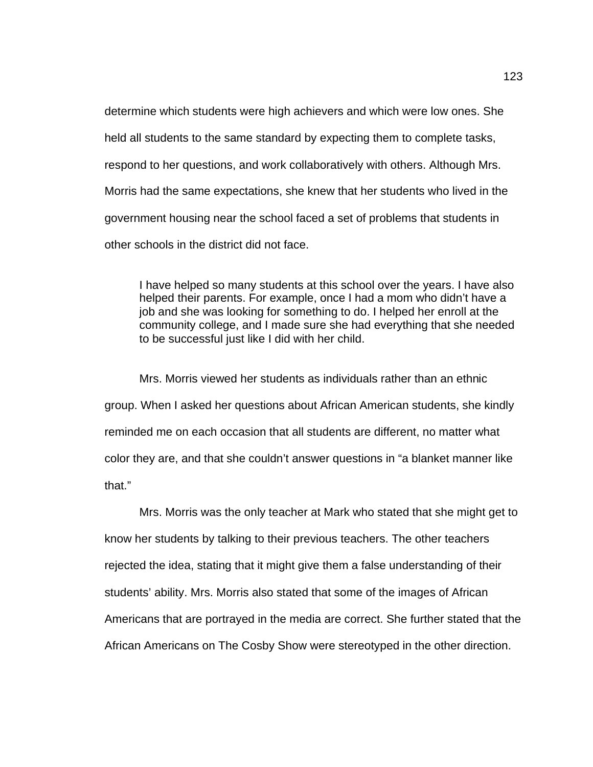determine which students were high achievers and which were low ones. She held all students to the same standard by expecting them to complete tasks, respond to her questions, and work collaboratively with others. Although Mrs. Morris had the same expectations, she knew that her students who lived in the government housing near the school faced a set of problems that students in other schools in the district did not face.

I have helped so many students at this school over the years. I have also helped their parents. For example, once I had a mom who didn't have a job and she was looking for something to do. I helped her enroll at the community college, and I made sure she had everything that she needed to be successful just like I did with her child.

Mrs. Morris viewed her students as individuals rather than an ethnic group. When I asked her questions about African American students, she kindly reminded me on each occasion that all students are different, no matter what color they are, and that she couldn't answer questions in "a blanket manner like that."

Mrs. Morris was the only teacher at Mark who stated that she might get to know her students by talking to their previous teachers. The other teachers rejected the idea, stating that it might give them a false understanding of their students' ability. Mrs. Morris also stated that some of the images of African Americans that are portrayed in the media are correct. She further stated that the African Americans on The Cosby Show were stereotyped in the other direction.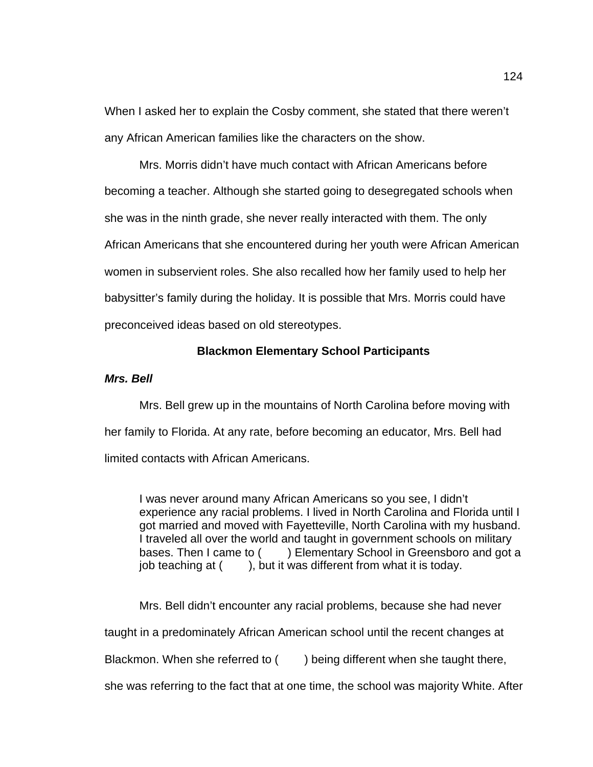When I asked her to explain the Cosby comment, she stated that there weren't any African American families like the characters on the show.

Mrs. Morris didn't have much contact with African Americans before becoming a teacher. Although she started going to desegregated schools when she was in the ninth grade, she never really interacted with them. The only African Americans that she encountered during her youth were African American women in subservient roles. She also recalled how her family used to help her babysitter's family during the holiday. It is possible that Mrs. Morris could have preconceived ideas based on old stereotypes.

### **Blackmon Elementary School Participants**

## *Mrs. Bell*

Mrs. Bell grew up in the mountains of North Carolina before moving with her family to Florida. At any rate, before becoming an educator, Mrs. Bell had limited contacts with African Americans.

I was never around many African Americans so you see, I didn't experience any racial problems. I lived in North Carolina and Florida until I got married and moved with Fayetteville, North Carolina with my husband. I traveled all over the world and taught in government schools on military bases. Then I came to () Elementary School in Greensboro and got a job teaching at  $($ , but it was different from what it is today.

Mrs. Bell didn't encounter any racial problems, because she had never taught in a predominately African American school until the recent changes at Blackmon. When she referred to () being different when she taught there, she was referring to the fact that at one time, the school was majority White. After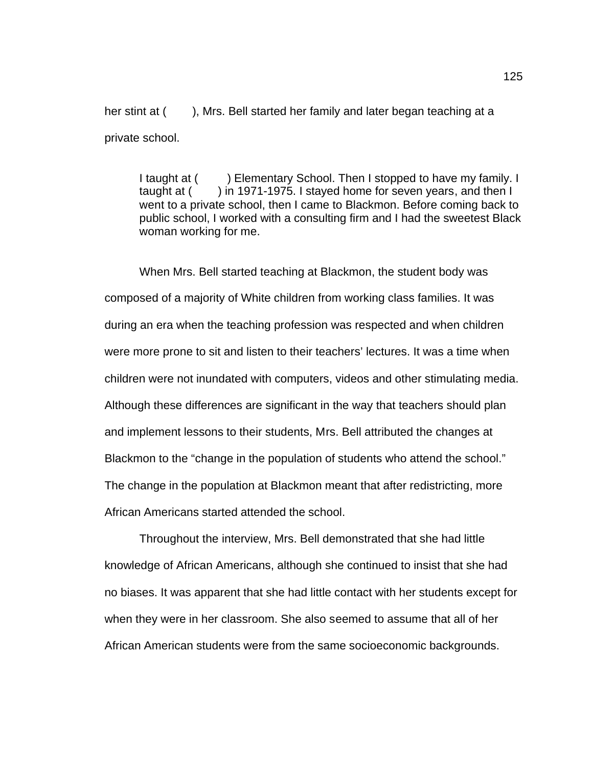her stint at (), Mrs. Bell started her family and later began teaching at a private school.

I taught at () Elementary School. Then I stopped to have my family. I taught at () in 1971-1975. I stayed home for seven years, and then I went to a private school, then I came to Blackmon. Before coming back to public school, I worked with a consulting firm and I had the sweetest Black woman working for me.

When Mrs. Bell started teaching at Blackmon, the student body was composed of a majority of White children from working class families. It was during an era when the teaching profession was respected and when children were more prone to sit and listen to their teachers' lectures. It was a time when children were not inundated with computers, videos and other stimulating media. Although these differences are significant in the way that teachers should plan and implement lessons to their students, Mrs. Bell attributed the changes at Blackmon to the "change in the population of students who attend the school." The change in the population at Blackmon meant that after redistricting, more African Americans started attended the school.

Throughout the interview, Mrs. Bell demonstrated that she had little knowledge of African Americans, although she continued to insist that she had no biases. It was apparent that she had little contact with her students except for when they were in her classroom. She also seemed to assume that all of her African American students were from the same socioeconomic backgrounds.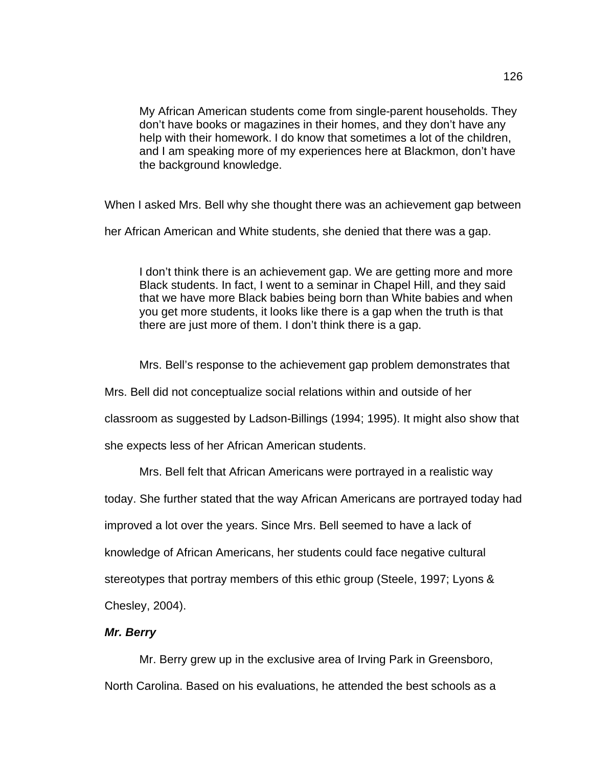My African American students come from single-parent households. They don't have books or magazines in their homes, and they don't have any help with their homework. I do know that sometimes a lot of the children, and I am speaking more of my experiences here at Blackmon, don't have the background knowledge.

When I asked Mrs. Bell why she thought there was an achievement gap between

her African American and White students, she denied that there was a gap.

I don't think there is an achievement gap. We are getting more and more Black students. In fact, I went to a seminar in Chapel Hill, and they said that we have more Black babies being born than White babies and when you get more students, it looks like there is a gap when the truth is that there are just more of them. I don't think there is a gap.

Mrs. Bell's response to the achievement gap problem demonstrates that

Mrs. Bell did not conceptualize social relations within and outside of her

classroom as suggested by Ladson-Billings (1994; 1995). It might also show that

she expects less of her African American students.

Mrs. Bell felt that African Americans were portrayed in a realistic way

today. She further stated that the way African Americans are portrayed today had

improved a lot over the years. Since Mrs. Bell seemed to have a lack of

knowledge of African Americans, her students could face negative cultural

stereotypes that portray members of this ethic group (Steele, 1997; Lyons &

Chesley, 2004).

## *Mr. Berry*

Mr. Berry grew up in the exclusive area of Irving Park in Greensboro, North Carolina. Based on his evaluations, he attended the best schools as a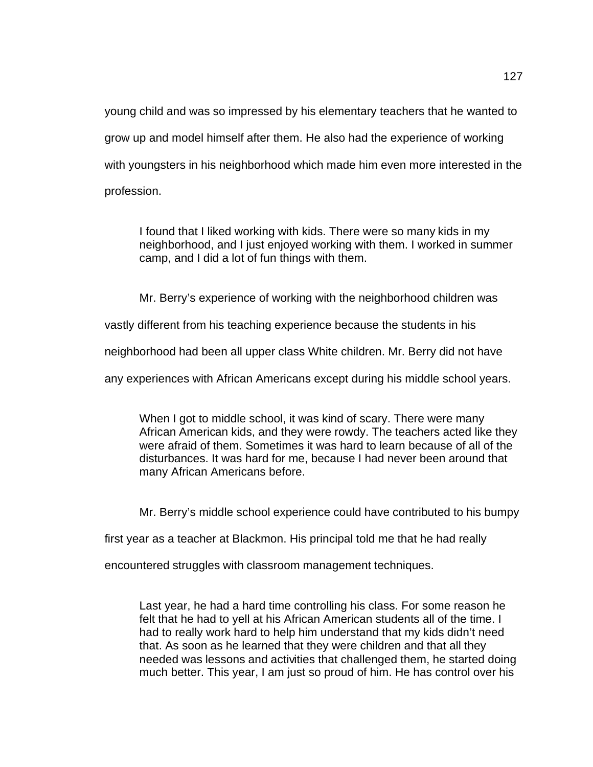young child and was so impressed by his elementary teachers that he wanted to grow up and model himself after them. He also had the experience of working with youngsters in his neighborhood which made him even more interested in the profession.

I found that I liked working with kids. There were so many kids in my neighborhood, and I just enjoyed working with them. I worked in summer camp, and I did a lot of fun things with them.

Mr. Berry's experience of working with the neighborhood children was

vastly different from his teaching experience because the students in his

neighborhood had been all upper class White children. Mr. Berry did not have

any experiences with African Americans except during his middle school years.

When I got to middle school, it was kind of scary. There were many African American kids, and they were rowdy. The teachers acted like they were afraid of them. Sometimes it was hard to learn because of all of the disturbances. It was hard for me, because I had never been around that many African Americans before.

Mr. Berry's middle school experience could have contributed to his bumpy

first year as a teacher at Blackmon. His principal told me that he had really

encountered struggles with classroom management techniques.

Last year, he had a hard time controlling his class. For some reason he felt that he had to yell at his African American students all of the time. I had to really work hard to help him understand that my kids didn't need that. As soon as he learned that they were children and that all they needed was lessons and activities that challenged them, he started doing much better. This year, I am just so proud of him. He has control over his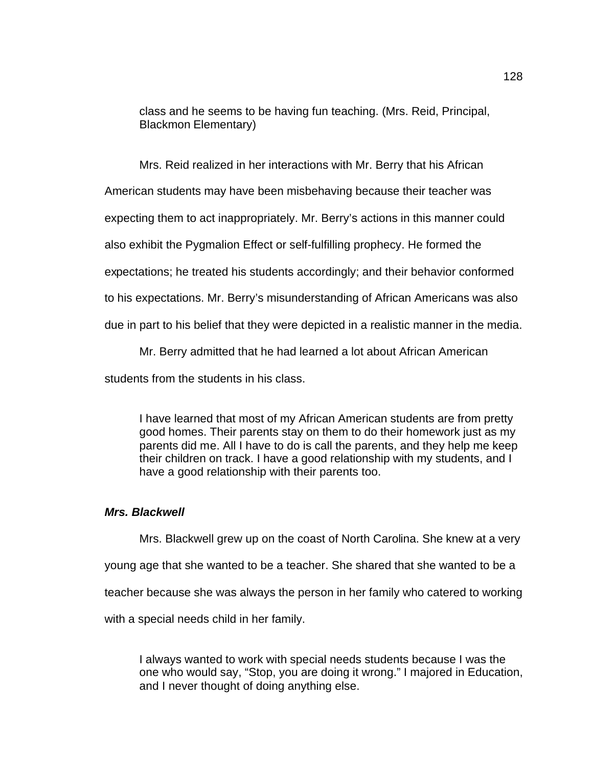class and he seems to be having fun teaching. (Mrs. Reid, Principal, Blackmon Elementary)

Mrs. Reid realized in her interactions with Mr. Berry that his African

American students may have been misbehaving because their teacher was

expecting them to act inappropriately. Mr. Berry's actions in this manner could

also exhibit the Pygmalion Effect or self-fulfilling prophecy. He formed the

expectations; he treated his students accordingly; and their behavior conformed

to his expectations. Mr. Berry's misunderstanding of African Americans was also

due in part to his belief that they were depicted in a realistic manner in the media.

Mr. Berry admitted that he had learned a lot about African American

students from the students in his class.

I have learned that most of my African American students are from pretty good homes. Their parents stay on them to do their homework just as my parents did me. All I have to do is call the parents, and they help me keep their children on track. I have a good relationship with my students, and I have a good relationship with their parents too.

#### *Mrs. Blackwell*

Mrs. Blackwell grew up on the coast of North Carolina. She knew at a very young age that she wanted to be a teacher. She shared that she wanted to be a teacher because she was always the person in her family who catered to working with a special needs child in her family.

I always wanted to work with special needs students because I was the one who would say, "Stop, you are doing it wrong." I majored in Education, and I never thought of doing anything else.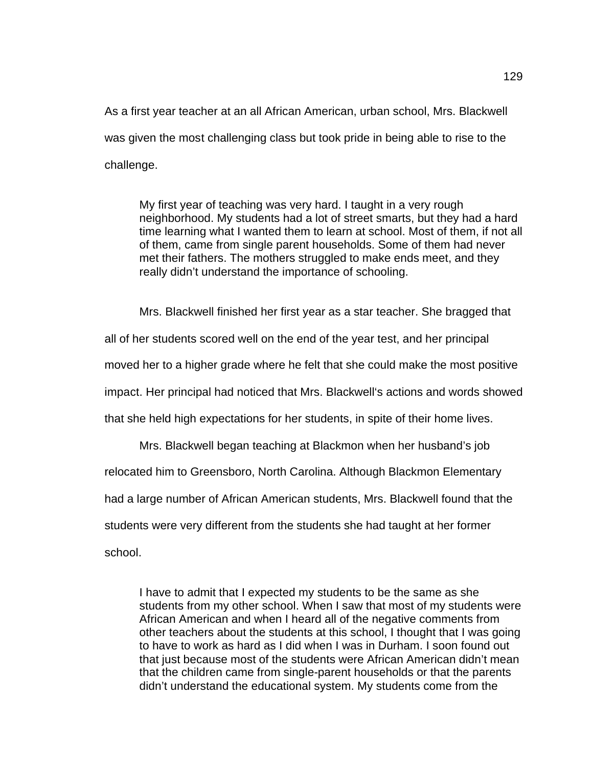As a first year teacher at an all African American, urban school, Mrs. Blackwell was given the most challenging class but took pride in being able to rise to the challenge.

My first year of teaching was very hard. I taught in a very rough neighborhood. My students had a lot of street smarts, but they had a hard time learning what I wanted them to learn at school. Most of them, if not all of them, came from single parent households. Some of them had never met their fathers. The mothers struggled to make ends meet, and they really didn't understand the importance of schooling.

Mrs. Blackwell finished her first year as a star teacher. She bragged that

all of her students scored well on the end of the year test, and her principal

moved her to a higher grade where he felt that she could make the most positive

impact. Her principal had noticed that Mrs. Blackwell's actions and words showed

that she held high expectations for her students, in spite of their home lives.

Mrs. Blackwell began teaching at Blackmon when her husband's job

relocated him to Greensboro, North Carolina. Although Blackmon Elementary

had a large number of African American students, Mrs. Blackwell found that the

students were very different from the students she had taught at her former

school.

I have to admit that I expected my students to be the same as she students from my other school. When I saw that most of my students were African American and when I heard all of the negative comments from other teachers about the students at this school, I thought that I was going to have to work as hard as I did when I was in Durham. I soon found out that just because most of the students were African American didn't mean that the children came from single-parent households or that the parents didn't understand the educational system. My students come from the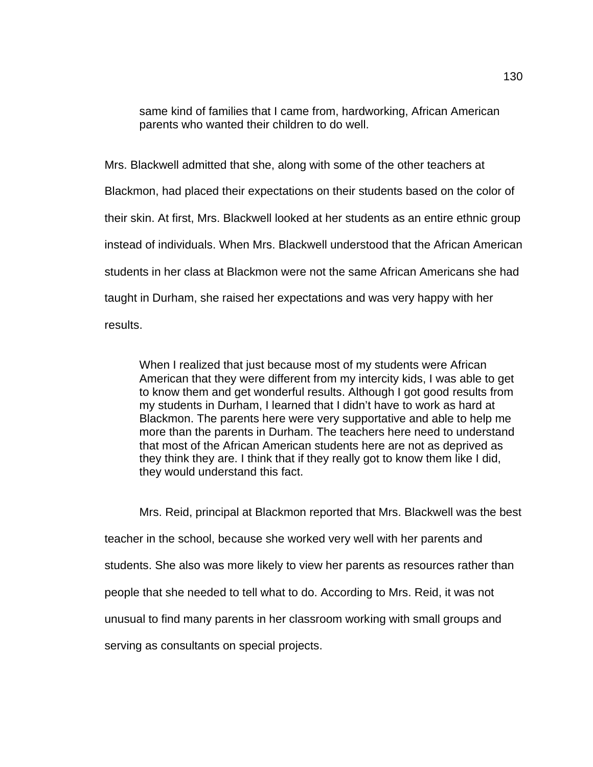same kind of families that I came from, hardworking, African American parents who wanted their children to do well.

Mrs. Blackwell admitted that she, along with some of the other teachers at Blackmon, had placed their expectations on their students based on the color of their skin. At first, Mrs. Blackwell looked at her students as an entire ethnic group instead of individuals. When Mrs. Blackwell understood that the African American students in her class at Blackmon were not the same African Americans she had taught in Durham, she raised her expectations and was very happy with her results.

When I realized that just because most of my students were African American that they were different from my intercity kids, I was able to get to know them and get wonderful results. Although I got good results from my students in Durham, I learned that I didn't have to work as hard at Blackmon. The parents here were very supportative and able to help me more than the parents in Durham. The teachers here need to understand that most of the African American students here are not as deprived as they think they are. I think that if they really got to know them like I did, they would understand this fact.

Mrs. Reid, principal at Blackmon reported that Mrs. Blackwell was the best teacher in the school, because she worked very well with her parents and students. She also was more likely to view her parents as resources rather than people that she needed to tell what to do. According to Mrs. Reid, it was not unusual to find many parents in her classroom working with small groups and serving as consultants on special projects.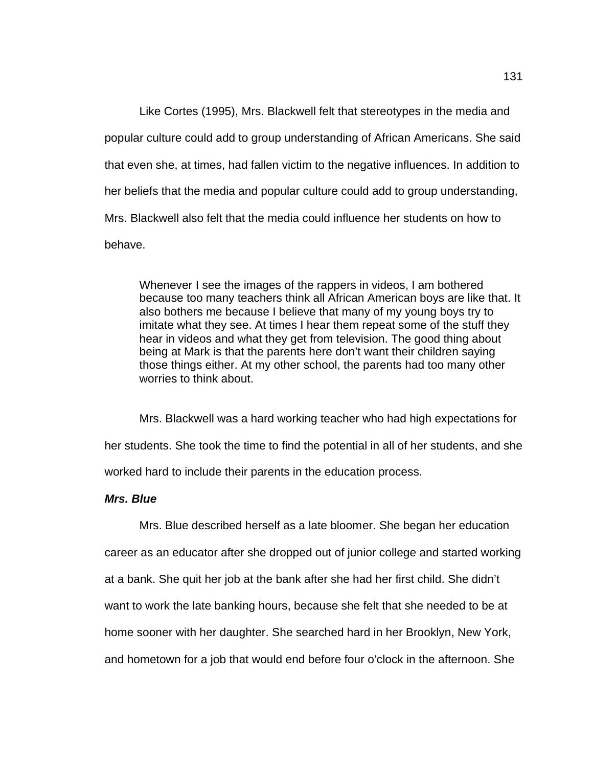Like Cortes (1995), Mrs. Blackwell felt that stereotypes in the media and popular culture could add to group understanding of African Americans. She said that even she, at times, had fallen victim to the negative influences. In addition to her beliefs that the media and popular culture could add to group understanding, Mrs. Blackwell also felt that the media could influence her students on how to behave.

Whenever I see the images of the rappers in videos, I am bothered because too many teachers think all African American boys are like that. It also bothers me because I believe that many of my young boys try to imitate what they see. At times I hear them repeat some of the stuff they hear in videos and what they get from television. The good thing about being at Mark is that the parents here don't want their children saying those things either. At my other school, the parents had too many other worries to think about.

Mrs. Blackwell was a hard working teacher who had high expectations for her students. She took the time to find the potential in all of her students, and she worked hard to include their parents in the education process.

## *Mrs. Blue*

Mrs. Blue described herself as a late bloomer. She began her education career as an educator after she dropped out of junior college and started working at a bank. She quit her job at the bank after she had her first child. She didn't want to work the late banking hours, because she felt that she needed to be at home sooner with her daughter. She searched hard in her Brooklyn, New York, and hometown for a job that would end before four o'clock in the afternoon. She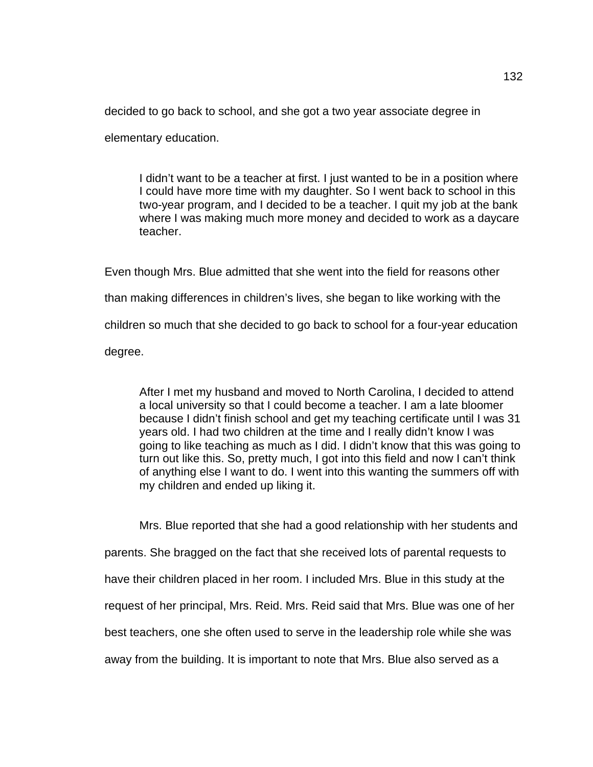decided to go back to school, and she got a two year associate degree in

elementary education.

I didn't want to be a teacher at first. I just wanted to be in a position where I could have more time with my daughter. So I went back to school in this two-year program, and I decided to be a teacher. I quit my job at the bank where I was making much more money and decided to work as a daycare teacher.

Even though Mrs. Blue admitted that she went into the field for reasons other than making differences in children's lives, she began to like working with the children so much that she decided to go back to school for a four-year education degree.

After I met my husband and moved to North Carolina, I decided to attend a local university so that I could become a teacher. I am a late bloomer because I didn't finish school and get my teaching certificate until I was 31 years old. I had two children at the time and I really didn't know I was going to like teaching as much as I did. I didn't know that this was going to turn out like this. So, pretty much, I got into this field and now I can't think of anything else I want to do. I went into this wanting the summers off with my children and ended up liking it.

Mrs. Blue reported that she had a good relationship with her students and parents. She bragged on the fact that she received lots of parental requests to have their children placed in her room. I included Mrs. Blue in this study at the request of her principal, Mrs. Reid. Mrs. Reid said that Mrs. Blue was one of her best teachers, one she often used to serve in the leadership role while she was away from the building. It is important to note that Mrs. Blue also served as a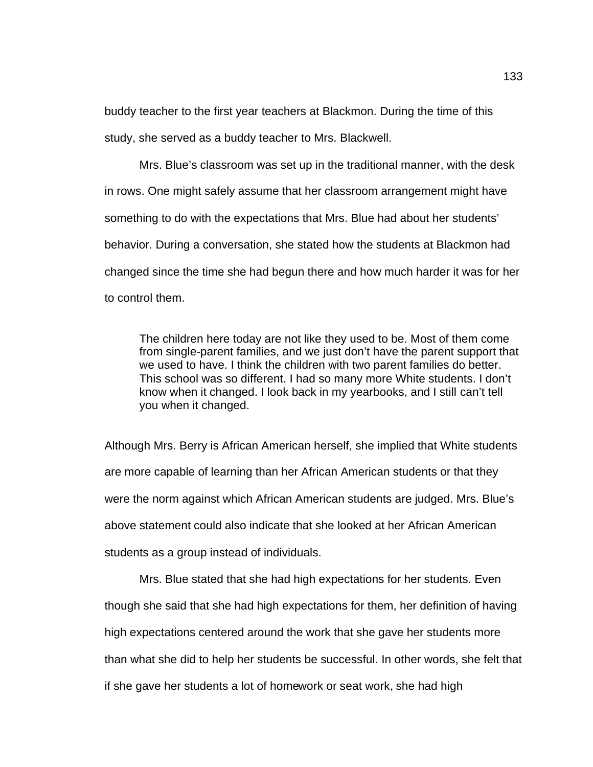buddy teacher to the first year teachers at Blackmon. During the time of this study, she served as a buddy teacher to Mrs. Blackwell.

Mrs. Blue's classroom was set up in the traditional manner, with the desk in rows. One might safely assume that her classroom arrangement might have something to do with the expectations that Mrs. Blue had about her students' behavior. During a conversation, she stated how the students at Blackmon had changed since the time she had begun there and how much harder it was for her to control them.

The children here today are not like they used to be. Most of them come from single-parent families, and we just don't have the parent support that we used to have. I think the children with two parent families do better. This school was so different. I had so many more White students. I don't know when it changed. I look back in my yearbooks, and I still can't tell you when it changed.

Although Mrs. Berry is African American herself, she implied that White students are more capable of learning than her African American students or that they were the norm against which African American students are judged. Mrs. Blue's above statement could also indicate that she looked at her African American students as a group instead of individuals.

Mrs. Blue stated that she had high expectations for her students. Even though she said that she had high expectations for them, her definition of having high expectations centered around the work that she gave her students more than what she did to help her students be successful. In other words, she felt that if she gave her students a lot of homework or seat work, she had high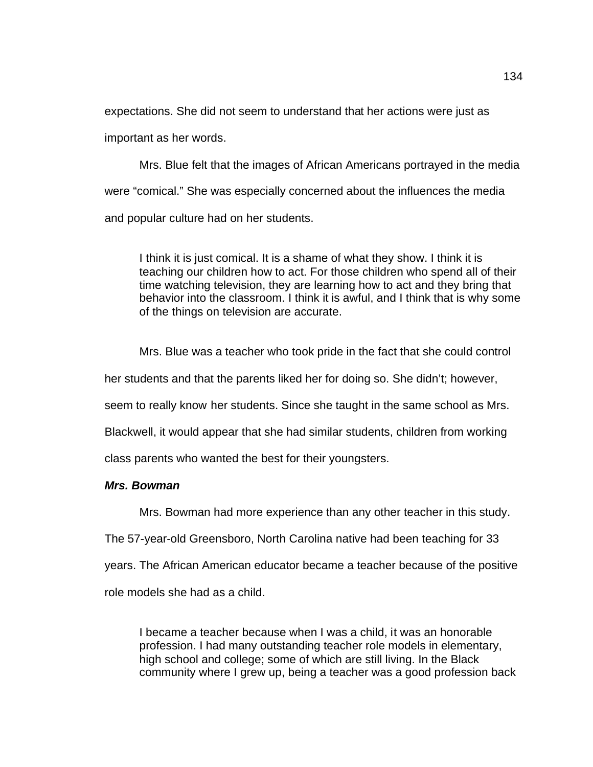expectations. She did not seem to understand that her actions were just as important as her words.

Mrs. Blue felt that the images of African Americans portrayed in the media were "comical." She was especially concerned about the influences the media and popular culture had on her students.

I think it is just comical. It is a shame of what they show. I think it is teaching our children how to act. For those children who spend all of their time watching television, they are learning how to act and they bring that behavior into the classroom. I think it is awful, and I think that is why some of the things on television are accurate.

Mrs. Blue was a teacher who took pride in the fact that she could control

her students and that the parents liked her for doing so. She didn't; however,

seem to really know her students. Since she taught in the same school as Mrs.

Blackwell, it would appear that she had similar students, children from working

class parents who wanted the best for their youngsters.

### *Mrs. Bowman*

Mrs. Bowman had more experience than any other teacher in this study.

The 57-year-old Greensboro, North Carolina native had been teaching for 33

years. The African American educator became a teacher because of the positive

role models she had as a child.

I became a teacher because when I was a child, it was an honorable profession. I had many outstanding teacher role models in elementary, high school and college; some of which are still living. In the Black community where I grew up, being a teacher was a good profession back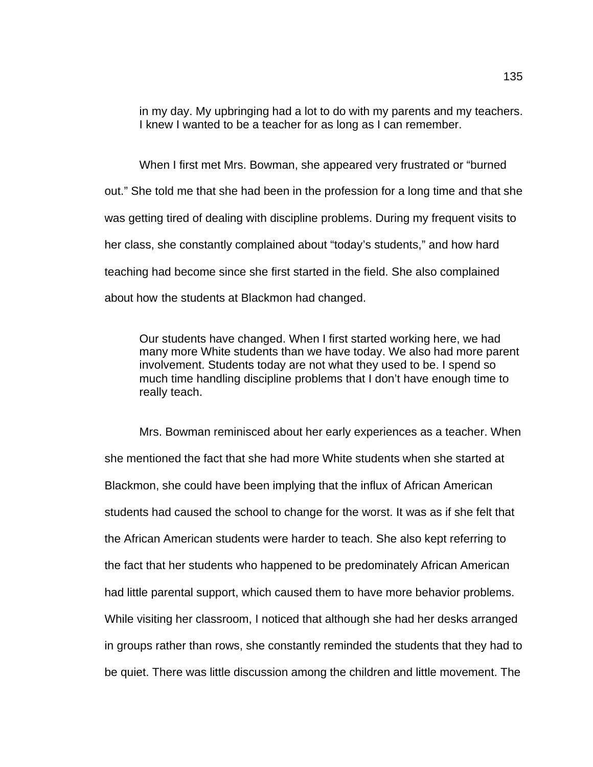in my day. My upbringing had a lot to do with my parents and my teachers. I knew I wanted to be a teacher for as long as I can remember.

When I first met Mrs. Bowman, she appeared very frustrated or "burned out." She told me that she had been in the profession for a long time and that she was getting tired of dealing with discipline problems. During my frequent visits to her class, she constantly complained about "today's students," and how hard teaching had become since she first started in the field. She also complained about how the students at Blackmon had changed.

Our students have changed. When I first started working here, we had many more White students than we have today. We also had more parent involvement. Students today are not what they used to be. I spend so much time handling discipline problems that I don't have enough time to really teach.

Mrs. Bowman reminisced about her early experiences as a teacher. When she mentioned the fact that she had more White students when she started at Blackmon, she could have been implying that the influx of African American students had caused the school to change for the worst. It was as if she felt that the African American students were harder to teach. She also kept referring to the fact that her students who happened to be predominately African American had little parental support, which caused them to have more behavior problems. While visiting her classroom, I noticed that although she had her desks arranged in groups rather than rows, she constantly reminded the students that they had to be quiet. There was little discussion among the children and little movement. The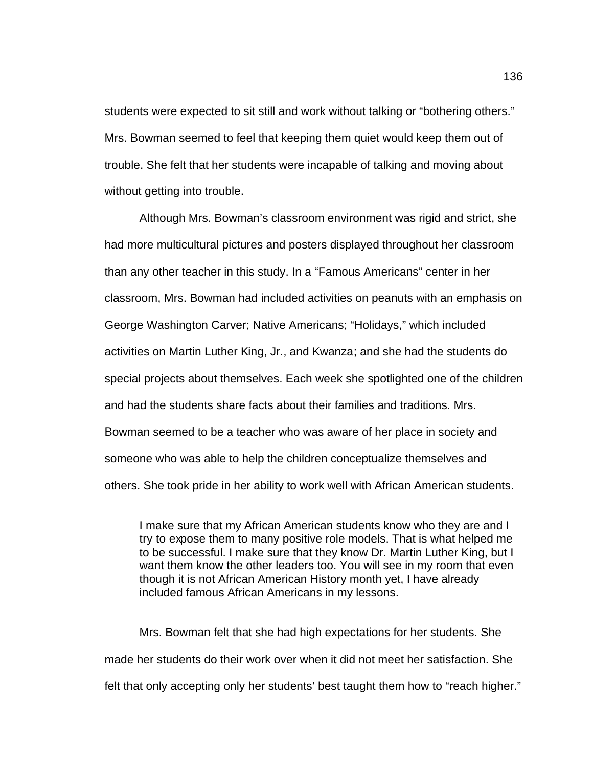students were expected to sit still and work without talking or "bothering others." Mrs. Bowman seemed to feel that keeping them quiet would keep them out of trouble. She felt that her students were incapable of talking and moving about without getting into trouble.

Although Mrs. Bowman's classroom environment was rigid and strict, she had more multicultural pictures and posters displayed throughout her classroom than any other teacher in this study. In a "Famous Americans" center in her classroom, Mrs. Bowman had included activities on peanuts with an emphasis on George Washington Carver; Native Americans; "Holidays," which included activities on Martin Luther King, Jr., and Kwanza; and she had the students do special projects about themselves. Each week she spotlighted one of the children and had the students share facts about their families and traditions. Mrs. Bowman seemed to be a teacher who was aware of her place in society and someone who was able to help the children conceptualize themselves and others. She took pride in her ability to work well with African American students.

I make sure that my African American students know who they are and I try to expose them to many positive role models. That is what helped me to be successful. I make sure that they know Dr. Martin Luther King, but I want them know the other leaders too. You will see in my room that even though it is not African American History month yet, I have already included famous African Americans in my lessons.

Mrs. Bowman felt that she had high expectations for her students. She made her students do their work over when it did not meet her satisfaction. She felt that only accepting only her students' best taught them how to "reach higher."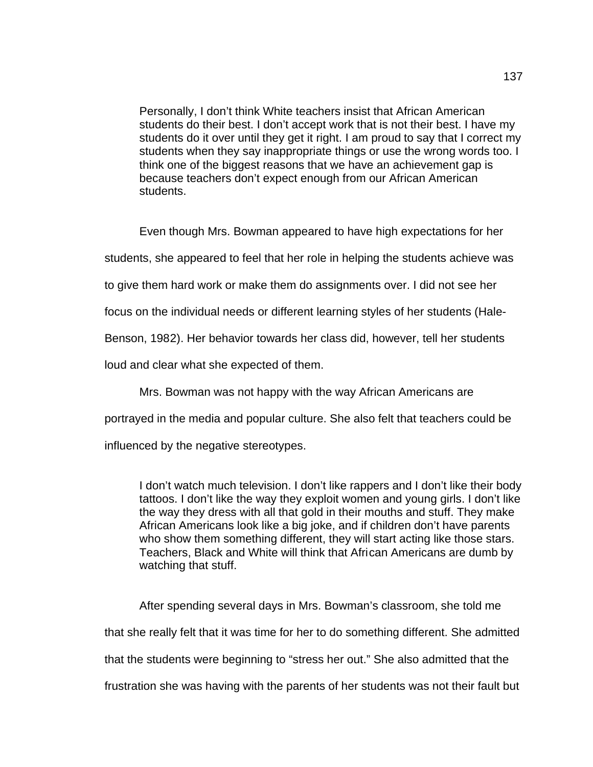Personally, I don't think White teachers insist that African American students do their best. I don't accept work that is not their best. I have my students do it over until they get it right. I am proud to say that I correct my students when they say inappropriate things or use the wrong words too. I think one of the biggest reasons that we have an achievement gap is because teachers don't expect enough from our African American students.

Even though Mrs. Bowman appeared to have high expectations for her

students, she appeared to feel that her role in helping the students achieve was

to give them hard work or make them do assignments over. I did not see her

focus on the individual needs or different learning styles of her students (Hale-

Benson, 1982). Her behavior towards her class did, however, tell her students

loud and clear what she expected of them.

Mrs. Bowman was not happy with the way African Americans are

portrayed in the media and popular culture. She also felt that teachers could be

influenced by the negative stereotypes.

I don't watch much television. I don't like rappers and I don't like their body tattoos. I don't like the way they exploit women and young girls. I don't like the way they dress with all that gold in their mouths and stuff. They make African Americans look like a big joke, and if children don't have parents who show them something different, they will start acting like those stars. Teachers, Black and White will think that African Americans are dumb by watching that stuff.

After spending several days in Mrs. Bowman's classroom, she told me that she really felt that it was time for her to do something different. She admitted that the students were beginning to "stress her out." She also admitted that the frustration she was having with the parents of her students was not their fault but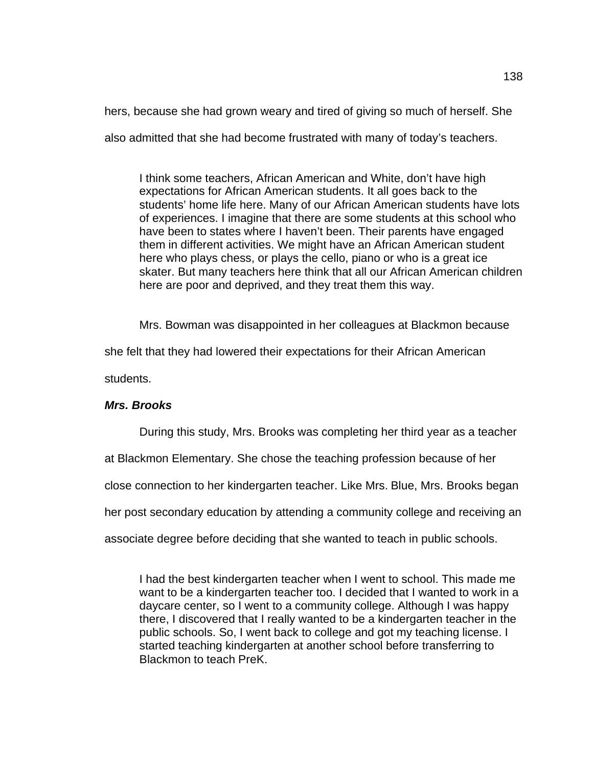hers, because she had grown weary and tired of giving so much of herself. She

also admitted that she had become frustrated with many of today's teachers.

I think some teachers, African American and White, don't have high expectations for African American students. It all goes back to the students' home life here. Many of our African American students have lots of experiences. I imagine that there are some students at this school who have been to states where I haven't been. Their parents have engaged them in different activities. We might have an African American student here who plays chess, or plays the cello, piano or who is a great ice skater. But many teachers here think that all our African American children here are poor and deprived, and they treat them this way.

Mrs. Bowman was disappointed in her colleagues at Blackmon because

she felt that they had lowered their expectations for their African American

students.

## *Mrs. Brooks*

During this study, Mrs. Brooks was completing her third year as a teacher

at Blackmon Elementary. She chose the teaching profession because of her

close connection to her kindergarten teacher. Like Mrs. Blue, Mrs. Brooks began

her post secondary education by attending a community college and receiving an

associate degree before deciding that she wanted to teach in public schools.

I had the best kindergarten teacher when I went to school. This made me want to be a kindergarten teacher too. I decided that I wanted to work in a daycare center, so I went to a community college. Although I was happy there, I discovered that I really wanted to be a kindergarten teacher in the public schools. So, I went back to college and got my teaching license. I started teaching kindergarten at another school before transferring to Blackmon to teach PreK.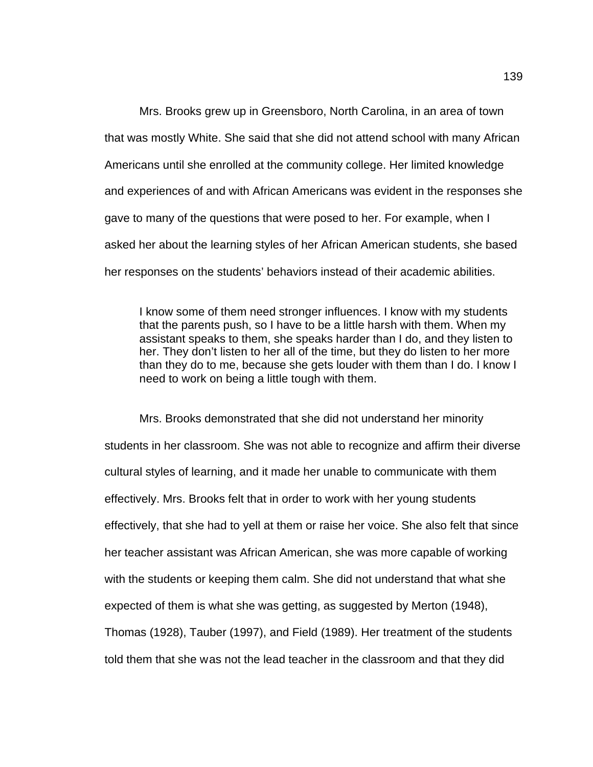Mrs. Brooks grew up in Greensboro, North Carolina, in an area of town that was mostly White. She said that she did not attend school with many African Americans until she enrolled at the community college. Her limited knowledge and experiences of and with African Americans was evident in the responses she gave to many of the questions that were posed to her. For example, when I asked her about the learning styles of her African American students, she based her responses on the students' behaviors instead of their academic abilities.

I know some of them need stronger influences. I know with my students that the parents push, so I have to be a little harsh with them. When my assistant speaks to them, she speaks harder than I do, and they listen to her. They don't listen to her all of the time, but they do listen to her more than they do to me, because she gets louder with them than I do. I know I need to work on being a little tough with them.

Mrs. Brooks demonstrated that she did not understand her minority students in her classroom. She was not able to recognize and affirm their diverse cultural styles of learning, and it made her unable to communicate with them effectively. Mrs. Brooks felt that in order to work with her young students effectively, that she had to yell at them or raise her voice. She also felt that since her teacher assistant was African American, she was more capable of working with the students or keeping them calm. She did not understand that what she expected of them is what she was getting, as suggested by Merton (1948), Thomas (1928), Tauber (1997), and Field (1989). Her treatment of the students told them that she was not the lead teacher in the classroom and that they did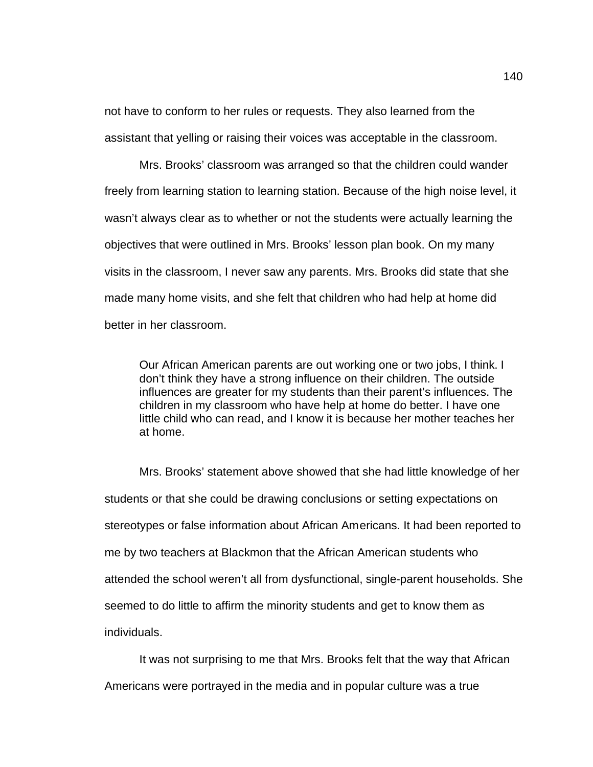not have to conform to her rules or requests. They also learned from the assistant that yelling or raising their voices was acceptable in the classroom.

Mrs. Brooks' classroom was arranged so that the children could wander freely from learning station to learning station. Because of the high noise level, it wasn't always clear as to whether or not the students were actually learning the objectives that were outlined in Mrs. Brooks' lesson plan book. On my many visits in the classroom, I never saw any parents. Mrs. Brooks did state that she made many home visits, and she felt that children who had help at home did better in her classroom.

Our African American parents are out working one or two jobs, I think. I don't think they have a strong influence on their children. The outside influences are greater for my students than their parent's influences. The children in my classroom who have help at home do better. I have one little child who can read, and I know it is because her mother teaches her at home.

Mrs. Brooks' statement above showed that she had little knowledge of her students or that she could be drawing conclusions or setting expectations on stereotypes or false information about African Americans. It had been reported to me by two teachers at Blackmon that the African American students who attended the school weren't all from dysfunctional, single-parent households. She seemed to do little to affirm the minority students and get to know them as individuals.

It was not surprising to me that Mrs. Brooks felt that the way that African Americans were portrayed in the media and in popular culture was a true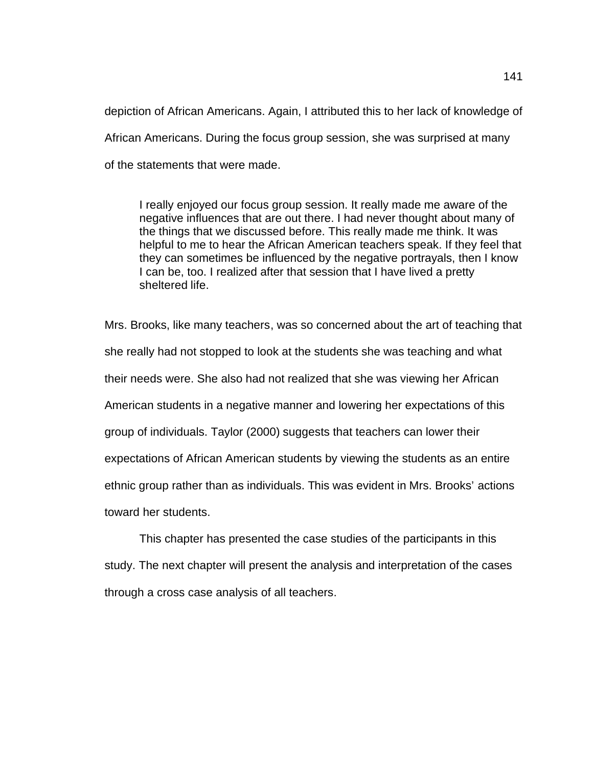depiction of African Americans. Again, I attributed this to her lack of knowledge of African Americans. During the focus group session, she was surprised at many of the statements that were made.

I really enjoyed our focus group session. It really made me aware of the negative influences that are out there. I had never thought about many of the things that we discussed before. This really made me think. It was helpful to me to hear the African American teachers speak. If they feel that they can sometimes be influenced by the negative portrayals, then I know I can be, too. I realized after that session that I have lived a pretty sheltered life.

Mrs. Brooks, like many teachers, was so concerned about the art of teaching that she really had not stopped to look at the students she was teaching and what their needs were. She also had not realized that she was viewing her African American students in a negative manner and lowering her expectations of this group of individuals. Taylor (2000) suggests that teachers can lower their expectations of African American students by viewing the students as an entire ethnic group rather than as individuals. This was evident in Mrs. Brooks' actions toward her students.

This chapter has presented the case studies of the participants in this study. The next chapter will present the analysis and interpretation of the cases through a cross case analysis of all teachers.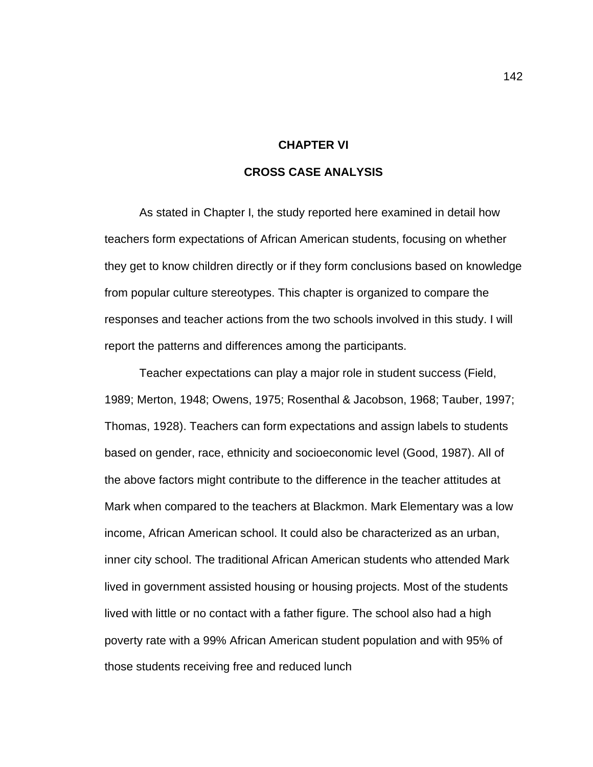#### **CHAPTER VI**

### **CROSS CASE ANALYSIS**

As stated in Chapter I, the study reported here examined in detail how teachers form expectations of African American students, focusing on whether they get to know children directly or if they form conclusions based on knowledge from popular culture stereotypes. This chapter is organized to compare the responses and teacher actions from the two schools involved in this study. I will report the patterns and differences among the participants.

Teacher expectations can play a major role in student success (Field, 1989; Merton, 1948; Owens, 1975; Rosenthal & Jacobson, 1968; Tauber, 1997; Thomas, 1928). Teachers can form expectations and assign labels to students based on gender, race, ethnicity and socioeconomic level (Good, 1987). All of the above factors might contribute to the difference in the teacher attitudes at Mark when compared to the teachers at Blackmon. Mark Elementary was a low income, African American school. It could also be characterized as an urban, inner city school. The traditional African American students who attended Mark lived in government assisted housing or housing projects. Most of the students lived with little or no contact with a father figure. The school also had a high poverty rate with a 99% African American student population and with 95% of those students receiving free and reduced lunch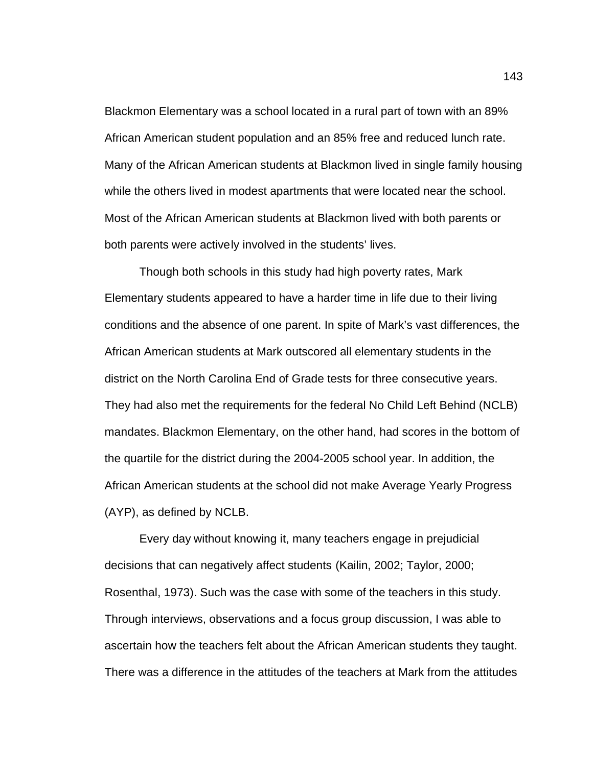Blackmon Elementary was a school located in a rural part of town with an 89% African American student population and an 85% free and reduced lunch rate. Many of the African American students at Blackmon lived in single family housing while the others lived in modest apartments that were located near the school. Most of the African American students at Blackmon lived with both parents or both parents were actively involved in the students' lives.

Though both schools in this study had high poverty rates, Mark Elementary students appeared to have a harder time in life due to their living conditions and the absence of one parent. In spite of Mark's vast differences, the African American students at Mark outscored all elementary students in the district on the North Carolina End of Grade tests for three consecutive years. They had also met the requirements for the federal No Child Left Behind (NCLB) mandates. Blackmon Elementary, on the other hand, had scores in the bottom of the quartile for the district during the 2004-2005 school year. In addition, the African American students at the school did not make Average Yearly Progress (AYP), as defined by NCLB.

Every day without knowing it, many teachers engage in prejudicial decisions that can negatively affect students (Kailin, 2002; Taylor, 2000; Rosenthal, 1973). Such was the case with some of the teachers in this study. Through interviews, observations and a focus group discussion, I was able to ascertain how the teachers felt about the African American students they taught. There was a difference in the attitudes of the teachers at Mark from the attitudes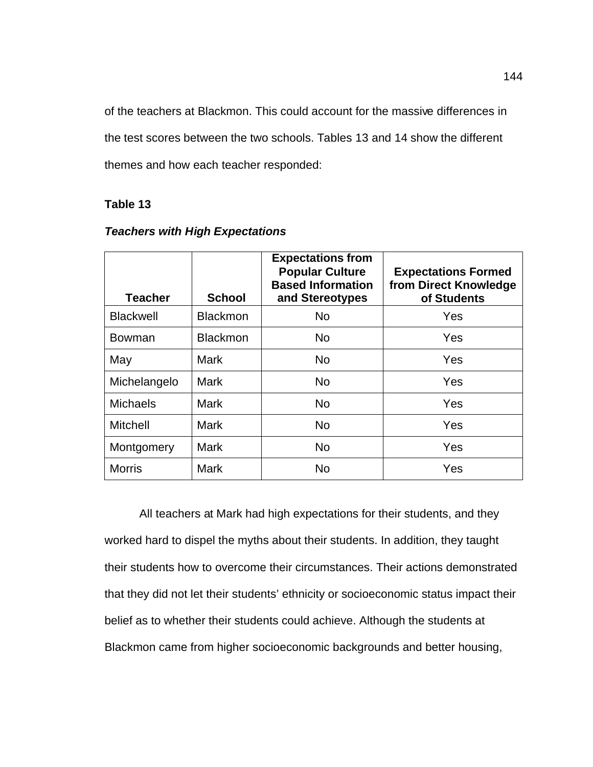of the teachers at Blackmon. This could account for the massive differences in the test scores between the two schools. Tables 13 and 14 show the different themes and how each teacher responded:

# **Table 13**

| <b>Teacher</b>   | <b>School</b>   | <b>Expectations from</b><br><b>Popular Culture</b><br><b>Based Information</b><br>and Stereotypes | <b>Expectations Formed</b><br>from Direct Knowledge<br>of Students |
|------------------|-----------------|---------------------------------------------------------------------------------------------------|--------------------------------------------------------------------|
| <b>Blackwell</b> | <b>Blackmon</b> | <b>No</b>                                                                                         | Yes                                                                |
| Bowman           | <b>Blackmon</b> | <b>No</b>                                                                                         | Yes                                                                |
| May              | <b>Mark</b>     | <b>No</b>                                                                                         | Yes                                                                |
| Michelangelo     | <b>Mark</b>     | <b>No</b>                                                                                         | Yes                                                                |
| <b>Michaels</b>  | <b>Mark</b>     | <b>No</b>                                                                                         | Yes                                                                |
| <b>Mitchell</b>  | <b>Mark</b>     | <b>No</b>                                                                                         | Yes                                                                |
| Montgomery       | <b>Mark</b>     | <b>No</b>                                                                                         | Yes                                                                |
| <b>Morris</b>    | <b>Mark</b>     | <b>No</b>                                                                                         | Yes                                                                |

### *Teachers with High Expectations*

All teachers at Mark had high expectations for their students, and they worked hard to dispel the myths about their students. In addition, they taught their students how to overcome their circumstances. Their actions demonstrated that they did not let their students' ethnicity or socioeconomic status impact their belief as to whether their students could achieve. Although the students at Blackmon came from higher socioeconomic backgrounds and better housing,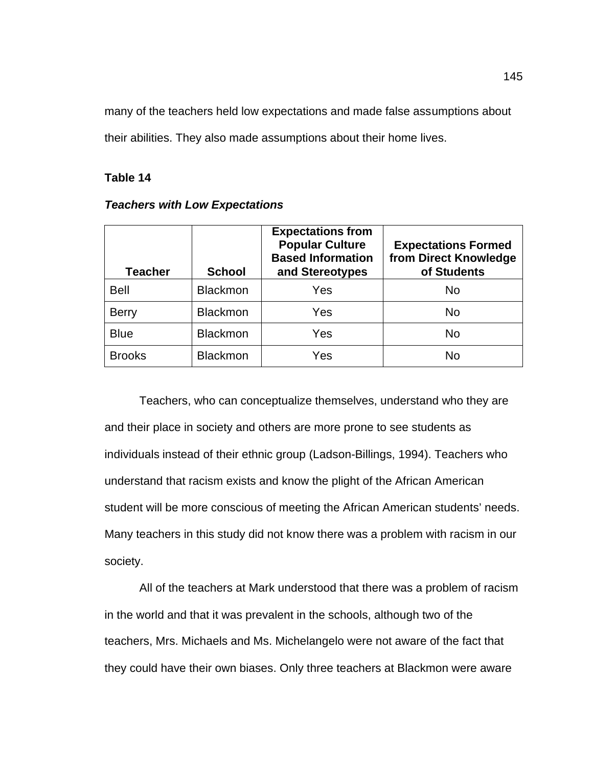many of the teachers held low expectations and made false assumptions about their abilities. They also made assumptions about their home lives.

## **Table 14**

### *Teachers with Low Expectations*

| <b>Teacher</b> | <b>School</b>   | <b>Expectations from</b><br><b>Popular Culture</b><br><b>Based Information</b><br>and Stereotypes | <b>Expectations Formed</b><br>from Direct Knowledge<br>of Students |
|----------------|-----------------|---------------------------------------------------------------------------------------------------|--------------------------------------------------------------------|
| <b>Bell</b>    | <b>Blackmon</b> | Yes                                                                                               | No                                                                 |
| <b>Berry</b>   | <b>Blackmon</b> | Yes                                                                                               | <b>No</b>                                                          |
| <b>Blue</b>    | <b>Blackmon</b> | Yes                                                                                               | <b>No</b>                                                          |
| <b>Brooks</b>  | <b>Blackmon</b> | Yes                                                                                               | No                                                                 |

Teachers, who can conceptualize themselves, understand who they are and their place in society and others are more prone to see students as individuals instead of their ethnic group (Ladson-Billings, 1994). Teachers who understand that racism exists and know the plight of the African American student will be more conscious of meeting the African American students' needs. Many teachers in this study did not know there was a problem with racism in our society.

All of the teachers at Mark understood that there was a problem of racism in the world and that it was prevalent in the schools, although two of the teachers, Mrs. Michaels and Ms. Michelangelo were not aware of the fact that they could have their own biases. Only three teachers at Blackmon were aware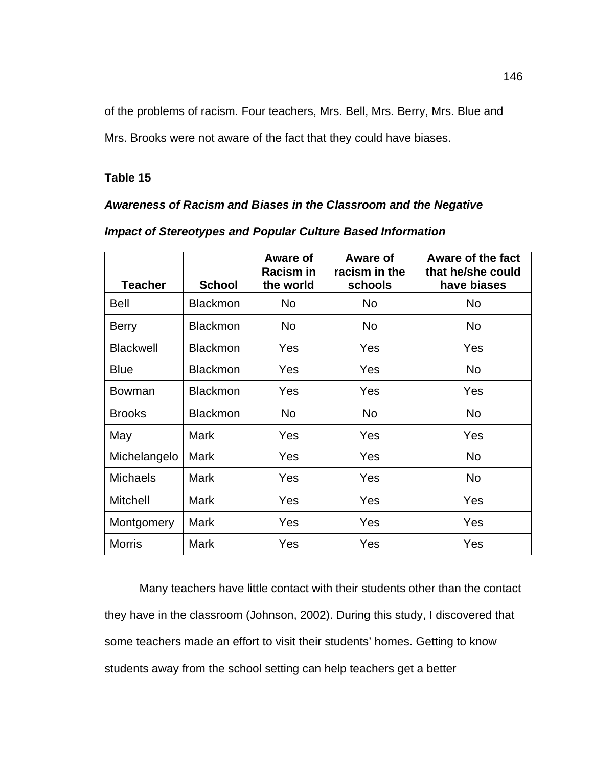of the problems of racism. Four teachers, Mrs. Bell, Mrs. Berry, Mrs. Blue and

Mrs. Brooks were not aware of the fact that they could have biases.

### **Table 15**

## *Awareness of Racism and Biases in the Classroom and the Negative*

|                  |                 | Aware of<br><b>Racism in</b> | Aware of<br>racism in the | Aware of the fact<br>that he/she could |
|------------------|-----------------|------------------------------|---------------------------|----------------------------------------|
| <b>Teacher</b>   | <b>School</b>   | the world                    | schools                   | have biases                            |
| <b>Bell</b>      | <b>Blackmon</b> | No                           | <b>No</b>                 | <b>No</b>                              |
| <b>Berry</b>     | <b>Blackmon</b> | No                           | <b>No</b>                 | <b>No</b>                              |
| <b>Blackwell</b> | <b>Blackmon</b> | <b>Yes</b>                   | Yes                       | Yes                                    |
| <b>Blue</b>      | <b>Blackmon</b> | Yes                          | Yes                       | <b>No</b>                              |
| <b>Bowman</b>    | <b>Blackmon</b> | Yes                          | Yes                       | Yes                                    |
| <b>Brooks</b>    | <b>Blackmon</b> | No                           | <b>No</b>                 | <b>No</b>                              |
| May              | <b>Mark</b>     | <b>Yes</b>                   | Yes                       | Yes                                    |
| Michelangelo     | <b>Mark</b>     | Yes                          | Yes                       | <b>No</b>                              |
| <b>Michaels</b>  | <b>Mark</b>     | <b>Yes</b>                   | Yes                       | <b>No</b>                              |
| <b>Mitchell</b>  | <b>Mark</b>     | <b>Yes</b>                   | Yes                       | Yes                                    |
| Montgomery       | <b>Mark</b>     | Yes                          | Yes                       | Yes                                    |
| <b>Morris</b>    | <b>Mark</b>     | Yes                          | Yes                       | Yes                                    |

## *Impact of Stereotypes and Popular Culture Based Information*

Many teachers have little contact with their students other than the contact they have in the classroom (Johnson, 2002). During this study, I discovered that some teachers made an effort to visit their students' homes. Getting to know students away from the school setting can help teachers get a better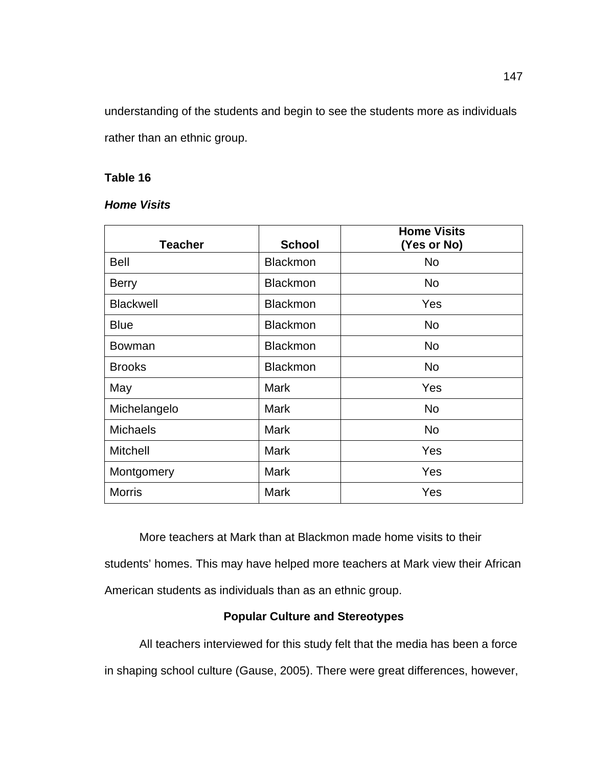understanding of the students and begin to see the students more as individuals rather than an ethnic group.

## **Table 16**

# *Home Visits*

| <b>Teacher</b>   | <b>School</b>   | <b>Home Visits</b><br>(Yes or No) |
|------------------|-----------------|-----------------------------------|
| <b>Bell</b>      | <b>Blackmon</b> | <b>No</b>                         |
| <b>Berry</b>     | <b>Blackmon</b> | <b>No</b>                         |
| <b>Blackwell</b> | <b>Blackmon</b> | Yes                               |
| <b>Blue</b>      | <b>Blackmon</b> | <b>No</b>                         |
| <b>Bowman</b>    | <b>Blackmon</b> | <b>No</b>                         |
| <b>Brooks</b>    | <b>Blackmon</b> | <b>No</b>                         |
| May              | <b>Mark</b>     | Yes                               |
| Michelangelo     | <b>Mark</b>     | <b>No</b>                         |
| <b>Michaels</b>  | <b>Mark</b>     | <b>No</b>                         |
| <b>Mitchell</b>  | <b>Mark</b>     | Yes                               |
| Montgomery       | <b>Mark</b>     | Yes                               |
| <b>Morris</b>    | <b>Mark</b>     | Yes                               |

More teachers at Mark than at Blackmon made home visits to their students' homes. This may have helped more teachers at Mark view their African American students as individuals than as an ethnic group.

# **Popular Culture and Stereotypes**

All teachers interviewed for this study felt that the media has been a force in shaping school culture (Gause, 2005). There were great differences, however,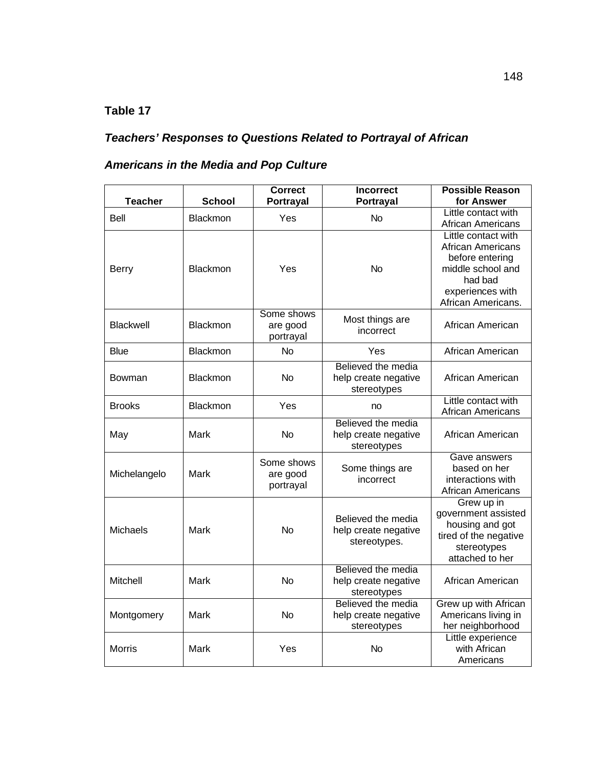# **Table 17**

# *Teachers' Responses to Questions Related to Portrayal of African*

# *Americans in the Media and Pop Culture*

| <b>Teacher</b>   | <b>School</b>   | <b>Correct</b><br>Portrayal         | <b>Incorrect</b><br>Portrayal                              | <b>Possible Reason</b><br>for Answer                                                                                                         |
|------------------|-----------------|-------------------------------------|------------------------------------------------------------|----------------------------------------------------------------------------------------------------------------------------------------------|
| Bell             | Blackmon        | Yes                                 | <b>No</b>                                                  | Little contact with<br><b>African Americans</b>                                                                                              |
| <b>Berry</b>     | Blackmon        | Yes                                 | <b>No</b>                                                  | Little contact with<br><b>African Americans</b><br>before entering<br>middle school and<br>had bad<br>experiences with<br>African Americans. |
| <b>Blackwell</b> | <b>Blackmon</b> | Some shows<br>are good<br>portrayal | Most things are<br>incorrect                               | African American                                                                                                                             |
| <b>Blue</b>      | Blackmon        | <b>No</b>                           | Yes                                                        | African American                                                                                                                             |
| Bowman           | Blackmon        | <b>No</b>                           | Believed the media<br>help create negative<br>stereotypes  | African American                                                                                                                             |
| <b>Brooks</b>    | Blackmon        | Yes                                 | no                                                         | Little contact with<br>African Americans                                                                                                     |
| May              | Mark            | <b>No</b>                           | Believed the media<br>help create negative<br>stereotypes  | African American                                                                                                                             |
| Michelangelo     | Mark            | Some shows<br>are good<br>portrayal | Some things are<br>incorrect                               | Gave answers<br>based on her<br>interactions with<br>African Americans                                                                       |
| <b>Michaels</b>  | Mark            | <b>No</b>                           | Believed the media<br>help create negative<br>stereotypes. | Grew up in<br>government assisted<br>housing and got<br>tired of the negative<br>stereotypes<br>attached to her                              |
| Mitchell         | Mark            | <b>No</b>                           | Believed the media<br>help create negative<br>stereotypes  | African American                                                                                                                             |
| Montgomery       | Mark            | <b>No</b>                           | Believed the media<br>help create negative<br>stereotypes  | Grew up with African<br>Americans living in<br>her neighborhood                                                                              |
| <b>Morris</b>    | Mark            | Yes                                 | <b>No</b>                                                  | Little experience<br>with African<br>Americans                                                                                               |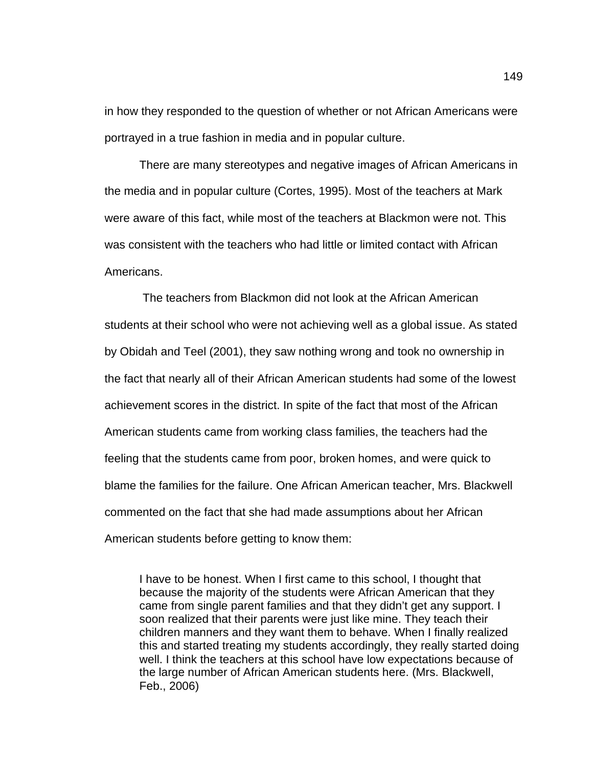in how they responded to the question of whether or not African Americans were portrayed in a true fashion in media and in popular culture.

There are many stereotypes and negative images of African Americans in the media and in popular culture (Cortes, 1995). Most of the teachers at Mark were aware of this fact, while most of the teachers at Blackmon were not. This was consistent with the teachers who had little or limited contact with African Americans.

The teachers from Blackmon did not look at the African American students at their school who were not achieving well as a global issue. As stated by Obidah and Teel (2001), they saw nothing wrong and took no ownership in the fact that nearly all of their African American students had some of the lowest achievement scores in the district. In spite of the fact that most of the African American students came from working class families, the teachers had the feeling that the students came from poor, broken homes, and were quick to blame the families for the failure. One African American teacher, Mrs. Blackwell commented on the fact that she had made assumptions about her African American students before getting to know them:

I have to be honest. When I first came to this school, I thought that because the majority of the students were African American that they came from single parent families and that they didn't get any support. I soon realized that their parents were just like mine. They teach their children manners and they want them to behave. When I finally realized this and started treating my students accordingly, they really started doing well. I think the teachers at this school have low expectations because of the large number of African American students here. (Mrs. Blackwell, Feb., 2006)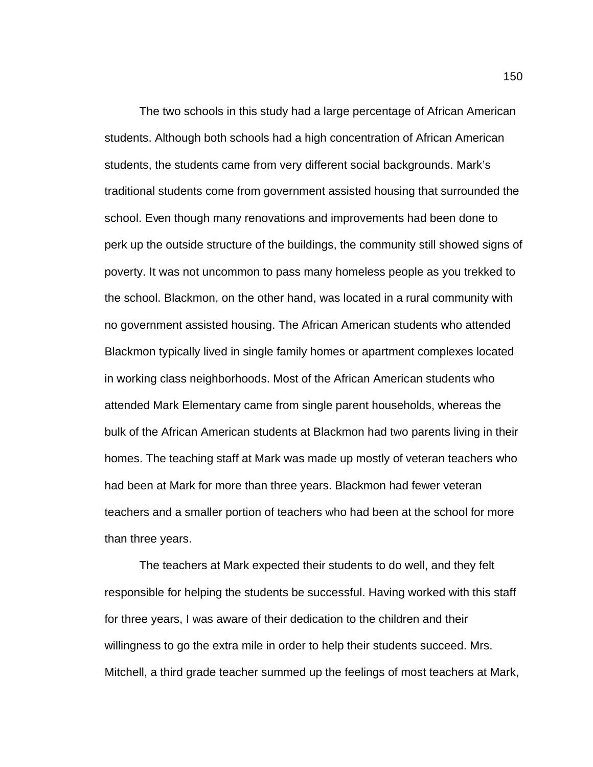The two schools in this study had a large percentage of African American students. Although both schools had a high concentration of African American students, the students came from very different social backgrounds. Mark's traditional students come from government assisted housing that surrounded the school. Even though many renovations and improvements had been done to perk up the outside structure of the buildings, the community still showed signs of poverty. It was not uncommon to pass many homeless people as you trekked to the school. Blackmon, on the other hand, was located in a rural community with no government assisted housing. The African American students who attended Blackmon typically lived in single family homes or apartment complexes located in working class neighborhoods. Most of the African American students who attended Mark Elementary came from single parent households, whereas the bulk of the African American students at Blackmon had two parents living in their homes. The teaching staff at Mark was made up mostly of veteran teachers who had been at Mark for more than three years. Blackmon had fewer veteran teachers and a smaller portion of teachers who had been at the school for more than three years.

The teachers at Mark expected their students to do well, and they felt responsible for helping the students be successful. Having worked with this staff for three years, I was aware of their dedication to the children and their willingness to go the extra mile in order to help their students succeed. Mrs. Mitchell, a third grade teacher summed up the feelings of most teachers at Mark,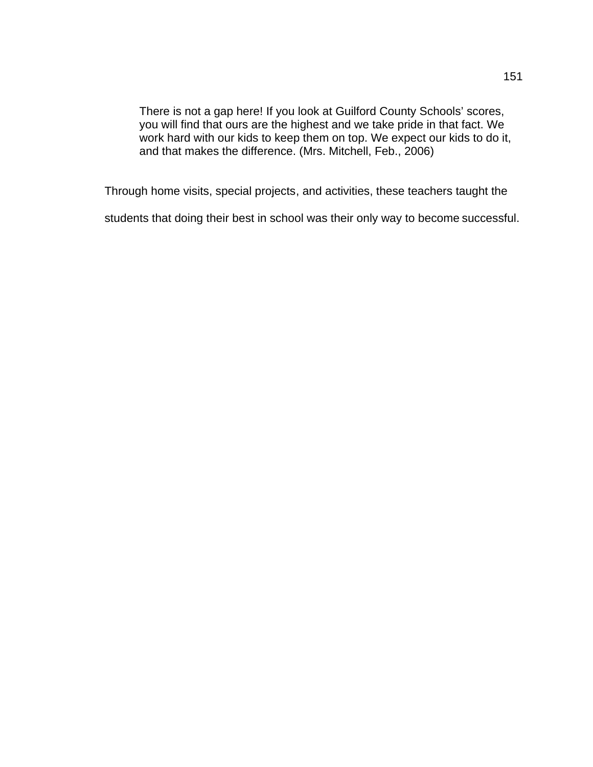There is not a gap here! If you look at Guilford County Schools' scores, you will find that ours are the highest and we take pride in that fact. We work hard with our kids to keep them on top. We expect our kids to do it, and that makes the difference. (Mrs. Mitchell, Feb., 2006)

Through home visits, special projects, and activities, these teachers taught the

students that doing their best in school was their only way to become successful.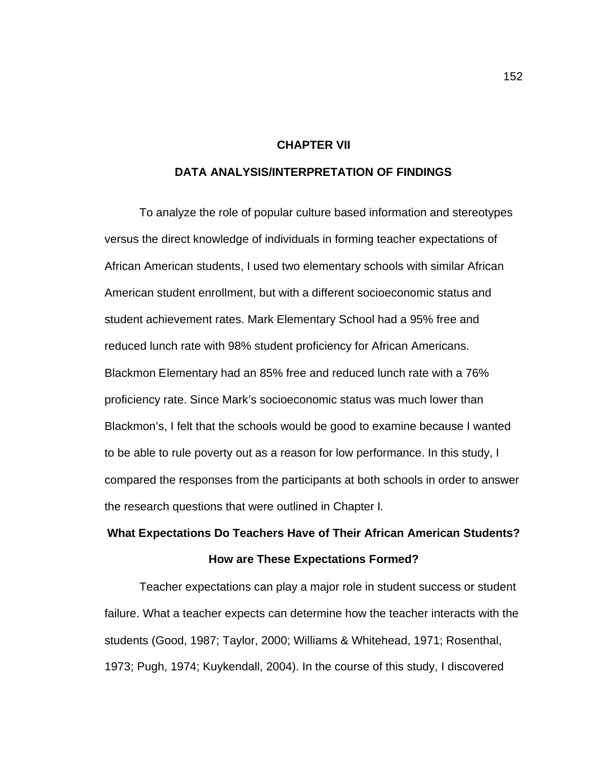#### **CHAPTER VII**

#### **DATA ANALYSIS/INTERPRETATION OF FINDINGS**

To analyze the role of popular culture based information and stereotypes versus the direct knowledge of individuals in forming teacher expectations of African American students, I used two elementary schools with similar African American student enrollment, but with a different socioeconomic status and student achievement rates. Mark Elementary School had a 95% free and reduced lunch rate with 98% student proficiency for African Americans. Blackmon Elementary had an 85% free and reduced lunch rate with a 76% proficiency rate. Since Mark's socioeconomic status was much lower than Blackmon's, I felt that the schools would be good to examine because I wanted to be able to rule poverty out as a reason for low performance. In this study, I compared the responses from the participants at both schools in order to answer the research questions that were outlined in Chapter I.

# **What Expectations Do Teachers Have of Their African American Students? How are These Expectations Formed?**

Teacher expectations can play a major role in student success or student failure. What a teacher expects can determine how the teacher interacts with the students (Good, 1987; Taylor, 2000; Williams & Whitehead, 1971; Rosenthal, 1973; Pugh, 1974; Kuykendall, 2004). In the course of this study, I discovered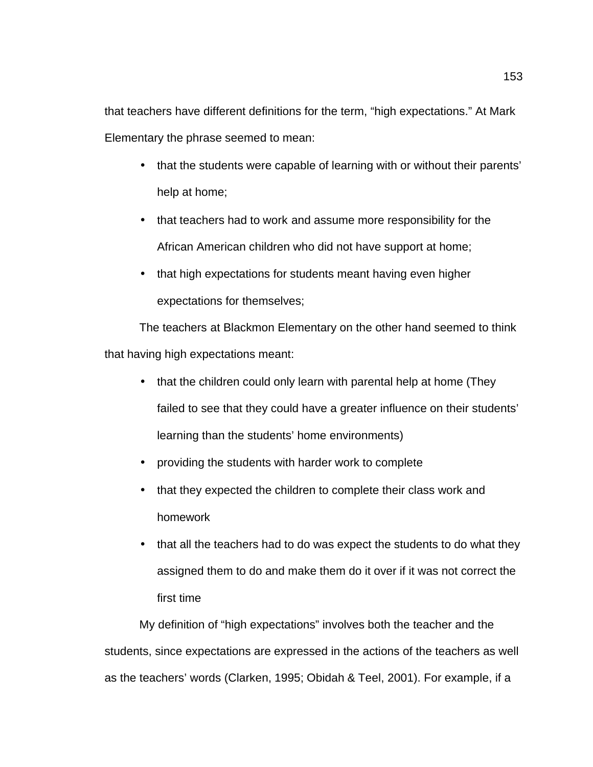that teachers have different definitions for the term, "high expectations." At Mark Elementary the phrase seemed to mean:

- that the students were capable of learning with or without their parents' help at home;
- that teachers had to work and assume more responsibility for the African American children who did not have support at home;
- that high expectations for students meant having even higher expectations for themselves;

The teachers at Blackmon Elementary on the other hand seemed to think that having high expectations meant:

- that the children could only learn with parental help at home (They failed to see that they could have a greater influence on their students' learning than the students' home environments)
- providing the students with harder work to complete
- that they expected the children to complete their class work and homework
- that all the teachers had to do was expect the students to do what they assigned them to do and make them do it over if it was not correct the first time

My definition of "high expectations" involves both the teacher and the students, since expectations are expressed in the actions of the teachers as well as the teachers' words (Clarken, 1995; Obidah & Teel, 2001). For example, if a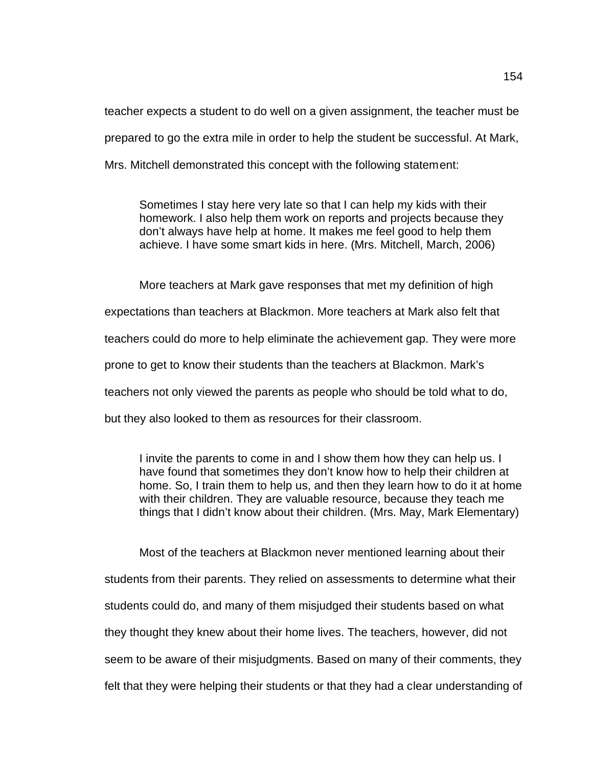teacher expects a student to do well on a given assignment, the teacher must be prepared to go the extra mile in order to help the student be successful. At Mark, Mrs. Mitchell demonstrated this concept with the following statement:

Sometimes I stay here very late so that I can help my kids with their homework. I also help them work on reports and projects because they don't always have help at home. It makes me feel good to help them achieve. I have some smart kids in here. (Mrs. Mitchell, March, 2006)

More teachers at Mark gave responses that met my definition of high expectations than teachers at Blackmon. More teachers at Mark also felt that teachers could do more to help eliminate the achievement gap. They were more prone to get to know their students than the teachers at Blackmon. Mark's teachers not only viewed the parents as people who should be told what to do, but they also looked to them as resources for their classroom.

I invite the parents to come in and I show them how they can help us. I have found that sometimes they don't know how to help their children at home. So, I train them to help us, and then they learn how to do it at home with their children. They are valuable resource, because they teach me things that I didn't know about their children. (Mrs. May, Mark Elementary)

Most of the teachers at Blackmon never mentioned learning about their students from their parents. They relied on assessments to determine what their students could do, and many of them misjudged their students based on what they thought they knew about their home lives. The teachers, however, did not seem to be aware of their misjudgments. Based on many of their comments, they felt that they were helping their students or that they had a clear understanding of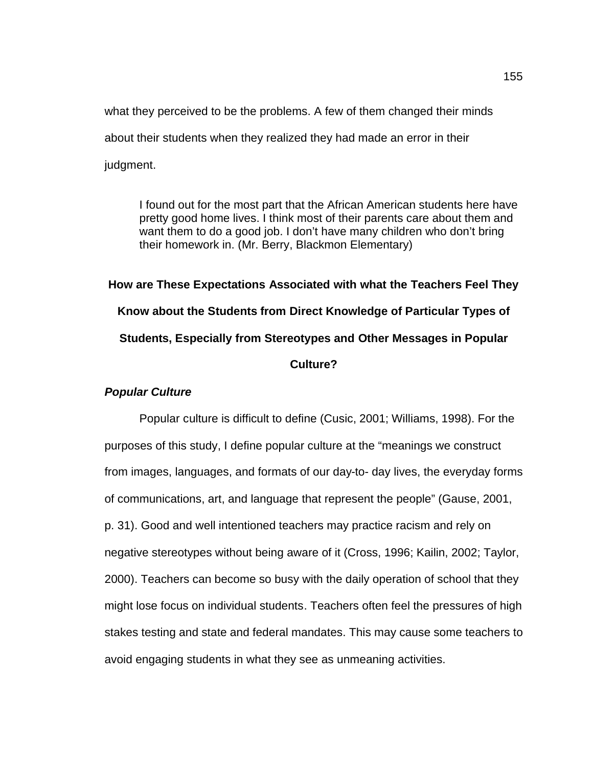what they perceived to be the problems. A few of them changed their minds about their students when they realized they had made an error in their judgment.

I found out for the most part that the African American students here have pretty good home lives. I think most of their parents care about them and want them to do a good job. I don't have many children who don't bring their homework in. (Mr. Berry, Blackmon Elementary)

**How are These Expectations Associated with what the Teachers Feel They Know about the Students from Direct Knowledge of Particular Types of Students, Especially from Stereotypes and Other Messages in Popular Culture?**

# *Popular Culture*

Popular culture is difficult to define (Cusic, 2001; Williams, 1998). For the purposes of this study, I define popular culture at the "meanings we construct from images, languages, and formats of our day-to- day lives, the everyday forms of communications, art, and language that represent the people" (Gause, 2001, p. 31). Good and well intentioned teachers may practice racism and rely on negative stereotypes without being aware of it (Cross, 1996; Kailin, 2002; Taylor, 2000). Teachers can become so busy with the daily operation of school that they might lose focus on individual students. Teachers often feel the pressures of high stakes testing and state and federal mandates. This may cause some teachers to avoid engaging students in what they see as unmeaning activities.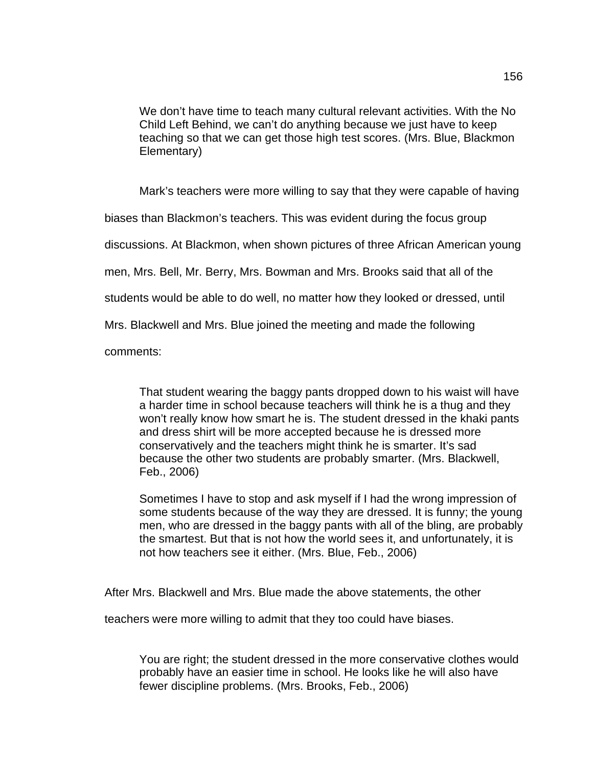We don't have time to teach many cultural relevant activities. With the No Child Left Behind, we can't do anything because we just have to keep teaching so that we can get those high test scores. (Mrs. Blue, Blackmon Elementary)

Mark's teachers were more willing to say that they were capable of having

biases than Blackmon's teachers. This was evident during the focus group

discussions. At Blackmon, when shown pictures of three African American young

men, Mrs. Bell, Mr. Berry, Mrs. Bowman and Mrs. Brooks said that all of the

students would be able to do well, no matter how they looked or dressed, until

Mrs. Blackwell and Mrs. Blue joined the meeting and made the following

comments:

That student wearing the baggy pants dropped down to his waist will have a harder time in school because teachers will think he is a thug and they won't really know how smart he is. The student dressed in the khaki pants and dress shirt will be more accepted because he is dressed more conservatively and the teachers might think he is smarter. It's sad because the other two students are probably smarter. (Mrs. Blackwell, Feb., 2006)

Sometimes I have to stop and ask myself if I had the wrong impression of some students because of the way they are dressed. It is funny; the young men, who are dressed in the baggy pants with all of the bling, are probably the smartest. But that is not how the world sees it, and unfortunately, it is not how teachers see it either. (Mrs. Blue, Feb., 2006)

After Mrs. Blackwell and Mrs. Blue made the above statements, the other

teachers were more willing to admit that they too could have biases.

You are right; the student dressed in the more conservative clothes would probably have an easier time in school. He looks like he will also have fewer discipline problems. (Mrs. Brooks, Feb., 2006)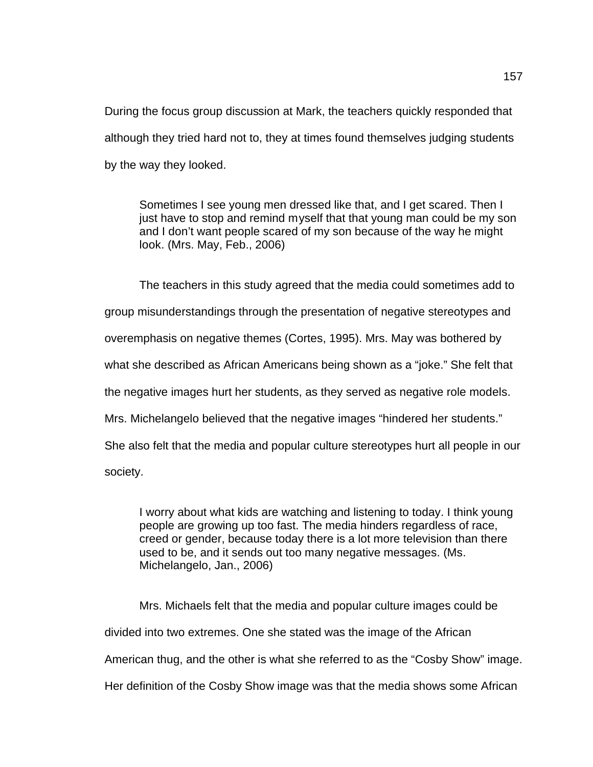During the focus group discussion at Mark, the teachers quickly responded that although they tried hard not to, they at times found themselves judging students by the way they looked.

Sometimes I see young men dressed like that, and I get scared. Then I just have to stop and remind myself that that young man could be my son and I don't want people scared of my son because of the way he might look. (Mrs. May, Feb., 2006)

The teachers in this study agreed that the media could sometimes add to group misunderstandings through the presentation of negative stereotypes and overemphasis on negative themes (Cortes, 1995). Mrs. May was bothered by what she described as African Americans being shown as a "joke." She felt that the negative images hurt her students, as they served as negative role models. Mrs. Michelangelo believed that the negative images "hindered her students." She also felt that the media and popular culture stereotypes hurt all people in our society.

I worry about what kids are watching and listening to today. I think young people are growing up too fast. The media hinders regardless of race, creed or gender, because today there is a lot more television than there used to be, and it sends out too many negative messages. (Ms. Michelangelo, Jan., 2006)

Mrs. Michaels felt that the media and popular culture images could be divided into two extremes. One she stated was the image of the African American thug, and the other is what she referred to as the "Cosby Show" image. Her definition of the Cosby Show image was that the media shows some African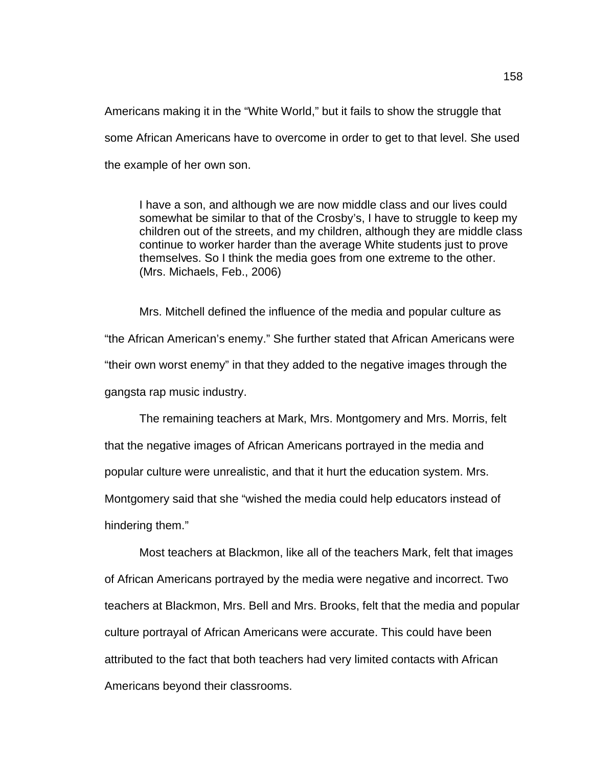Americans making it in the "White World," but it fails to show the struggle that some African Americans have to overcome in order to get to that level. She used the example of her own son.

I have a son, and although we are now middle class and our lives could somewhat be similar to that of the Crosby's, I have to struggle to keep my children out of the streets, and my children, although they are middle class continue to worker harder than the average White students just to prove themselves. So I think the media goes from one extreme to the other. (Mrs. Michaels, Feb., 2006)

Mrs. Mitchell defined the influence of the media and popular culture as "the African American's enemy." She further stated that African Americans were "their own worst enemy" in that they added to the negative images through the gangsta rap music industry.

The remaining teachers at Mark, Mrs. Montgomery and Mrs. Morris, felt that the negative images of African Americans portrayed in the media and popular culture were unrealistic, and that it hurt the education system. Mrs. Montgomery said that she "wished the media could help educators instead of hindering them."

Most teachers at Blackmon, like all of the teachers Mark, felt that images of African Americans portrayed by the media were negative and incorrect. Two teachers at Blackmon, Mrs. Bell and Mrs. Brooks, felt that the media and popular culture portrayal of African Americans were accurate. This could have been attributed to the fact that both teachers had very limited contacts with African Americans beyond their classrooms.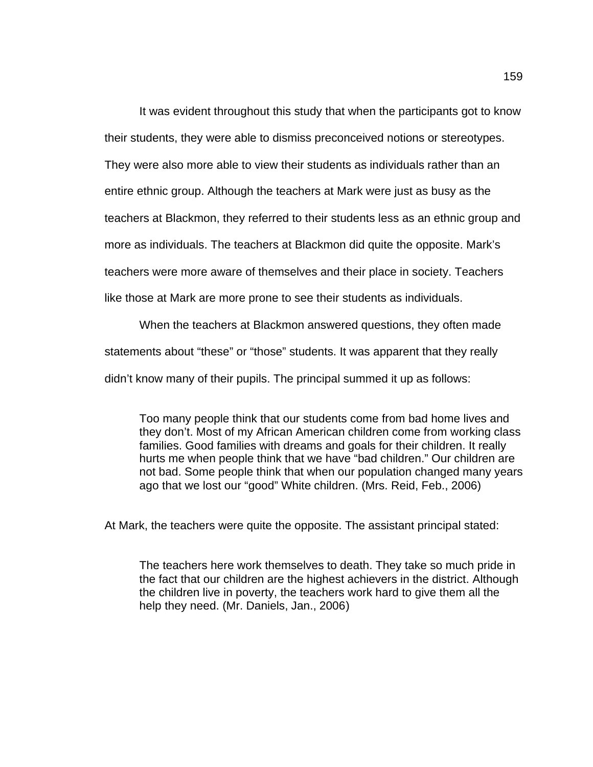It was evident throughout this study that when the participants got to know their students, they were able to dismiss preconceived notions or stereotypes. They were also more able to view their students as individuals rather than an entire ethnic group. Although the teachers at Mark were just as busy as the teachers at Blackmon, they referred to their students less as an ethnic group and more as individuals. The teachers at Blackmon did quite the opposite. Mark's teachers were more aware of themselves and their place in society. Teachers like those at Mark are more prone to see their students as individuals.

When the teachers at Blackmon answered questions, they often made statements about "these" or "those" students. It was apparent that they really didn't know many of their pupils. The principal summed it up as follows:

Too many people think that our students come from bad home lives and they don't. Most of my African American children come from working class families. Good families with dreams and goals for their children. It really hurts me when people think that we have "bad children." Our children are not bad. Some people think that when our population changed many years ago that we lost our "good" White children. (Mrs. Reid, Feb., 2006)

At Mark, the teachers were quite the opposite. The assistant principal stated:

The teachers here work themselves to death. They take so much pride in the fact that our children are the highest achievers in the district. Although the children live in poverty, the teachers work hard to give them all the help they need. (Mr. Daniels, Jan., 2006)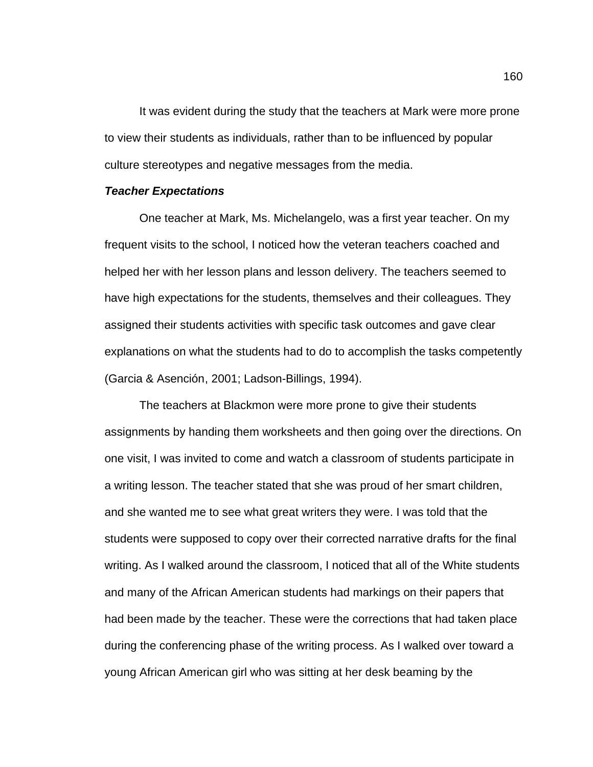It was evident during the study that the teachers at Mark were more prone to view their students as individuals, rather than to be influenced by popular culture stereotypes and negative messages from the media.

#### *Teacher Expectations*

One teacher at Mark, Ms. Michelangelo, was a first year teacher. On my frequent visits to the school, I noticed how the veteran teachers coached and helped her with her lesson plans and lesson delivery. The teachers seemed to have high expectations for the students, themselves and their colleagues. They assigned their students activities with specific task outcomes and gave clear explanations on what the students had to do to accomplish the tasks competently (Garcia & Asención, 2001; Ladson-Billings, 1994).

The teachers at Blackmon were more prone to give their students assignments by handing them worksheets and then going over the directions. On one visit, I was invited to come and watch a classroom of students participate in a writing lesson. The teacher stated that she was proud of her smart children, and she wanted me to see what great writers they were. I was told that the students were supposed to copy over their corrected narrative drafts for the final writing. As I walked around the classroom, I noticed that all of the White students and many of the African American students had markings on their papers that had been made by the teacher. These were the corrections that had taken place during the conferencing phase of the writing process. As I walked over toward a young African American girl who was sitting at her desk beaming by the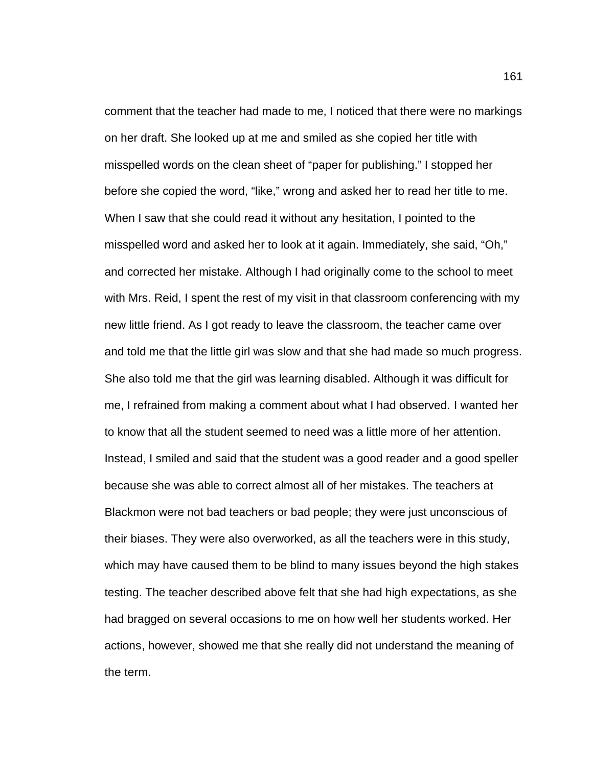comment that the teacher had made to me, I noticed that there were no markings on her draft. She looked up at me and smiled as she copied her title with misspelled words on the clean sheet of "paper for publishing." I stopped her before she copied the word, "like," wrong and asked her to read her title to me. When I saw that she could read it without any hesitation, I pointed to the misspelled word and asked her to look at it again. Immediately, she said, "Oh," and corrected her mistake. Although I had originally come to the school to meet with Mrs. Reid, I spent the rest of my visit in that classroom conferencing with my new little friend. As I got ready to leave the classroom, the teacher came over and told me that the little girl was slow and that she had made so much progress. She also told me that the girl was learning disabled. Although it was difficult for me, I refrained from making a comment about what I had observed. I wanted her to know that all the student seemed to need was a little more of her attention. Instead, I smiled and said that the student was a good reader and a good speller because she was able to correct almost all of her mistakes. The teachers at Blackmon were not bad teachers or bad people; they were just unconscious of their biases. They were also overworked, as all the teachers were in this study, which may have caused them to be blind to many issues beyond the high stakes testing. The teacher described above felt that she had high expectations, as she had bragged on several occasions to me on how well her students worked. Her actions, however, showed me that she really did not understand the meaning of the term.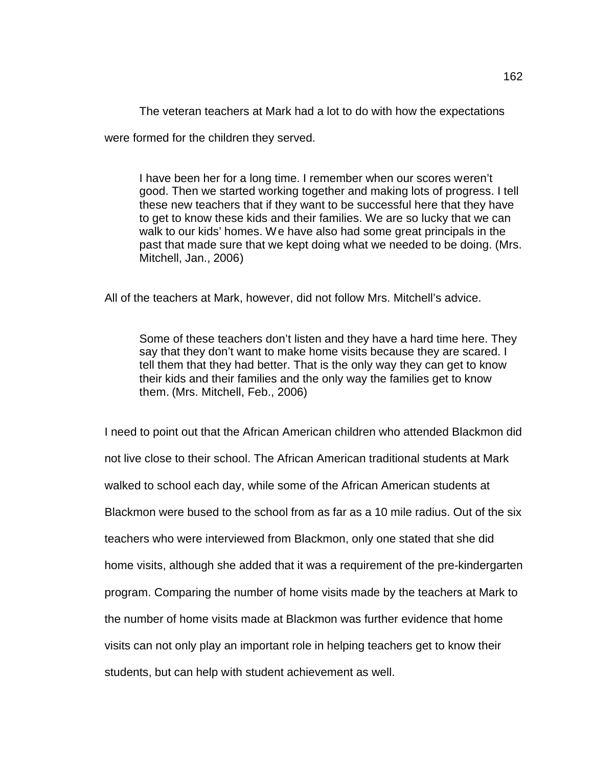The veteran teachers at Mark had a lot to do with how the expectations

were formed for the children they served.

I have been her for a long time. I remember when our scores weren't good. Then we started working together and making lots of progress. I tell these new teachers that if they want to be successful here that they have to get to know these kids and their families. We are so lucky that we can walk to our kids' homes. We have also had some great principals in the past that made sure that we kept doing what we needed to be doing. (Mrs. Mitchell, Jan., 2006)

All of the teachers at Mark, however, did not follow Mrs. Mitchell's advice.

Some of these teachers don't listen and they have a hard time here. They say that they don't want to make home visits because they are scared. I tell them that they had better. That is the only way they can get to know their kids and their families and the only way the families get to know them. (Mrs. Mitchell, Feb., 2006)

I need to point out that the African American children who attended Blackmon did not live close to their school. The African American traditional students at Mark walked to school each day, while some of the African American students at Blackmon were bused to the school from as far as a 10 mile radius. Out of the six teachers who were interviewed from Blackmon, only one stated that she did home visits, although she added that it was a requirement of the pre-kindergarten program. Comparing the number of home visits made by the teachers at Mark to the number of home visits made at Blackmon was further evidence that home visits can not only play an important role in helping teachers get to know their students, but can help with student achievement as well.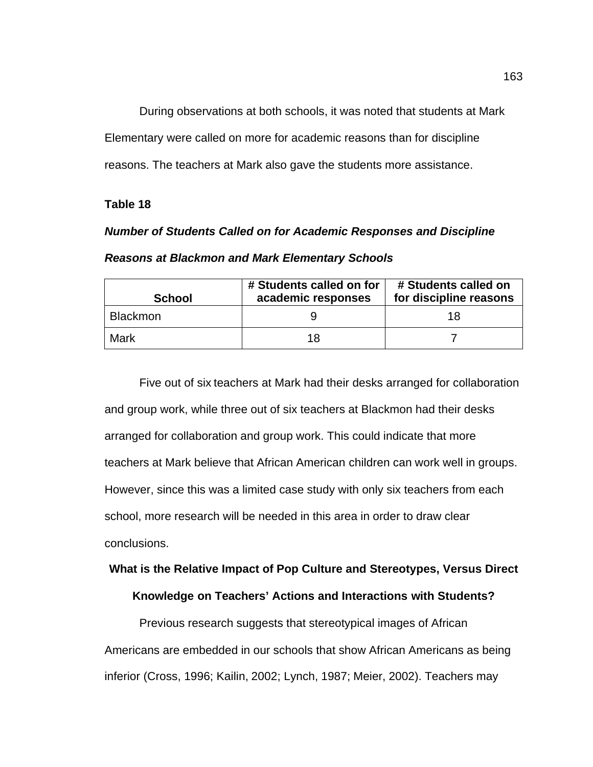During observations at both schools, it was noted that students at Mark Elementary were called on more for academic reasons than for discipline reasons. The teachers at Mark also gave the students more assistance.

### **Table 18**

# *Number of Students Called on for Academic Responses and Discipline Reasons at Blackmon and Mark Elementary Schools*

| <b>School</b>   | # Students called on for<br>academic responses | # Students called on<br>for discipline reasons |  |
|-----------------|------------------------------------------------|------------------------------------------------|--|
| <b>Blackmon</b> |                                                | 18                                             |  |
| Mark            | 18                                             |                                                |  |

Five out of six teachers at Mark had their desks arranged for collaboration and group work, while three out of six teachers at Blackmon had their desks arranged for collaboration and group work. This could indicate that more teachers at Mark believe that African American children can work well in groups. However, since this was a limited case study with only six teachers from each school, more research will be needed in this area in order to draw clear conclusions.

# **What is the Relative Impact of Pop Culture and Stereotypes, Versus Direct**

## **Knowledge on Teachers' Actions and Interactions with Students?**

Previous research suggests that stereotypical images of African Americans are embedded in our schools that show African Americans as being inferior (Cross, 1996; Kailin, 2002; Lynch, 1987; Meier, 2002). Teachers may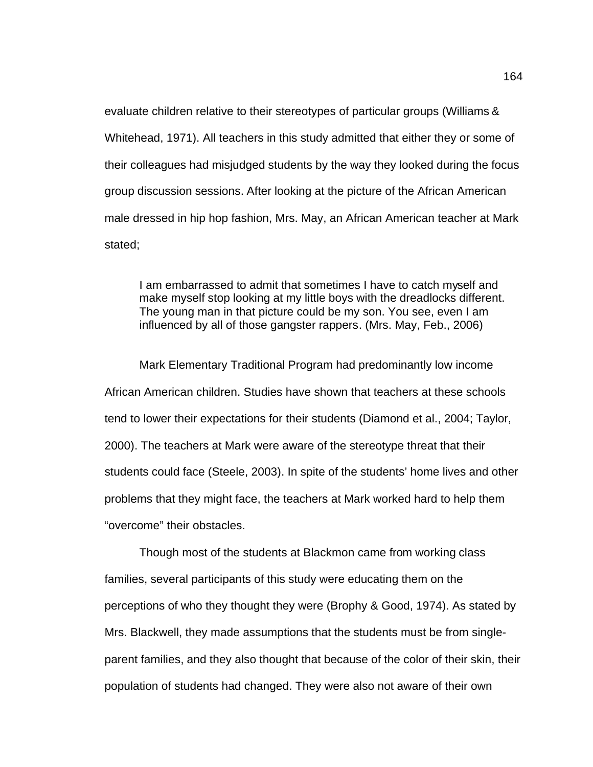evaluate children relative to their stereotypes of particular groups (Williams & Whitehead, 1971). All teachers in this study admitted that either they or some of their colleagues had misjudged students by the way they looked during the focus group discussion sessions. After looking at the picture of the African American male dressed in hip hop fashion, Mrs. May, an African American teacher at Mark stated;

I am embarrassed to admit that sometimes I have to catch myself and make myself stop looking at my little boys with the dreadlocks different. The young man in that picture could be my son. You see, even I am influenced by all of those gangster rappers. (Mrs. May, Feb., 2006)

Mark Elementary Traditional Program had predominantly low income African American children. Studies have shown that teachers at these schools tend to lower their expectations for their students (Diamond et al., 2004; Taylor, 2000). The teachers at Mark were aware of the stereotype threat that their students could face (Steele, 2003). In spite of the students' home lives and other problems that they might face, the teachers at Mark worked hard to help them "overcome" their obstacles.

Though most of the students at Blackmon came from working class families, several participants of this study were educating them on the perceptions of who they thought they were (Brophy & Good, 1974). As stated by Mrs. Blackwell, they made assumptions that the students must be from singleparent families, and they also thought that because of the color of their skin, their population of students had changed. They were also not aware of their own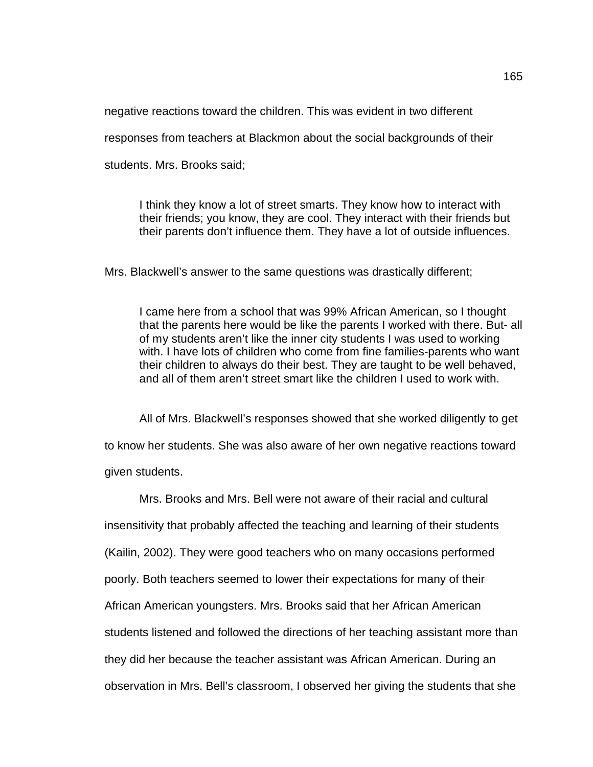negative reactions toward the children. This was evident in two different

responses from teachers at Blackmon about the social backgrounds of their

students. Mrs. Brooks said;

I think they know a lot of street smarts. They know how to interact with their friends; you know, they are cool. They interact with their friends but their parents don't influence them. They have a lot of outside influences.

Mrs. Blackwell's answer to the same questions was drastically different;

I came here from a school that was 99% African American, so I thought that the parents here would be like the parents I worked with there. But- all of my students aren't like the inner city students I was used to working with. I have lots of children who come from fine families-parents who want their children to always do their best. They are taught to be well behaved, and all of them aren't street smart like the children I used to work with.

All of Mrs. Blackwell's responses showed that she worked diligently to get to know her students. She was also aware of her own negative reactions toward given students.

Mrs. Brooks and Mrs. Bell were not aware of their racial and cultural insensitivity that probably affected the teaching and learning of their students (Kailin, 2002). They were good teachers who on many occasions performed poorly. Both teachers seemed to lower their expectations for many of their African American youngsters. Mrs. Brooks said that her African American students listened and followed the directions of her teaching assistant more than they did her because the teacher assistant was African American. During an observation in Mrs. Bell's classroom, I observed her giving the students that she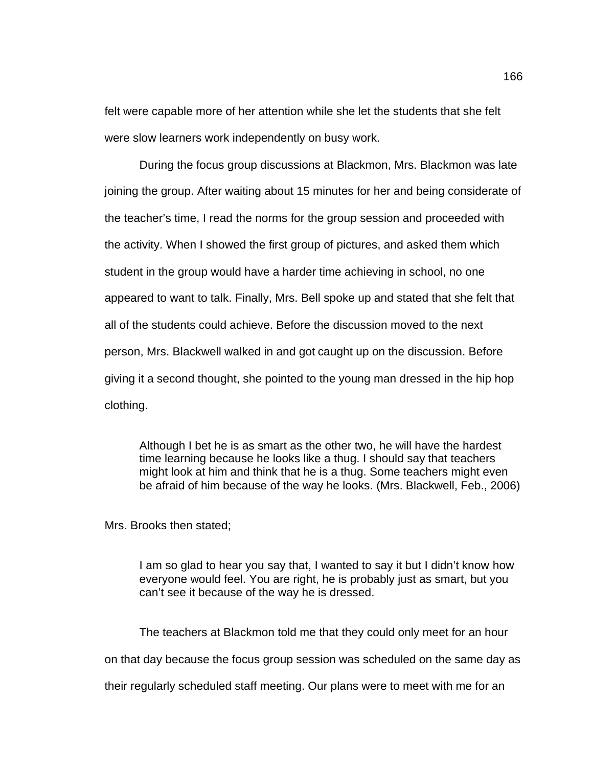felt were capable more of her attention while she let the students that she felt were slow learners work independently on busy work.

During the focus group discussions at Blackmon, Mrs. Blackmon was late joining the group. After waiting about 15 minutes for her and being considerate of the teacher's time, I read the norms for the group session and proceeded with the activity. When I showed the first group of pictures, and asked them which student in the group would have a harder time achieving in school, no one appeared to want to talk. Finally, Mrs. Bell spoke up and stated that she felt that all of the students could achieve. Before the discussion moved to the next person, Mrs. Blackwell walked in and got caught up on the discussion. Before giving it a second thought, she pointed to the young man dressed in the hip hop clothing.

Although I bet he is as smart as the other two, he will have the hardest time learning because he looks like a thug. I should say that teachers might look at him and think that he is a thug. Some teachers might even be afraid of him because of the way he looks. (Mrs. Blackwell, Feb., 2006)

Mrs. Brooks then stated;

I am so glad to hear you say that, I wanted to say it but I didn't know how everyone would feel. You are right, he is probably just as smart, but you can't see it because of the way he is dressed.

The teachers at Blackmon told me that they could only meet for an hour on that day because the focus group session was scheduled on the same day as their regularly scheduled staff meeting. Our plans were to meet with me for an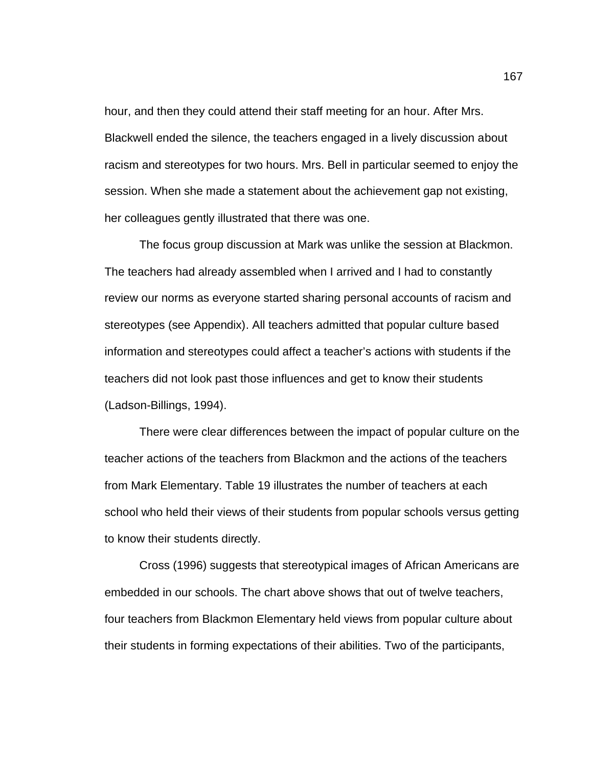hour, and then they could attend their staff meeting for an hour. After Mrs. Blackwell ended the silence, the teachers engaged in a lively discussion about racism and stereotypes for two hours. Mrs. Bell in particular seemed to enjoy the session. When she made a statement about the achievement gap not existing, her colleagues gently illustrated that there was one.

The focus group discussion at Mark was unlike the session at Blackmon. The teachers had already assembled when I arrived and I had to constantly review our norms as everyone started sharing personal accounts of racism and stereotypes (see Appendix). All teachers admitted that popular culture based information and stereotypes could affect a teacher's actions with students if the teachers did not look past those influences and get to know their students (Ladson-Billings, 1994).

There were clear differences between the impact of popular culture on the teacher actions of the teachers from Blackmon and the actions of the teachers from Mark Elementary. Table 19 illustrates the number of teachers at each school who held their views of their students from popular schools versus getting to know their students directly.

Cross (1996) suggests that stereotypical images of African Americans are embedded in our schools. The chart above shows that out of twelve teachers, four teachers from Blackmon Elementary held views from popular culture about their students in forming expectations of their abilities. Two of the participants,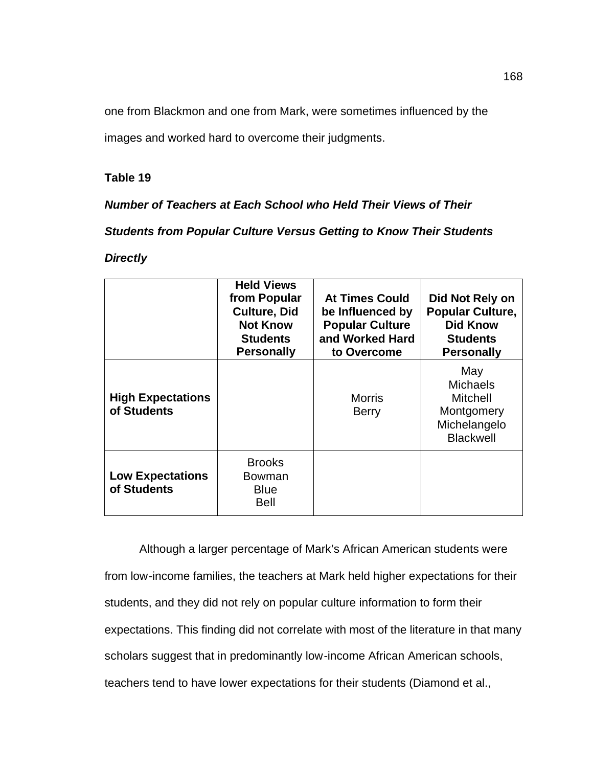one from Blackmon and one from Mark, were sometimes influenced by the

images and worked hard to overcome their judgments.

# **Table 19**

*Number of Teachers at Each School who Held Their Views of Their* 

*Students from Popular Culture Versus Getting to Know Their Students* 

*Directly*

|                                         | <b>Held Views</b><br>from Popular<br><b>Culture, Did</b><br><b>Not Know</b><br><b>Students</b><br><b>Personally</b> | <b>At Times Could</b><br>be Influenced by<br><b>Popular Culture</b><br>and Worked Hard<br>to Overcome | Did Not Rely on<br><b>Popular Culture,</b><br><b>Did Know</b><br><b>Students</b><br><b>Personally</b> |
|-----------------------------------------|---------------------------------------------------------------------------------------------------------------------|-------------------------------------------------------------------------------------------------------|-------------------------------------------------------------------------------------------------------|
| <b>High Expectations</b><br>of Students |                                                                                                                     | <b>Morris</b><br><b>Berry</b>                                                                         | May<br><b>Michaels</b><br><b>Mitchell</b><br>Montgomery<br>Michelangelo<br><b>Blackwell</b>           |
| <b>Low Expectations</b><br>of Students  | <b>Brooks</b><br>Bowman<br><b>Blue</b><br><b>Bell</b>                                                               |                                                                                                       |                                                                                                       |

Although a larger percentage of Mark's African American students were from low-income families, the teachers at Mark held higher expectations for their students, and they did not rely on popular culture information to form their expectations. This finding did not correlate with most of the literature in that many scholars suggest that in predominantly low-income African American schools, teachers tend to have lower expectations for their students (Diamond et al.,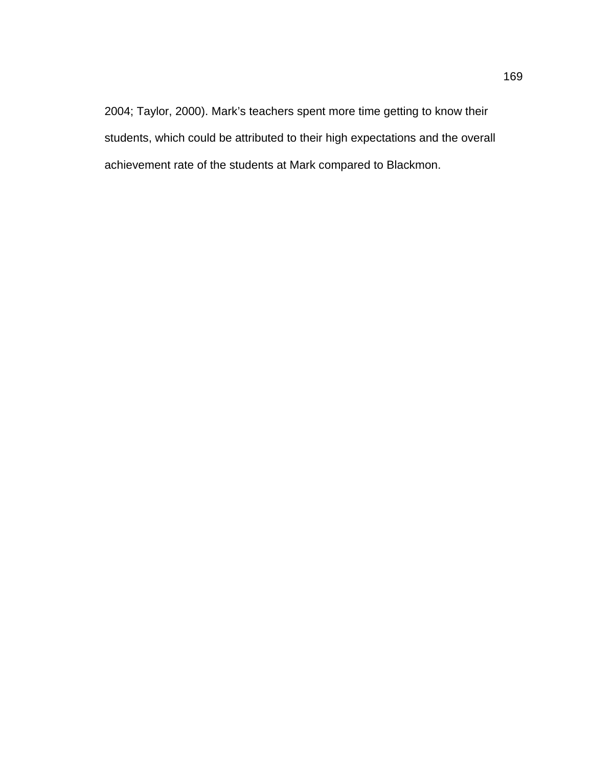2004; Taylor, 2000). Mark's teachers spent more time getting to know their students, which could be attributed to their high expectations and the overall achievement rate of the students at Mark compared to Blackmon.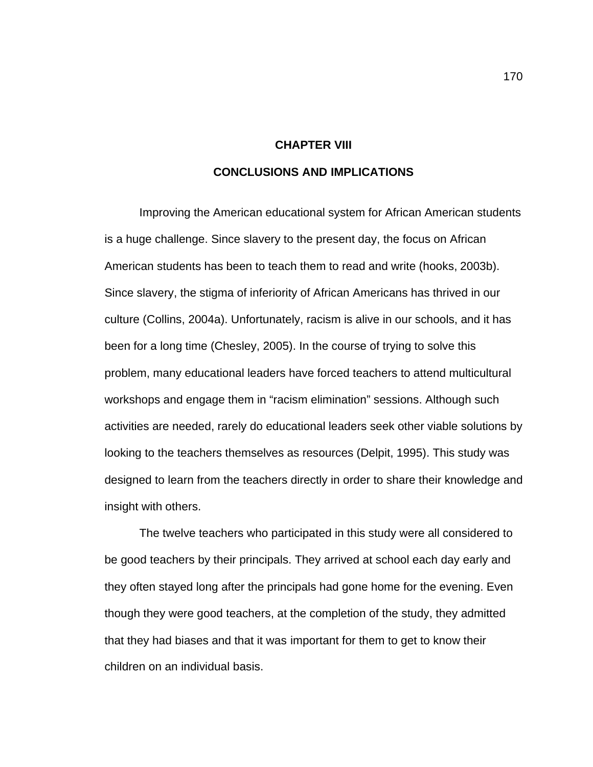#### **CHAPTER VIII**

### **CONCLUSIONS AND IMPLICATIONS**

Improving the American educational system for African American students is a huge challenge. Since slavery to the present day, the focus on African American students has been to teach them to read and write (hooks, 2003b). Since slavery, the stigma of inferiority of African Americans has thrived in our culture (Collins, 2004a). Unfortunately, racism is alive in our schools, and it has been for a long time (Chesley, 2005). In the course of trying to solve this problem, many educational leaders have forced teachers to attend multicultural workshops and engage them in "racism elimination" sessions. Although such activities are needed, rarely do educational leaders seek other viable solutions by looking to the teachers themselves as resources (Delpit, 1995). This study was designed to learn from the teachers directly in order to share their knowledge and insight with others.

The twelve teachers who participated in this study were all considered to be good teachers by their principals. They arrived at school each day early and they often stayed long after the principals had gone home for the evening. Even though they were good teachers, at the completion of the study, they admitted that they had biases and that it was important for them to get to know their children on an individual basis.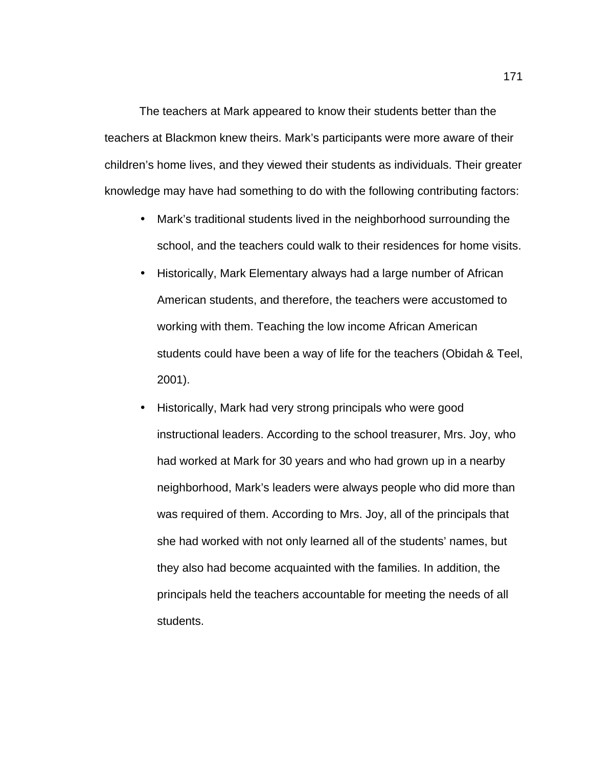The teachers at Mark appeared to know their students better than the teachers at Blackmon knew theirs. Mark's participants were more aware of their children's home lives, and they viewed their students as individuals. Their greater knowledge may have had something to do with the following contributing factors:

- Mark's traditional students lived in the neighborhood surrounding the school, and the teachers could walk to their residences for home visits.
- Historically, Mark Elementary always had a large number of African American students, and therefore, the teachers were accustomed to working with them. Teaching the low income African American students could have been a way of life for the teachers (Obidah & Teel, 2001).
- Historically, Mark had very strong principals who were good instructional leaders. According to the school treasurer, Mrs. Joy, who had worked at Mark for 30 years and who had grown up in a nearby neighborhood, Mark's leaders were always people who did more than was required of them. According to Mrs. Joy, all of the principals that she had worked with not only learned all of the students' names, but they also had become acquainted with the families. In addition, the principals held the teachers accountable for meeting the needs of all students.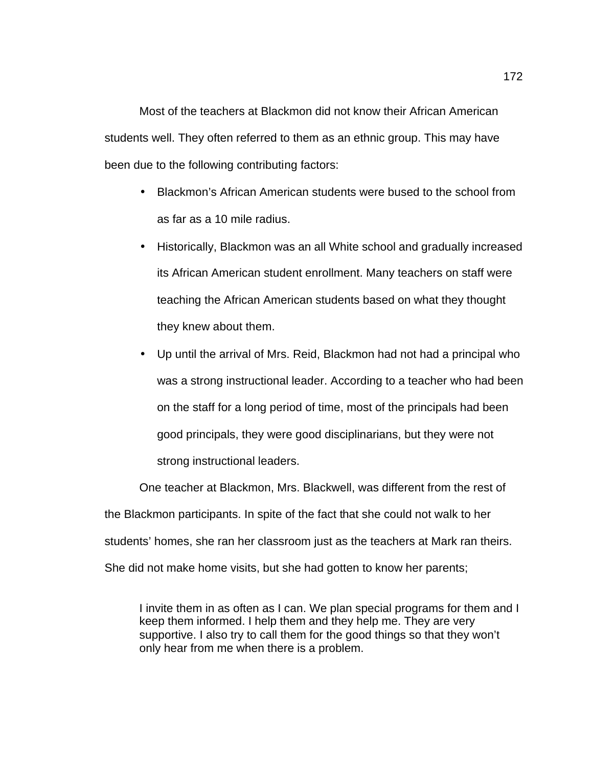Most of the teachers at Blackmon did not know their African American students well. They often referred to them as an ethnic group. This may have been due to the following contributing factors:

- Blackmon's African American students were bused to the school from as far as a 10 mile radius.
- Historically, Blackmon was an all White school and gradually increased its African American student enrollment. Many teachers on staff were teaching the African American students based on what they thought they knew about them.
- Up until the arrival of Mrs. Reid, Blackmon had not had a principal who was a strong instructional leader. According to a teacher who had been on the staff for a long period of time, most of the principals had been good principals, they were good disciplinarians, but they were not strong instructional leaders.

One teacher at Blackmon, Mrs. Blackwell, was different from the rest of the Blackmon participants. In spite of the fact that she could not walk to her students' homes, she ran her classroom just as the teachers at Mark ran theirs. She did not make home visits, but she had gotten to know her parents;

I invite them in as often as I can. We plan special programs for them and I keep them informed. I help them and they help me. They are very supportive. I also try to call them for the good things so that they won't only hear from me when there is a problem.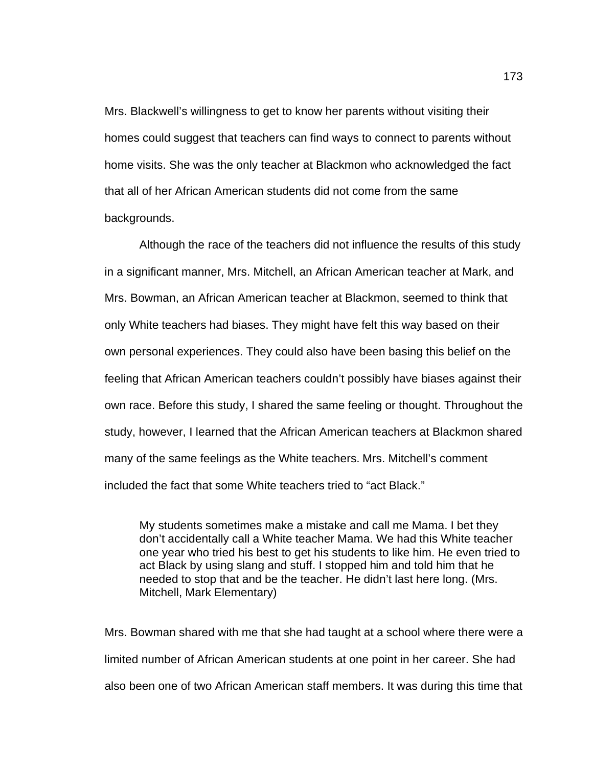Mrs. Blackwell's willingness to get to know her parents without visiting their homes could suggest that teachers can find ways to connect to parents without home visits. She was the only teacher at Blackmon who acknowledged the fact that all of her African American students did not come from the same backgrounds.

Although the race of the teachers did not influence the results of this study in a significant manner, Mrs. Mitchell, an African American teacher at Mark, and Mrs. Bowman, an African American teacher at Blackmon, seemed to think that only White teachers had biases. They might have felt this way based on their own personal experiences. They could also have been basing this belief on the feeling that African American teachers couldn't possibly have biases against their own race. Before this study, I shared the same feeling or thought. Throughout the study, however, I learned that the African American teachers at Blackmon shared many of the same feelings as the White teachers. Mrs. Mitchell's comment included the fact that some White teachers tried to "act Black."

My students sometimes make a mistake and call me Mama. I bet they don't accidentally call a White teacher Mama. We had this White teacher one year who tried his best to get his students to like him. He even tried to act Black by using slang and stuff. I stopped him and told him that he needed to stop that and be the teacher. He didn't last here long. (Mrs. Mitchell, Mark Elementary)

Mrs. Bowman shared with me that she had taught at a school where there were a limited number of African American students at one point in her career. She had also been one of two African American staff members. It was during this time that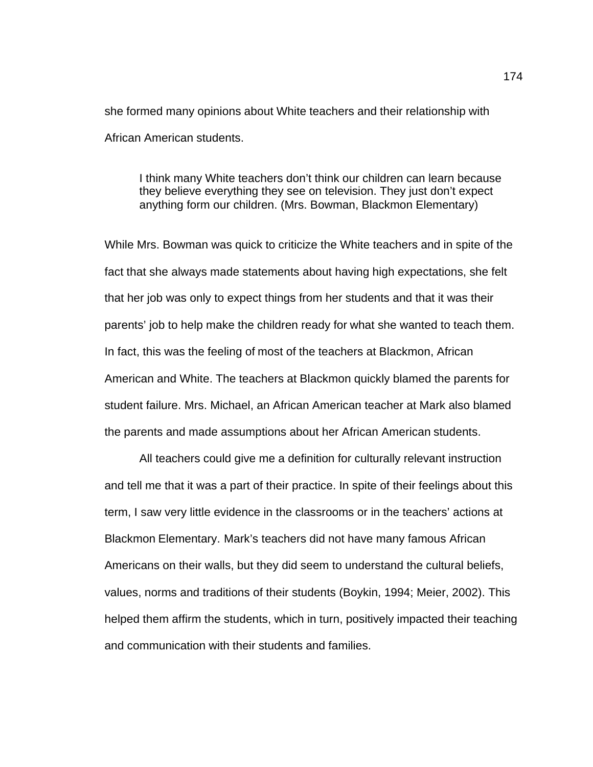she formed many opinions about White teachers and their relationship with African American students.

I think many White teachers don't think our children can learn because they believe everything they see on television. They just don't expect anything form our children. (Mrs. Bowman, Blackmon Elementary)

While Mrs. Bowman was quick to criticize the White teachers and in spite of the fact that she always made statements about having high expectations, she felt that her job was only to expect things from her students and that it was their parents' job to help make the children ready for what she wanted to teach them. In fact, this was the feeling of most of the teachers at Blackmon, African American and White. The teachers at Blackmon quickly blamed the parents for student failure. Mrs. Michael, an African American teacher at Mark also blamed the parents and made assumptions about her African American students.

All teachers could give me a definition for culturally relevant instruction and tell me that it was a part of their practice. In spite of their feelings about this term, I saw very little evidence in the classrooms or in the teachers' actions at Blackmon Elementary. Mark's teachers did not have many famous African Americans on their walls, but they did seem to understand the cultural beliefs, values, norms and traditions of their students (Boykin, 1994; Meier, 2002). This helped them affirm the students, which in turn, positively impacted their teaching and communication with their students and families.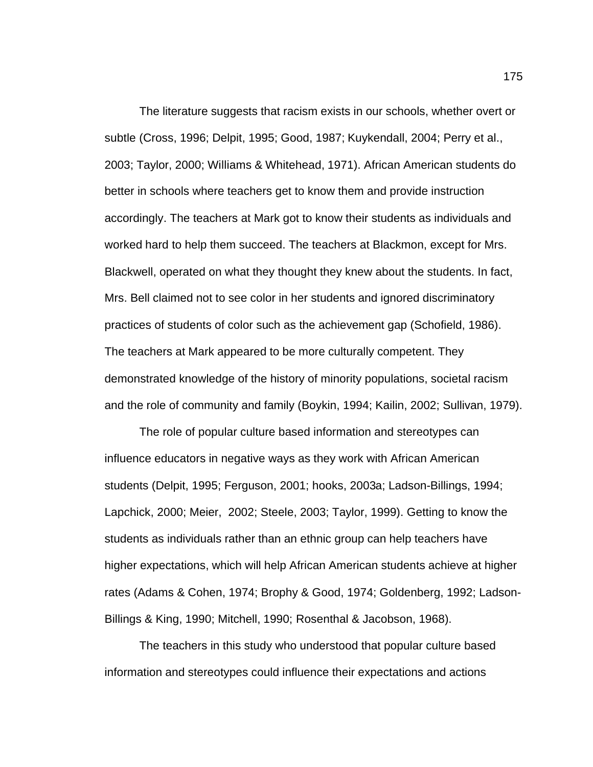The literature suggests that racism exists in our schools, whether overt or subtle (Cross, 1996; Delpit, 1995; Good, 1987; Kuykendall, 2004; Perry et al., 2003; Taylor, 2000; Williams & Whitehead, 1971). African American students do better in schools where teachers get to know them and provide instruction accordingly. The teachers at Mark got to know their students as individuals and worked hard to help them succeed. The teachers at Blackmon, except for Mrs. Blackwell, operated on what they thought they knew about the students. In fact, Mrs. Bell claimed not to see color in her students and ignored discriminatory practices of students of color such as the achievement gap (Schofield, 1986). The teachers at Mark appeared to be more culturally competent. They demonstrated knowledge of the history of minority populations, societal racism and the role of community and family (Boykin, 1994; Kailin, 2002; Sullivan, 1979).

The role of popular culture based information and stereotypes can influence educators in negative ways as they work with African American students (Delpit, 1995; Ferguson, 2001; hooks, 2003a; Ladson-Billings, 1994; Lapchick, 2000; Meier, 2002; Steele, 2003; Taylor, 1999). Getting to know the students as individuals rather than an ethnic group can help teachers have higher expectations, which will help African American students achieve at higher rates (Adams & Cohen, 1974; Brophy & Good, 1974; Goldenberg, 1992; Ladson-Billings & King, 1990; Mitchell, 1990; Rosenthal & Jacobson, 1968).

The teachers in this study who understood that popular culture based information and stereotypes could influence their expectations and actions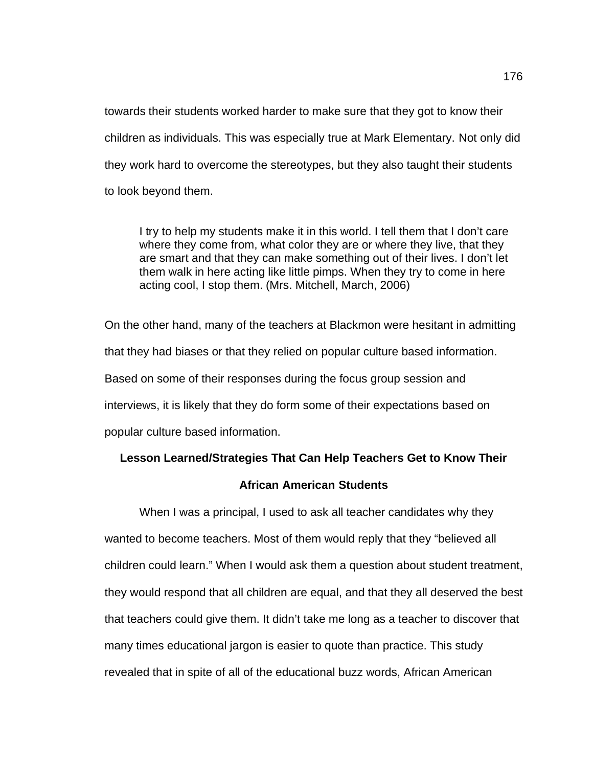towards their students worked harder to make sure that they got to know their children as individuals. This was especially true at Mark Elementary. Not only did they work hard to overcome the stereotypes, but they also taught their students to look beyond them.

I try to help my students make it in this world. I tell them that I don't care where they come from, what color they are or where they live, that they are smart and that they can make something out of their lives. I don't let them walk in here acting like little pimps. When they try to come in here acting cool, I stop them. (Mrs. Mitchell, March, 2006)

On the other hand, many of the teachers at Blackmon were hesitant in admitting that they had biases or that they relied on popular culture based information. Based on some of their responses during the focus group session and interviews, it is likely that they do form some of their expectations based on popular culture based information.

## **Lesson Learned/Strategies That Can Help Teachers Get to Know Their**

### **African American Students**

When I was a principal, I used to ask all teacher candidates why they wanted to become teachers. Most of them would reply that they "believed all children could learn." When I would ask them a question about student treatment, they would respond that all children are equal, and that they all deserved the best that teachers could give them. It didn't take me long as a teacher to discover that many times educational jargon is easier to quote than practice. This study revealed that in spite of all of the educational buzz words, African American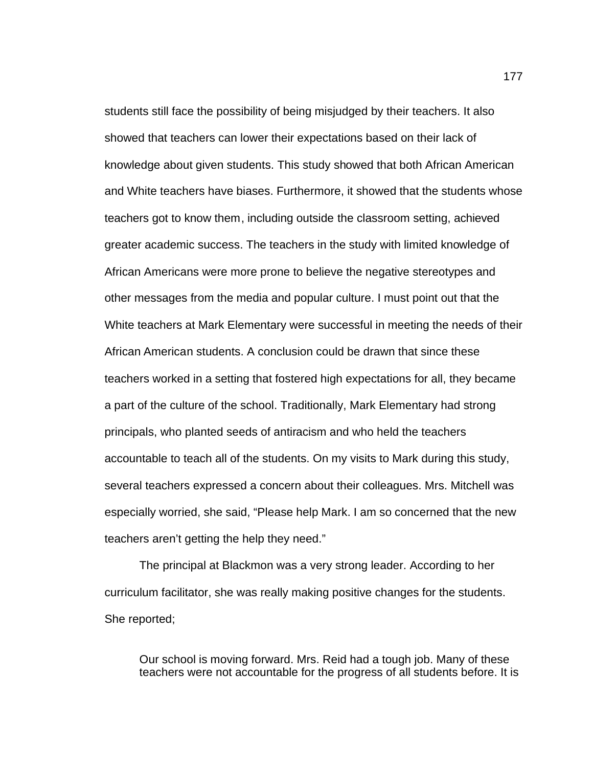students still face the possibility of being misjudged by their teachers. It also showed that teachers can lower their expectations based on their lack of knowledge about given students. This study showed that both African American and White teachers have biases. Furthermore, it showed that the students whose teachers got to know them, including outside the classroom setting, achieved greater academic success. The teachers in the study with limited knowledge of African Americans were more prone to believe the negative stereotypes and other messages from the media and popular culture. I must point out that the White teachers at Mark Elementary were successful in meeting the needs of their African American students. A conclusion could be drawn that since these teachers worked in a setting that fostered high expectations for all, they became a part of the culture of the school. Traditionally, Mark Elementary had strong principals, who planted seeds of antiracism and who held the teachers accountable to teach all of the students. On my visits to Mark during this study, several teachers expressed a concern about their colleagues. Mrs. Mitchell was especially worried, she said, "Please help Mark. I am so concerned that the new teachers aren't getting the help they need."

The principal at Blackmon was a very strong leader. According to her curriculum facilitator, she was really making positive changes for the students. She reported;

Our school is moving forward. Mrs. Reid had a tough job. Many of these teachers were not accountable for the progress of all students before. It is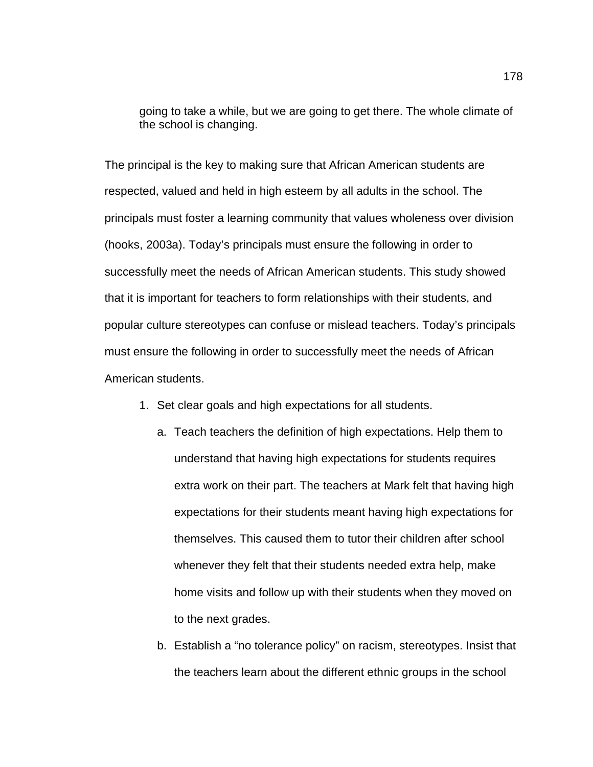going to take a while, but we are going to get there. The whole climate of the school is changing.

The principal is the key to making sure that African American students are respected, valued and held in high esteem by all adults in the school. The principals must foster a learning community that values wholeness over division (hooks, 2003a). Today's principals must ensure the following in order to successfully meet the needs of African American students. This study showed that it is important for teachers to form relationships with their students, and popular culture stereotypes can confuse or mislead teachers. Today's principals must ensure the following in order to successfully meet the needs of African American students.

- 1. Set clear goals and high expectations for all students.
	- a. Teach teachers the definition of high expectations. Help them to understand that having high expectations for students requires extra work on their part. The teachers at Mark felt that having high expectations for their students meant having high expectations for themselves. This caused them to tutor their children after school whenever they felt that their students needed extra help, make home visits and follow up with their students when they moved on to the next grades.
	- b. Establish a "no tolerance policy" on racism, stereotypes. Insist that the teachers learn about the different ethnic groups in the school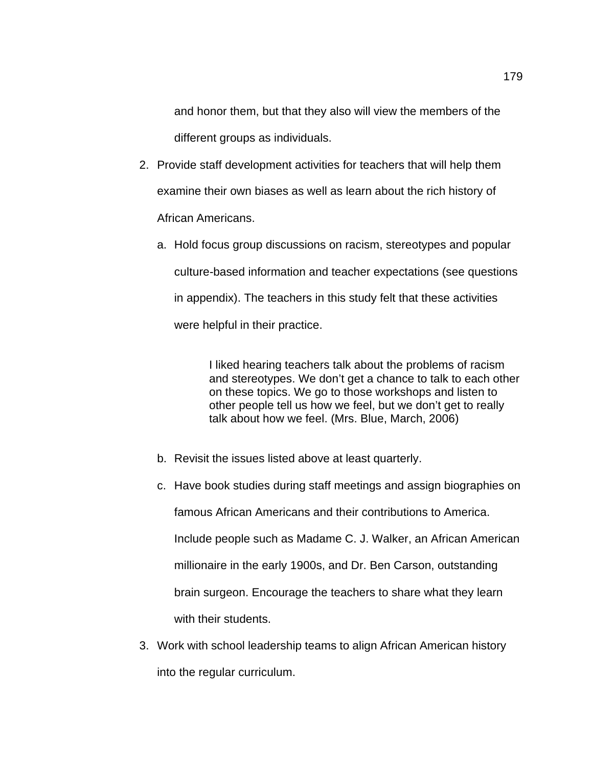and honor them, but that they also will view the members of the different groups as individuals.

- 2. Provide staff development activities for teachers that will help them examine their own biases as well as learn about the rich history of African Americans.
	- a. Hold focus group discussions on racism, stereotypes and popular culture-based information and teacher expectations (see questions in appendix). The teachers in this study felt that these activities were helpful in their practice.

I liked hearing teachers talk about the problems of racism and stereotypes. We don't get a chance to talk to each other on these topics. We go to those workshops and listen to other people tell us how we feel, but we don't get to really talk about how we feel. (Mrs. Blue, March, 2006)

- b. Revisit the issues listed above at least quarterly.
- c. Have book studies during staff meetings and assign biographies on famous African Americans and their contributions to America. Include people such as Madame C. J. Walker, an African American millionaire in the early 1900s, and Dr. Ben Carson, outstanding brain surgeon. Encourage the teachers to share what they learn with their students.
- 3. Work with school leadership teams to align African American history into the regular curriculum.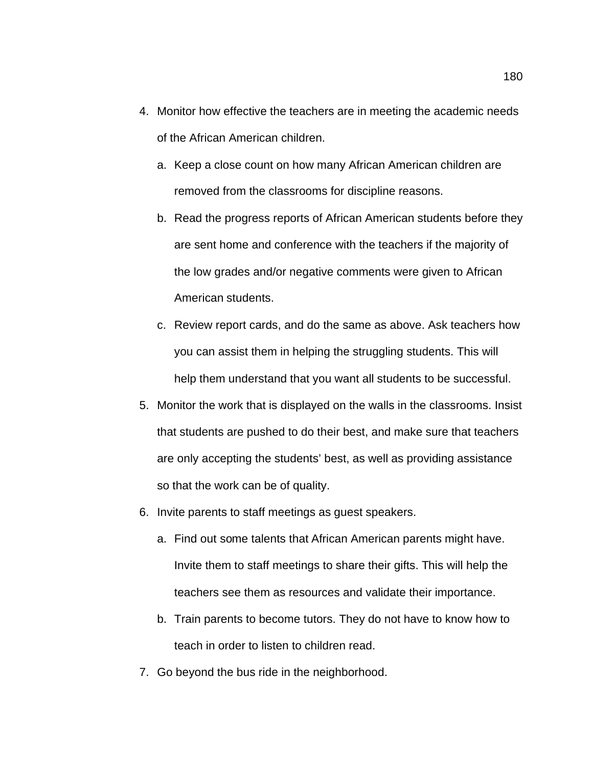- 4. Monitor how effective the teachers are in meeting the academic needs of the African American children.
	- a. Keep a close count on how many African American children are removed from the classrooms for discipline reasons.
	- b. Read the progress reports of African American students before they are sent home and conference with the teachers if the majority of the low grades and/or negative comments were given to African American students.
	- c. Review report cards, and do the same as above. Ask teachers how you can assist them in helping the struggling students. This will help them understand that you want all students to be successful.
- 5. Monitor the work that is displayed on the walls in the classrooms. Insist that students are pushed to do their best, and make sure that teachers are only accepting the students' best, as well as providing assistance so that the work can be of quality.
- 6. Invite parents to staff meetings as guest speakers.
	- a. Find out some talents that African American parents might have. Invite them to staff meetings to share their gifts. This will help the teachers see them as resources and validate their importance.
	- b. Train parents to become tutors. They do not have to know how to teach in order to listen to children read.
- 7. Go beyond the bus ride in the neighborhood.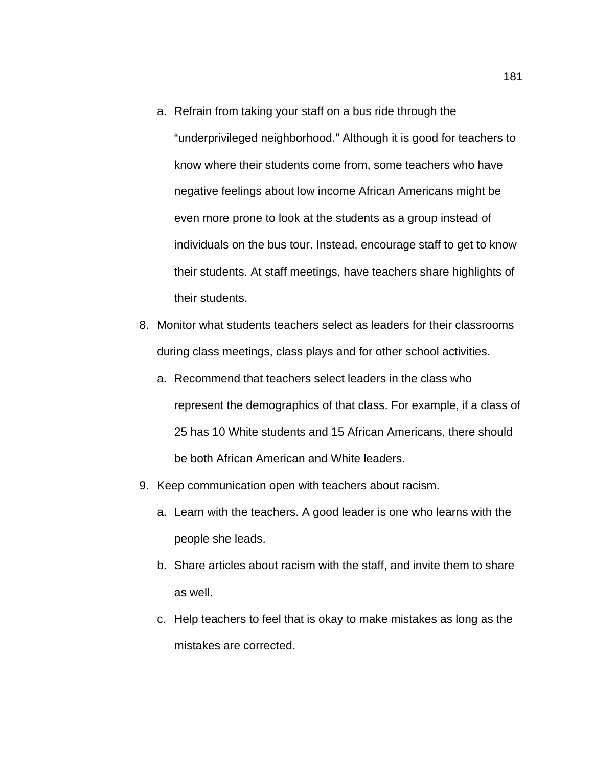a. Refrain from taking your staff on a bus ride through the

"underprivileged neighborhood." Although it is good for teachers to know where their students come from, some teachers who have negative feelings about low income African Americans might be even more prone to look at the students as a group instead of individuals on the bus tour. Instead, encourage staff to get to know their students. At staff meetings, have teachers share highlights of their students.

- 8. Monitor what students teachers select as leaders for their classrooms during class meetings, class plays and for other school activities.
	- a. Recommend that teachers select leaders in the class who represent the demographics of that class. For example, if a class of 25 has 10 White students and 15 African Americans, there should be both African American and White leaders.
- 9. Keep communication open with teachers about racism.
	- a. Learn with the teachers. A good leader is one who learns with the people she leads.
	- b. Share articles about racism with the staff, and invite them to share as well.
	- c. Help teachers to feel that is okay to make mistakes as long as the mistakes are corrected.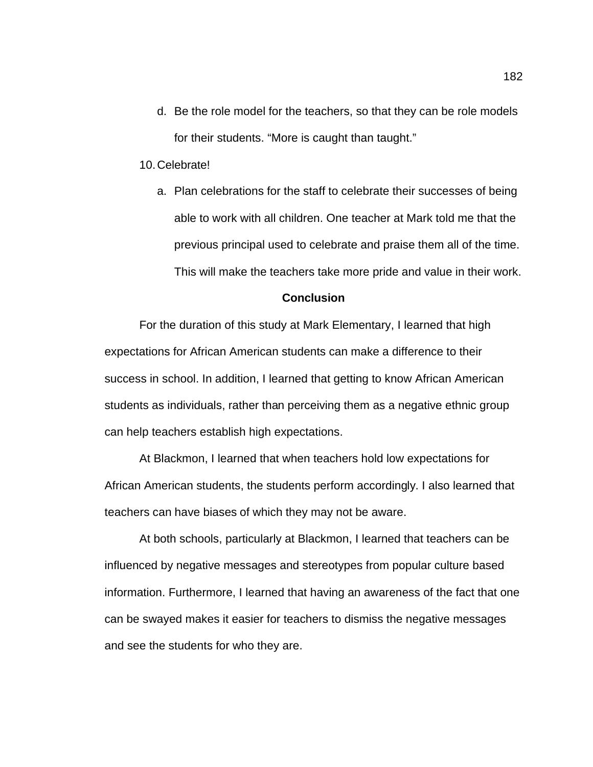d. Be the role model for the teachers, so that they can be role models for their students. "More is caught than taught."

10.Celebrate!

a. Plan celebrations for the staff to celebrate their successes of being able to work with all children. One teacher at Mark told me that the previous principal used to celebrate and praise them all of the time. This will make the teachers take more pride and value in their work.

#### **Conclusion**

For the duration of this study at Mark Elementary, I learned that high expectations for African American students can make a difference to their success in school. In addition, I learned that getting to know African American students as individuals, rather than perceiving them as a negative ethnic group can help teachers establish high expectations.

At Blackmon, I learned that when teachers hold low expectations for African American students, the students perform accordingly. I also learned that teachers can have biases of which they may not be aware.

At both schools, particularly at Blackmon, I learned that teachers can be influenced by negative messages and stereotypes from popular culture based information. Furthermore, I learned that having an awareness of the fact that one can be swayed makes it easier for teachers to dismiss the negative messages and see the students for who they are.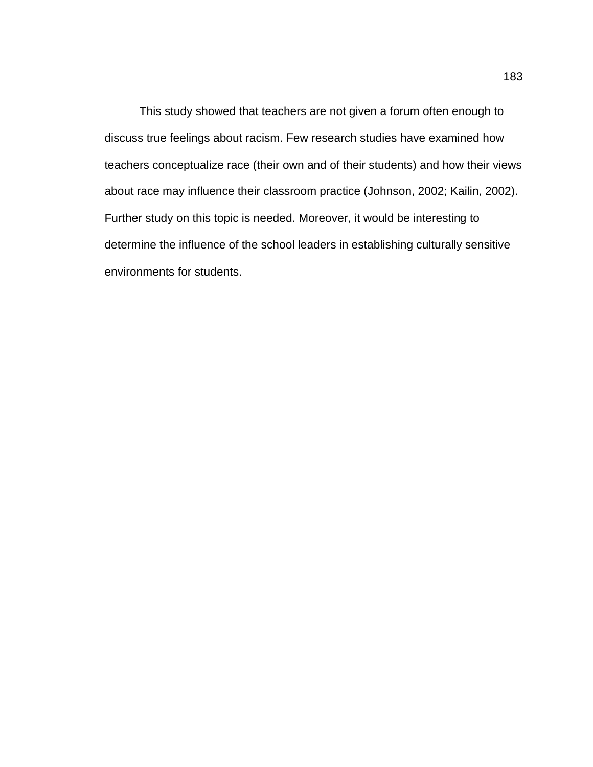This study showed that teachers are not given a forum often enough to discuss true feelings about racism. Few research studies have examined how teachers conceptualize race (their own and of their students) and how their views about race may influence their classroom practice (Johnson, 2002; Kailin, 2002). Further study on this topic is needed. Moreover, it would be interesting to determine the influence of the school leaders in establishing culturally sensitive environments for students.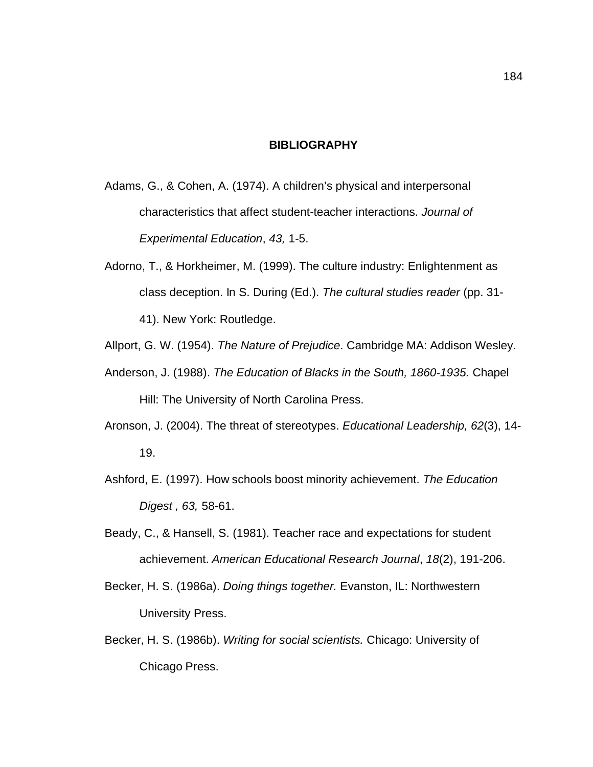#### **BIBLIOGRAPHY**

- Adams, G., & Cohen, A. (1974). A children's physical and interpersonal characteristics that affect student-teacher interactions. *Journal of Experimental Education*, *43,* 1-5.
- Adorno, T., & Horkheimer, M. (1999). The culture industry: Enlightenment as class deception. In S. During (Ed.). *The cultural studies reader* (pp. 31- 41). New York: Routledge.
- Allport, G. W. (1954). *The Nature of Prejudice*. Cambridge MA: Addison Wesley.
- Anderson, J. (1988). *The Education of Blacks in the South, 1860-1935.* Chapel Hill: The University of North Carolina Press.
- Aronson, J. (2004). The threat of stereotypes. *Educational Leadership, 62*(3), 14- 19.
- Ashford, E. (1997). How schools boost minority achievement. *The Education Digest , 63,* 58-61.
- Beady, C., & Hansell, S. (1981). Teacher race and expectations for student achievement. *American Educational Research Journal*, *18*(2), 191-206.
- Becker, H. S. (1986a). *Doing things together.* Evanston, IL: Northwestern University Press.
- Becker, H. S. (1986b). *Writing for social scientists.* Chicago: University of Chicago Press.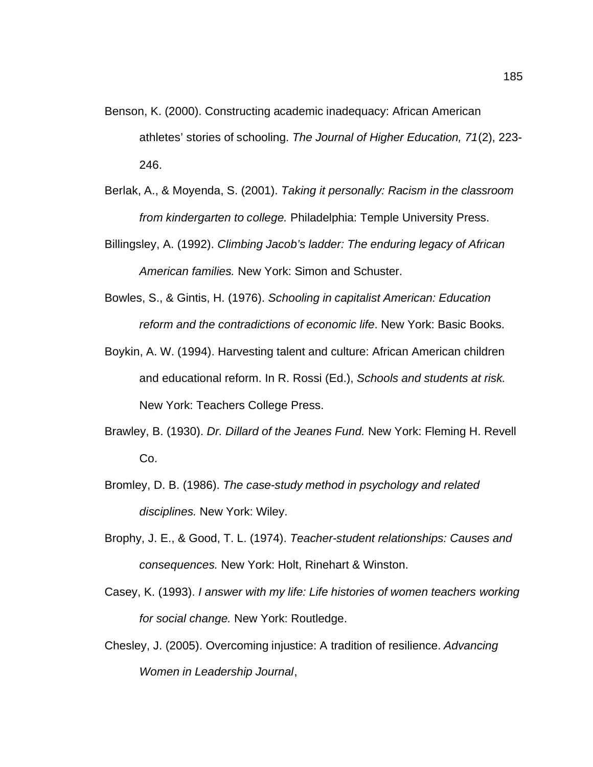- Benson, K. (2000). Constructing academic inadequacy: African American athletes' stories of schooling. *The Journal of Higher Education, 71*(2), 223- 246.
- Berlak, A., & Moyenda, S. (2001). *Taking it personally: Racism in the classroom from kindergarten to college.* Philadelphia: Temple University Press.
- Billingsley, A. (1992). *Climbing Jacob's ladder: The enduring legacy of African American families.* New York: Simon and Schuster.
- Bowles, S., & Gintis, H. (1976). *Schooling in capitalist American: Education reform and the contradictions of economic life*. New York: Basic Books.
- Boykin, A. W. (1994). Harvesting talent and culture: African American children and educational reform. In R. Rossi (Ed.), *Schools and students at risk.* New York: Teachers College Press.
- Brawley, B. (1930). *Dr. Dillard of the Jeanes Fund.* New York: Fleming H. Revell Co.
- Bromley, D. B. (1986). *The case-study method in psychology and related disciplines.* New York: Wiley.
- Brophy, J. E., & Good, T. L. (1974). *Teacher-student relationships: Causes and consequences.* New York: Holt, Rinehart & Winston.
- Casey, K. (1993). *I answer with my life: Life histories of women teachers working for social change.* New York: Routledge.
- Chesley, J. (2005). Overcoming injustice: A tradition of resilience. *Advancing Women in Leadership Journal*,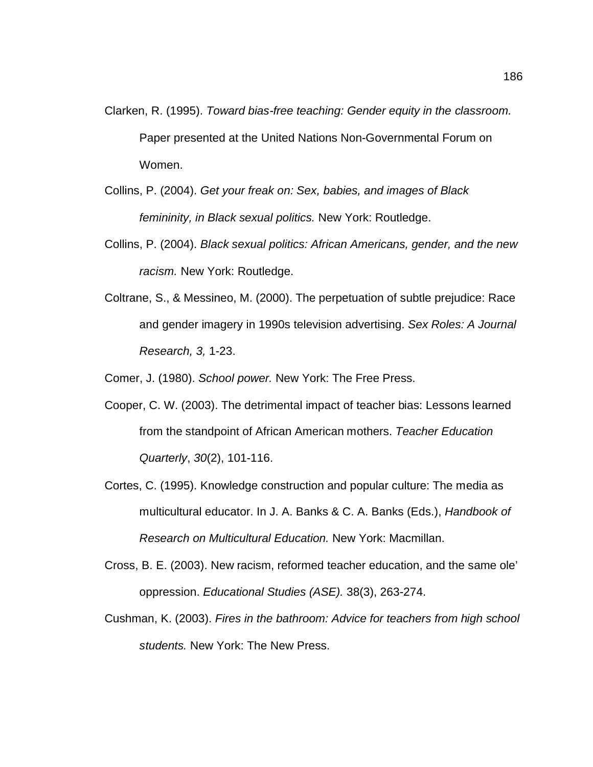- Clarken, R. (1995). *Toward bias-free teaching: Gender equity in the classroom.* Paper presented at the United Nations Non-Governmental Forum on Women.
- Collins, P. (2004). *Get your freak on: Sex, babies, and images of Black femininity, in Black sexual politics.* New York: Routledge.
- Collins, P. (2004). *Black sexual politics: African Americans, gender, and the new racism.* New York: Routledge.
- Coltrane, S., & Messineo, M. (2000). The perpetuation of subtle prejudice: Race and gender imagery in 1990s television advertising. *Sex Roles: A Journal Research, 3,* 1-23.

Comer, J. (1980). *School power.* New York: The Free Press.

- Cooper, C. W. (2003). The detrimental impact of teacher bias: Lessons learned from the standpoint of African American mothers. *Teacher Education Quarterly*, *30*(2), 101-116.
- Cortes, C. (1995). Knowledge construction and popular culture: The media as multicultural educator. In J. A. Banks & C. A. Banks (Eds.), *Handbook of Research on Multicultural Education.* New York: Macmillan.
- Cross, B. E. (2003). New racism, reformed teacher education, and the same ole' oppression. *Educational Studies (ASE).* 38(3), 263-274.
- Cushman, K. (2003). *Fires in the bathroom: Advice for teachers from high school students.* New York: The New Press.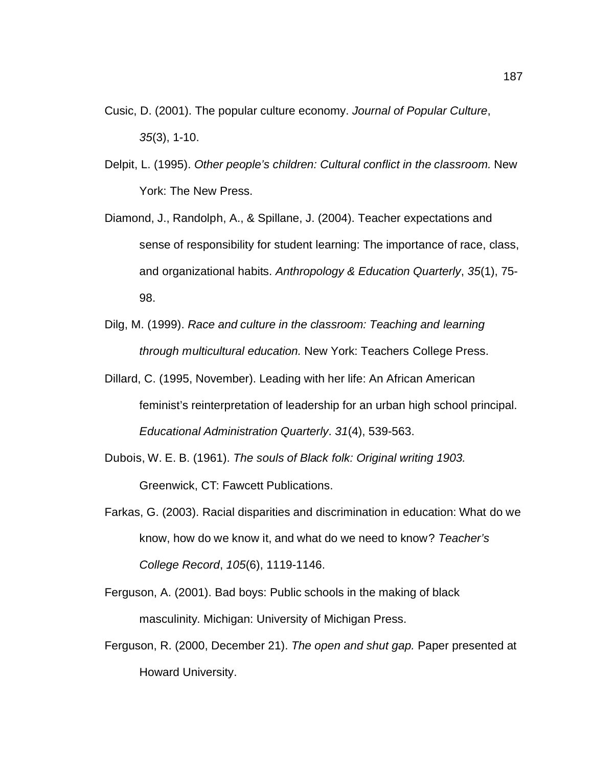- Cusic, D. (2001). The popular culture economy. *Journal of Popular Culture*, *35*(3), 1-10.
- Delpit, L. (1995). *Other people's children: Cultural conflict in the classroom.* New York: The New Press.
- Diamond, J., Randolph, A., & Spillane, J. (2004). Teacher expectations and sense of responsibility for student learning: The importance of race, class, and organizational habits. *Anthropology & Education Quarterly*, *35*(1), 75- 98.
- Dilg, M. (1999). *Race and culture in the classroom: Teaching and learning through multicultural education.* New York: Teachers College Press.
- Dillard, C. (1995, November). Leading with her life: An African American feminist's reinterpretation of leadership for an urban high school principal. *Educational Administration Quarterly*. *31*(4), 539-563.
- Dubois, W. E. B. (1961). *The souls of Black folk: Original writing 1903.* Greenwick, CT: Fawcett Publications.
- Farkas, G. (2003). Racial disparities and discrimination in education: What do we know, how do we know it, and what do we need to know? *Teacher's College Record*, *105*(6), 1119-1146.
- Ferguson, A. (2001). Bad boys: Public schools in the making of black masculinity. Michigan: University of Michigan Press.
- Ferguson, R. (2000, December 21). *The open and shut gap.* Paper presented at Howard University.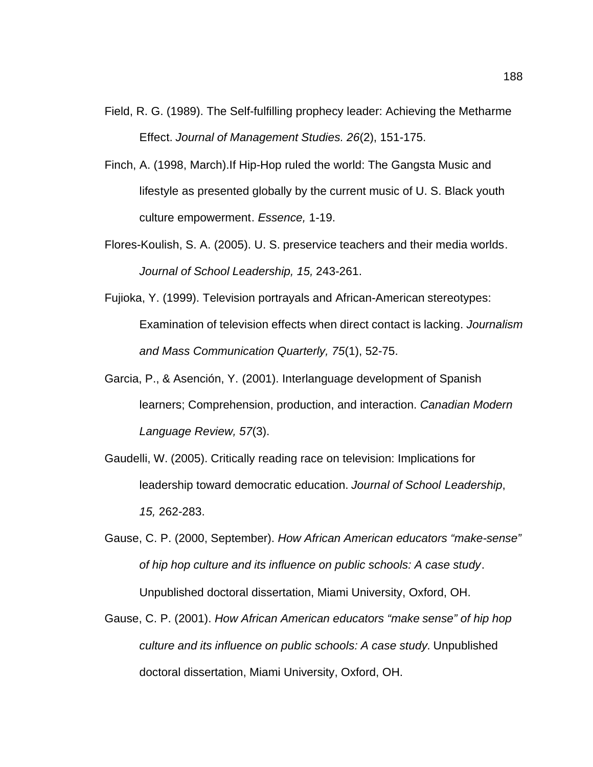- Field, R. G. (1989). The Self-fulfilling prophecy leader: Achieving the Metharme Effect. *Journal of Management Studies. 26*(2), 151-175.
- Finch, A. (1998, March).If Hip-Hop ruled the world: The Gangsta Music and lifestyle as presented globally by the current music of U. S. Black youth culture empowerment. *Essence,* 1-19.
- Flores-Koulish, S. A. (2005). U. S. preservice teachers and their media worlds. *Journal of School Leadership, 15,* 243-261.
- Fujioka, Y. (1999). Television portrayals and African-American stereotypes: Examination of television effects when direct contact is lacking. *Journalism and Mass Communication Quarterly, 75*(1), 52-75.
- Garcia, P., & Asención, Y. (2001). Interlanguage development of Spanish learners; Comprehension, production, and interaction. *Canadian Modern Language Review, 57*(3).
- Gaudelli, W. (2005). Critically reading race on television: Implications for leadership toward democratic education. *Journal of School Leadership*, *15,* 262-283.
- Gause, C. P. (2000, September). *How African American educators "make-sense" of hip hop culture and its influence on public schools: A case study*. Unpublished doctoral dissertation, Miami University, Oxford, OH.
- Gause, C. P. (2001). *How African American educators "make sense" of hip hop culture and its influence on public schools: A case study.* Unpublished doctoral dissertation, Miami University, Oxford, OH.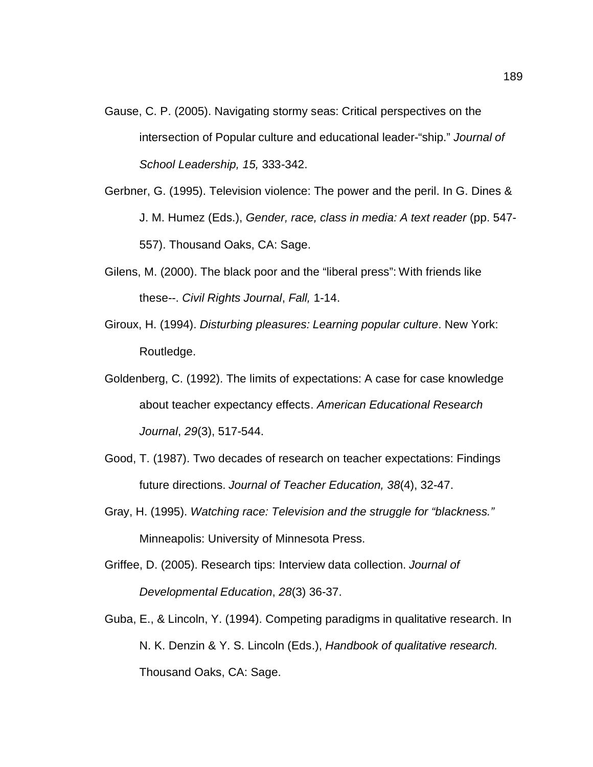- Gause, C. P. (2005). Navigating stormy seas: Critical perspectives on the intersection of Popular culture and educational leader-"ship." *Journal of School Leadership, 15,* 333-342.
- Gerbner, G. (1995). Television violence: The power and the peril. In G. Dines & J. M. Humez (Eds.), *Gender, race, class in media: A text reader* (pp. 547- 557). Thousand Oaks, CA: Sage.
- Gilens, M. (2000). The black poor and the "liberal press": With friends like these--. *Civil Rights Journal*, *Fall,* 1-14.
- Giroux, H. (1994). *Disturbing pleasures: Learning popular culture*. New York: Routledge.
- Goldenberg, C. (1992). The limits of expectations: A case for case knowledge about teacher expectancy effects. *American Educational Research Journal*, *29*(3), 517-544.
- Good, T. (1987). Two decades of research on teacher expectations: Findings future directions. *Journal of Teacher Education, 38*(4), 32-47.
- Gray, H. (1995). *Watching race: Television and the struggle for "blackness."* Minneapolis: University of Minnesota Press.
- Griffee, D. (2005). Research tips: Interview data collection. *Journal of Developmental Education*, *28*(3) 36-37.
- Guba, E., & Lincoln, Y. (1994). Competing paradigms in qualitative research. In N. K. Denzin & Y. S. Lincoln (Eds.), *Handbook of qualitative research.* Thousand Oaks, CA: Sage.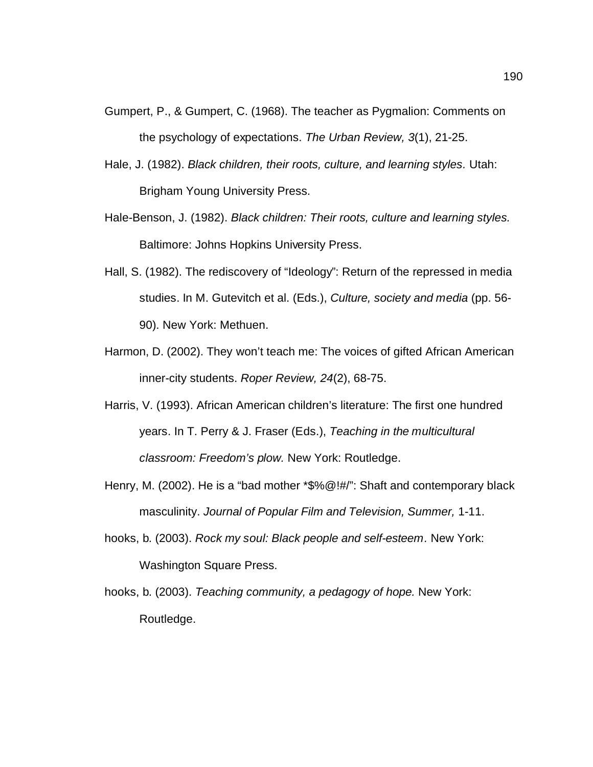- Gumpert, P., & Gumpert, C. (1968). The teacher as Pygmalion: Comments on the psychology of expectations. *The Urban Review, 3*(1), 21-25.
- Hale, J. (1982). *Black children, their roots, culture, and learning styles.* Utah: Brigham Young University Press.
- Hale-Benson, J. (1982). *Black children: Their roots, culture and learning styles.* Baltimore: Johns Hopkins University Press.
- Hall, S. (1982). The rediscovery of "Ideology": Return of the repressed in media studies. In M. Gutevitch et al. (Eds.), *Culture, society and media* (pp. 56- 90). New York: Methuen.
- Harmon, D. (2002). They won't teach me: The voices of gifted African American inner-city students. *Roper Review, 24*(2), 68-75.
- Harris, V. (1993). African American children's literature: The first one hundred years. In T. Perry & J. Fraser (Eds.), *Teaching in the multicultural classroom: Freedom's plow.* New York: Routledge.
- Henry, M. (2002). He is a "bad mother \*\$%@!#/": Shaft and contemporary black masculinity. *Journal of Popular Film and Television, Summer,* 1-11.
- hooks, b. (2003). *Rock my soul: Black people and self-esteem.* New York: Washington Square Press.
- hooks, b. (2003). *Teaching community, a pedagogy of hope.* New York: Routledge.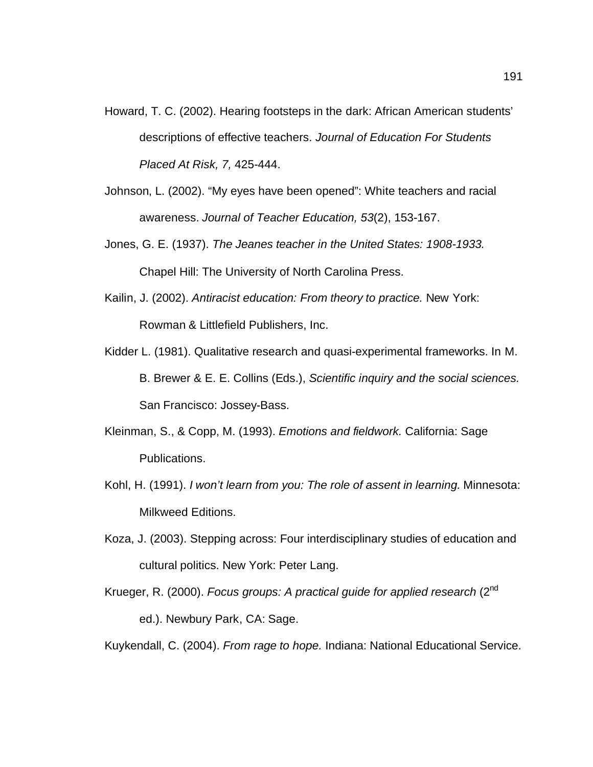- Howard, T. C. (2002). Hearing footsteps in the dark: African American students' descriptions of effective teachers. *Journal of Education For Students Placed At Risk, 7,* 425-444.
- Johnson, L. (2002). "My eyes have been opened": White teachers and racial awareness. *Journal of Teacher Education, 53*(2), 153-167.
- Jones, G. E. (1937). *The Jeanes teacher in the United States: 1908-1933.* Chapel Hill: The University of North Carolina Press.
- Kailin, J. (2002). *Antiracist education: From theory to practice.* New York: Rowman & Littlefield Publishers, Inc.
- Kidder L. (1981). Qualitative research and quasi-experimental frameworks. In M. B. Brewer & E. E. Collins (Eds.), *Scientific inquiry and the social sciences.*  San Francisco: Jossey-Bass.
- Kleinman, S., & Copp, M. (1993). *Emotions and fieldwork.* California: Sage Publications.
- Kohl, H. (1991). *I won't learn from you: The role of assent in learning.* Minnesota: Milkweed Editions.
- Koza, J. (2003). Stepping across: Four interdisciplinary studies of education and cultural politics. New York: Peter Lang.
- Krueger, R. (2000). *Focus groups: A practical guide for applied research* (2nd ed.). Newbury Park, CA: Sage.

Kuykendall, C. (2004). *From rage to hope.* Indiana: National Educational Service.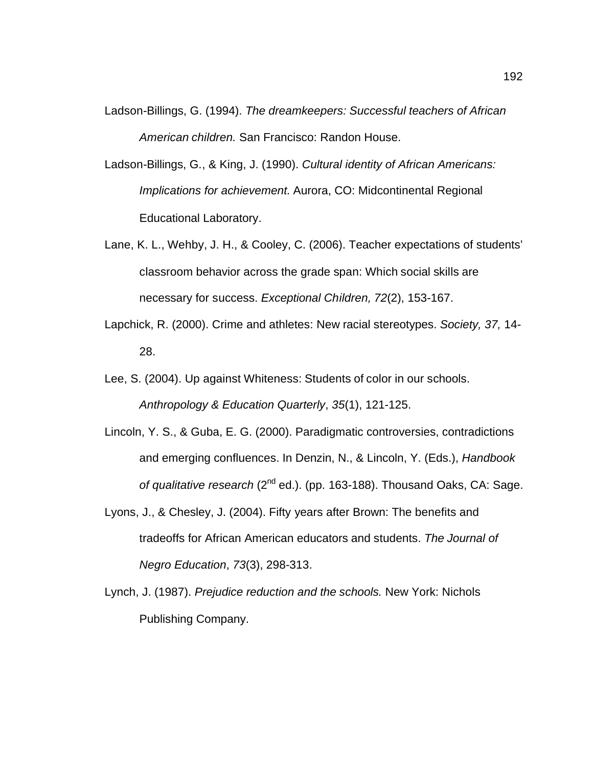- Ladson-Billings, G. (1994). *The dreamkeepers: Successful teachers of African American children.* San Francisco: Randon House.
- Ladson-Billings, G., & King, J. (1990). *Cultural identity of African Americans: Implications for achievement.* Aurora, CO: Midcontinental Regional Educational Laboratory.
- Lane, K. L., Wehby, J. H., & Cooley, C. (2006). Teacher expectations of students' classroom behavior across the grade span: Which social skills are necessary for success. *Exceptional Children, 72*(2), 153-167.
- Lapchick, R. (2000). Crime and athletes: New racial stereotypes. *Society, 37,* 14- 28.
- Lee, S. (2004). Up against Whiteness: Students of color in our schools. *Anthropology & Education Quarterly*, *35*(1), 121-125.
- Lincoln, Y. S., & Guba, E. G. (2000). Paradigmatic controversies, contradictions and emerging confluences. In Denzin, N., & Lincoln, Y. (Eds.), *Handbook of qualitative research* (2nd ed.). (pp. 163-188). Thousand Oaks, CA: Sage.
- Lyons, J., & Chesley, J. (2004). Fifty years after Brown: The benefits and tradeoffs for African American educators and students. *The Journal of Negro Education*, *73*(3), 298-313.
- Lynch, J. (1987). *Prejudice reduction and the schools.* New York: Nichols Publishing Company.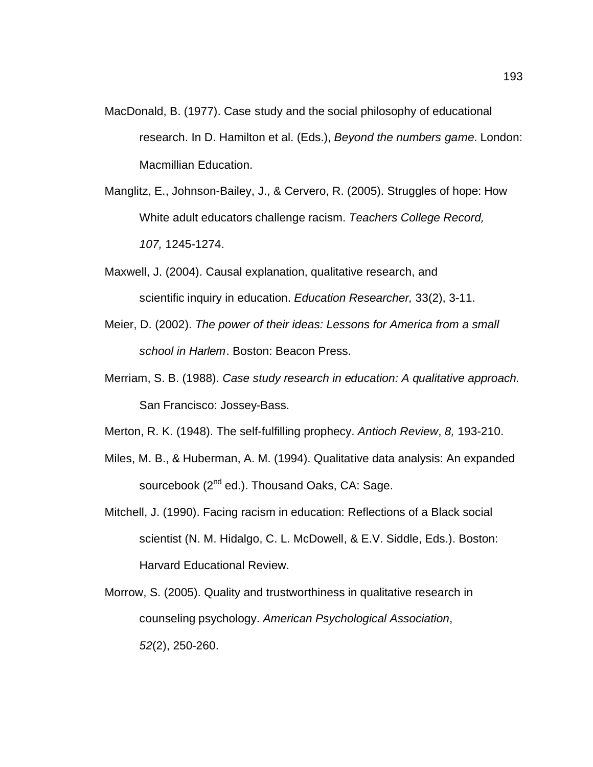- MacDonald, B. (1977). Case study and the social philosophy of educational research. In D. Hamilton et al. (Eds.), *Beyond the numbers game*. London: Macmillian Education.
- Manglitz, E., Johnson-Bailey, J., & Cervero, R. (2005). Struggles of hope: How White adult educators challenge racism. *Teachers College Record, 107,* 1245-1274.
- Maxwell, J. (2004). Causal explanation, qualitative research, and scientific inquiry in education. *Education Researcher,* 33(2), 3-11.
- Meier, D. (2002). *The power of their ideas: Lessons for America from a small school in Harlem*. Boston: Beacon Press.
- Merriam, S. B. (1988). *Case study research in education: A qualitative approach.* San Francisco: Jossey-Bass.

Merton, R. K. (1948). The self-fulfilling prophecy. *Antioch Review*, *8,* 193-210.

- Miles, M. B., & Huberman, A. M. (1994). Qualitative data analysis: An expanded sourcebook (2<sup>nd</sup> ed.). Thousand Oaks, CA: Sage.
- Mitchell, J. (1990). Facing racism in education: Reflections of a Black social scientist (N. M. Hidalgo, C. L. McDowell, & E.V. Siddle, Eds.). Boston: Harvard Educational Review.
- Morrow, S. (2005). Quality and trustworthiness in qualitative research in counseling psychology. *American Psychological Association*, *52*(2), 250-260.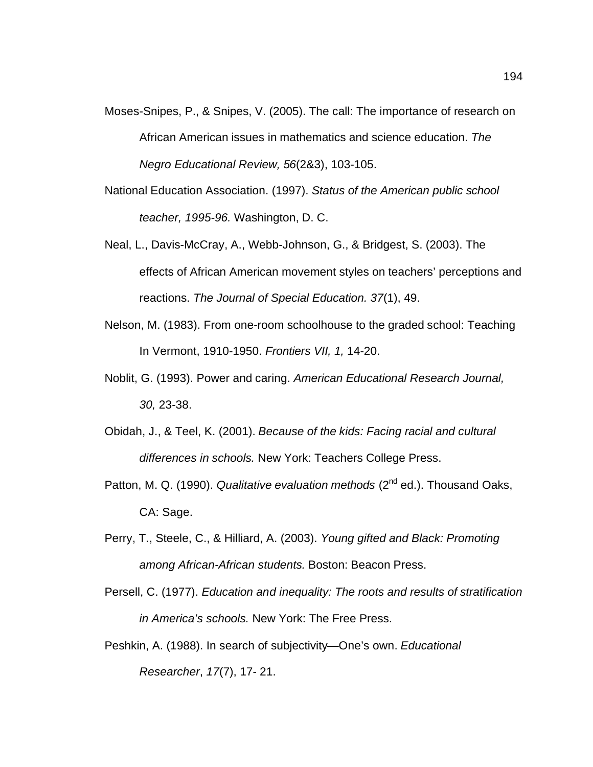- Moses-Snipes, P., & Snipes, V. (2005). The call: The importance of research on African American issues in mathematics and science education. *The Negro Educational Review, 56*(2&3), 103-105.
- National Education Association. (1997). *Status of the American public school teacher, 1995-96.* Washington, D. C.
- Neal, L., Davis-McCray, A., Webb-Johnson, G., & Bridgest, S. (2003). The effects of African American movement styles on teachers' perceptions and reactions. *The Journal of Special Education. 37*(1), 49.
- Nelson, M. (1983). From one-room schoolhouse to the graded school: Teaching In Vermont, 1910-1950. *Frontiers VII, 1,* 14-20.
- Noblit, G. (1993). Power and caring. *American Educational Research Journal, 30,* 23-38.
- Obidah, J., & Teel, K. (2001). *Because of the kids: Facing racial and cultural differences in schools.* New York: Teachers College Press.
- Patton, M. Q. (1990). *Qualitative evaluation methods* (2<sup>nd</sup> ed.). Thousand Oaks, CA: Sage.
- Perry, T., Steele, C., & Hilliard, A. (2003). *Young gifted and Black: Promoting among African-African students.* Boston: Beacon Press.
- Persell, C. (1977). *Education and inequality: The roots and results of stratification in America's schools.* New York: The Free Press.
- Peshkin, A. (1988). In search of subjectivity—One's own. *Educational Researcher*, *17*(7), 17- 21.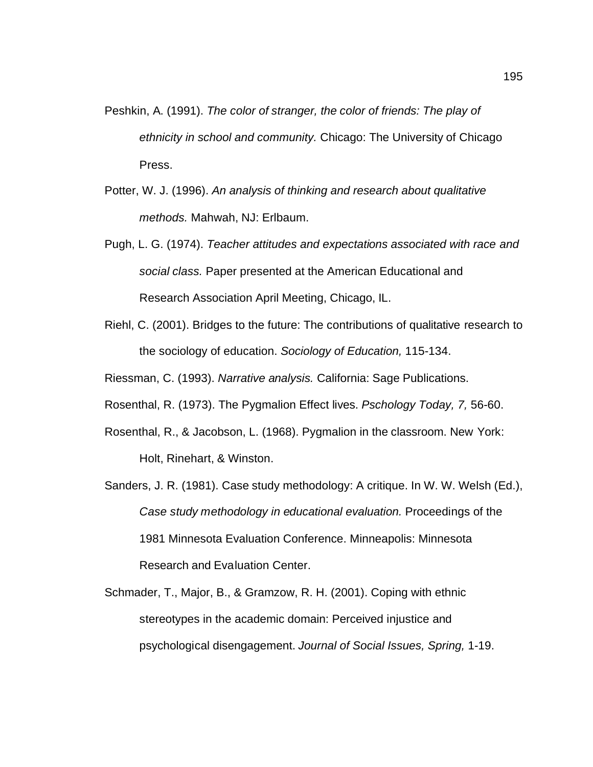- Peshkin, A. (1991). *The color of stranger, the color of friends: The play of ethnicity in school and community.* Chicago: The University of Chicago Press.
- Potter, W. J. (1996). *An analysis of thinking and research about qualitative methods.* Mahwah, NJ: Erlbaum.
- Pugh, L. G. (1974). *Teacher attitudes and expectations associated with race and social class.* Paper presented at the American Educational and Research Association April Meeting, Chicago, IL.
- Riehl, C. (2001). Bridges to the future: The contributions of qualitative research to the sociology of education. *Sociology of Education,* 115-134.
- Riessman, C. (1993). *Narrative analysis.* California: Sage Publications.
- Rosenthal, R. (1973). The Pygmalion Effect lives. *Pschology Today, 7,* 56-60.
- Rosenthal, R., & Jacobson, L. (1968). Pygmalion in the classroom. New York: Holt, Rinehart, & Winston.
- Sanders, J. R. (1981). Case study methodology: A critique. In W. W. Welsh (Ed.), *Case study methodology in educational evaluation.* Proceedings of the 1981 Minnesota Evaluation Conference. Minneapolis: Minnesota Research and Evaluation Center.
- Schmader, T., Major, B., & Gramzow, R. H. (2001). Coping with ethnic stereotypes in the academic domain: Perceived injustice and psychological disengagement. *Journal of Social Issues, Spring,* 1-19.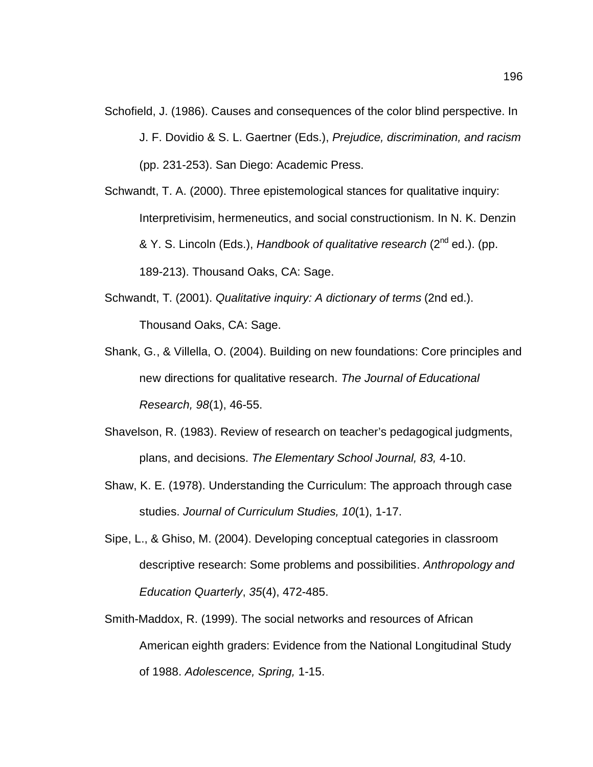- Schofield, J. (1986). Causes and consequences of the color blind perspective. In J. F. Dovidio & S. L. Gaertner (Eds.), *Prejudice, discrimination, and racism* (pp. 231-253). San Diego: Academic Press.
- Schwandt, T. A. (2000). Three epistemological stances for qualitative inquiry: Interpretivisim, hermeneutics, and social constructionism. In N. K. Denzin & Y. S. Lincoln (Eds.), *Handbook of qualitative research* (2nd ed.). (pp. 189-213). Thousand Oaks, CA: Sage.
- Schwandt, T. (2001). *Qualitative inquiry: A dictionary of terms* (2nd ed.). Thousand Oaks, CA: Sage.
- Shank, G., & Villella, O. (2004). Building on new foundations: Core principles and new directions for qualitative research. *The Journal of Educational Research, 98*(1), 46-55.
- Shavelson, R. (1983). Review of research on teacher's pedagogical judgments, plans, and decisions. *The Elementary School Journal, 83,* 4-10.
- Shaw, K. E. (1978). Understanding the Curriculum: The approach through case studies. *Journal of Curriculum Studies, 10*(1), 1-17.
- Sipe, L., & Ghiso, M. (2004). Developing conceptual categories in classroom descriptive research: Some problems and possibilities. *Anthropology and Education Quarterly*, *35*(4), 472-485.
- Smith-Maddox, R. (1999). The social networks and resources of African American eighth graders: Evidence from the National Longitudinal Study of 1988. *Adolescence, Spring,* 1-15.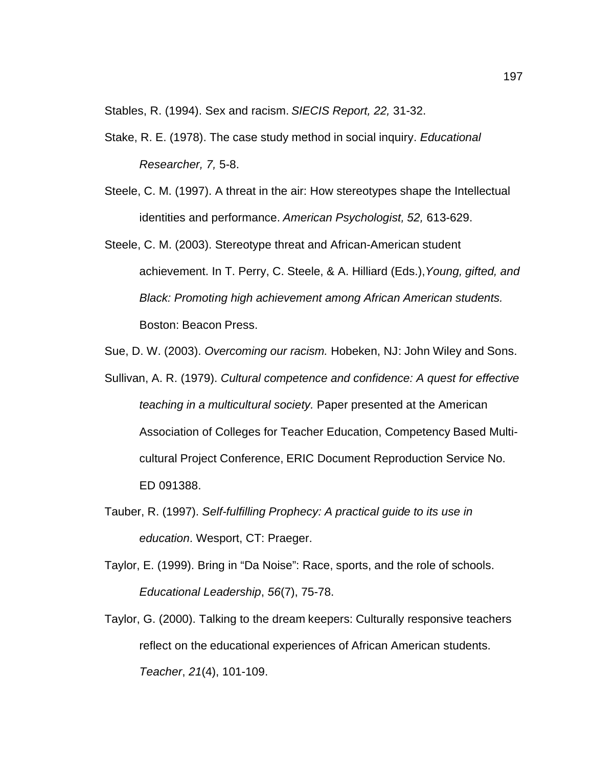Stables, R. (1994). Sex and racism. *SIECIS Report, 22,* 31-32.

- Stake, R. E. (1978). The case study method in social inquiry. *Educational Researcher, 7,* 5-8.
- Steele, C. M. (1997). A threat in the air: How stereotypes shape the Intellectual identities and performance. *American Psychologist, 52,* 613-629.
- Steele, C. M. (2003). Stereotype threat and African-American student achievement. In T. Perry, C. Steele, & A. Hilliard (Eds.),*Young, gifted, and Black: Promoting high achievement among African American students.* Boston: Beacon Press.
- Sue, D. W. (2003). *Overcoming our racism.* Hobeken, NJ: John Wiley and Sons.
- Sullivan, A. R. (1979). *Cultural competence and confidence: A quest for effective teaching in a multicultural society.* Paper presented at the American Association of Colleges for Teacher Education, Competency Based Multicultural Project Conference, ERIC Document Reproduction Service No. ED 091388.
- Tauber, R. (1997). *Self-fulfilling Prophecy: A practical guide to its use in education.* Wesport, CT: Praeger.
- Taylor, E. (1999). Bring in "Da Noise": Race, sports, and the role of schools. *Educational Leadership*, *56*(7), 75-78.
- Taylor, G. (2000). Talking to the dream keepers: Culturally responsive teachers reflect on the educational experiences of African American students. *Teacher*, *21*(4), 101-109.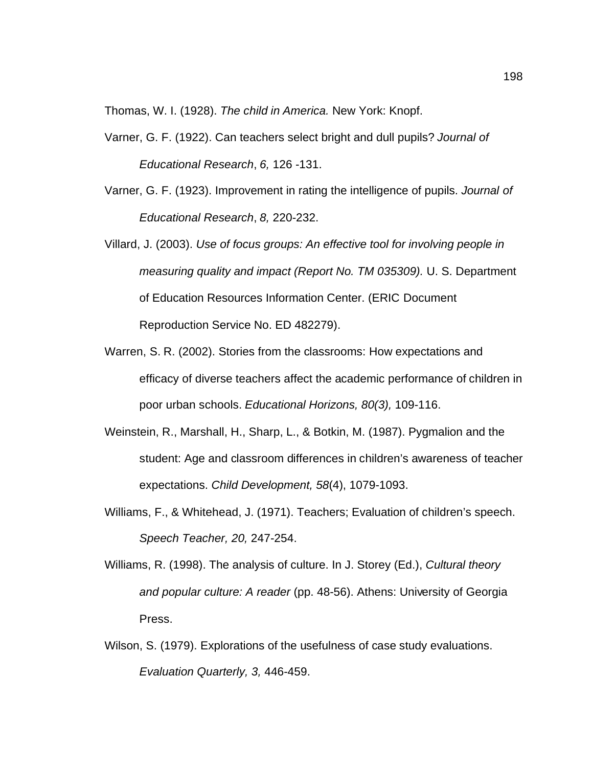Thomas, W. I. (1928). *The child in America.* New York: Knopf.

- Varner, G. F. (1922). Can teachers select bright and dull pupils? *Journal of Educational Research*, *6,* 126 -131.
- Varner, G. F. (1923). Improvement in rating the intelligence of pupils. *Journal of Educational Research*, *8,* 220-232.
- Villard, J. (2003). *Use of focus groups: An effective tool for involving people in measuring quality and impact (Report No. TM 035309).* U. S. Department of Education Resources Information Center. (ERIC Document Reproduction Service No. ED 482279).
- Warren, S. R. (2002). Stories from the classrooms: How expectations and efficacy of diverse teachers affect the academic performance of children in poor urban schools. *Educational Horizons, 80(3),* 109-116.
- Weinstein, R., Marshall, H., Sharp, L., & Botkin, M. (1987). Pygmalion and the student: Age and classroom differences in children's awareness of teacher expectations. *Child Development, 58*(4), 1079-1093.
- Williams, F., & Whitehead, J. (1971). Teachers; Evaluation of children's speech. *Speech Teacher, 20,* 247-254.
- Williams, R. (1998). The analysis of culture. In J. Storey (Ed.), *Cultural theory and popular culture: A reader* (pp. 48-56). Athens: University of Georgia Press.
- Wilson, S. (1979). Explorations of the usefulness of case study evaluations. *Evaluation Quarterly, 3,* 446-459.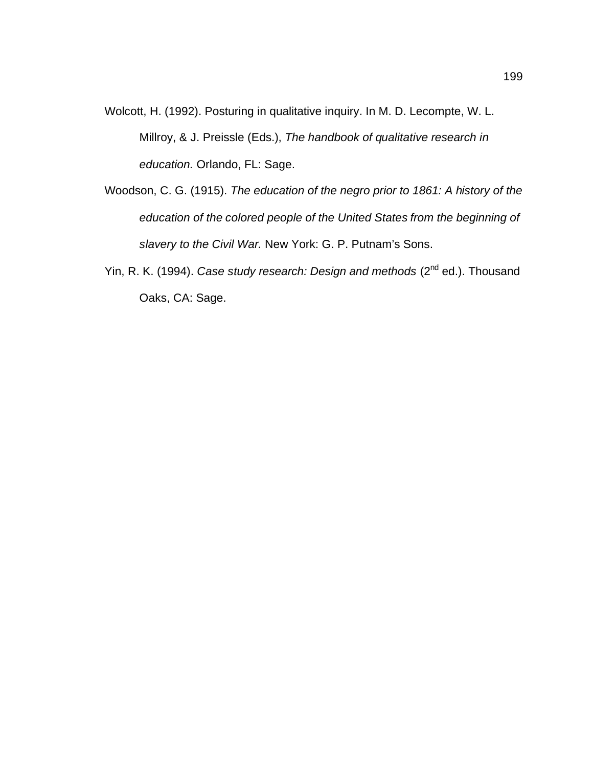- Wolcott, H. (1992). Posturing in qualitative inquiry. In M. D. Lecompte, W. L. Millroy, & J. Preissle (Eds.), *The handbook of qualitative research in education.* Orlando, FL: Sage.
- Woodson, C. G. (1915). *The education of the negro prior to 1861: A history of the education of the colored people of the United States from the beginning of slavery to the Civil War.* New York: G. P. Putnam's Sons.
- Yin, R. K. (1994). *Case study research: Design and methods* (2<sup>nd</sup> ed.). Thousand Oaks, CA: Sage.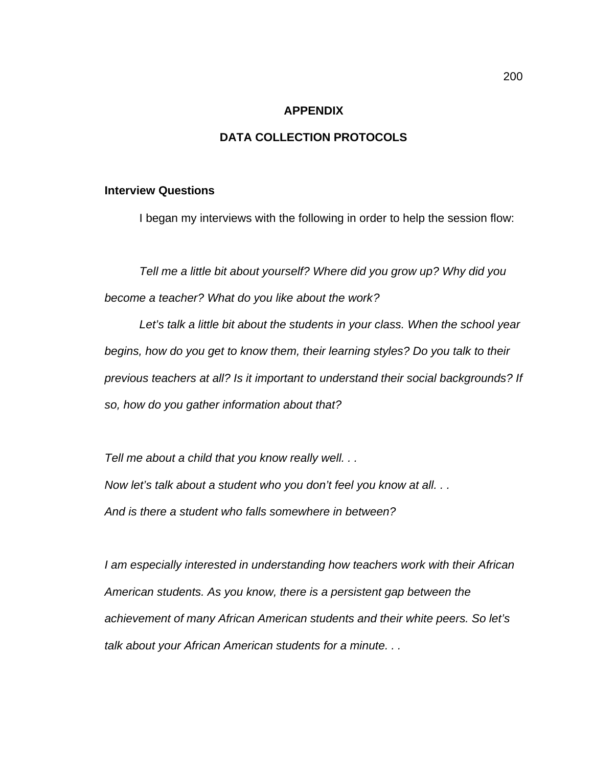#### **APPENDIX**

# **DATA COLLECTION PROTOCOLS**

#### **Interview Questions**

I began my interviews with the following in order to help the session flow:

*Tell me a little bit about yourself? Where did you grow up? Why did you become a teacher? What do you like about the work?* 

Let's talk a little bit about the students in your class. When the school year *begins, how do you get to know them, their learning styles? Do you talk to their previous teachers at all? Is it important to understand their social backgrounds? If so, how do you gather information about that?*

*Tell me about a child that you know really well. . . Now let's talk about a student who you don't feel you know at all. . . And is there a student who falls somewhere in between?*

*I am especially interested in understanding how teachers work with their African American students. As you know, there is a persistent gap between the achievement of many African American students and their white peers. So let's talk about your African American students for a minute. . .*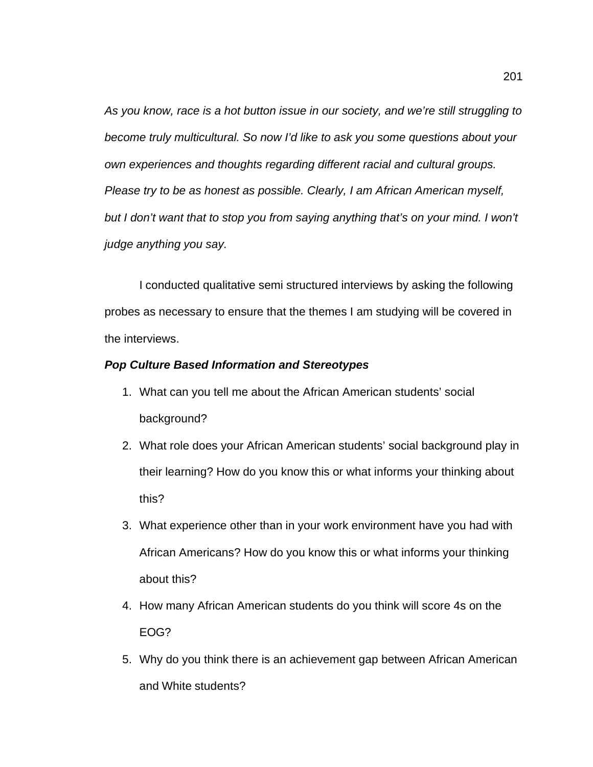*As you know, race is a hot button issue in our society, and we're still struggling to become truly multicultural. So now I'd like to ask you some questions about your own experiences and thoughts regarding different racial and cultural groups. Please try to be as honest as possible. Clearly, I am African American myself,*  but I don't want that to stop you from saying anything that's on your mind. I won't *judge anything you say.*

I conducted qualitative semi structured interviews by asking the following probes as necessary to ensure that the themes I am studying will be covered in the interviews.

## *Pop Culture Based Information and Stereotypes*

- 1. What can you tell me about the African American students' social background?
- 2. What role does your African American students' social background play in their learning? How do you know this or what informs your thinking about this?
- 3. What experience other than in your work environment have you had with African Americans? How do you know this or what informs your thinking about this?
- 4. How many African American students do you think will score 4s on the EOG?
- 5. Why do you think there is an achievement gap between African American and White students?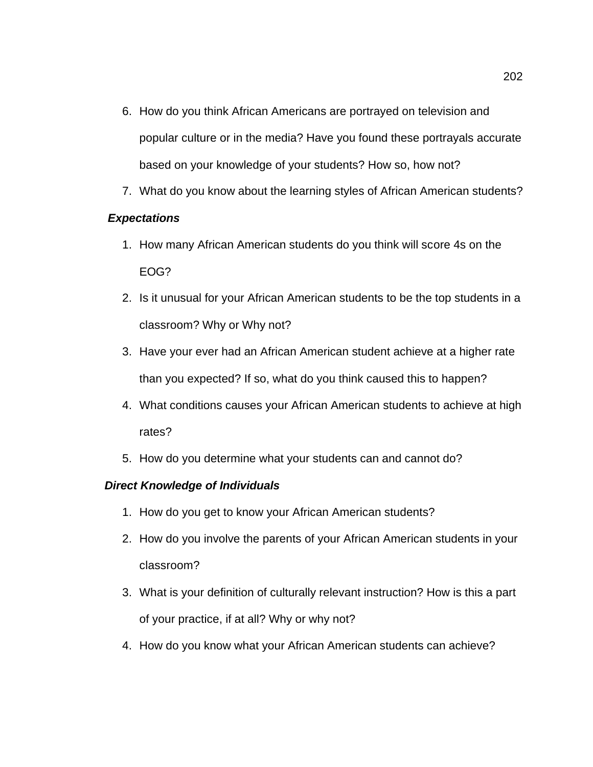- 6. How do you think African Americans are portrayed on television and popular culture or in the media? Have you found these portrayals accurate based on your knowledge of your students? How so, how not?
- 7. What do you know about the learning styles of African American students?

# *Expectations*

- 1. How many African American students do you think will score 4s on the EOG?
- 2. Is it unusual for your African American students to be the top students in a classroom? Why or Why not?
- 3. Have your ever had an African American student achieve at a higher rate than you expected? If so, what do you think caused this to happen?
- 4. What conditions causes your African American students to achieve at high rates?
- 5. How do you determine what your students can and cannot do?

# *Direct Knowledge of Individuals*

- 1. How do you get to know your African American students?
- 2. How do you involve the parents of your African American students in your classroom?
- 3. What is your definition of culturally relevant instruction? How is this a part of your practice, if at all? Why or why not?
- 4. How do you know what your African American students can achieve?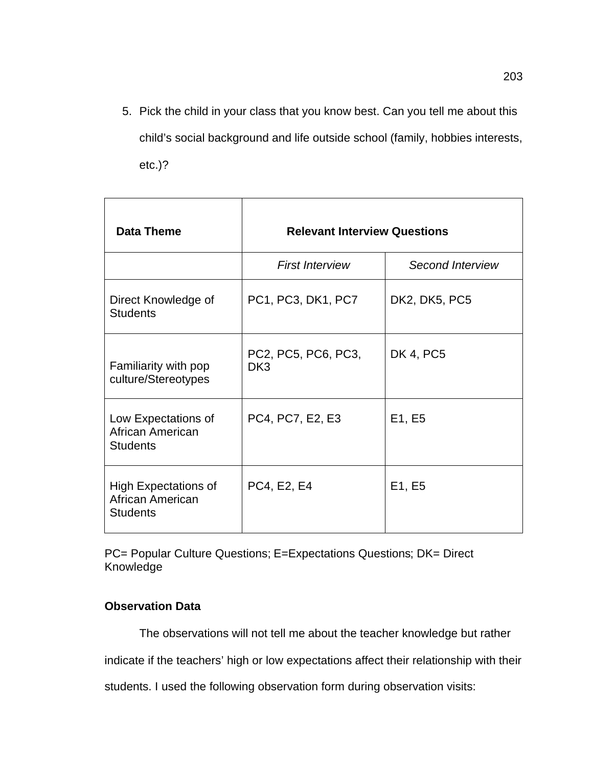5. Pick the child in your class that you know best. Can you tell me about this child's social background and life outside school (family, hobbies interests, etc.)?

| <b>Data Theme</b>                                                  | <b>Relevant Interview Questions</b>    |                         |  |  |  |
|--------------------------------------------------------------------|----------------------------------------|-------------------------|--|--|--|
|                                                                    | <b>First Interview</b>                 | <b>Second Interview</b> |  |  |  |
| Direct Knowledge of<br><b>Students</b>                             | PC1, PC3, DK1, PC7<br>DK2, DK5, PC5    |                         |  |  |  |
| Familiarity with pop<br>culture/Stereotypes                        | PC2, PC5, PC6, PC3,<br>DK <sub>3</sub> | DK 4, PC5               |  |  |  |
| Low Expectations of<br>African American<br><b>Students</b>         | PC4, PC7, E2, E3                       | E1, E5                  |  |  |  |
| <b>High Expectations of</b><br>African American<br><b>Students</b> | PC4, E2, E4                            | E1, E5                  |  |  |  |

PC= Popular Culture Questions; E=Expectations Questions; DK= Direct Knowledge

# **Observation Data**

The observations will not tell me about the teacher knowledge but rather

indicate if the teachers' high or low expectations affect their relationship with their

students. I used the following observation form during observation visits: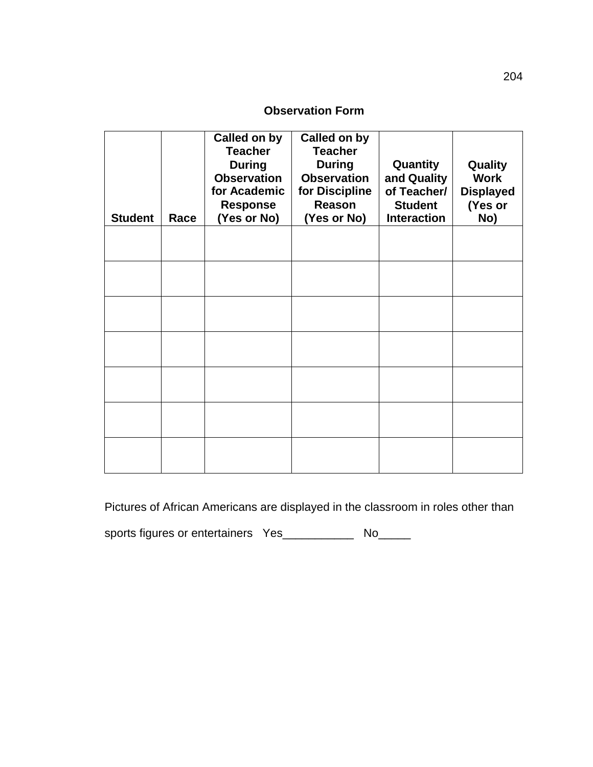# **Observation Form**

| <b>Student</b> | Race | Called on by<br><b>Teacher</b><br><b>During</b><br><b>Observation</b><br>for Academic<br><b>Response</b><br>(Yes or No) | <b>Called on by</b><br><b>Teacher</b><br><b>During</b><br><b>Observation</b><br>for Discipline<br>Reason<br>(Yes or No) | Quantity<br>and Quality<br>of Teacher/<br><b>Student</b><br><b>Interaction</b> | Quality<br><b>Work</b><br><b>Displayed</b><br>(Yes or<br>No) |
|----------------|------|-------------------------------------------------------------------------------------------------------------------------|-------------------------------------------------------------------------------------------------------------------------|--------------------------------------------------------------------------------|--------------------------------------------------------------|
|                |      |                                                                                                                         |                                                                                                                         |                                                                                |                                                              |
|                |      |                                                                                                                         |                                                                                                                         |                                                                                |                                                              |
|                |      |                                                                                                                         |                                                                                                                         |                                                                                |                                                              |
|                |      |                                                                                                                         |                                                                                                                         |                                                                                |                                                              |
|                |      |                                                                                                                         |                                                                                                                         |                                                                                |                                                              |
|                |      |                                                                                                                         |                                                                                                                         |                                                                                |                                                              |
|                |      |                                                                                                                         |                                                                                                                         |                                                                                |                                                              |

Pictures of African Americans are displayed in the classroom in roles other than

sports figures or entertainers Yes\_\_\_\_\_\_\_\_\_\_\_\_ No\_\_\_\_\_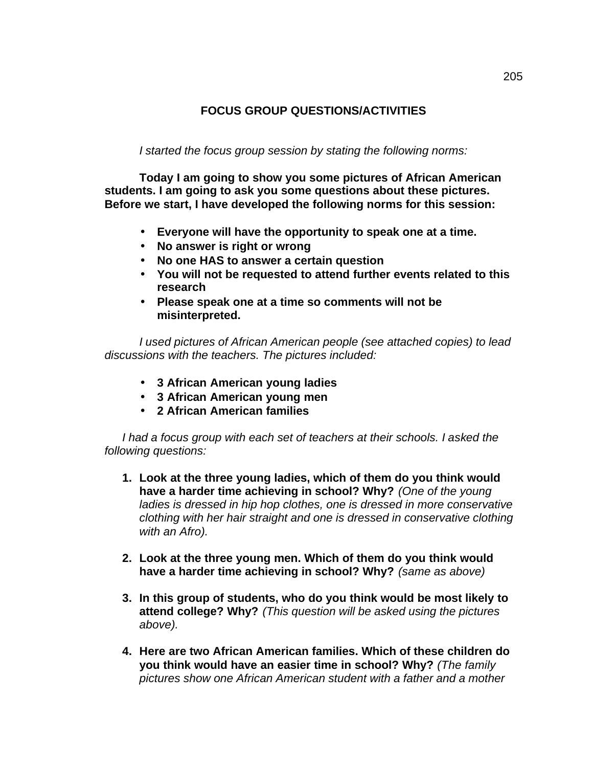## **FOCUS GROUP QUESTIONS/ACTIVITIES**

*I started the focus group session by stating the following norms:*

**Today I am going to show you some pictures of African American students. I am going to ask you some questions about these pictures. Before we start, I have developed the following norms for this session:**

- **Everyone will have the opportunity to speak one at a time.**
- **No answer is right or wrong**
- **No one HAS to answer a certain question**
- **You will not be requested to attend further events related to this research**
- **Please speak one at a time so comments will not be misinterpreted.**

*I used pictures of African American people (see attached copies) to lead discussions with the teachers. The pictures included:*

- **3 African American young ladies**
- **3 African American young men**
- **2 African American families**

*I had a focus group with each set of teachers at their schools. I asked the following questions:*

- **1. Look at the three young ladies, which of them do you think would have a harder time achieving in school? Why?** *(One of the young ladies is dressed in hip hop clothes, one is dressed in more conservative clothing with her hair straight and one is dressed in conservative clothing with an Afro).*
- **2. Look at the three young men. Which of them do you think would have a harder time achieving in school? Why?** *(same as above)*
- **3. In this group of students, who do you think would be most likely to attend college? Why?** *(This question will be asked using the pictures above).*
- **4. Here are two African American families. Which of these children do you think would have an easier time in school? Why?** *(The family pictures show one African American student with a father and a mother*